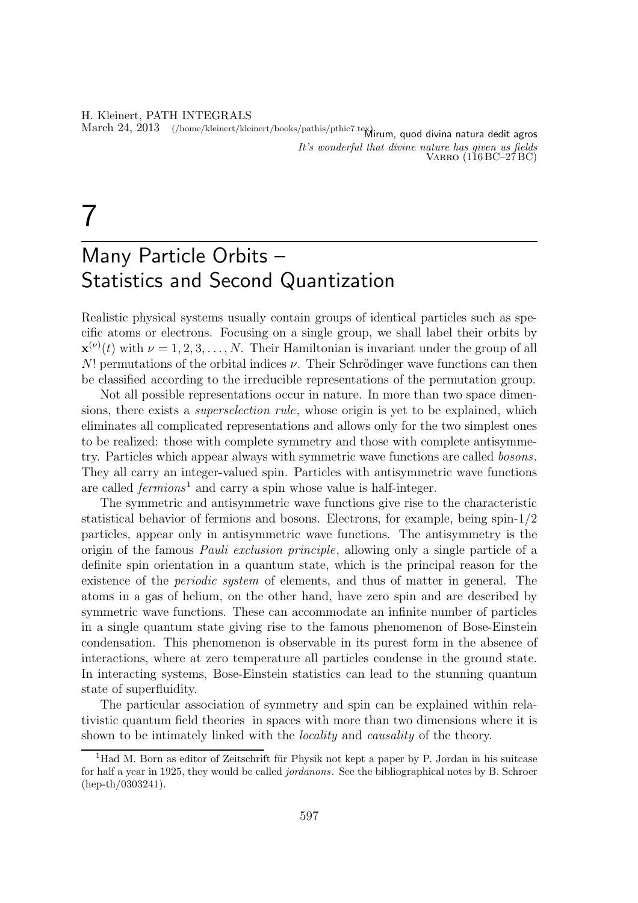#### H. Kleinert, PATH INTEGRALS

March 24, 2013 (/home/kleinert/kleinert/books/pathis/pthic7.tex) Mirum, quod divina natura dedit agros It's wonderful that divine nature has given us fields

VARRO  $(1\overline{1}6$  BC- $2\overline{7}$  BC)

# 7

# Many Particle Orbits – Statistics and Second Quantization

Realistic physical systems usually contain groups of identical particles such as specific atoms or electrons. Focusing on a single group, we shall label their orbits by  $\mathbf{x}^{(\nu)}(t)$  with  $\nu = 1, 2, 3, ..., N$ . Their Hamiltonian is invariant under the group of all  $N!$  permutations of the orbital indices  $\nu$ . Their Schrödinger wave functions can then be classified according to the irreducible representations of the permutation group.

Not all possible representations occur in nature. In more than two space dimensions, there exists a *superselection rule*, whose origin is yet to be explained, which eliminates all complicated representations and allows only for the two simplest ones to be realized: those with complete symmetry and those with complete antisymmetry. Particles which appear always with symmetric wave functions are called bosons. They all carry an integer-valued spin. Particles with antisymmetric wave functions are called  $fermions<sup>1</sup>$  and carry a spin whose value is half-integer.

The symmetric and antisymmetric wave functions give rise to the characteristic statistical behavior of fermions and bosons. Electrons, for example, being spin-1/2 particles, appear only in antisymmetric wave functions. The antisymmetry is the origin of the famous Pauli exclusion principle, allowing only a single particle of a definite spin orientation in a quantum state, which is the principal reason for the existence of the periodic system of elements, and thus of matter in general. The atoms in a gas of helium, on the other hand, have zero spin and are described by symmetric wave functions. These can accommodate an infinite number of particles in a single quantum state giving rise to the famous phenomenon of Bose-Einstein condensation. This phenomenon is observable in its purest form in the absence of interactions, where at zero temperature all particles condense in the ground state. In interacting systems, Bose-Einstein statistics can lead to the stunning quantum state of superfluidity.

The particular association of symmetry and spin can be explained within relativistic quantum field theories in spaces with more than two dimensions where it is shown to be intimately linked with the locality and causality of the theory.

 $<sup>1</sup>$ Had M. Born as editor of Zeitschrift für Physik not kept a paper by P. Jordan in his suitcase</sup> for half a year in 1925, they would be called jordanons. See the bibliographical notes by B. Schroer  $(hep-th/0303241).$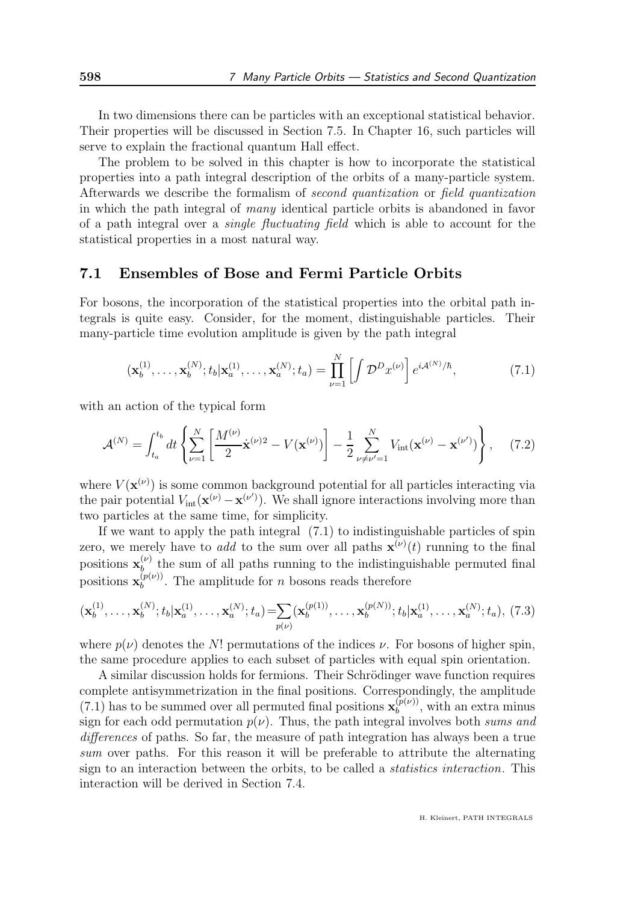In two dimensions there can be particles with an exceptional statistical behavior. Their properties will be discussed in Section 7.5. In Chapter 16, such particles will serve to explain the fractional quantum Hall effect.

The problem to be solved in this chapter is how to incorporate the statistical properties into a path integral description of the orbits of a many-particle system. Afterwards we describe the formalism of second quantization or field quantization in which the path integral of many identical particle orbits is abandoned in favor of a path integral over a single fluctuating field which is able to account for the statistical properties in a most natural way.

# 7.1 Ensembles of Bose and Fermi Particle Orbits

For bosons, the incorporation of the statistical properties into the orbital path integrals is quite easy. Consider, for the moment, distinguishable particles. Their many-particle time evolution amplitude is given by the path integral

$$
(\mathbf{x}_{b}^{(1)}, \dots, \mathbf{x}_{b}^{(N)}; t_{b} | \mathbf{x}_{a}^{(1)}, \dots, \mathbf{x}_{a}^{(N)}; t_{a}) = \prod_{\nu=1}^{N} \left[ \int \mathcal{D}^{D} x^{(\nu)} \right] e^{i \mathcal{A}^{(N)}/\hbar}, \tag{7.1}
$$

with an action of the typical form

$$
\mathcal{A}^{(N)} = \int_{t_a}^{t_b} dt \left\{ \sum_{\nu=1}^{N} \left[ \frac{M^{(\nu)}}{2} \dot{\mathbf{x}}^{(\nu)} - V(\mathbf{x}^{(\nu)}) \right] - \frac{1}{2} \sum_{\nu \neq \nu'=1}^{N} V_{\text{int}}(\mathbf{x}^{(\nu)} - \mathbf{x}^{(\nu')}) \right\}, \quad (7.2)
$$

where  $V(\mathbf{x}^{(\nu)})$  is some common background potential for all particles interacting via the pair potential  $V_{\text{int}}(\mathbf{x}^{(\nu)} - \mathbf{x}^{(\nu')})$ . We shall ignore interactions involving more than two particles at the same time, for simplicity.

If we want to apply the path integral (7.1) to indistinguishable particles of spin zero, we merely have to *add* to the sum over all paths  $\mathbf{x}^{(\nu)}(t)$  running to the final positions  $\mathbf{x}_b^{(\nu)}$  $\mathbf{b}_{\ell}^{(\nu)}$  the sum of all paths running to the indistinguishable permuted final positions  $\mathbf{x}_b^{(p(\nu))}$  $b_b^{(p(\nu))}$ . The amplitude for *n* bosons reads therefore

$$
(\mathbf{x}_{b}^{(1)},\ldots,\mathbf{x}_{b}^{(N)};t_{b}|\mathbf{x}_{a}^{(1)},\ldots,\mathbf{x}_{a}^{(N)};t_{a})=\sum_{p(\nu)}(\mathbf{x}_{b}^{(p(1))},\ldots,\mathbf{x}_{b}^{(p(N))};t_{b}|\mathbf{x}_{a}^{(1)},\ldots,\mathbf{x}_{a}^{(N)};t_{a}), (7.3)
$$

where  $p(\nu)$  denotes the N! permutations of the indices  $\nu$ . For bosons of higher spin, the same procedure applies to each subset of particles with equal spin orientation.

A similar discussion holds for fermions. Their Schrödinger wave function requires complete antisymmetrization in the final positions. Correspondingly, the amplitude (7.1) has to be summed over all permuted final positions  $\mathbf{x}_{b}^{(p(\nu))}$  $b^{(p(\nu))}_{b}$ , with an extra minus sign for each odd permutation  $p(\nu)$ . Thus, the path integral involves both sums and differences of paths. So far, the measure of path integration has always been a true sum over paths. For this reason it will be preferable to attribute the alternating sign to an interaction between the orbits, to be called a statistics interaction. This interaction will be derived in Section 7.4.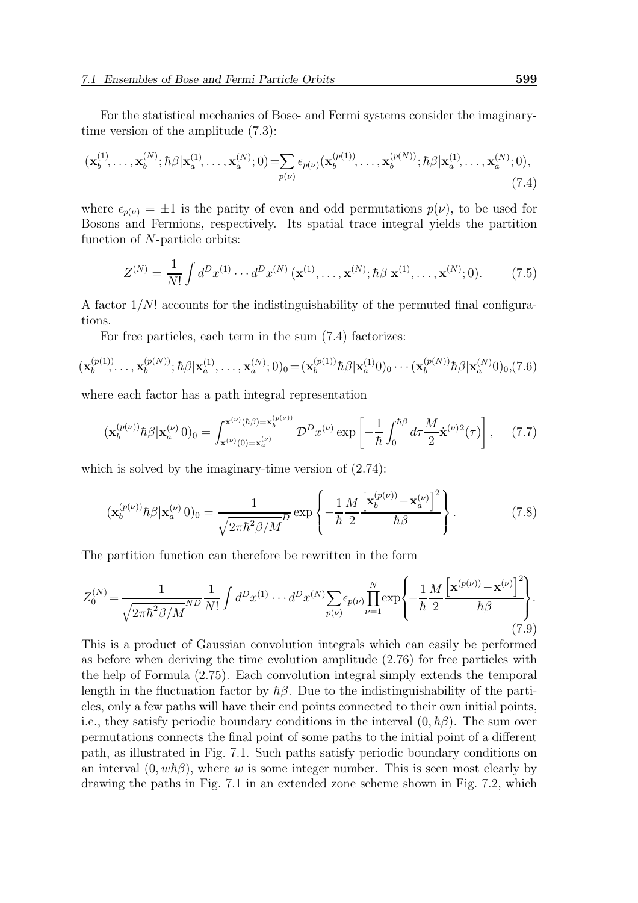For the statistical mechanics of Bose- and Fermi systems consider the imaginarytime version of the amplitude (7.3):

$$
(\mathbf{x}_{b}^{(1)},\ldots,\mathbf{x}_{b}^{(N)};\hbar\beta|\mathbf{x}_{a}^{(1)},\ldots,\mathbf{x}_{a}^{(N)};0)=\sum_{p(\nu)}\epsilon_{p(\nu)}(\mathbf{x}_{b}^{(p(1))},\ldots,\mathbf{x}_{b}^{(p(N))};\hbar\beta|\mathbf{x}_{a}^{(1)},\ldots,\mathbf{x}_{a}^{(N)};0),
$$
\n(7.4)

where  $\epsilon_{p(\nu)} = \pm 1$  is the parity of even and odd permutations  $p(\nu)$ , to be used for Bosons and Fermions, respectively. Its spatial trace integral yields the partition function of N-particle orbits:

$$
Z^{(N)} = \frac{1}{N!} \int d^D x^{(1)} \cdots d^D x^{(N)} (\mathbf{x}^{(1)}, \dots, \mathbf{x}^{(N)}; \hbar \beta | \mathbf{x}^{(1)}, \dots, \mathbf{x}^{(N)}; 0).
$$
 (7.5)

A factor 1/N! accounts for the indistinguishability of the permuted final configurations.

For free particles, each term in the sum (7.4) factorizes:

$$
(\mathbf{x}_{b}^{(p(1))},\ldots,\mathbf{x}_{b}^{(p(N))};\hbar\beta|\mathbf{x}_{a}^{(1)},\ldots,\mathbf{x}_{a}^{(N)};0)_{0}=(\mathbf{x}_{b}^{(p(1))}\hbar\beta|\mathbf{x}_{a}^{(1)}0)_{0}\cdots(\mathbf{x}_{b}^{(p(N))}\hbar\beta|\mathbf{x}_{a}^{(N)}0)_{0},(7.6)
$$

where each factor has a path integral representation

$$
(\mathbf{x}_{b}^{(p(\nu))}\hbar\beta|\mathbf{x}_{a}^{(\nu)}0)_{0} = \int_{\mathbf{x}^{(\nu)}(0)=\mathbf{x}_{a}^{(\nu)}}^{\mathbf{x}^{(\nu)}(\hbar\beta)=\mathbf{x}_{b}^{(p(\nu))}} \mathcal{D}^{D}x^{(\nu)} \exp\left[-\frac{1}{\hbar}\int_{0}^{\hbar\beta} d\tau \frac{M}{2}\dot{\mathbf{x}}^{(\nu)}(\tau)\right],\tag{7.7}
$$

which is solved by the imaginary-time version of  $(2.74)$ :

$$
(\mathbf{x}_b^{(p(\nu))}\hbar\beta|\mathbf{x}_a^{(\nu)}\,0)_0 = \frac{1}{\sqrt{2\pi\hbar^2\beta/M}}\exp\left\{-\frac{1}{\hbar}\frac{M}{2}\frac{\left[\mathbf{x}_b^{(p(\nu))}-\mathbf{x}_a^{(\nu)}\right]^2}{\hbar\beta}\right\}.
$$
(7.8)

The partition function can therefore be rewritten in the form

$$
Z_0^{(N)} = \frac{1}{\sqrt{2\pi\hbar^2 \beta/M}} \frac{1}{N!} \int d^D x^{(1)} \cdots d^D x^{(N)} \sum_{p(\nu)} \epsilon_{p(\nu)} \prod_{\nu=1}^N \exp\left\{-\frac{1}{\hbar} \frac{M}{2} \frac{\left[\mathbf{x}^{(p(\nu))} - \mathbf{x}^{(\nu)}\right]^2}{\hbar \beta}\right\}.
$$
\n(7.9)

This is a product of Gaussian convolution integrals which can easily be performed as before when deriving the time evolution amplitude (2.76) for free particles with the help of Formula (2.75). Each convolution integral simply extends the temporal length in the fluctuation factor by  $\hbar\beta$ . Due to the indistinguishability of the particles, only a few paths will have their end points connected to their own initial points, i.e., they satisfy periodic boundary conditions in the interval  $(0, \hbar\beta)$ . The sum over permutations connects the final point of some paths to the initial point of a different path, as illustrated in Fig. 7.1. Such paths satisfy periodic boundary conditions on an interval  $(0, w\hbar\beta)$ , where w is some integer number. This is seen most clearly by drawing the paths in Fig. 7.1 in an extended zone scheme shown in Fig. 7.2, which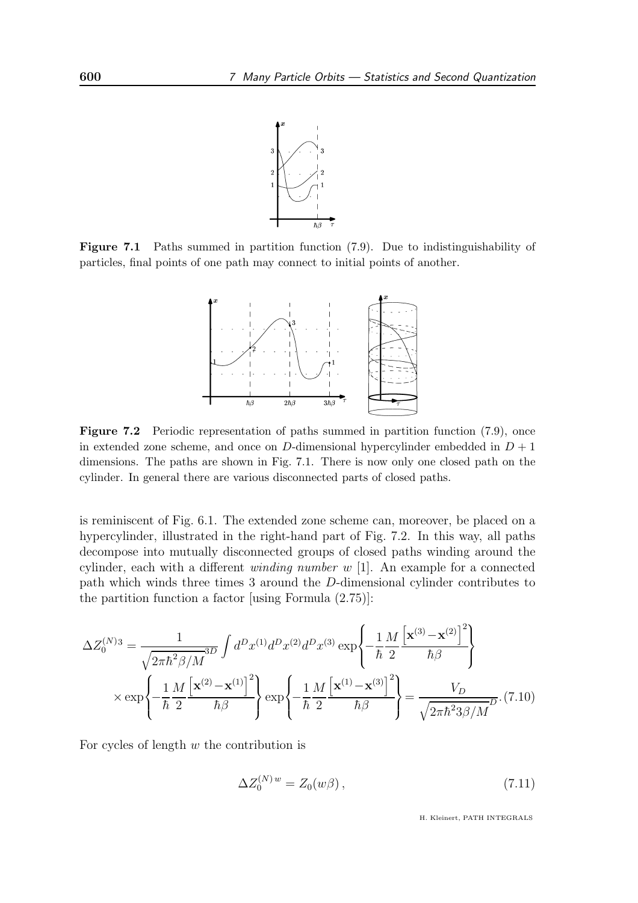

Figure 7.1 Paths summed in partition function (7.9). Due to indistinguishability of particles, final points of one path may connect to initial points of another.



Figure 7.2 Periodic representation of paths summed in partition function  $(7.9)$ , once in extended zone scheme, and once on D-dimensional hypercylinder embedded in  $D + 1$ dimensions. The paths are shown in Fig. 7.1. There is now only one closed path on the cylinder. In general there are various disconnected parts of closed paths.

is reminiscent of Fig. 6.1. The extended zone scheme can, moreover, be placed on a hypercylinder, illustrated in the right-hand part of Fig. 7.2. In this way, all paths decompose into mutually disconnected groups of closed paths winding around the cylinder, each with a different *winding number w* [1]. An example for a connected path which winds three times 3 around the D-dimensional cylinder contributes to the partition function a factor [using Formula (2.75)]:

$$
\Delta Z_0^{(N)3} = \frac{1}{\sqrt{2\pi\hbar^2 \beta/M}^{3D}} \int d^D x^{(1)} d^D x^{(2)} d^D x^{(3)} \exp\left\{-\frac{1}{\hbar} \frac{M}{2} \frac{\left[\mathbf{x}^{(3)} - \mathbf{x}^{(2)}\right]^2}{\hbar \beta}\right\}
$$

$$
\times \exp\left\{-\frac{1}{\hbar} \frac{M}{2} \frac{\left[\mathbf{x}^{(2)} - \mathbf{x}^{(1)}\right]^2}{\hbar \beta}\right\} \exp\left\{-\frac{1}{\hbar} \frac{M}{2} \frac{\left[\mathbf{x}^{(1)} - \mathbf{x}^{(3)}\right]^2}{\hbar \beta}\right\} = \frac{V_D}{\sqrt{2\pi\hbar^2 3\beta/M}}. (7.10)
$$

For cycles of length  $w$  the contribution is

$$
\Delta Z_0^{(N)\,w} = Z_0(w\beta) \,,\tag{7.11}
$$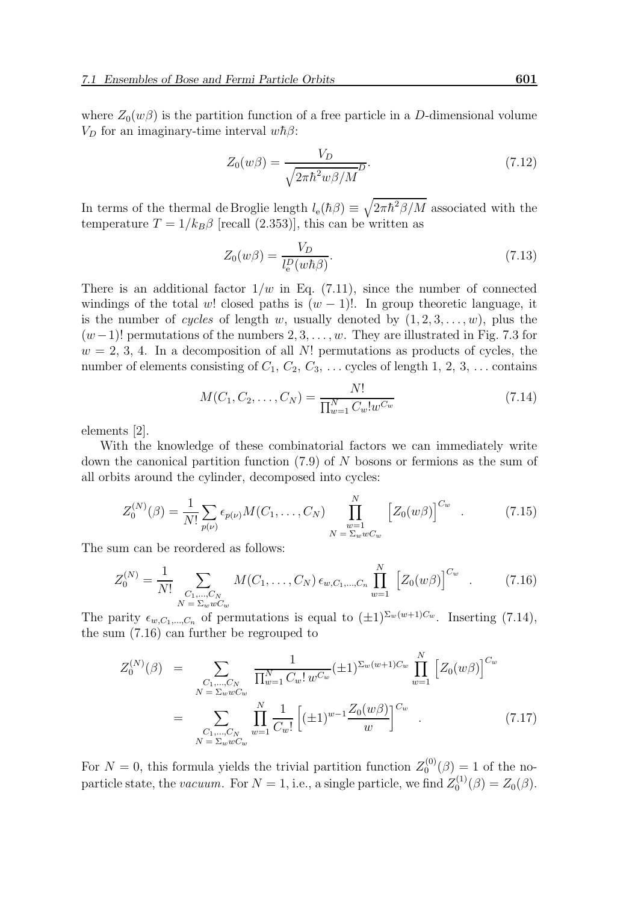where  $Z_0(w\beta)$  is the partition function of a free particle in a D-dimensional volume  $V_D$  for an imaginary-time interval  $w\hbar\beta$ :

$$
Z_0(w\beta) = \frac{V_D}{\sqrt{2\pi\hbar^2 w\beta/M}}.
$$
\n(7.12)

In terms of the thermal de Broglie length  $l_e(\hbar\beta) \equiv \sqrt{2\pi\hbar^2\beta/M}$  associated with the temperature  $T = 1/k_B\beta$  [recall (2.353)], this can be written as

$$
Z_0(w\beta) = \frac{V_D}{l_e^D(w\hbar\beta)}.\tag{7.13}
$$

There is an additional factor  $1/w$  in Eq. (7.11), since the number of connected windings of the total w! closed paths is  $(w - 1)!$ . In group theoretic language, it is the number of cycles of length w, usually denoted by  $(1, 2, 3, \ldots, w)$ , plus the  $(w-1)!$  permutations of the numbers 2, 3, . . . , w. They are illustrated in Fig. 7.3 for  $w = 2, 3, 4$ . In a decomposition of all N! permutations as products of cycles, the number of elements consisting of  $C_1, C_2, C_3, \ldots$  cycles of length 1, 2, 3,  $\ldots$  contains

$$
M(C_1, C_2, \dots, C_N) = \frac{N!}{\prod_{w=1}^N C_w! w^{C_w}}
$$
\n(7.14)

elements [2].

With the knowledge of these combinatorial factors we can immediately write down the canonical partition function  $(7.9)$  of N bosons or fermions as the sum of all orbits around the cylinder, decomposed into cycles:

$$
Z_0^{(N)}(\beta) = \frac{1}{N!} \sum_{p(\nu)} \epsilon_{p(\nu)} M(C_1, \dots, C_N) \prod_{\substack{w=1 \ N \equiv \Sigma_w w C_w}}^N \left[ Z_0(w\beta) \right]^{C_w} \quad . \tag{7.15}
$$

The sum can be reordered as follows:

$$
Z_0^{(N)} = \frac{1}{N!} \sum_{\substack{C_1, \dots, C_N \\ N = \Sigma_w w C_w}} M(C_1, \dots, C_N) \epsilon_{w, C_1, \dots, C_n} \prod_{w=1}^N \left[ Z_0(w\beta) \right]^{C_w} . \tag{7.16}
$$

The parity  $\epsilon_{w,C_1,...,C_n}$  of permutations is equal to  $(\pm 1)^{\Sigma_w(w+1)C_w}$ . Inserting (7.14), the sum (7.16) can further be regrouped to

$$
Z_0^{(N)}(\beta) = \sum_{\substack{C_1,\dots,C_N \\ N = \Sigma_w w C_w}} \frac{1}{\prod_{w=1}^N C_w! w^{C_w}} (\pm 1)^{\Sigma_w (w+1) C_w} \prod_{w=1}^N \left[ Z_0(w\beta) \right]^{C_w}
$$
  

$$
= \sum_{\substack{C_1,\dots,C_N \\ N = \Sigma_w w C_w}} \prod_{w=1}^N \frac{1}{C_w!} \left[ (\pm 1)^{w-1} \frac{Z_0(w\beta)}{w} \right]^{C_w} . \tag{7.17}
$$

For  $N=0$ , this formula yields the trivial partition function  $Z_0^{(0)}$  $\eta_0^{(0)}(\beta) = 1$  of the noparticle state, the vacuum. For  $N = 1$ , i.e., a single particle, we find  $Z_0^{(1)}$  $C_0^{(1)}(\beta) = Z_0(\beta).$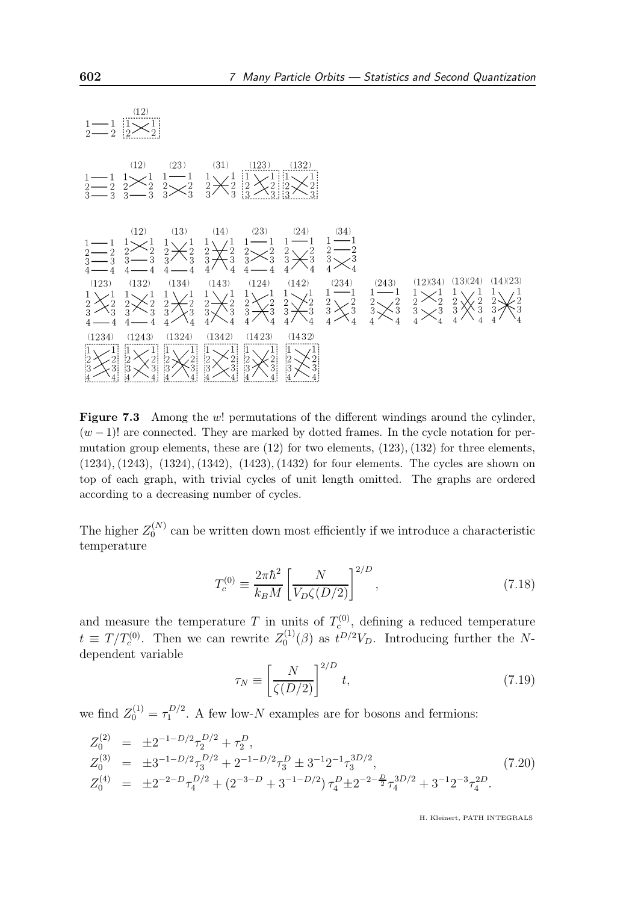

**Figure 7.3** Among the w! permutations of the different windings around the cylinder,  $(w-1)!$  are connected. They are marked by dotted frames. In the cycle notation for permutation group elements, these are  $(12)$  for two elements,  $(123)$ ,  $(132)$  for three elements, (1234), (1243), (1324), (1342), (1423), (1432) for four elements. The cycles are shown on top of each graph, with trivial cycles of unit length omitted. The graphs are ordered according to a decreasing number of cycles.

The higher  $Z_0^{(N)}$  can be written down most efficiently if we introduce a characteristic temperature

$$
T_c^{(0)} \equiv \frac{2\pi\hbar^2}{k_B M} \left[ \frac{N}{V_D \zeta(D/2)} \right]^{2/D},\tag{7.18}
$$

and measure the temperature T in units of  $T_c^{(0)}$ , defining a reduced temperature  $t \equiv T/T_c^{(0)}$ . Then we can rewrite  $Z_0^{(1)}$  $t_0^{(1)}(\beta)$  as  $t^{D/2}V_D$ . Introducing further the Ndependent variable

$$
\tau_N \equiv \left[\frac{N}{\zeta(D/2)}\right]^{2/D} t,\tag{7.19}
$$

we find  $Z_0^{(1)} = \tau_1^{D/2}$  $1^{D/2}$ . A few low-N examples are for bosons and fermions:

$$
Z_0^{(2)} = \pm 2^{-1-D/2} \tau_2^{D/2} + \tau_2^D,
$$
  
\n
$$
Z_0^{(3)} = \pm 3^{-1-D/2} \tau_3^{D/2} + 2^{-1-D/2} \tau_3^D \pm 3^{-1} 2^{-1} \tau_3^{3D/2},
$$
  
\n
$$
Z_0^{(4)} = \pm 2^{-2-D} \tau_4^{D/2} + (2^{-3-D} + 3^{-1-D/2}) \tau_4^D \pm 2^{-2-\frac{D}{2}} \tau_4^{3D/2} + 3^{-1} 2^{-3} \tau_4^{2D}.
$$
\n(7.20)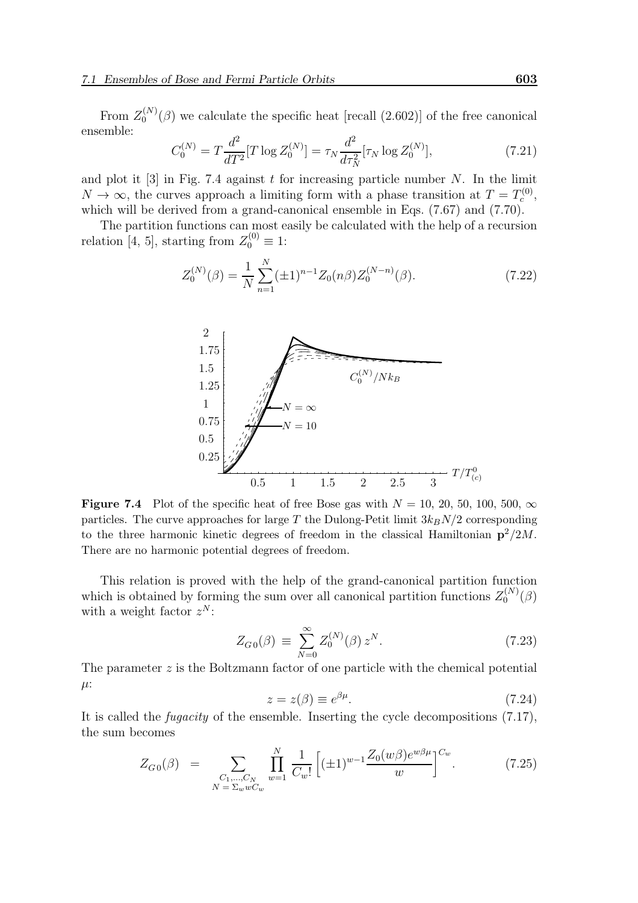From  $Z_0^{(N)}$  $\binom{N}{0}$  we calculate the specific heat [recall (2.602)] of the free canonical ensemble:

$$
C_0^{(N)} = T \frac{d^2}{dT^2} [T \log Z_0^{(N)}] = \tau_N \frac{d^2}{d\tau_N^2} [\tau_N \log Z_0^{(N)}],\tag{7.21}
$$

and plot it  $[3]$  in Fig. 7.4 against t for increasing particle number N. In the limit  $N \to \infty$ , the curves approach a limiting form with a phase transition at  $T = T_c^{(0)}$ , which will be derived from a grand-canonical ensemble in Eqs.  $(7.67)$  and  $(7.70)$ .

The partition functions can most easily be calculated with the help of a recursion relation [4, 5], starting from  $Z_0^{(0)} \equiv 1$ :

$$
Z_0^{(N)}(\beta) = \frac{1}{N} \sum_{n=1}^{N} (\pm 1)^{n-1} Z_0(n\beta) Z_0^{(N-n)}(\beta).
$$
 (7.22)



**Figure 7.4** Plot of the specific heat of free Bose gas with  $N = 10, 20, 50, 100, 500, \infty$ particles. The curve approaches for large T the Dulong-Petit limit  $3k_BN/2$  corresponding to the three harmonic kinetic degrees of freedom in the classical Hamiltonian  $p^2/2M$ . There are no harmonic potential degrees of freedom.

This relation is proved with the help of the grand-canonical partition function which is obtained by forming the sum over all canonical partition functions  $Z_0^{(N)}$  $\binom{N}{0}(\beta)$ with a weight factor  $z^N$ :

$$
Z_{G0}(\beta) \equiv \sum_{N=0}^{\infty} Z_0^{(N)}(\beta) z^N.
$$
 (7.23)

The parameter  $z$  is the Boltzmann factor of one particle with the chemical potential  $\mu$ :

$$
z = z(\beta) \equiv e^{\beta \mu}.
$$
\n(7.24)

It is called the fugacity of the ensemble. Inserting the cycle decompositions (7.17), the sum becomes

$$
Z_{G0}(\beta) = \sum_{\substack{C_1,\dots,C_N\\N=\Sigma_w w C_w}} \prod_{w=1}^N \frac{1}{C_w!} \left[ (\pm 1)^{w-1} \frac{Z_0(w\beta) e^{w\beta \mu}}{w} \right]^{C_w}.
$$
 (7.25)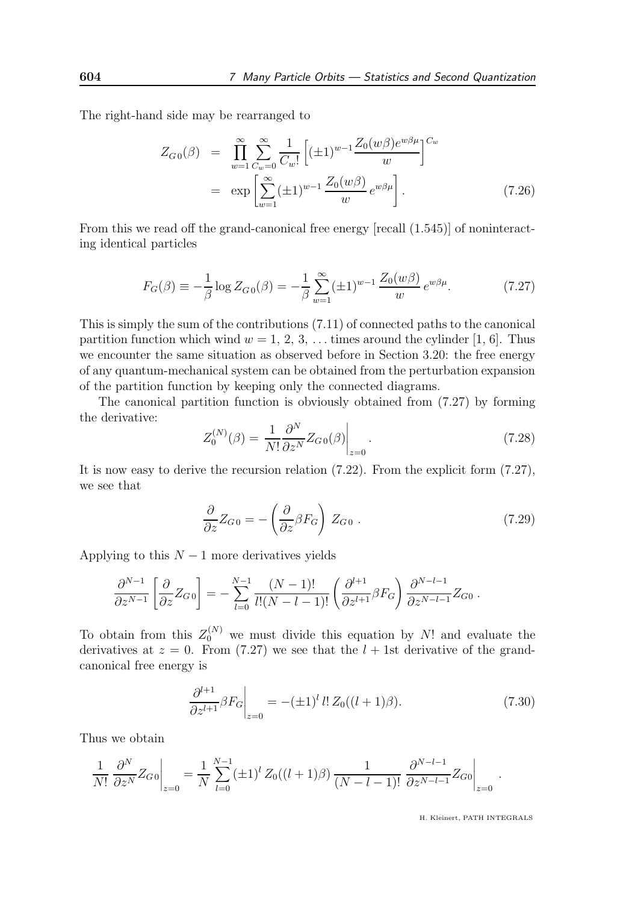The right-hand side may be rearranged to

$$
Z_{G0}(\beta) = \prod_{w=1}^{\infty} \sum_{C_w=0}^{\infty} \frac{1}{C_w!} \left[ (\pm 1)^{w-1} \frac{Z_0(w\beta) e^{w\beta\mu}}{w} \right]^{C_w}
$$
  

$$
= \exp \left[ \sum_{w=1}^{\infty} (\pm 1)^{w-1} \frac{Z_0(w\beta)}{w} e^{w\beta\mu} \right].
$$
 (7.26)

From this we read off the grand-canonical free energy [recall (1.545)] of noninteracting identical particles

$$
F_G(\beta) \equiv -\frac{1}{\beta} \log Z_{G0}(\beta) = -\frac{1}{\beta} \sum_{w=1}^{\infty} (\pm 1)^{w-1} \frac{Z_0(w\beta)}{w} e^{w\beta\mu}.
$$
 (7.27)

This is simply the sum of the contributions (7.11) of connected paths to the canonical partition function which wind  $w = 1, 2, 3, \ldots$  times around the cylinder [1, 6]. Thus we encounter the same situation as observed before in Section 3.20: the free energy of any quantum-mechanical system can be obtained from the perturbation expansion of the partition function by keeping only the connected diagrams.

The canonical partition function is obviously obtained from (7.27) by forming the derivative:

$$
Z_0^{(N)}(\beta) = \frac{1}{N!} \frac{\partial^N}{\partial z^N} Z_{G0}(\beta) \Big|_{z=0}.
$$
 (7.28)

It is now easy to derive the recursion relation (7.22). From the explicit form (7.27), we see that

$$
\frac{\partial}{\partial z} Z_{G0} = -\left(\frac{\partial}{\partial z} \beta F_G\right) Z_{G0} . \tag{7.29}
$$

Applying to this  $N-1$  more derivatives yields

$$
\frac{\partial^{N-1}}{\partial z^{N-1}}\left[\frac{\partial}{\partial z}Z_{G0}\right] = -\sum_{l=0}^{N-1} \frac{(N-1)!}{l!(N-l-1)!} \left(\frac{\partial^{l+1}}{\partial z^{l+1}}\beta F_G\right) \frac{\partial^{N-l-1}}{\partial z^{N-l-1}}Z_{G0}.
$$

To obtain from this  $Z_0^{(N)}$  we must divide this equation by N! and evaluate the derivatives at  $z = 0$ . From (7.27) we see that the  $l + 1$ st derivative of the grandcanonical free energy is

$$
\left. \frac{\partial^{l+1}}{\partial z^{l+1}} \beta F_G \right|_{z=0} = -(\pm 1)^l l! \, Z_0((l+1)\beta). \tag{7.30}
$$

Thus we obtain

$$
\frac{1}{N!} \left. \frac{\partial^N}{\partial z^N} Z_G 0 \right|_{z=0} = \frac{1}{N} \sum_{l=0}^{N-1} (\pm 1)^l Z_0((l+1)\beta) \frac{1}{(N-l-1)!} \left. \frac{\partial^{N-l-1}}{\partial z^{N-l-1}} Z_G 0 \right|_{z=0}
$$

H. Kleinert, PATH INTEGRALS

.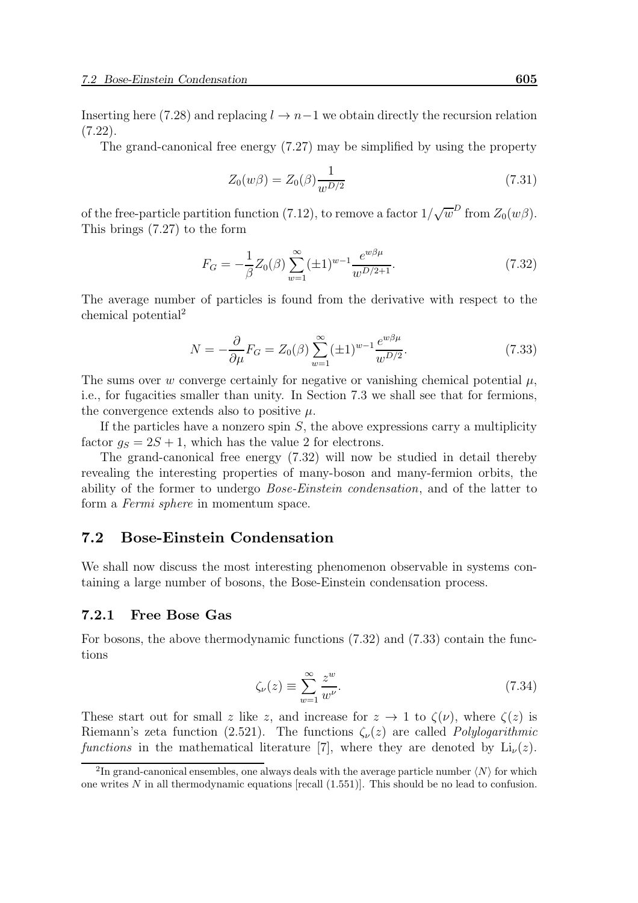Inserting here (7.28) and replacing  $l \to n-1$  we obtain directly the recursion relation (7.22).

The grand-canonical free energy (7.27) may be simplified by using the property

$$
Z_0(w\beta) = Z_0(\beta) \frac{1}{w^{D/2}} \tag{7.31}
$$

of the free-particle partition function (7.12), to remove a factor  $1/\sqrt{w}^D$  from  $Z_0(w\beta)$ . This brings (7.27) to the form

$$
F_G = -\frac{1}{\beta} Z_0(\beta) \sum_{w=1}^{\infty} (\pm 1)^{w-1} \frac{e^{w\beta\mu}}{w^{D/2+1}}.
$$
 (7.32)

The average number of particles is found from the derivative with respect to the chemical potential<sup>2</sup>

$$
N = -\frac{\partial}{\partial \mu} F_G = Z_0(\beta) \sum_{w=1}^{\infty} (\pm 1)^{w-1} \frac{e^{w\beta\mu}}{w^{D/2}}.
$$
 (7.33)

The sums over w converge certainly for negative or vanishing chemical potential  $\mu$ , i.e., for fugacities smaller than unity. In Section 7.3 we shall see that for fermions, the convergence extends also to positive  $\mu$ .

If the particles have a nonzero spin  $S$ , the above expressions carry a multiplicity factor  $q_s = 2S + 1$ , which has the value 2 for electrons.

The grand-canonical free energy (7.32) will now be studied in detail thereby revealing the interesting properties of many-boson and many-fermion orbits, the ability of the former to undergo Bose-Einstein condensation, and of the latter to form a Fermi sphere in momentum space.

# 7.2 Bose-Einstein Condensation

We shall now discuss the most interesting phenomenon observable in systems containing a large number of bosons, the Bose-Einstein condensation process.

#### 7.2.1 Free Bose Gas

For bosons, the above thermodynamic functions (7.32) and (7.33) contain the functions

$$
\zeta_{\nu}(z) \equiv \sum_{w=1}^{\infty} \frac{z^w}{w^{\nu}}.\tag{7.34}
$$

These start out for small z like z, and increase for  $z \to 1$  to  $\zeta(\nu)$ , where  $\zeta(z)$  is Riemann's zeta function (2.521). The functions  $\zeta_{\nu}(z)$  are called *Polylogarithmic* functions in the mathematical literature [7], where they are denoted by  $Li_{\nu}(z)$ .

<sup>&</sup>lt;sup>2</sup>In grand-canonical ensembles, one always deals with the average particle number  $\langle N \rangle$  for which one writes N in all thermodynamic equations [recall (1.551)]. This should be no lead to confusion.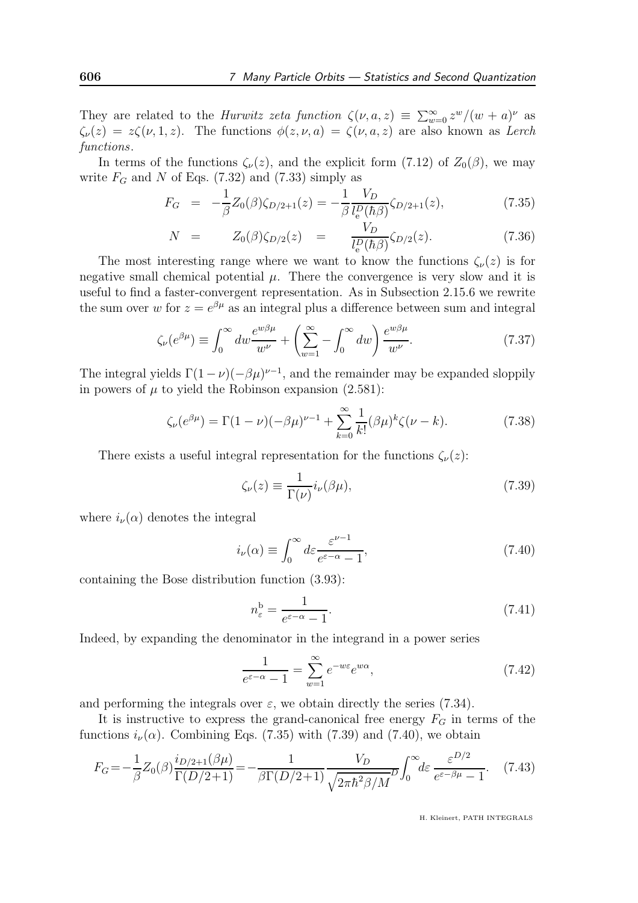They are related to the *Hurwitz zeta function*  $\zeta(\nu, a, z) \equiv \sum_{w=0}^{\infty} z^w/(w + a)^{\nu}$  as  $\zeta_{\nu}(z) = z\zeta(\nu,1,z)$ . The functions  $\phi(z,\nu,a) = \zeta(\nu,a,z)$  are also known as Lerch functions.

In terms of the functions  $\zeta_\nu(z)$ , and the explicit form (7.12) of  $Z_0(\beta)$ , we may write  $F_G$  and N of Eqs. (7.32) and (7.33) simply as

$$
F_G = -\frac{1}{\beta} Z_0(\beta) \zeta_{D/2+1}(z) = -\frac{1}{\beta} \frac{V_D}{l_e^D(\hbar \beta)} \zeta_{D/2+1}(z), \tag{7.35}
$$

$$
N = Z_0(\beta)\zeta_{D/2}(z) = \frac{V_D}{l_e^D(\hbar\beta)}\zeta_{D/2}(z). \tag{7.36}
$$

The most interesting range where we want to know the functions  $\zeta_{\nu}(z)$  is for negative small chemical potential  $\mu$ . There the convergence is very slow and it is useful to find a faster-convergent representation. As in Subsection 2.15.6 we rewrite the sum over w for  $z = e^{\beta \mu}$  as an integral plus a difference between sum and integral

$$
\zeta_{\nu}(e^{\beta \mu}) \equiv \int_0^{\infty} dw \frac{e^{w\beta \mu}}{w^{\nu}} + \left(\sum_{w=1}^{\infty} - \int_0^{\infty} dw\right) \frac{e^{w\beta \mu}}{w^{\nu}}.
$$
\n(7.37)

The integral yields  $\Gamma(1-\nu)(-\beta\mu)^{\nu-1}$ , and the remainder may be expanded sloppily in powers of  $\mu$  to yield the Robinson expansion (2.581):

$$
\zeta_{\nu}(e^{\beta \mu}) = \Gamma(1 - \nu)(-\beta \mu)^{\nu - 1} + \sum_{k=0}^{\infty} \frac{1}{k!} (\beta \mu)^k \zeta(\nu - k). \tag{7.38}
$$

There exists a useful integral representation for the functions  $\zeta_{\nu}(z)$ :

$$
\zeta_{\nu}(z) \equiv \frac{1}{\Gamma(\nu)} i_{\nu}(\beta \mu),\tag{7.39}
$$

where  $i_{\nu}(\alpha)$  denotes the integral

$$
i_{\nu}(\alpha) \equiv \int_0^{\infty} d\varepsilon \frac{\varepsilon^{\nu-1}}{e^{\varepsilon-\alpha} - 1},\tag{7.40}
$$

containing the Bose distribution function (3.93):

$$
n_{\varepsilon}^{\mathrm{b}} = \frac{1}{e^{\varepsilon - \alpha} - 1}.\tag{7.41}
$$

Indeed, by expanding the denominator in the integrand in a power series

$$
\frac{1}{e^{\varepsilon-\alpha}-1}=\sum_{w=1}^{\infty}e^{-w\varepsilon}e^{w\alpha},\qquad(7.42)
$$

and performing the integrals over  $\varepsilon$ , we obtain directly the series (7.34).

It is instructive to express the grand-canonical free energy  $F<sub>G</sub>$  in terms of the functions  $i_{\nu}(\alpha)$ . Combining Eqs. (7.35) with (7.39) and (7.40), we obtain

$$
F_G = -\frac{1}{\beta} Z_0(\beta) \frac{i_{D/2+1}(\beta \mu)}{\Gamma(D/2+1)} = -\frac{1}{\beta \Gamma(D/2+1)} \frac{V_D}{\sqrt{2\pi \hbar^2 \beta/M}} \int_0^\infty d\varepsilon \frac{\varepsilon^{D/2}}{e^{\varepsilon - \beta \mu} - 1}.
$$
 (7.43)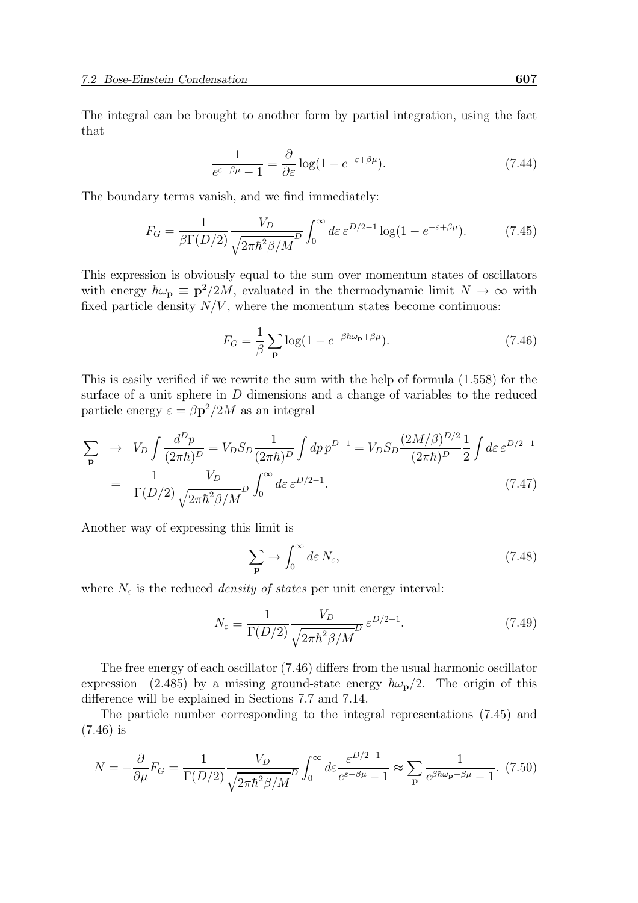The integral can be brought to another form by partial integration, using the fact that

$$
\frac{1}{e^{\varepsilon-\beta\mu}-1} = \frac{\partial}{\partial \varepsilon} \log(1 - e^{-\varepsilon+\beta\mu}).\tag{7.44}
$$

The boundary terms vanish, and we find immediately:

$$
F_G = \frac{1}{\beta \Gamma(D/2)} \frac{V_D}{\sqrt{2\pi\hbar^2 \beta/M}} \int_0^\infty d\varepsilon \,\varepsilon^{D/2 - 1} \log(1 - e^{-\varepsilon + \beta \mu}).\tag{7.45}
$$

This expression is obviously equal to the sum over momentum states of oscillators with energy  $\hbar\omega_{\mathbf{p}} \equiv \mathbf{p}^2/2M$ , evaluated in the thermodynamic limit  $N \to \infty$  with fixed particle density  $N/V$ , where the momentum states become continuous:

$$
F_G = \frac{1}{\beta} \sum_{\mathbf{p}} \log(1 - e^{-\beta \hbar \omega_{\mathbf{p}} + \beta \mu}).
$$
\n(7.46)

This is easily verified if we rewrite the sum with the help of formula (1.558) for the surface of a unit sphere in D dimensions and a change of variables to the reduced particle energy  $\varepsilon = \beta \mathbf{p}^2 / 2M$  as an integral

$$
\sum_{\mathbf{p}} \rightarrow V_D \int \frac{d^D p}{(2\pi\hbar)^D} = V_D S_D \frac{1}{(2\pi\hbar)^D} \int dp \, p^{D-1} = V_D S_D \frac{(2M/\beta)^{D/2}}{(2\pi\hbar)^D} \frac{1}{2} \int d\varepsilon \, \varepsilon^{D/2-1}
$$
\n
$$
= \frac{1}{\Gamma(D/2)} \frac{V_D}{\sqrt{2\pi\hbar^2 \beta/M}} \int_0^\infty d\varepsilon \, \varepsilon^{D/2-1} . \tag{7.47}
$$

Another way of expressing this limit is

$$
\sum_{\mathbf{p}} \to \int_0^\infty d\varepsilon \, N_\varepsilon,\tag{7.48}
$$

where  $N_{\varepsilon}$  is the reduced *density of states* per unit energy interval:

$$
N_{\varepsilon} \equiv \frac{1}{\Gamma(D/2)} \frac{V_D}{\sqrt{2\pi\hbar^2 \beta/M}} \varepsilon^{D/2 - 1}.
$$
 (7.49)

The free energy of each oscillator (7.46) differs from the usual harmonic oscillator expression (2.485) by a missing ground-state energy  $\hbar \omega_p/2$ . The origin of this difference will be explained in Sections 7.7 and 7.14.

The particle number corresponding to the integral representations (7.45) and (7.46) is

$$
N = -\frac{\partial}{\partial \mu} F_G = \frac{1}{\Gamma(D/2)} \frac{V_D}{\sqrt{2\pi\hbar^2 \beta/M}} \int_0^\infty d\varepsilon \frac{\varepsilon^{D/2 - 1}}{e^{\varepsilon - \beta \mu} - 1} \approx \sum_{\mathbf{p}} \frac{1}{e^{\beta \hbar \omega_{\mathbf{p}} - \beta \mu} - 1}.
$$
 (7.50)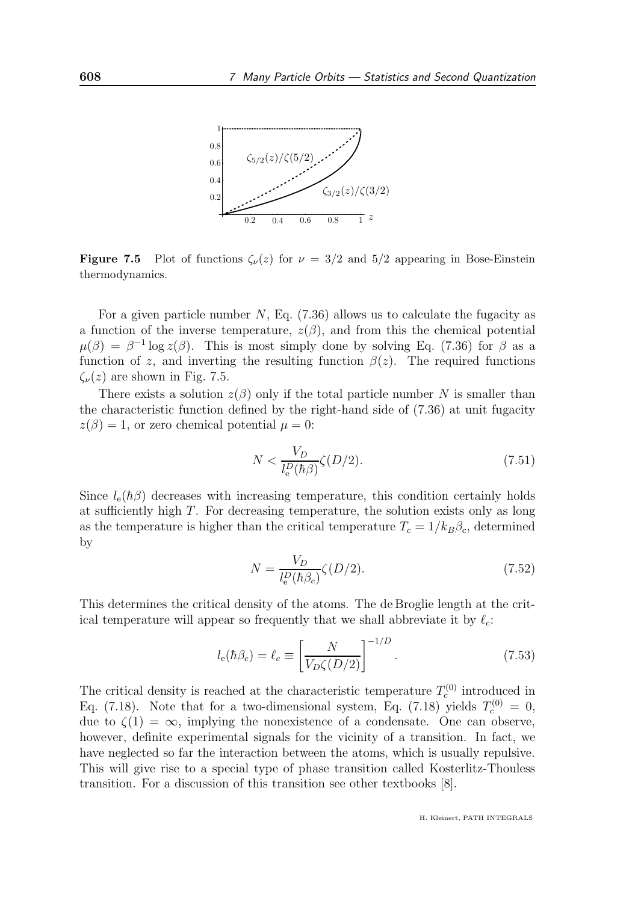

**Figure 7.5** Plot of functions  $\zeta_{\nu}(z)$  for  $\nu = 3/2$  and  $5/2$  appearing in Bose-Einstein thermodynamics.

For a given particle number N, Eq.  $(7.36)$  allows us to calculate the fugacity as a function of the inverse temperature,  $z(\beta)$ , and from this the chemical potential  $\mu(\beta) = \beta^{-1} \log z(\beta)$ . This is most simply done by solving Eq. (7.36) for  $\beta$  as a function of z, and inverting the resulting function  $\beta(z)$ . The required functions  $\zeta_{\nu}(z)$  are shown in Fig. 7.5.

There exists a solution  $z(\beta)$  only if the total particle number N is smaller than the characteristic function defined by the right-hand side of (7.36) at unit fugacity  $z(\beta) = 1$ , or zero chemical potential  $\mu = 0$ :

$$
N < \frac{V_D}{l_e^D(\hbar \beta)} \zeta(D/2). \tag{7.51}
$$

Since  $l_e(\hbar\beta)$  decreases with increasing temperature, this condition certainly holds at sufficiently high T. For decreasing temperature, the solution exists only as long as the temperature is higher than the critical temperature  $T_c = 1/k_B\beta_c$ , determined by

$$
N = \frac{V_D}{l_e^D(\hbar \beta_c)} \zeta(D/2). \tag{7.52}
$$

This determines the critical density of the atoms. The de Broglie length at the critical temperature will appear so frequently that we shall abbreviate it by  $\ell_c$ :

$$
l_{\mathsf{e}}(\hbar \beta_c) = \ell_c \equiv \left[\frac{N}{V_D \zeta(D/2)}\right]^{-1/D}.\tag{7.53}
$$

The critical density is reached at the characteristic temperature  $T_c^{(0)}$  introduced in Eq. (7.18). Note that for a two-dimensional system, Eq. (7.18) yields  $T_c^{(0)} = 0$ , due to  $\zeta(1) = \infty$ , implying the nonexistence of a condensate. One can observe, however, definite experimental signals for the vicinity of a transition. In fact, we have neglected so far the interaction between the atoms, which is usually repulsive. This will give rise to a special type of phase transition called Kosterlitz-Thouless transition. For a discussion of this transition see other textbooks [8].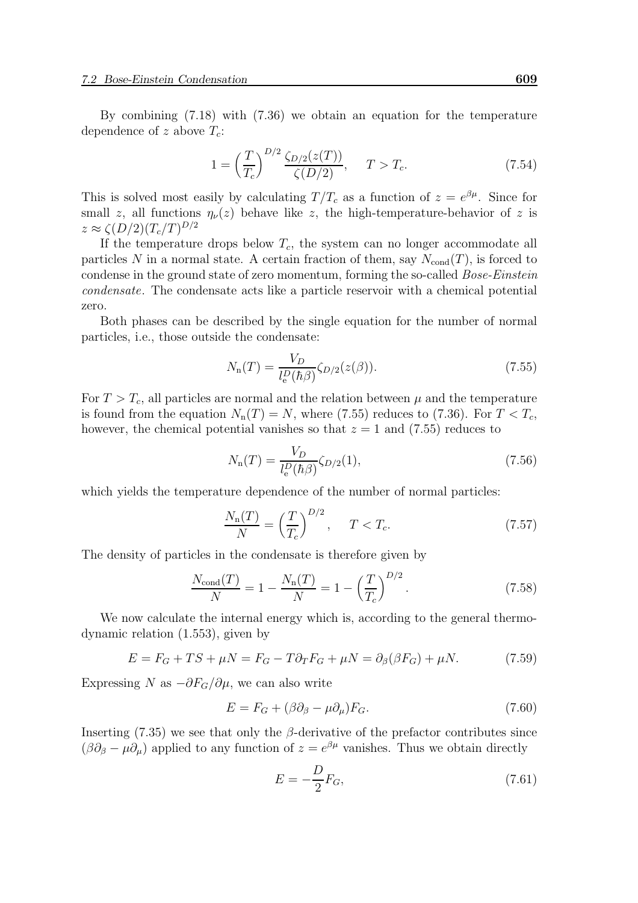By combining (7.18) with (7.36) we obtain an equation for the temperature dependence of z above  $T_c$ :

$$
1 = \left(\frac{T}{T_c}\right)^{D/2} \frac{\zeta_{D/2}(z(T))}{\zeta(D/2)}, \quad T > T_c.
$$
 (7.54)

This is solved most easily by calculating  $T/T_c$  as a function of  $z = e^{\beta \mu}$ . Since for small z, all functions  $\eta_{\nu}(z)$  behave like z, the high-temperature-behavior of z is  $z \approx \zeta(D/2) (T_c/T)^{D/2}$ 

If the temperature drops below  $T_c$ , the system can no longer accommodate all particles N in a normal state. A certain fraction of them, say  $N_{\text{cond}}(T)$ , is forced to condense in the ground state of zero momentum, forming the so-called Bose-Einstein condensate. The condensate acts like a particle reservoir with a chemical potential zero.

Both phases can be described by the single equation for the number of normal particles, i.e., those outside the condensate:

$$
N_{\mathbf{n}}(T) = \frac{V_D}{l_{\mathbf{e}}^D(\hbar \beta)} \zeta_{D/2}(z(\beta)).
$$
\n(7.55)

For  $T > T_c$ , all particles are normal and the relation between  $\mu$  and the temperature is found from the equation  $N_n(T) = N$ , where (7.55) reduces to (7.36). For  $T < T_c$ , however, the chemical potential vanishes so that  $z = 1$  and (7.55) reduces to

$$
N_{\rm n}(T) = \frac{V_D}{l_{\rm e}^D(\hbar \beta)} \zeta_{D/2}(1),\tag{7.56}
$$

which yields the temperature dependence of the number of normal particles:

$$
\frac{N_{\rm n}(T)}{N} = \left(\frac{T}{T_c}\right)^{D/2}, \quad T < T_c. \tag{7.57}
$$

The density of particles in the condensate is therefore given by

$$
\frac{N_{\text{cond}}(T)}{N} = 1 - \frac{N_{\text{n}}(T)}{N} = 1 - \left(\frac{T}{T_c}\right)^{D/2}.
$$
 (7.58)

We now calculate the internal energy which is, according to the general thermodynamic relation (1.553), given by

$$
E = F_G + TS + \mu N = F_G - T\partial_T F_G + \mu N = \partial_\beta(\beta F_G) + \mu N. \tag{7.59}
$$

Expressing N as  $-\partial F_G/\partial \mu$ , we can also write

$$
E = F_G + (\beta \partial_\beta - \mu \partial_\mu) F_G. \tag{7.60}
$$

Inserting (7.35) we see that only the  $\beta$ -derivative of the prefactor contributes since  $(\beta \partial_{\beta} - \mu \partial_{\mu})$  applied to any function of  $z = e^{\beta \mu}$  vanishes. Thus we obtain directly

$$
E = -\frac{D}{2}F_G,\tag{7.61}
$$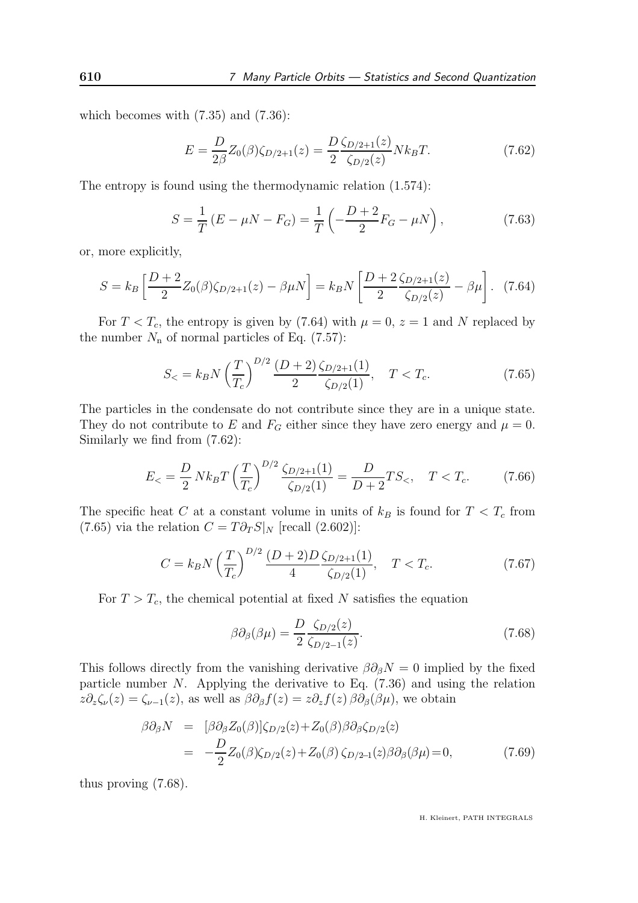which becomes with  $(7.35)$  and  $(7.36)$ :

$$
E = \frac{D}{2\beta} Z_0(\beta) \zeta_{D/2+1}(z) = \frac{D}{2} \frac{\zeta_{D/2+1}(z)}{\zeta_{D/2}(z)} N k_B T.
$$
 (7.62)

The entropy is found using the thermodynamic relation (1.574):

$$
S = \frac{1}{T} (E - \mu N - F_G) = \frac{1}{T} \left( -\frac{D + 2}{2} F_G - \mu N \right),
$$
 (7.63)

or, more explicitly,

$$
S = k_B \left[ \frac{D+2}{2} Z_0(\beta) \zeta_{D/2+1}(z) - \beta \mu N \right] = k_B N \left[ \frac{D+2 \zeta_{D/2+1}(z)}{\zeta_{D/2}(z)} - \beta \mu \right]. \tag{7.64}
$$

For  $T < T_c$ , the entropy is given by (7.64) with  $\mu = 0$ ,  $z = 1$  and N replaced by the number  $N_n$  of normal particles of Eq. (7.57):

$$
S_{<} = k_B N \left(\frac{T}{T_c}\right)^{D/2} \frac{(D+2)}{2} \frac{\zeta_{D/2+1}(1)}{\zeta_{D/2}(1)}, \quad T < T_c. \tag{7.65}
$$

The particles in the condensate do not contribute since they are in a unique state. They do not contribute to E and  $F_G$  either since they have zero energy and  $\mu = 0$ . Similarly we find from (7.62):

$$
E_{<} = \frac{D}{2} N k_B T \left(\frac{T}{T_c}\right)^{D/2} \frac{\zeta_{D/2+1}(1)}{\zeta_{D/2}(1)} = \frac{D}{D+2} T S_{<} \quad T < T_c. \tag{7.66}
$$

The specific heat C at a constant volume in units of  $k_B$  is found for  $T < T_c$  from (7.65) via the relation  $C = T \partial_T S|_N$  [recall (2.602)]:

$$
C = k_B N \left(\frac{T}{T_c}\right)^{D/2} \frac{(D+2)D \zeta_{D/2+1}(1)}{4} , \quad T < T_c. \tag{7.67}
$$

For  $T > T_c$ , the chemical potential at fixed N satisfies the equation

$$
\beta \partial_{\beta}(\beta \mu) = \frac{D}{2} \frac{\zeta_{D/2}(z)}{\zeta_{D/2 - 1}(z)}.
$$
\n(7.68)

This follows directly from the vanishing derivative  $\beta \partial_{\beta}N = 0$  implied by the fixed particle number N. Applying the derivative to Eq. (7.36) and using the relation  $z\partial_z\zeta_\nu(z) = \zeta_{\nu-1}(z)$ , as well as  $\beta\partial_\beta f(z) = z\partial_z f(z)\beta\partial_\beta(\beta\mu)$ , we obtain

$$
\beta \partial_{\beta} N = [\beta \partial_{\beta} Z_0(\beta)] \zeta_{D/2}(z) + Z_0(\beta) \beta \partial_{\beta} \zeta_{D/2}(z)
$$
  
= 
$$
-\frac{D}{2} Z_0(\beta) \zeta_{D/2}(z) + Z_0(\beta) \zeta_{D/2-1}(z) \beta \partial_{\beta} (\beta \mu) = 0,
$$
(7.69)

thus proving (7.68).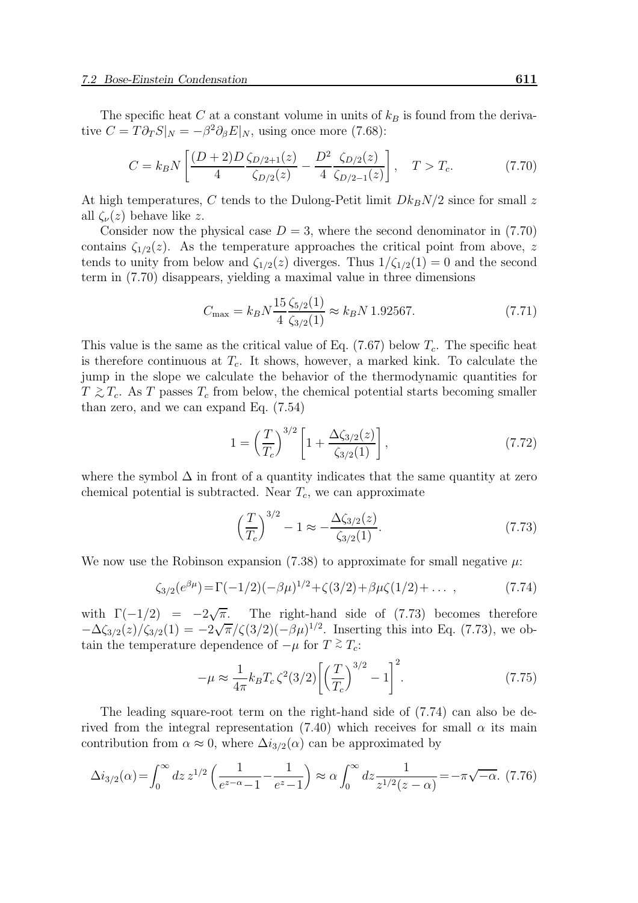The specific heat C at a constant volume in units of  $k_B$  is found from the derivative  $C = T \partial_T S|_N = -\beta^2 \partial_\beta E|_N$ , using once more (7.68):

$$
C = k_B N \left[ \frac{(D+2)D \zeta_{D/2+1}(z)}{4} - \frac{D^2}{4} \frac{\zeta_{D/2}(z)}{\zeta_{D/2-1}(z)} \right], \quad T > T_c.
$$
 (7.70)

At high temperatures, C tends to the Dulong-Petit limit  $Dk_B N/2$  since for small z all  $\zeta_{\nu}(z)$  behave like z.

Consider now the physical case  $D = 3$ , where the second denominator in (7.70) contains  $\zeta_{1/2}(z)$ . As the temperature approaches the critical point from above, z tends to unity from below and  $\zeta_{1/2}(z)$  diverges. Thus  $1/\zeta_{1/2}(1) = 0$  and the second term in (7.70) disappears, yielding a maximal value in three dimensions

$$
C_{\text{max}} = k_B N \frac{15}{4} \frac{\zeta_{5/2}(1)}{\zeta_{3/2}(1)} \approx k_B N 1.92567. \tag{7.71}
$$

This value is the same as the critical value of Eq.  $(7.67)$  below  $T_c$ . The specific heat is therefore continuous at  $T_c$ . It shows, however, a marked kink. To calculate the jump in the slope we calculate the behavior of the thermodynamic quantities for  $T \gtrsim T_c$ . As T passes  $T_c$  from below, the chemical potential starts becoming smaller than zero, and we can expand Eq. (7.54)

$$
1 = \left(\frac{T}{T_c}\right)^{3/2} \left[1 + \frac{\Delta\zeta_{3/2}(z)}{\zeta_{3/2}(1)}\right],\tag{7.72}
$$

where the symbol  $\Delta$  in front of a quantity indicates that the same quantity at zero chemical potential is subtracted. Near  $T_c$ , we can approximate

$$
\left(\frac{T}{T_c}\right)^{3/2} - 1 \approx -\frac{\Delta\zeta_{3/2}(z)}{\zeta_{3/2}(1)}.
$$
\n(7.73)

We now use the Robinson expansion (7.38) to approximate for small negative  $\mu$ :

$$
\zeta_{3/2}(e^{\beta \mu}) = \Gamma(-1/2)(-\beta \mu)^{1/2} + \zeta(3/2) + \beta \mu \zeta(1/2) + \dots \,, \tag{7.74}
$$

with  $\Gamma(-1/2) = -2\sqrt{2}$ The right-hand side of  $(7.73)$  becomes therefore  $-\Delta\zeta_{3/2}(z)/\zeta_{3/2}(1) = -2\sqrt{\pi}/\zeta(3/2)(-\beta\mu)^{1/2}$ . Inserting this into Eq. (7.73), we obtain the temperature dependence of  $-\mu$  for  $T \stackrel{\text{>}}{\sim} T_c$ :

$$
-\mu \approx \frac{1}{4\pi} k_B T_c \zeta^2 (3/2) \left[ \left( \frac{T}{T_c} \right)^{3/2} - 1 \right]^2.
$$
 (7.75)

The leading square-root term on the right-hand side of (7.74) can also be derived from the integral representation (7.40) which receives for small  $\alpha$  its main contribution from  $\alpha \approx 0$ , where  $\Delta i_{3/2}(\alpha)$  can be approximated by

$$
\Delta i_{3/2}(\alpha) = \int_0^\infty dz \, z^{1/2} \left( \frac{1}{e^{z-\alpha} - 1} - \frac{1}{e^z - 1} \right) \approx \alpha \int_0^\infty dz \, \frac{1}{z^{1/2}(z - \alpha)} = -\pi \sqrt{-\alpha}.\tag{7.76}
$$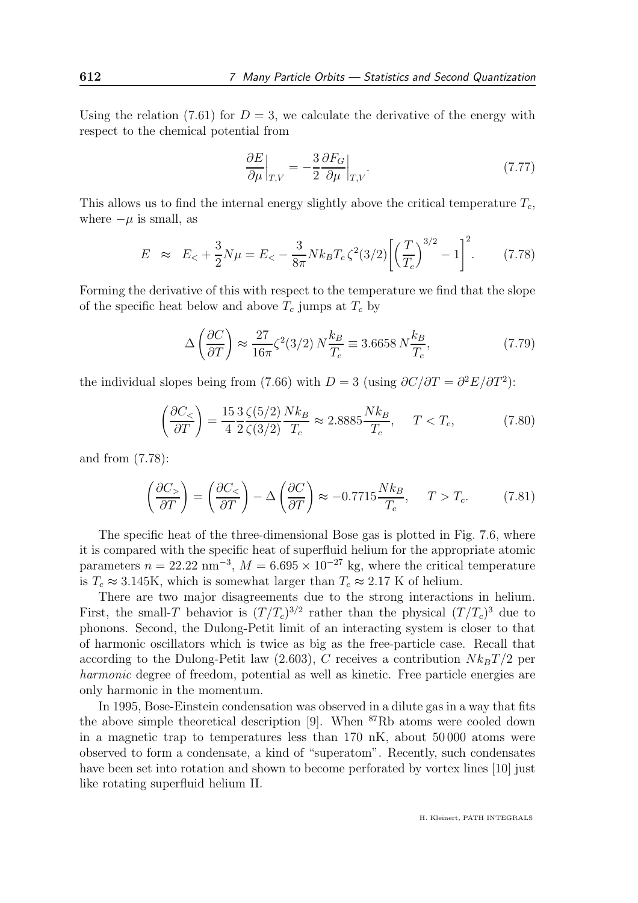Using the relation (7.61) for  $D = 3$ , we calculate the derivative of the energy with respect to the chemical potential from

$$
\left. \frac{\partial E}{\partial \mu} \right|_{T,V} = -\frac{3}{2} \frac{\partial F_G}{\partial \mu} \Big|_{T,V}.
$$
\n(7.77)

This allows us to find the internal energy slightly above the critical temperature  $T_c$ , where  $-\mu$  is small, as

$$
E \approx E_{\leq} + \frac{3}{2} N \mu = E_{\leq} - \frac{3}{8\pi} N k_B T_c \zeta^2 (3/2) \left[ \left( \frac{T}{T_c} \right)^{3/2} - 1 \right]^2. \tag{7.78}
$$

Forming the derivative of this with respect to the temperature we find that the slope of the specific heat below and above  $T_c$  jumps at  $T_c$  by

$$
\Delta\left(\frac{\partial C}{\partial T}\right) \approx \frac{27}{16\pi} \zeta^2 (3/2) N \frac{k_B}{T_c} \equiv 3.6658 N \frac{k_B}{T_c},\tag{7.79}
$$

the individual slopes being from (7.66) with  $D=3$  (using  $\partial C/\partial T = \partial^2 E/\partial T^2$ ):

$$
\left(\frac{\partial C_{&}}{\partial T}\right) = \frac{15}{4} \frac{3}{2} \frac{\zeta(5/2)}{\zeta(3/2)} \frac{N k_B}{T_c} \approx 2.8885 \frac{N k_B}{T_c}, \quad T < T_c,\tag{7.80}
$$

and from (7.78):

$$
\left(\frac{\partial C_{>}}{\partial T}\right) = \left(\frac{\partial C_{<}}{\partial T}\right) - \Delta \left(\frac{\partial C}{\partial T}\right) \approx -0.7715 \frac{N k_B}{T_c}, \quad T > T_c. \tag{7.81}
$$

The specific heat of the three-dimensional Bose gas is plotted in Fig. 7.6, where it is compared with the specific heat of superfluid helium for the appropriate atomic parameters  $n = 22.22$  nm<sup>-3</sup>,  $M = 6.695 \times 10^{-27}$  kg, where the critical temperature is  $T_c \approx 3.145$ K, which is somewhat larger than  $T_c \approx 2.17$  K of helium.

There are two major disagreements due to the strong interactions in helium. First, the small-T behavior is  $(T/T_c)^{3/2}$  rather than the physical  $(T/T_c)^3$  due to phonons. Second, the Dulong-Petit limit of an interacting system is closer to that of harmonic oscillators which is twice as big as the free-particle case. Recall that according to the Dulong-Petit law (2.603), C receives a contribution  $Nk_BT/2$  per harmonic degree of freedom, potential as well as kinetic. Free particle energies are only harmonic in the momentum.

In 1995, Bose-Einstein condensation was observed in a dilute gas in a way that fits the above simple theoretical description [9]. When <sup>87</sup>Rb atoms were cooled down in a magnetic trap to temperatures less than 170 nK, about 50 000 atoms were observed to form a condensate, a kind of "superatom". Recently, such condensates have been set into rotation and shown to become perforated by vortex lines [10] just like rotating superfluid helium II.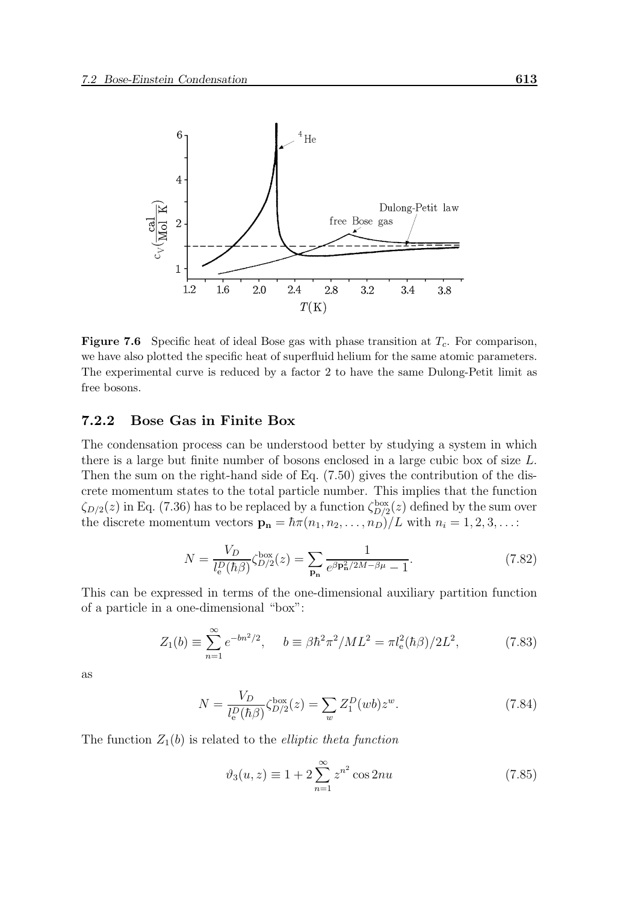

**Figure 7.6** Specific heat of ideal Bose gas with phase transition at  $T_c$ . For comparison, we have also plotted the specific heat of superfluid helium for the same atomic parameters. The experimental curve is reduced by a factor 2 to have the same Dulong-Petit limit as free bosons.

## 7.2.2 Bose Gas in Finite Box

The condensation process can be understood better by studying a system in which there is a large but finite number of bosons enclosed in a large cubic box of size L. Then the sum on the right-hand side of Eq. (7.50) gives the contribution of the discrete momentum states to the total particle number. This implies that the function  $\zeta_{D/2}(z)$  in Eq. (7.36) has to be replaced by a function  $\zeta_{D/2}^{\rm box}(z)$  defined by the sum over the discrete momentum vectors  $\mathbf{p_n} = \hbar \pi(n_1, n_2, \dots, n_D)/L$  with  $n_i = 1, 2, 3, \dots$ :

$$
N = \frac{V_D}{l_e^D(\hbar \beta)} \zeta_{D/2}^{\text{box}}(z) = \sum_{\mathbf{p_n}} \frac{1}{e^{\beta \mathbf{p_n}^2 / 2M - \beta \mu} - 1}.
$$
 (7.82)

This can be expressed in terms of the one-dimensional auxiliary partition function of a particle in a one-dimensional "box":

$$
Z_1(b) \equiv \sum_{n=1}^{\infty} e^{-bn^2/2}, \quad b \equiv \beta \hbar^2 \pi^2 / ML^2 = \pi l_e^2(\hbar \beta) / 2L^2, \tag{7.83}
$$

as

$$
N = \frac{V_D}{l_e^D(\hbar \beta)} \zeta_{D/2}^{\text{box}}(z) = \sum_w Z_1^D(wb) z^w.
$$
 (7.84)

The function  $Z_1(b)$  is related to the *elliptic theta function* 

$$
\vartheta_3(u, z) \equiv 1 + 2 \sum_{n=1}^{\infty} z^{n^2} \cos 2nu \tag{7.85}
$$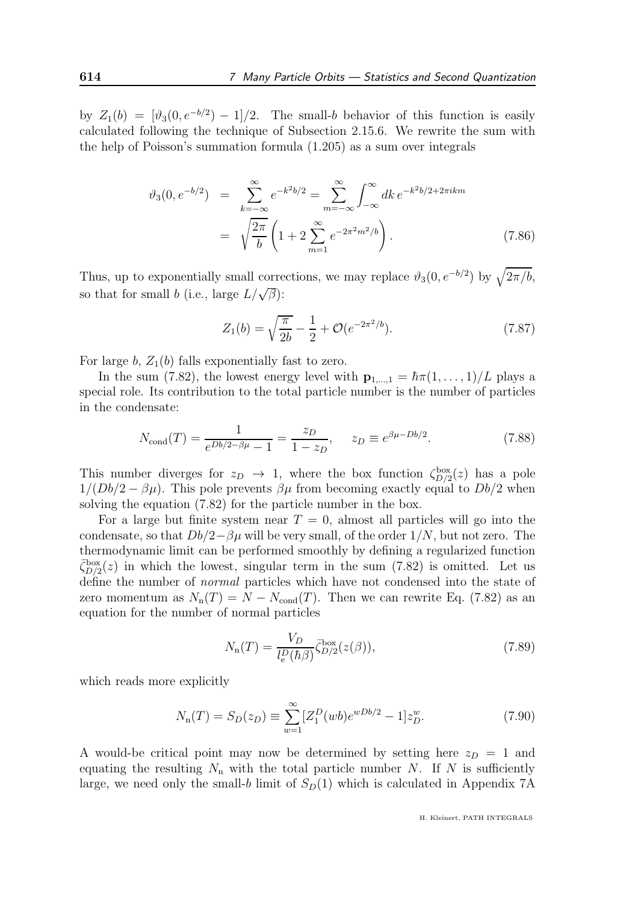by  $Z_1(b) = [\vartheta_3(0, e^{-b/2}) - 1]/2$ . The small-b behavior of this function is easily calculated following the technique of Subsection 2.15.6. We rewrite the sum with the help of Poisson's summation formula (1.205) as a sum over integrals

$$
\vartheta_3(0, e^{-b/2}) = \sum_{k=-\infty}^{\infty} e^{-k^2 b/2} = \sum_{m=-\infty}^{\infty} \int_{-\infty}^{\infty} dk \, e^{-k^2 b/2 + 2\pi i k m}
$$

$$
= \sqrt{\frac{2\pi}{b}} \left( 1 + 2 \sum_{m=1}^{\infty} e^{-2\pi^2 m^2/b} \right). \tag{7.86}
$$

Thus, up to exponentially small corrections, we may replace  $\vartheta_3(0, e^{-b/2})$  by  $\sqrt{2\pi/b}$ , so that for small b (i.e., large  $L/\sqrt{\beta}$ ):

$$
Z_1(b) = \sqrt{\frac{\pi}{2b}} - \frac{1}{2} + \mathcal{O}(e^{-2\pi^2/b}).
$$
\n(7.87)

For large b,  $Z_1(b)$  falls exponentially fast to zero.

In the sum (7.82), the lowest energy level with  $\mathbf{p}_{1,\dots,1} = \hbar \pi (1,\dots,1)/L$  plays a special role. Its contribution to the total particle number is the number of particles in the condensate:

$$
N_{\text{cond}}(T) = \frac{1}{e^{Db/2 - \beta \mu} - 1} = \frac{z_D}{1 - z_D}, \qquad z_D \equiv e^{\beta \mu - Db/2}.
$$
 (7.88)

This number diverges for  $z_D \to 1$ , where the box function  $\zeta_{D/2}^{box}(z)$  has a pole  $1/(Db/2 - \beta \mu)$ . This pole prevents  $\beta \mu$  from becoming exactly equal to  $Db/2$  when solving the equation (7.82) for the particle number in the box.

For a large but finite system near  $T = 0$ , almost all particles will go into the condensate, so that  $Db/2-\beta\mu$  will be very small, of the order  $1/N$ , but not zero. The thermodynamic limit can be performed smoothly by defining a regularized function  $\bar{\zeta}_{D/2}^{\text{box}}(z)$  in which the lowest, singular term in the sum (7.82) is omitted. Let us define the number of normal particles which have not condensed into the state of zero momentum as  $N_n(T) = N - N_{\text{cond}}(T)$ . Then we can rewrite Eq. (7.82) as an equation for the number of normal particles

$$
N_{\mathbf{n}}(T) = \frac{V_D}{l_{\mathbf{e}}^D(\hbar\beta)} \bar{\zeta}_{D/2}^{\text{box}}(z(\beta)),\tag{7.89}
$$

which reads more explicitly

$$
N_{\rm n}(T) = S_D(z_D) \equiv \sum_{w=1}^{\infty} [Z_1^D(wb)e^{wDb/2} - 1]z_D^w.
$$
 (7.90)

A would-be critical point may now be determined by setting here  $z_D = 1$  and equating the resulting  $N_n$  with the total particle number N. If N is sufficiently large, we need only the small-b limit of  $S_D(1)$  which is calculated in Appendix 7A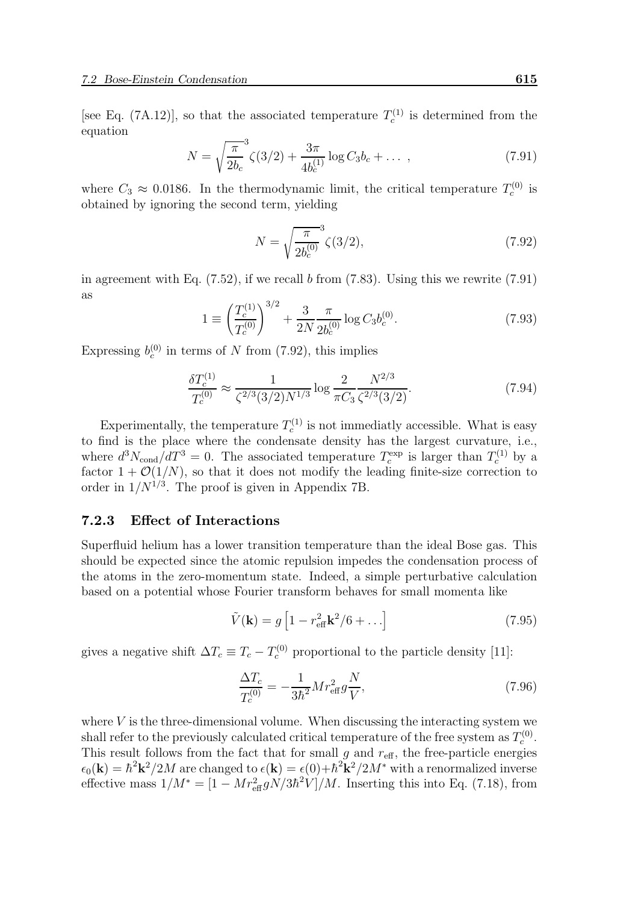[see Eq. (7A.12)], so that the associated temperature  $T_c^{(1)}$  is determined from the equation

$$
N = \sqrt{\frac{\pi}{2b_c}}^3 \zeta(3/2) + \frac{3\pi}{4b_c^{(1)}} \log C_3 b_c + \dots \,, \tag{7.91}
$$

where  $C_3 \approx 0.0186$ . In the thermodynamic limit, the critical temperature  $T_c^{(0)}$  is obtained by ignoring the second term, yielding

$$
N = \sqrt{\frac{\pi}{2b_c^{(0)}}} \zeta(3/2),\tag{7.92}
$$

in agreement with Eq.  $(7.52)$ , if we recall b from  $(7.83)$ . Using this we rewrite  $(7.91)$ as

$$
1 \equiv \left(\frac{T_c^{(1)}}{T_c^{(0)}}\right)^{3/2} + \frac{3}{2N} \frac{\pi}{2b_c^{(0)}} \log C_3 b_c^{(0)}.
$$
 (7.93)

Expressing  $b_c^{(0)}$  in terms of N from (7.92), this implies

$$
\frac{\delta T_c^{(1)}}{T_c^{(0)}} \approx \frac{1}{\zeta^{2/3} (3/2) N^{1/3}} \log \frac{2}{\pi C_3} \frac{N^{2/3}}{\zeta^{2/3} (3/2)}.
$$
\n(7.94)

Experimentally, the temperature  $T_c^{(1)}$  is not immediatly accessible. What is easy to find is the place where the condensate density has the largest curvature, i.e., where  $d^3N_{\text{cond}}/dT^3 = 0$ . The associated temperature  $T_c^{\text{exp}}$  is larger than  $T_c^{(1)}$  by a factor  $1 + \mathcal{O}(1/N)$ , so that it does not modify the leading finite-size correction to order in  $1/N^{1/3}$ . The proof is given in Appendix 7B.

## 7.2.3 Effect of Interactions

Superfluid helium has a lower transition temperature than the ideal Bose gas. This should be expected since the atomic repulsion impedes the condensation process of the atoms in the zero-momentum state. Indeed, a simple perturbative calculation based on a potential whose Fourier transform behaves for small momenta like

$$
\tilde{V}(\mathbf{k}) = g \left[ 1 - r_{\text{eff}}^2 \mathbf{k}^2 / 6 + \ldots \right] \tag{7.95}
$$

gives a negative shift  $\Delta T_c \equiv T_c - T_c^{(0)}$  proportional to the particle density [11]:

$$
\frac{\Delta T_c}{T_c^{(0)}} = -\frac{1}{3\hbar^2} M r_{\text{eff}}^2 g \frac{N}{V},\tag{7.96}
$$

where  $V$  is the three-dimensional volume. When discussing the interacting system we shall refer to the previously calculated critical temperature of the free system as  $T_c^{(0)}$ . This result follows from the fact that for small  $g$  and  $r_{\text{eff}}$ , the free-particle energies  $\epsilon_0(\mathbf{k}) = \hbar^2 \mathbf{k}^2 / 2M$  are changed to  $\epsilon(\mathbf{k}) = \epsilon(0) + \hbar^2 \mathbf{k}^2 / 2M^*$  with a renormalized inverse effective mass  $1/M^* = [1 - Mr_{\text{eff}}^2 gN/3\hbar^2 V]/M$ . Inserting this into Eq. (7.18), from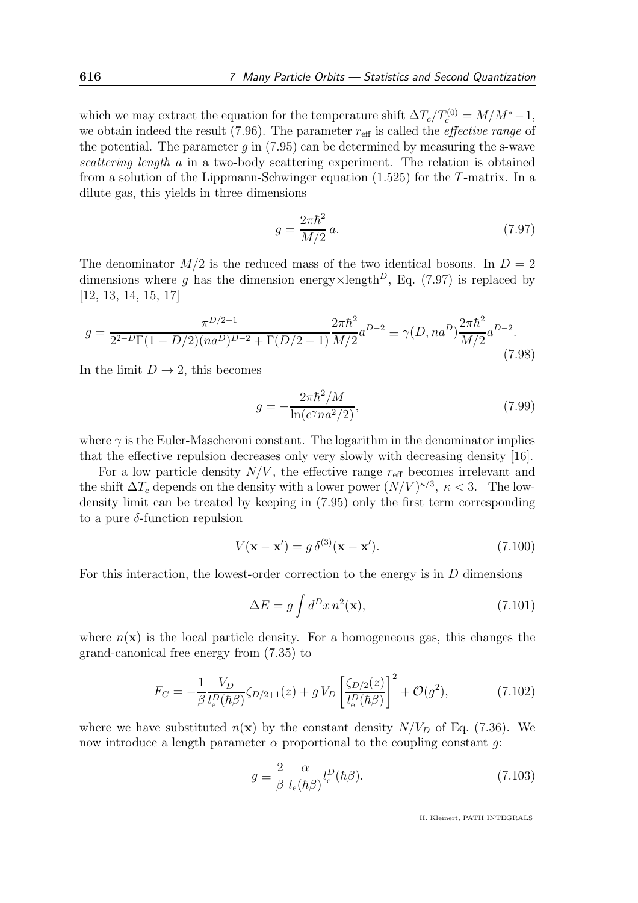which we may extract the equation for the temperature shift  $\Delta T_c/T_c^{(0)} = M/M^* - 1$ , we obtain indeed the result (7.96). The parameter  $r_{\text{eff}}$  is called the *effective range* of the potential. The parameter q in  $(7.95)$  can be determined by measuring the s-wave scattering length a in a two-body scattering experiment. The relation is obtained from a solution of the Lippmann-Schwinger equation (1.525) for the T-matrix. In a dilute gas, this yields in three dimensions

$$
g = \frac{2\pi\hbar^2}{M/2}a.\tag{7.97}
$$

The denominator  $M/2$  is the reduced mass of the two identical bosons. In  $D = 2$ dimensions where g has the dimension energy length<sup> $D$ </sup>, Eq. (7.97) is replaced by [12, 13, 14, 15, 17]

$$
g = \frac{\pi^{D/2 - 1}}{2^{2 - D} \Gamma(1 - D/2)(na^D)^{D - 2} + \Gamma(D/2 - 1)} \frac{2\pi\hbar^2}{M/2} a^{D - 2} \equiv \gamma(D, na^D) \frac{2\pi\hbar^2}{M/2} a^{D - 2}.
$$
\n(7.98)

In the limit  $D \to 2$ , this becomes

$$
g = -\frac{2\pi\hbar^2/M}{\ln(e^{\gamma}na^2/2)},
$$
\n(7.99)

where  $\gamma$  is the Euler-Mascheroni constant. The logarithm in the denominator implies that the effective repulsion decreases only very slowly with decreasing density [16].

For a low particle density  $N/V$ , the effective range  $r_{\text{eff}}$  becomes irrelevant and the shift  $\Delta T_c$  depends on the density with a lower power  $(N/V)^{\kappa/3}$ ,  $\kappa < 3$ . The lowdensity limit can be treated by keeping in (7.95) only the first term corresponding to a pure  $\delta$ -function repulsion

$$
V(\mathbf{x} - \mathbf{x}') = g \, \delta^{(3)}(\mathbf{x} - \mathbf{x}'). \tag{7.100}
$$

For this interaction, the lowest-order correction to the energy is in  $D$  dimensions

$$
\Delta E = g \int d^D x \, n^2(\mathbf{x}),\tag{7.101}
$$

where  $n(\mathbf{x})$  is the local particle density. For a homogeneous gas, this changes the grand-canonical free energy from (7.35) to

$$
F_G = -\frac{1}{\beta} \frac{V_D}{l_e^D(\hbar \beta)} \zeta_{D/2+1}(z) + g V_D \left[ \frac{\zeta_{D/2}(z)}{l_e^D(\hbar \beta)} \right]^2 + \mathcal{O}(g^2), \tag{7.102}
$$

where we have substituted  $n(\mathbf{x})$  by the constant density  $N/V_D$  of Eq. (7.36). We now introduce a length parameter  $\alpha$  proportional to the coupling constant q:

$$
g \equiv \frac{2}{\beta} \frac{\alpha}{l_{\rm e}(\hbar \beta)} l_{\rm e}^D(\hbar \beta). \tag{7.103}
$$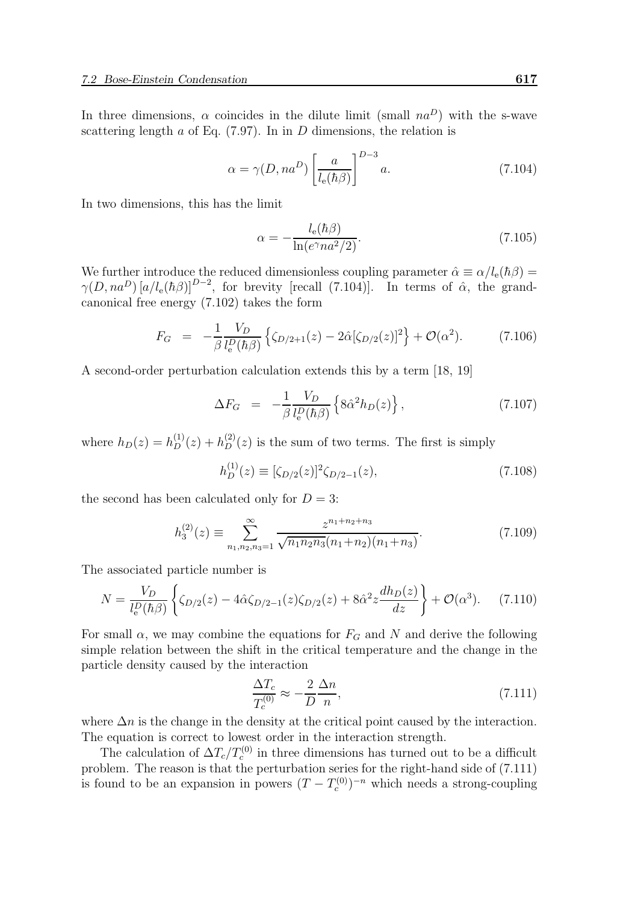In three dimensions,  $\alpha$  coincides in the dilute limit (small  $na^D$ ) with the s-wave scattering length  $\alpha$  of Eq. (7.97). In in  $D$  dimensions, the relation is

$$
\alpha = \gamma(D, na^D) \left[ \frac{a}{l_e(\hbar \beta)} \right]^{D-3} a. \tag{7.104}
$$

In two dimensions, this has the limit

$$
\alpha = -\frac{l_e(\hbar\beta)}{\ln(e^{\gamma}na^2/2)}.\tag{7.105}
$$

We further introduce the reduced dimensionless coupling parameter  $\hat{\alpha} \equiv \alpha / l_{\text{e}}(\hbar \beta)$  =  $\gamma(D, na^D) \left[ a/l_e(\hbar \beta) \right]^{D-2}$ , for brevity [recall (7.104)]. In terms of  $\hat{\alpha}$ , the grandcanonical free energy (7.102) takes the form

$$
F_G = -\frac{1}{\beta} \frac{V_D}{l_e^D(\hbar \beta)} \left\{ \zeta_{D/2+1}(z) - 2\hat{\alpha} [\zeta_{D/2}(z)]^2 \right\} + \mathcal{O}(\alpha^2). \tag{7.106}
$$

A second-order perturbation calculation extends this by a term [18, 19]

$$
\Delta F_G = -\frac{1}{\beta} \frac{V_D}{l_e^D(\hbar \beta)} \left\{ 8\hat{\alpha}^2 h_D(z) \right\},\tag{7.107}
$$

where  $h_D(z) = h_D^{(1)}(z) + h_D^{(2)}(z)$  is the sum of two terms. The first is simply

$$
h_D^{(1)}(z) \equiv [\zeta_{D/2}(z)]^2 \zeta_{D/2-1}(z), \tag{7.108}
$$

the second has been calculated only for  $D = 3$ :

$$
h_3^{(2)}(z) \equiv \sum_{n_1, n_2, n_3=1}^{\infty} \frac{z^{n_1+n_2+n_3}}{\sqrt{n_1 n_2 n_3} (n_1+n_2)(n_1+n_3)}.
$$
 (7.109)

The associated particle number is

$$
N = \frac{V_D}{l_e^D(\hbar \beta)} \left\{ \zeta_{D/2}(z) - 4\hat{\alpha} \zeta_{D/2 - 1}(z) \zeta_{D/2}(z) + 8\hat{\alpha}^2 z \frac{dh_D(z)}{dz} \right\} + \mathcal{O}(\alpha^3). \tag{7.110}
$$

For small  $\alpha$ , we may combine the equations for  $F_G$  and N and derive the following simple relation between the shift in the critical temperature and the change in the particle density caused by the interaction

$$
\frac{\Delta T_c}{T_c^{(0)}} \approx -\frac{2}{D} \frac{\Delta n}{n},\tag{7.111}
$$

where  $\Delta n$  is the change in the density at the critical point caused by the interaction. The equation is correct to lowest order in the interaction strength.

The calculation of  $\Delta T_c/T_c^{(0)}$  in three dimensions has turned out to be a difficult problem. The reason is that the perturbation series for the right-hand side of (7.111) is found to be an expansion in powers  $(T - T_c^{(0)})^{-n}$  which needs a strong-coupling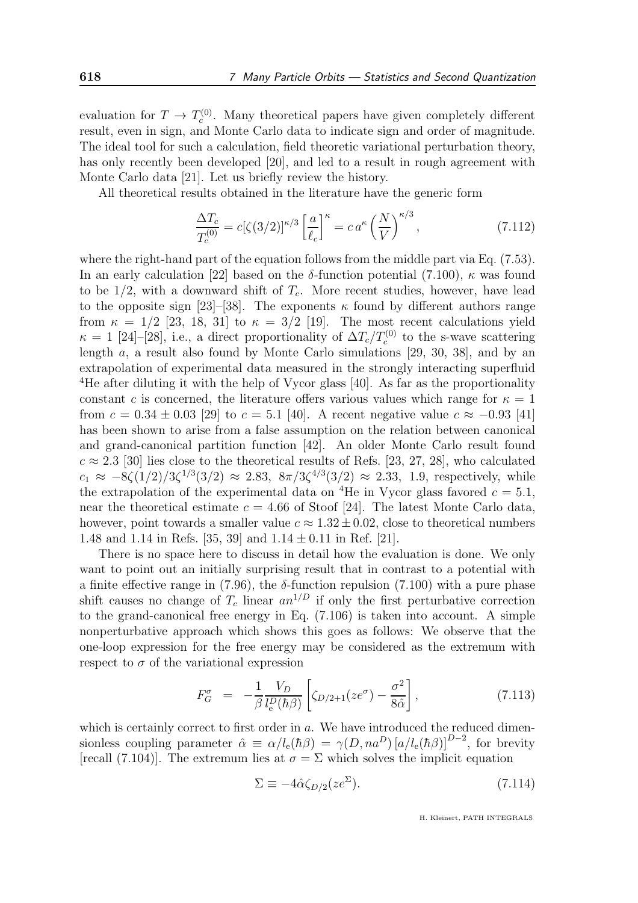evaluation for  $T \to T_c^{(0)}$ . Many theoretical papers have given completely different result, even in sign, and Monte Carlo data to indicate sign and order of magnitude. The ideal tool for such a calculation, field theoretic variational perturbation theory, has only recently been developed [20], and led to a result in rough agreement with Monte Carlo data [21]. Let us briefly review the history.

All theoretical results obtained in the literature have the generic form

$$
\frac{\Delta T_c}{T_c^{(0)}} = c[\zeta(3/2)]^{\kappa/3} \left[\frac{a}{\ell_c}\right]^\kappa = c a^\kappa \left(\frac{N}{V}\right)^{\kappa/3},\tag{7.112}
$$

where the right-hand part of the equation follows from the middle part via Eq. (7.53). In an early calculation [22] based on the δ-function potential (7.100),  $\kappa$  was found to be  $1/2$ , with a downward shift of  $T_c$ . More recent studies, however, have lead to the opposite sign [23]–[38]. The exponents  $\kappa$  found by different authors range from  $\kappa = 1/2$  [23, 18, 31] to  $\kappa = 3/2$  [19]. The most recent calculations yield  $\kappa = 1$  [24]–[28], i.e., a direct proportionality of  $\Delta T_c/T_c^{(0)}$  to the s-wave scattering length a, a result also found by Monte Carlo simulations [29, 30, 38], and by an extrapolation of experimental data measured in the strongly interacting superfluid <sup>4</sup>He after diluting it with the help of Vycor glass [40]. As far as the proportionality constant c is concerned, the literature offers various values which range for  $\kappa = 1$ from  $c = 0.34 \pm 0.03$  [29] to  $c = 5.1$  [40]. A recent negative value  $c \approx -0.93$  [41] has been shown to arise from a false assumption on the relation between canonical and grand-canonical partition function [42]. An older Monte Carlo result found  $c \approx 2.3$  [30] lies close to the theoretical results of Refs. [23, 27, 28], who calculated  $c_1 \approx -8\zeta(1/2)/3\zeta^{1/3}(3/2) \approx 2.83, 8\pi/3\zeta^{4/3}(3/2) \approx 2.33, 1.9$ , respectively, while the extrapolation of the experimental data on <sup>4</sup>He in Vycor glass favored  $c = 5.1$ , near the theoretical estimate  $c = 4.66$  of Stoof [24]. The latest Monte Carlo data, however, point towards a smaller value  $c \approx 1.32 \pm 0.02$ , close to theoretical numbers 1.48 and 1.14 in Refs. [35, 39] and  $1.14 \pm 0.11$  in Ref. [21].

There is no space here to discuss in detail how the evaluation is done. We only want to point out an initially surprising result that in contrast to a potential with a finite effective range in  $(7.96)$ , the  $\delta$ -function repulsion  $(7.100)$  with a pure phase shift causes no change of  $T_c$  linear  $an^{1/D}$  if only the first perturbative correction to the grand-canonical free energy in Eq. (7.106) is taken into account. A simple nonperturbative approach which shows this goes as follows: We observe that the one-loop expression for the free energy may be considered as the extremum with respect to  $\sigma$  of the variational expression

$$
F_G^{\sigma} = -\frac{1}{\beta} \frac{V_D}{l_e^D(\hbar \beta)} \left[ \zeta_{D/2+1}(ze^{\sigma}) - \frac{\sigma^2}{8\hat{\alpha}} \right], \tag{7.113}
$$

which is certainly correct to first order in a. We have introduced the reduced dimensionless coupling parameter  $\hat{\alpha} \equiv \alpha / l_{e}(\hbar \beta) = \gamma(D, na^{D}) [\alpha / l_{e}(\hbar \beta)]^{D-2}$ , for brevity [recall (7.104)]. The extremum lies at  $\sigma = \Sigma$  which solves the implicit equation

$$
\Sigma \equiv -4\hat{\alpha}\zeta_{D/2}(ze^{\Sigma}).\tag{7.114}
$$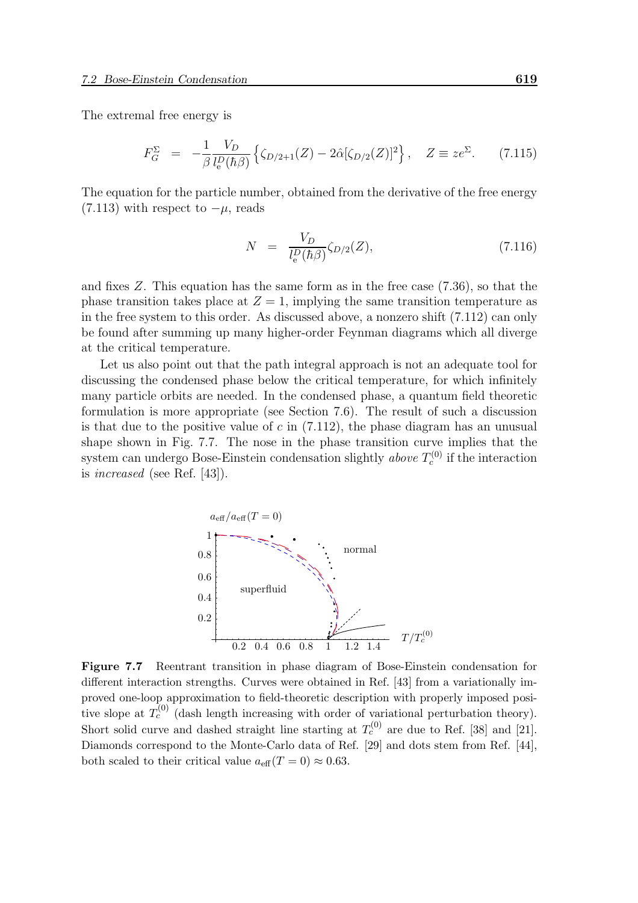The extremal free energy is

$$
F_G^{\Sigma} = -\frac{1}{\beta} \frac{V_D}{l_e^D(\hbar \beta)} \left\{ \zeta_{D/2+1}(Z) - 2\hat{\alpha} [\zeta_{D/2}(Z)]^2 \right\}, \quad Z \equiv z e^{\Sigma}.
$$
 (7.115)

The equation for the particle number, obtained from the derivative of the free energy  $(7.113)$  with respect to  $-\mu$ , reads

$$
N = \frac{V_D}{l_e^D(\hbar \beta)} \zeta_{D/2}(Z), \tag{7.116}
$$

and fixes Z. This equation has the same form as in the free case (7.36), so that the phase transition takes place at  $Z = 1$ , implying the same transition temperature as in the free system to this order. As discussed above, a nonzero shift (7.112) can only be found after summing up many higher-order Feynman diagrams which all diverge at the critical temperature.

Let us also point out that the path integral approach is not an adequate tool for discussing the condensed phase below the critical temperature, for which infinitely many particle orbits are needed. In the condensed phase, a quantum field theoretic formulation is more appropriate (see Section 7.6). The result of such a discussion is that due to the positive value of  $c$  in  $(7.112)$ , the phase diagram has an unusual shape shown in Fig. 7.7. The nose in the phase transition curve implies that the system can undergo Bose-Einstein condensation slightly *above*  $T_c^{(0)}$  if the interaction is increased (see Ref. [43]).



Figure 7.7 Reentrant transition in phase diagram of Bose-Einstein condensation for different interaction strengths. Curves were obtained in Ref. [43] from a variationally improved one-loop approximation to field-theoretic description with properly imposed positive slope at  $T_c^{(0)}$  (dash length increasing with order of variational perturbation theory). Short solid curve and dashed straight line starting at  $T_c^{(0)}$  are due to Ref. [38] and [21]. Diamonds correspond to the Monte-Carlo data of Ref. [29] and dots stem from Ref. [44], both scaled to their critical value  $a_{\text{eff}}(T=0) \approx 0.63$ .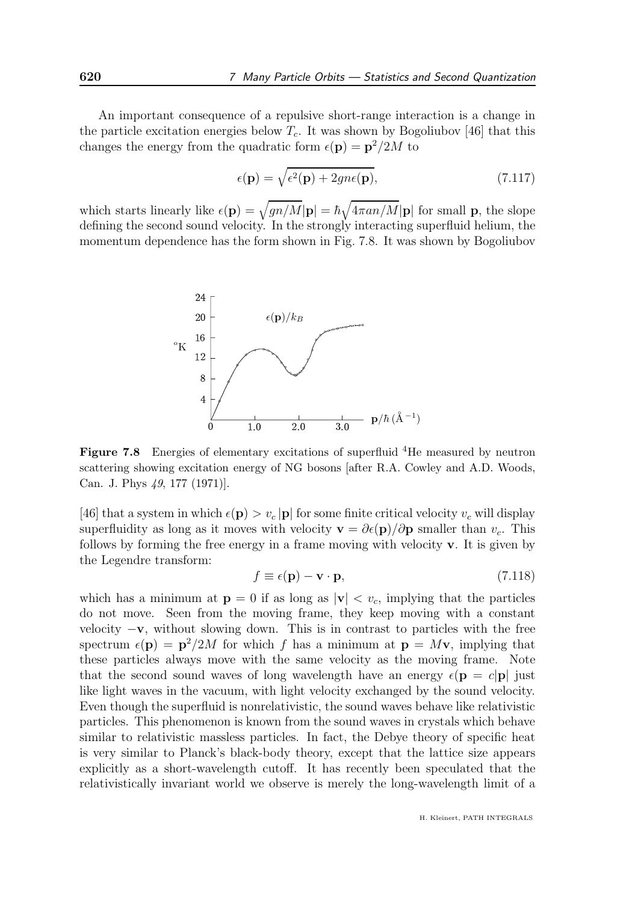An important consequence of a repulsive short-range interaction is a change in the particle excitation energies below  $T_c$ . It was shown by Bogoliubov [46] that this changes the energy from the quadratic form  $\epsilon(\mathbf{p}) = \mathbf{p}^2/2M$  to

$$
\epsilon(\mathbf{p}) = \sqrt{\epsilon^2(\mathbf{p}) + 2gn\epsilon(\mathbf{p})},\tag{7.117}
$$

which starts linearly like  $\epsilon(\mathbf{p}) = \sqrt{gn/M} |\mathbf{p}| = \hbar \sqrt{4\pi an/M} |\mathbf{p}|$  for small **p**, the slope defining the second sound velocity. In the strongly interacting superfluid helium, the momentum dependence has the form shown in Fig. 7.8. It was shown by Bogoliubov



Figure 7.8 Energies of elementary excitations of superfluid <sup>4</sup>He measured by neutron scattering showing excitation energy of NG bosons [after R.A. Cowley and A.D. Woods, Can. J. Phys 49, 177 (1971)].

[46] that a system in which  $\epsilon(\mathbf{p}) > v_c |\mathbf{p}|$  for some finite critical velocity  $v_c$  will display superfluidity as long as it moves with velocity  $\mathbf{v} = \partial \epsilon(\mathbf{p})/\partial \mathbf{p}$  smaller than  $v_c$ . This follows by forming the free energy in a frame moving with velocity  $\bf{v}$ . It is given by the Legendre transform:

$$
f \equiv \epsilon(\mathbf{p}) - \mathbf{v} \cdot \mathbf{p},\tag{7.118}
$$

which has a minimum at  $p = 0$  if as long as  $|v| < v_c$ , implying that the particles do not move. Seen from the moving frame, they keep moving with a constant velocity  $-v$ , without slowing down. This is in contrast to particles with the free spectrum  $\epsilon(\mathbf{p}) = \mathbf{p}^2/2M$  for which f has a minimum at  $\mathbf{p} = M\mathbf{v}$ , implying that these particles always move with the same velocity as the moving frame. Note that the second sound waves of long wavelength have an energy  $\epsilon(\mathbf{p} = c|\mathbf{p}|)$  just like light waves in the vacuum, with light velocity exchanged by the sound velocity. Even though the superfluid is nonrelativistic, the sound waves behave like relativistic particles. This phenomenon is known from the sound waves in crystals which behave similar to relativistic massless particles. In fact, the Debye theory of specific heat is very similar to Planck's black-body theory, except that the lattice size appears explicitly as a short-wavelength cutoff. It has recently been speculated that the relativistically invariant world we observe is merely the long-wavelength limit of a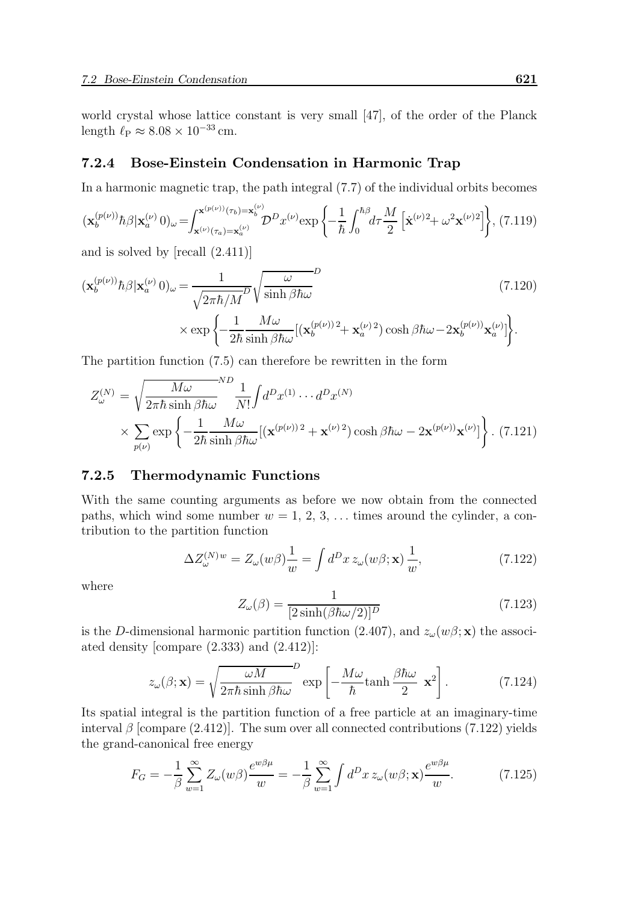world crystal whose lattice constant is very small [47], of the order of the Planck length  $\ell_P \approx 8.08 \times 10^{-33}$  cm.

# 7.2.4 Bose-Einstein Condensation in Harmonic Trap

In a harmonic magnetic trap, the path integral (7.7) of the individual orbits becomes

$$
(\mathbf{x}_{b}^{(p(\nu))}\hbar\beta|\mathbf{x}_{a}^{(\nu)}0)_{\omega} = \int_{\mathbf{x}^{(\nu)}(\tau_{a})=\mathbf{x}_{a}^{(\nu)}}^{\mathbf{x}^{(p(\nu))}(\tau_{b})=\mathbf{x}_{b}^{(\nu)}} \mathcal{D}^{D}x^{(\nu)} \exp\left\{-\frac{1}{\hbar}\int_{0}^{\hbar\beta} d\tau \frac{M}{2}\left[\dot{\mathbf{x}}^{(\nu)} + \omega^{2}\mathbf{x}^{(\nu)}\right]\right\}, (7.119)
$$

and is solved by [recall (2.411)]

$$
(\mathbf{x}_{b}^{(p(\nu))}\hbar\beta|\mathbf{x}_{a}^{(\nu)}\,0)_{\omega} = \frac{1}{\sqrt{2\pi\hbar/M}^{D}}\sqrt{\frac{\omega}{\sinh\beta\hbar\omega}^{D}}
$$
\n
$$
\times \exp\left\{-\frac{1}{2\hbar}\frac{M\omega}{\sinh\beta\hbar\omega}[(\mathbf{x}_{b}^{(p(\nu))2}+\mathbf{x}_{a}^{(\nu)2})\cosh\beta\hbar\omega-2\mathbf{x}_{b}^{(p(\nu))}\mathbf{x}_{a}^{(\nu)}]\right\}.
$$
\n(7.120)

The partition function (7.5) can therefore be rewritten in the form

$$
Z_{\omega}^{(N)} = \sqrt{\frac{M\omega}{2\pi\hbar\sinh\beta\hbar\omega}} \frac{1}{N!} \int d^D x^{(1)} \cdots d^D x^{(N)} \times \sum_{p(\nu)} \exp\left\{-\frac{1}{2\hbar\sinh\beta\hbar\omega} [(\mathbf{x}^{(p(\nu))2} + \mathbf{x}^{(\nu)2})\cosh\beta\hbar\omega - 2\mathbf{x}^{(p(\nu))}\mathbf{x}^{(\nu)}] \right\}.
$$
 (7.121)

# 7.2.5 Thermodynamic Functions

With the same counting arguments as before we now obtain from the connected paths, which wind some number  $w = 1, 2, 3, \ldots$  times around the cylinder, a contribution to the partition function

$$
\Delta Z_{\omega}^{(N)w} = Z_{\omega}(w\beta)\frac{1}{w} = \int d^D x \, z_{\omega}(w\beta; \mathbf{x}) \frac{1}{w},\tag{7.122}
$$

where

$$
Z_{\omega}(\beta) = \frac{1}{[2\sinh(\beta \hbar \omega/2)]^D} \tag{7.123}
$$

is the D-dimensional harmonic partition function (2.407), and  $z_\omega(w\beta; \mathbf{x})$  the associated density [compare  $(2.333)$  and  $(2.412)$ ]:

$$
z_{\omega}(\beta; \mathbf{x}) = \sqrt{\frac{\omega M}{2\pi\hbar \sinh \beta\hbar\omega}}^D \exp\left[-\frac{M\omega}{\hbar} \tanh\frac{\beta\hbar\omega}{2} \mathbf{x}^2\right].
$$
 (7.124)

Its spatial integral is the partition function of a free particle at an imaginary-time interval  $\beta$  [compare (2.412)]. The sum over all connected contributions (7.122) yields the grand-canonical free energy

$$
F_G = -\frac{1}{\beta} \sum_{w=1}^{\infty} Z_{\omega}(w\beta) \frac{e^{w\beta\mu}}{w} = -\frac{1}{\beta} \sum_{w=1}^{\infty} \int d^D x \, z_{\omega}(w\beta; \mathbf{x}) \frac{e^{w\beta\mu}}{w}.
$$
 (7.125)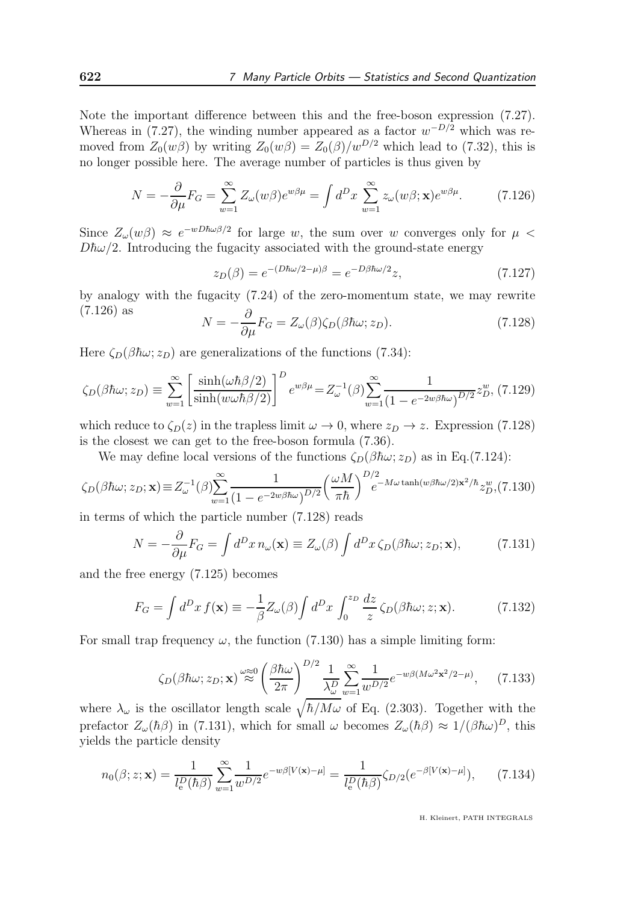Note the important difference between this and the free-boson expression (7.27). Whereas in (7.27), the winding number appeared as a factor  $w^{-D/2}$  which was removed from  $Z_0(w\beta)$  by writing  $Z_0(w\beta) = Z_0(\beta)/w^{D/2}$  which lead to (7.32), this is no longer possible here. The average number of particles is thus given by

$$
N = -\frac{\partial}{\partial \mu} F_G = \sum_{w=1}^{\infty} Z_{\omega}(w\beta) e^{w\beta\mu} = \int d^D x \sum_{w=1}^{\infty} z_{\omega}(w\beta; \mathbf{x}) e^{w\beta\mu}.
$$
 (7.126)

Since  $Z_{\omega}(w\beta) \approx e^{-wD\hbar\omega\beta/2}$  for large w, the sum over w converges only for  $\mu$  <  $D\hbar\omega/2$ . Introducing the fugacity associated with the ground-state energy

$$
z_D(\beta) = e^{-(D\hbar\omega/2 - \mu)\beta} = e^{-D\beta\hbar\omega/2}z,\tag{7.127}
$$

by analogy with the fugacity (7.24) of the zero-momentum state, we may rewrite (7.126) as

$$
N = -\frac{\partial}{\partial \mu} F_G = Z_{\omega}(\beta) \zeta_D(\beta \hbar \omega; z_D). \tag{7.128}
$$

Here  $\zeta_D(\beta \hbar \omega; z_D)$  are generalizations of the functions (7.34):

$$
\zeta_D(\beta \hbar \omega; z_D) \equiv \sum_{w=1}^{\infty} \left[ \frac{\sinh(\omega \hbar \beta/2)}{\sinh(w \omega \hbar \beta/2)} \right]^D e^{w\beta \mu} = Z_{\omega}^{-1}(\beta) \sum_{w=1}^{\infty} \frac{1}{(1 - e^{-2w\beta \hbar \omega})^{D/2}} z_D^w, (7.129)
$$

which reduce to  $\zeta_D(z)$  in the trapless limit  $\omega \to 0$ , where  $z_D \to z$ . Expression (7.128) is the closest we can get to the free-boson formula (7.36).

We may define local versions of the functions  $\zeta_D(\beta \hbar \omega; z_D)$  as in Eq.(7.124):

$$
\zeta_D(\beta \hbar \omega; z_D; \mathbf{x}) \equiv Z_{\omega}^{-1}(\beta) \sum_{w=1}^{\infty} \frac{1}{(1 - e^{-2w\beta \hbar \omega})^{D/2}} \left(\frac{\omega M}{\pi \hbar}\right)^{D/2} e^{-M\omega \tanh(w\beta \hbar \omega/2) \mathbf{x}^2/\hbar} z_D^w, (7.130)
$$

in terms of which the particle number (7.128) reads

$$
N = -\frac{\partial}{\partial \mu} F_G = \int d^D x \, n_\omega(\mathbf{x}) \equiv Z_\omega(\beta) \int d^D x \, \zeta_D(\beta \hbar \omega; z_D; \mathbf{x}),\tag{7.131}
$$

and the free energy (7.125) becomes

$$
F_G = \int d^D x f(\mathbf{x}) \equiv -\frac{1}{\beta} Z_{\omega}(\beta) \int d^D x \int_0^{z_D} \frac{dz}{z} \zeta_D(\beta \hbar \omega; z; \mathbf{x}). \tag{7.132}
$$

For small trap frequency  $\omega$ , the function (7.130) has a simple limiting form:

$$
\zeta_D(\beta \hbar \omega; z_D; \mathbf{x}) \stackrel{\omega \approx 0}{\approx} \left(\frac{\beta \hbar \omega}{2\pi}\right)^{D/2} \frac{1}{\lambda_\omega^D} \sum_{w=1}^\infty \frac{1}{w^{D/2}} e^{-w\beta (M\omega^2 \mathbf{x}^2/2 - \mu)},\tag{7.133}
$$

where  $\lambda_{\omega}$  is the oscillator length scale  $\sqrt{\hbar/M\omega}$  of Eq. (2.303). Together with the prefactor  $Z_{\omega}(\hbar \beta)$  in (7.131), which for small  $\omega$  becomes  $Z_{\omega}(\hbar \beta) \approx 1/(\beta \hbar \omega)^D$ , this yields the particle density

$$
n_0(\beta; z; \mathbf{x}) = \frac{1}{l_e^D(\hbar \beta)} \sum_{w=1}^{\infty} \frac{1}{w^{D/2}} e^{-w\beta [V(\mathbf{x}) - \mu]} = \frac{1}{l_e^D(\hbar \beta)} \zeta_{D/2} (e^{-\beta [V(\mathbf{x}) - \mu]}), \quad (7.134)
$$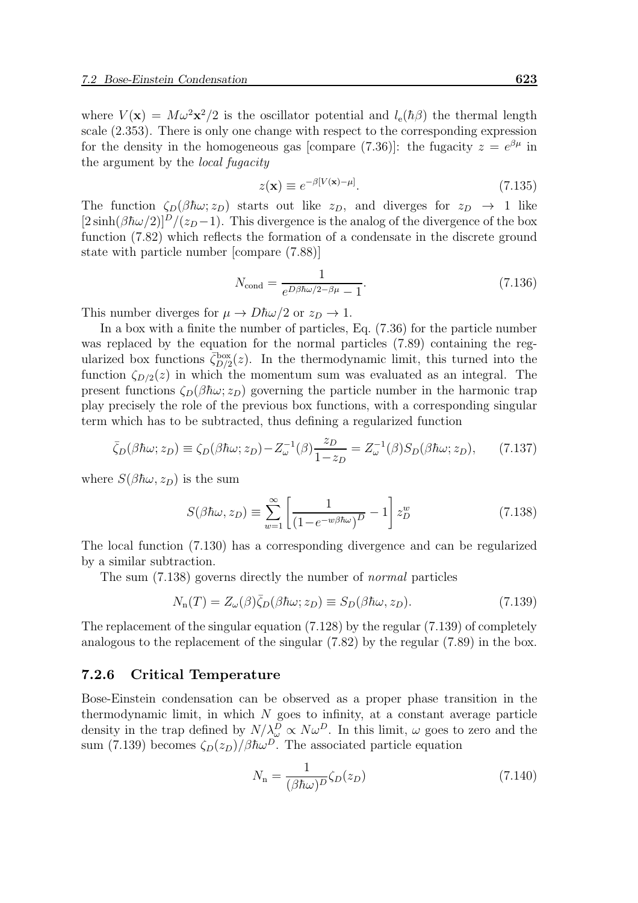where  $V(\mathbf{x}) = M\omega^2 \mathbf{x}^2/2$  is the oscillator potential and  $l_e(\hbar\beta)$  the thermal length scale (2.353). There is only one change with respect to the corresponding expression for the density in the homogeneous gas [compare (7.36)]: the fugacity  $z = e^{\beta \mu}$  in the argument by the local fugacity

$$
z(\mathbf{x}) \equiv e^{-\beta[V(\mathbf{x}) - \mu]}.
$$
\n(7.135)

The function  $\zeta_D(\beta \hbar \omega; z_D)$  starts out like  $z_D$ , and diverges for  $z_D \rightarrow 1$  like  $[2\sinh(\beta\hbar\omega/2)]^D/(z_D-1)$ . This divergence is the analog of the divergence of the box function (7.82) which reflects the formation of a condensate in the discrete ground state with particle number [compare (7.88)]

$$
N_{\text{cond}} = \frac{1}{e^{D\beta\hbar\omega/2 - \beta\mu} - 1}.\tag{7.136}
$$

This number diverges for  $\mu \to D\hbar\omega/2$  or  $z_D \to 1$ .

In a box with a finite the number of particles, Eq. (7.36) for the particle number was replaced by the equation for the normal particles  $(7.89)$  containing the regularized box functions  $\bar{\zeta}_{D/2}^{\rm box}(z)$ . In the thermodynamic limit, this turned into the function  $\zeta_{D/2}(z)$  in which the momentum sum was evaluated as an integral. The present functions  $\zeta_D(\beta \hbar \omega; z_D)$  governing the particle number in the harmonic trap play precisely the role of the previous box functions, with a corresponding singular term which has to be subtracted, thus defining a regularized function

$$
\bar{\zeta}_D(\beta \hbar \omega; z_D) \equiv \zeta_D(\beta \hbar \omega; z_D) - Z_{\omega}^{-1}(\beta) \frac{z_D}{1 - z_D} = Z_{\omega}^{-1}(\beta) S_D(\beta \hbar \omega; z_D), \tag{7.137}
$$

where  $S(\beta \hbar \omega, z_D)$  is the sum

$$
S(\beta \hbar \omega, z_D) \equiv \sum_{w=1}^{\infty} \left[ \frac{1}{\left(1 - e^{-w\beta \hbar \omega}\right)^D} - 1 \right] z_D^w \tag{7.138}
$$

The local function (7.130) has a corresponding divergence and can be regularized by a similar subtraction.

The sum (7.138) governs directly the number of normal particles

$$
N_{\rm n}(T) = Z_{\omega}(\beta)\bar{\zeta}_D(\beta\hbar\omega; z_D) \equiv S_D(\beta\hbar\omega, z_D). \tag{7.139}
$$

The replacement of the singular equation (7.128) by the regular (7.139) of completely analogous to the replacement of the singular (7.82) by the regular (7.89) in the box.

# 7.2.6 Critical Temperature

Bose-Einstein condensation can be observed as a proper phase transition in the thermodynamic limit, in which  $N$  goes to infinity, at a constant average particle density in the trap defined by  $N/\lambda_{\omega}^{D} \propto N\omega^{D}$ . In this limit,  $\omega$  goes to zero and the sum (7.139) becomes  $\zeta_D(z_D)/\beta \hbar \omega^D$ . The associated particle equation

$$
N_{\rm n} = \frac{1}{(\beta \hbar \omega)^{D}} \zeta_{D}(z_{D})
$$
\n(7.140)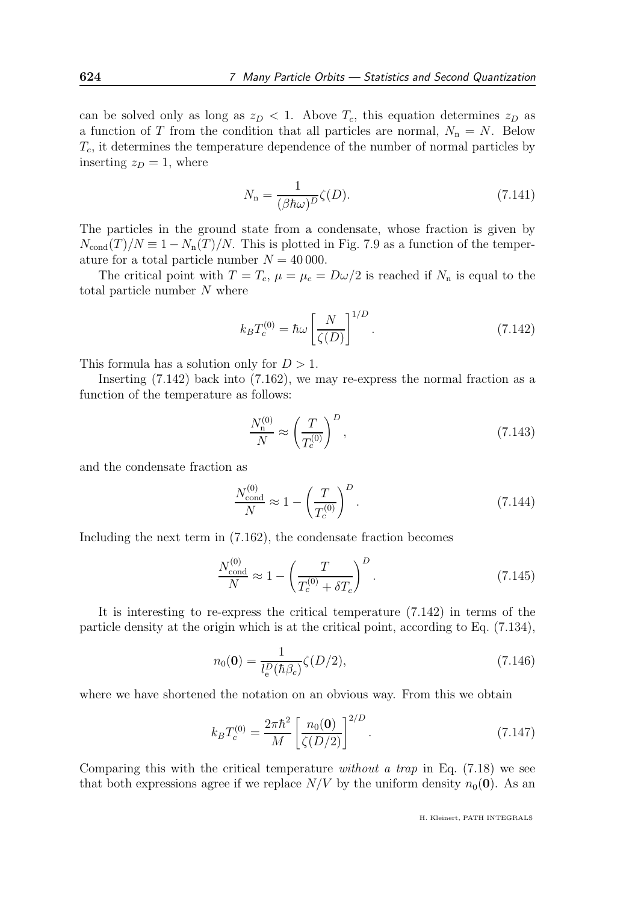can be solved only as long as  $z_D < 1$ . Above  $T_c$ , this equation determines  $z_D$  as a function of T from the condition that all particles are normal,  $N_n = N$ . Below  $T_c$ , it determines the temperature dependence of the number of normal particles by inserting  $z_D = 1$ , where

$$
N_{\rm n} = \frac{1}{(\beta \hbar \omega)^D} \zeta(D). \tag{7.141}
$$

The particles in the ground state from a condensate, whose fraction is given by  $N_{\text{cond}}(T)/N \equiv 1 - N_{\text{n}}(T)/N$ . This is plotted in Fig. 7.9 as a function of the temperature for a total particle number  $N = 40000$ .

The critical point with  $T = T_c$ ,  $\mu = \mu_c = D\omega/2$  is reached if  $N_n$  is equal to the total particle number  $N$  where

$$
k_B T_c^{(0)} = \hbar \omega \left[ \frac{N}{\zeta(D)} \right]^{1/D} . \tag{7.142}
$$

This formula has a solution only for  $D > 1$ .

Inserting (7.142) back into (7.162), we may re-express the normal fraction as a function of the temperature as follows:

$$
\frac{N_{\rm n}^{(0)}}{N} \approx \left(\frac{T}{T_c^{(0)}}\right)^D,\tag{7.143}
$$

and the condensate fraction as

$$
\frac{N_{\text{cond}}^{(0)}}{N} \approx 1 - \left(\frac{T}{T_c^{(0)}}\right)^D.
$$
\n(7.144)

Including the next term in (7.162), the condensate fraction becomes

$$
\frac{N_{\text{cond}}^{(0)}}{N} \approx 1 - \left(\frac{T}{T_c^{(0)} + \delta T_c}\right)^D.
$$
\n(7.145)

It is interesting to re-express the critical temperature (7.142) in terms of the particle density at the origin which is at the critical point, according to Eq. (7.134),

$$
n_0(\mathbf{0}) = \frac{1}{l_e^D(\hbar \beta_c)} \zeta(D/2),\tag{7.146}
$$

where we have shortened the notation on an obvious way. From this we obtain

$$
k_B T_c^{(0)} = \frac{2\pi\hbar^2}{M} \left[ \frac{n_0(\mathbf{0})}{\zeta(D/2)} \right]^{2/D}.
$$
 (7.147)

Comparing this with the critical temperature *without a trap* in Eq.  $(7.18)$  we see that both expressions agree if we replace  $N/V$  by the uniform density  $n_0(0)$ . As an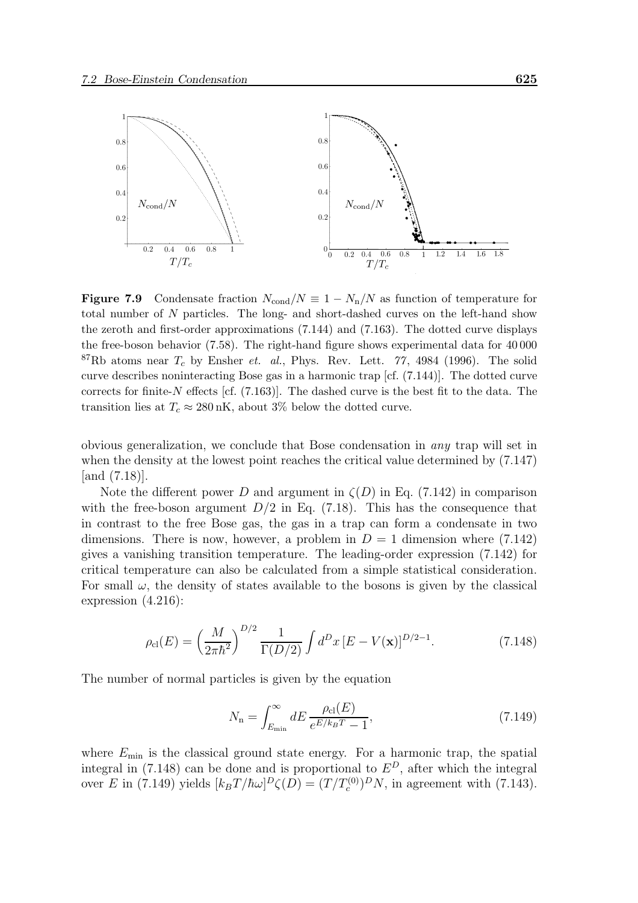

**Figure 7.9** Condensate fraction  $N_{\text{cond}}/N \equiv 1 - N_{\text{n}}/N$  as function of temperature for total number of N particles. The long- and short-dashed curves on the left-hand show the zeroth and first-order approximations (7.144) and (7.163). The dotted curve displays the free-boson behavior (7.58). The right-hand figure shows experimental data for 40 000  $87Rb$  atoms near  $T_c$  by Ensher *et. al.*, Phys. Rev. Lett. 77, 4984 (1996). The solid curve describes noninteracting Bose gas in a harmonic trap [cf. (7.144)]. The dotted curve corrects for finite-N effects [cf.  $(7.163)$ ]. The dashed curve is the best fit to the data. The transition lies at  $T_c \approx 280 \text{ nK}$ , about 3% below the dotted curve.

obvious generalization, we conclude that Bose condensation in any trap will set in when the density at the lowest point reaches the critical value determined by (7.147) [and (7.18)].

Note the different power D and argument in  $\zeta(D)$  in Eq. (7.142) in comparison with the free-boson argument  $D/2$  in Eq. (7.18). This has the consequence that in contrast to the free Bose gas, the gas in a trap can form a condensate in two dimensions. There is now, however, a problem in  $D = 1$  dimension where (7.142) gives a vanishing transition temperature. The leading-order expression (7.142) for critical temperature can also be calculated from a simple statistical consideration. For small  $\omega$ , the density of states available to the bosons is given by the classical expression (4.216):

$$
\rho_{\rm cl}(E) = \left(\frac{M}{2\pi\hbar^2}\right)^{D/2} \frac{1}{\Gamma(D/2)} \int d^D x \, [E - V(\mathbf{x})]^{D/2 - 1}.\tag{7.148}
$$

The number of normal particles is given by the equation

$$
N_{\rm n} = \int_{E_{\rm min}}^{\infty} dE \, \frac{\rho_{\rm cl}(E)}{e^{E/k_B T} - 1},\tag{7.149}
$$

where  $E_{\text{min}}$  is the classical ground state energy. For a harmonic trap, the spatial integral in (7.148) can be done and is proportional to  $E^D$ , after which the integral over E in (7.149) yields  $[k_BT/\hbar\omega]^D \zeta(D) = (T/T_c^{(0)})^D N$ , in agreement with (7.143).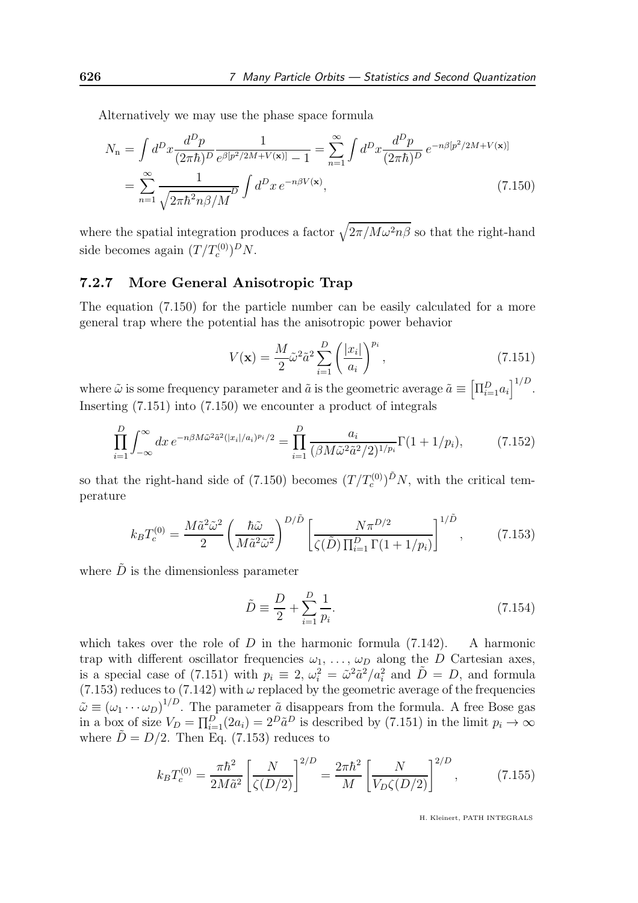Alternatively we may use the phase space formula

$$
N_{\rm n} = \int d^D x \frac{d^D p}{(2\pi\hbar)^D} \frac{1}{e^{\beta[p^2/2M + V(\mathbf{x})]} - 1} = \sum_{n=1}^{\infty} \int d^D x \frac{d^D p}{(2\pi\hbar)^D} e^{-n\beta[p^2/2M + V(\mathbf{x})]}
$$

$$
= \sum_{n=1}^{\infty} \frac{1}{\sqrt{2\pi\hbar^2 n\beta/M}} \int d^D x e^{-n\beta V(\mathbf{x})}, \tag{7.150}
$$

where the spatial integration produces a factor  $\sqrt{2\pi/M\omega^2n\beta}$  so that the right-hand side becomes again  $(T/T_c^{(0)})^D N$ .

# 7.2.7 More General Anisotropic Trap

The equation (7.150) for the particle number can be easily calculated for a more general trap where the potential has the anisotropic power behavior

$$
V(\mathbf{x}) = \frac{M}{2}\tilde{\omega}^2 \tilde{a}^2 \sum_{i=1}^D \left(\frac{|x_i|}{a_i}\right)^{p_i},\tag{7.151}
$$

where  $\tilde{\omega}$  is some frequency parameter and  $\tilde{a}$  is the geometric average  $\tilde{a} \equiv \left[\Pi_{i=1}^D a_i\right]^{1/D}$ . Inserting (7.151) into (7.150) we encounter a product of integrals

$$
\prod_{i=1}^{D} \int_{-\infty}^{\infty} dx \, e^{-n\beta M \tilde{\omega}^2 \tilde{a}^2 (|x_i|/a_i)^{p_i}/2} = \prod_{i=1}^{D} \frac{a_i}{(\beta M \tilde{\omega}^2 \tilde{a}^2/2)^{1/p_i}} \Gamma(1+1/p_i),\tag{7.152}
$$

so that the right-hand side of (7.150) becomes  $(T/T_c^{(0)})^{\tilde{D}}N$ , with the critical temperature

$$
k_B T_c^{(0)} = \frac{M\tilde{a}^2 \tilde{\omega}^2}{2} \left(\frac{\hbar \tilde{\omega}}{M\tilde{a}^2 \tilde{\omega}^2}\right)^{D/\tilde{D}} \left[\frac{N\pi^{D/2}}{\zeta(\tilde{D})\prod_{i=1}^D \Gamma(1+1/p_i)}\right]^{1/\tilde{D}},\tag{7.153}
$$

where  $\tilde{D}$  is the dimensionless parameter

$$
\tilde{D} \equiv \frac{D}{2} + \sum_{i=1}^{D} \frac{1}{p_i}.\tag{7.154}
$$

which takes over the role of D in the harmonic formula  $(7.142)$ . A harmonic trap with different oscillator frequencies  $\omega_1, \ldots, \omega_D$  along the D Cartesian axes, is a special case of (7.151) with  $p_i \equiv 2$ ,  $\omega_i^2 = \tilde{\omega}^2 \tilde{a}^2 / a_i^2$  and  $\tilde{D} = D$ , and formula  $(7.153)$  reduces to  $(7.142)$  with  $\omega$  replaced by the geometric average of the frequencies  $\tilde{\omega} \equiv (\omega_1 \cdots \omega_D)^{1/D}$ . The parameter  $\tilde{a}$  disappears from the formula. A free Bose gas in a box of size  $V_D = \prod_{i=1}^D (2a_i) = 2^D \tilde{a}^D$  is described by (7.151) in the limit  $p_i \to \infty$ where  $D = D/2$ . Then Eq. (7.153) reduces to

$$
k_B T_c^{(0)} = \frac{\pi \hbar^2}{2M\tilde{a}^2} \left[ \frac{N}{\zeta(D/2)} \right]^{2/D} = \frac{2\pi \hbar^2}{M} \left[ \frac{N}{V_D \zeta(D/2)} \right]^{2/D},\tag{7.155}
$$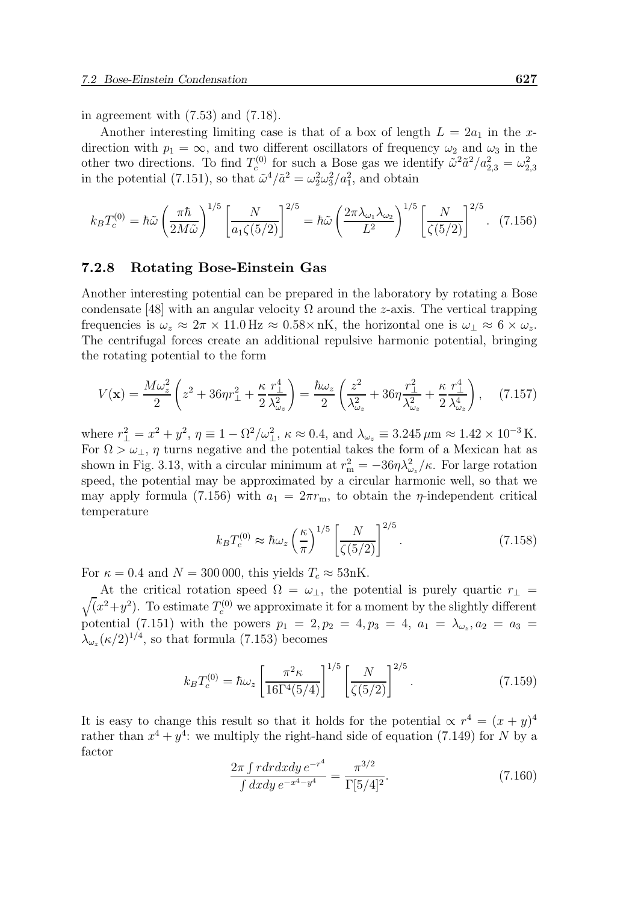in agreement with (7.53) and (7.18).

Another interesting limiting case is that of a box of length  $L = 2a_1$  in the xdirection with  $p_1 = \infty$ , and two different oscillators of frequency  $\omega_2$  and  $\omega_3$  in the other two directions. To find  $T_c^{(0)}$  for such a Bose gas we identify  $\tilde{\omega}^2 \tilde{a}^2/a_{2,3}^2 = \omega_{2,3}^2$ in the potential (7.151), so that  $\tilde{\omega}^4/\tilde{a}^2 = \omega_2^2 \omega_3^2/a_1^2$ , and obtain

$$
k_B T_c^{(0)} = \hbar \tilde{\omega} \left(\frac{\pi \hbar}{2M\tilde{\omega}}\right)^{1/5} \left[\frac{N}{a_1 \zeta(5/2)}\right]^{2/5} = \hbar \tilde{\omega} \left(\frac{2\pi \lambda_{\omega_1} \lambda_{\omega_2}}{L^2}\right)^{1/5} \left[\frac{N}{\zeta(5/2)}\right]^{2/5}.
$$
 (7.156)

#### 7.2.8 Rotating Bose-Einstein Gas

Another interesting potential can be prepared in the laboratory by rotating a Bose condensate [48] with an angular velocity  $\Omega$  around the z-axis. The vertical trapping frequencies is  $\omega_z \approx 2\pi \times 11.0$  Hz  $\approx 0.58 \times nK$ , the horizontal one is  $\omega_\perp \approx 6 \times \omega_z$ . The centrifugal forces create an additional repulsive harmonic potential, bringing the rotating potential to the form

$$
V(\mathbf{x}) = \frac{M\omega_z^2}{2} \left( z^2 + 36\eta r_\perp^2 + \frac{\kappa}{2} \frac{r_\perp^4}{\lambda_{\omega_z}^2} \right) = \frac{\hbar\omega_z}{2} \left( \frac{z^2}{\lambda_{\omega_z}^2} + 36\eta \frac{r_\perp^2}{\lambda_{\omega_z}^2} + \frac{\kappa}{2} \frac{r_\perp^4}{\lambda_{\omega_z}^4} \right), \quad (7.157)
$$

where  $r_{\perp}^2 = x^2 + y^2$ ,  $\eta \equiv 1 - \Omega^2/\omega_{\perp}^2$ ,  $\kappa \approx 0.4$ , and  $\lambda_{\omega_z} \equiv 3.245 \,\mu \text{m} \approx 1.42 \times 10^{-3} \text{ K}$ . For  $\Omega > \omega_{\perp}$ ,  $\eta$  turns negative and the potential takes the form of a Mexican hat as shown in Fig. 3.13, with a circular minimum at  $r_m^2 = -36\eta\lambda_{\omega_z}^2/\kappa$ . For large rotation speed, the potential may be approximated by a circular harmonic well, so that we may apply formula (7.156) with  $a_1 = 2\pi r_m$ , to obtain the *η*-independent critical temperature

$$
k_B T_c^{(0)} \approx \hbar \omega_z \left(\frac{\kappa}{\pi}\right)^{1/5} \left[\frac{N}{\zeta(5/2)}\right]^{2/5}.
$$
 (7.158)

For  $\kappa = 0.4$  and  $N = 300000$ , this yields  $T_c \approx 53$ nK.

 $\sqrt{(x^2+y^2)}$ . To estimate  $T_c^{(0)}$  we approximate it for a moment by the slightly different At the critical rotation speed  $\Omega = \omega_{\perp}$ , the potential is purely quartic  $r_{\perp}$ potential (7.151) with the powers  $p_1 = 2, p_2 = 4, p_3 = 4, a_1 = \lambda_{\omega_z}, a_2 = a_3 =$  $\lambda_{\omega_z}(\kappa/2)^{1/4}$ , so that formula (7.153) becomes

$$
k_B T_c^{(0)} = \hbar \omega_z \left[ \frac{\pi^2 \kappa}{16\Gamma^4 (5/4)} \right]^{1/5} \left[ \frac{N}{\zeta (5/2)} \right]^{2/5} . \tag{7.159}
$$

It is easy to change this result so that it holds for the potential  $\propto r^4 = (x + y)^4$ rather than  $x^4 + y^4$ : we multiply the right-hand side of equation (7.149) for N by a factor

$$
\frac{2\pi \int r dr dx dy e^{-r^4}}{\int dx dy e^{-x^4 - y^4}} = \frac{\pi^{3/2}}{\Gamma[5/4]^2}.
$$
 (7.160)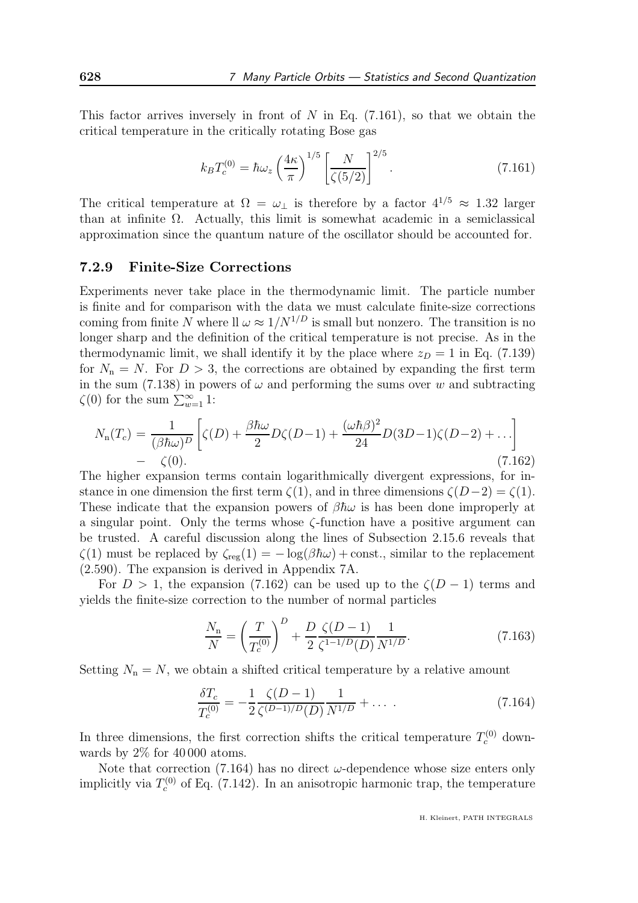This factor arrives inversely in front of N in Eq.  $(7.161)$ , so that we obtain the critical temperature in the critically rotating Bose gas

$$
k_B T_c^{(0)} = \hbar \omega_z \left(\frac{4\kappa}{\pi}\right)^{1/5} \left[\frac{N}{\zeta(5/2)}\right]^{2/5}.
$$
 (7.161)

The critical temperature at  $\Omega = \omega_{\perp}$  is therefore by a factor  $4^{1/5} \approx 1.32$  larger than at infinite  $\Omega$ . Actually, this limit is somewhat academic in a semiclassical approximation since the quantum nature of the oscillator should be accounted for.

#### 7.2.9 Finite-Size Corrections

Experiments never take place in the thermodynamic limit. The particle number is finite and for comparison with the data we must calculate finite-size corrections coming from finite N where  $\mathbb{I} \omega \approx 1/N^{1/D}$  is small but nonzero. The transition is no longer sharp and the definition of the critical temperature is not precise. As in the thermodynamic limit, we shall identify it by the place where  $z_D = 1$  in Eq. (7.139) for  $N_n = N$ . For  $D > 3$ , the corrections are obtained by expanding the first term in the sum (7.138) in powers of  $\omega$  and performing the sums over w and subtracting  $\zeta(0)$  for the sum  $\sum_{w=1}^{\infty} 1$ :

$$
N_{\rm n}(T_c) = \frac{1}{(\beta \hbar \omega)^D} \left[ \zeta(D) + \frac{\beta \hbar \omega}{2} D\zeta(D-1) + \frac{(\omega \hbar \beta)^2}{24} D(3D-1)\zeta(D-2) + \ldots \right]
$$
  
–  $\zeta(0).$  (7.162)

The higher expansion terms contain logarithmically divergent expressions, for instance in one dimension the first term  $\zeta(1)$ , and in three dimensions  $\zeta(D-2) = \zeta(1)$ . These indicate that the expansion powers of  $\beta \hbar \omega$  is has been done improperly at a singular point. Only the terms whose ζ-function have a positive argument can be trusted. A careful discussion along the lines of Subsection 2.15.6 reveals that  $\zeta(1)$  must be replaced by  $\zeta_{reg}(1) = -\log(\beta \hbar \omega) + \text{const.}$ , similar to the replacement (2.590). The expansion is derived in Appendix 7A.

For  $D > 1$ , the expansion (7.162) can be used up to the  $\zeta(D-1)$  terms and yields the finite-size correction to the number of normal particles

$$
\frac{N_{\rm n}}{N} = \left(\frac{T}{T_c^{(0)}}\right)^D + \frac{D}{2} \frac{\zeta(D-1)}{\zeta^{1-1/D}(D)} \frac{1}{N^{1/D}}.\tag{7.163}
$$

Setting  $N_n = N$ , we obtain a shifted critical temperature by a relative amount

$$
\frac{\delta T_c}{T_c^{(0)}} = -\frac{1}{2} \frac{\zeta(D-1)}{\zeta^{(D-1)/D}(D)} \frac{1}{N^{1/D}} + \dots \tag{7.164}
$$

In three dimensions, the first correction shifts the critical temperature  $T_c^{(0)}$  downwards by 2% for 40 000 atoms.

Note that correction (7.164) has no direct  $\omega$ -dependence whose size enters only implicitly via  $T_c^{(0)}$  of Eq. (7.142). In an anisotropic harmonic trap, the temperature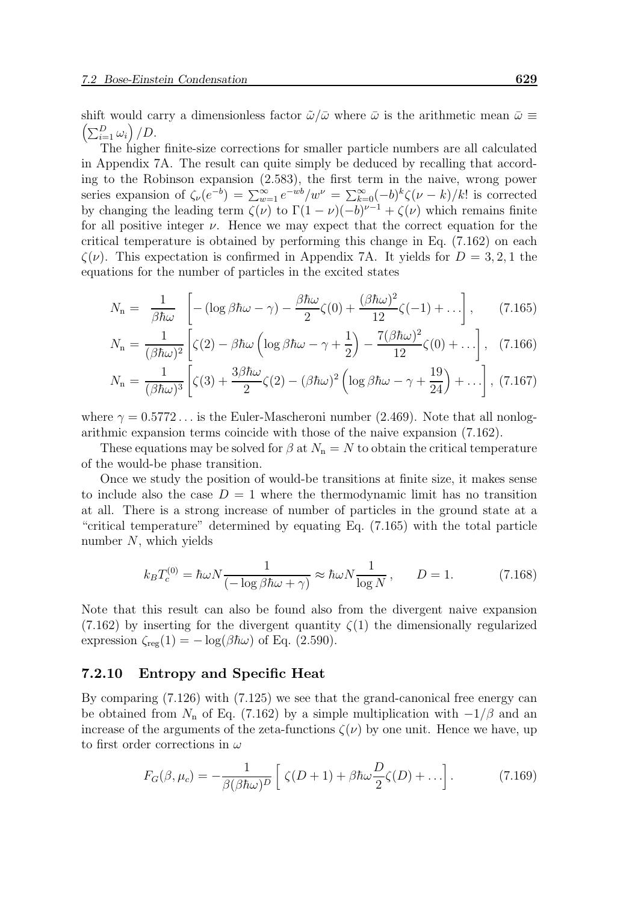shift would carry a dimensionless factor  $\tilde{\omega}/\bar{\omega}$  where  $\bar{\omega}$  is the arithmetic mean  $\bar{\omega} \equiv$  $\left(\sum_{i=1}^D \omega_i\right)/D.$ 

The higher finite-size corrections for smaller particle numbers are all calculated in Appendix 7A. The result can quite simply be deduced by recalling that according to the Robinson expansion (2.583), the first term in the naive, wrong power series expansion of  $\zeta_{\nu}(e^{-b}) = \sum_{w=1}^{\infty} e^{-wb}/w^{\nu} = \sum_{k=0}^{\infty} (-b)^{k}\zeta(\nu-k)/k!$  is corrected by changing the leading term  $\zeta(\nu)$  to  $\Gamma(1-\nu)(-b)^{\nu-1} + \zeta(\nu)$  which remains finite for all positive integer  $\nu$ . Hence we may expect that the correct equation for the critical temperature is obtained by performing this change in Eq. (7.162) on each  $\zeta(\nu)$ . This expectation is confirmed in Appendix 7A. It yields for  $D = 3, 2, 1$  the equations for the number of particles in the excited states

$$
N_{\rm n} = \frac{1}{\beta \hbar \omega} \left[ - (\log \beta \hbar \omega - \gamma) - \frac{\beta \hbar \omega}{2} \zeta(0) + \frac{(\beta \hbar \omega)^2}{12} \zeta(-1) + \ldots \right], \qquad (7.165)
$$

$$
N_{\rm n} = \frac{1}{(\beta \hbar \omega)^2} \left[ \zeta(2) - \beta \hbar \omega \left( \log \beta \hbar \omega - \gamma + \frac{1}{2} \right) - \frac{7(\beta \hbar \omega)^2}{12} \zeta(0) + \ldots \right], \quad (7.166)
$$

$$
N_{\rm n} = \frac{1}{(\beta \hbar \omega)^3} \left[ \zeta(3) + \frac{3\beta \hbar \omega}{2} \zeta(2) - (\beta \hbar \omega)^2 \left( \log \beta \hbar \omega - \gamma + \frac{19}{24} \right) + \ldots \right], (7.167)
$$

where  $\gamma = 0.5772...$  is the Euler-Mascheroni number (2.469). Note that all nonlogarithmic expansion terms coincide with those of the naive expansion (7.162).

These equations may be solved for  $\beta$  at  $N_n = N$  to obtain the critical temperature of the would-be phase transition.

Once we study the position of would-be transitions at finite size, it makes sense to include also the case  $D = 1$  where the thermodynamic limit has no transition at all. There is a strong increase of number of particles in the ground state at a "critical temperature" determined by equating Eq. (7.165) with the total particle number  $N$ , which yields

$$
k_B T_c^{(0)} = \hbar \omega N \frac{1}{\left(-\log \beta \hbar \omega + \gamma\right)} \approx \hbar \omega N \frac{1}{\log N}, \qquad D = 1. \tag{7.168}
$$

Note that this result can also be found also from the divergent naive expansion (7.162) by inserting for the divergent quantity  $\zeta(1)$  the dimensionally regularized expression  $\zeta_{\text{reg}}(1) = -\log(\beta \hbar \omega)$  of Eq. (2.590).

## 7.2.10 Entropy and Specific Heat

By comparing (7.126) with (7.125) we see that the grand-canonical free energy can be obtained from  $N_n$  of Eq. (7.162) by a simple multiplication with  $-1/\beta$  and an increase of the arguments of the zeta-functions  $\zeta(\nu)$  by one unit. Hence we have, up to first order corrections in  $\omega$ 

$$
F_G(\beta,\mu_c) = -\frac{1}{\beta(\beta\hbar\omega)^D} \left[ \zeta(D+1) + \beta\hbar\omega \frac{D}{2}\zeta(D) + \ldots \right].
$$
 (7.169)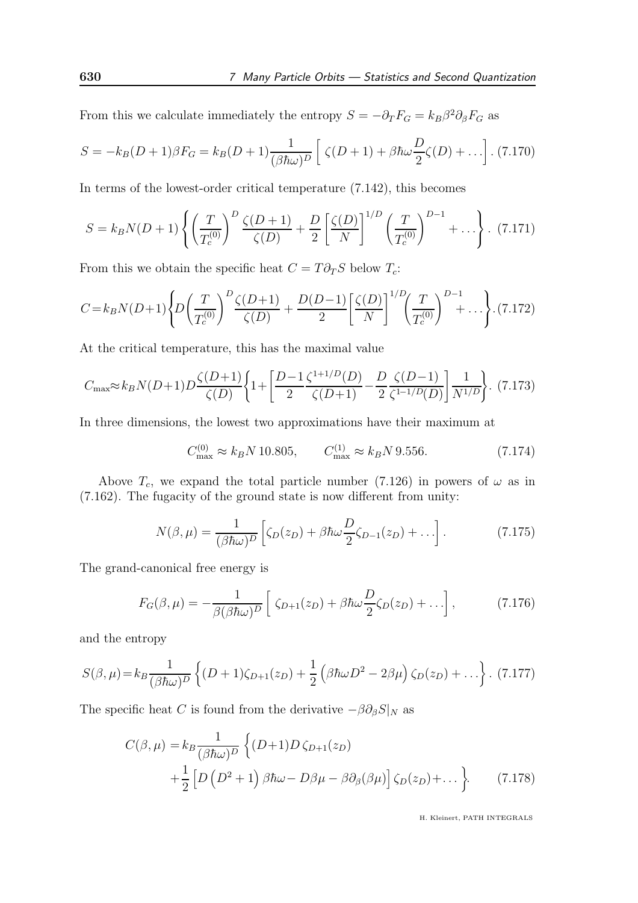From this we calculate immediately the entropy  $S = -\partial_T F_G = k_B \beta^2 \partial_\beta F_G$  as

$$
S = -k_B(D+1)\beta F_G = k_B(D+1)\frac{1}{(\beta\hbar\omega)^D} \left[ \zeta(D+1) + \beta\hbar\omega \frac{D}{2}\zeta(D) + \ldots \right]. (7.170)
$$

In terms of the lowest-order critical temperature (7.142), this becomes

$$
S = k_B N(D+1) \left\{ \left( \frac{T}{T_c^{(0)}} \right)^D \frac{\zeta(D+1)}{\zeta(D)} + \frac{D}{2} \left[ \frac{\zeta(D)}{N} \right]^{1/D} \left( \frac{T}{T_c^{(0)}} \right)^{D-1} + \dots \right\}.
$$
 (7.171)

From this we obtain the specific heat  $C = T\partial_T S$  below  $T_c$ :

$$
C = k_B N(D+1) \left\{ D \left( \frac{T}{T_c^{(0)}} \right)^D \frac{\zeta(D+1)}{\zeta(D)} + \frac{D(D-1)}{2} \left[ \frac{\zeta(D)}{N} \right]^{1/D} \left( \frac{T}{T_c^{(0)}} \right)^{D-1} + \dots \right\}.
$$
(7.172)

At the critical temperature, this has the maximal value

$$
C_{\max} \approx k_B N(D+1) D \frac{\zeta(D+1)}{\zeta(D)} \left\{ 1 + \left[ \frac{D-1}{2} \frac{\zeta^{1+1/D}(D)}{\zeta(D+1)} - \frac{D}{2} \frac{\zeta(D-1)}{\zeta^{1-1/D}(D)} \right] \frac{1}{N^{1/D}} \right\}.
$$
 (7.173)

In three dimensions, the lowest two approximations have their maximum at

$$
C_{\text{max}}^{(0)} \approx k_B N 10.805, \qquad C_{\text{max}}^{(1)} \approx k_B N 9.556. \tag{7.174}
$$

Above  $T_c$ , we expand the total particle number (7.126) in powers of  $\omega$  as in (7.162). The fugacity of the ground state is now different from unity:

$$
N(\beta,\mu) = \frac{1}{(\beta \hbar \omega)^D} \left[ \zeta_D(z_D) + \beta \hbar \omega \frac{D}{2} \zeta_{D-1}(z_D) + \ldots \right].
$$
 (7.175)

The grand-canonical free energy is

$$
F_G(\beta,\mu) = -\frac{1}{\beta(\beta\hbar\omega)^D} \left[ \zeta_{D+1}(z_D) + \beta\hbar\omega \frac{D}{2}\zeta_D(z_D) + \ldots \right],\tag{7.176}
$$

and the entropy

$$
S(\beta,\mu) = k_B \frac{1}{(\beta \hbar \omega)^D} \left\{ (D+1)\zeta_{D+1}(z_D) + \frac{1}{2} \left( \beta \hbar \omega D^2 - 2\beta \mu \right) \zeta_D(z_D) + \ldots \right\}.
$$
 (7.177)

The specific heat C is found from the derivative  $-\beta \partial_{\beta} S|_{N}$  as

$$
C(\beta,\mu) = k_B \frac{1}{(\beta \hbar \omega)^D} \left\{ (D+1) D \zeta_{D+1}(z_D) + \frac{1}{2} \left[ D \left( D^2 + 1 \right) \beta \hbar \omega - D \beta \mu - \beta \partial_\beta (\beta \mu) \right] \zeta_D(z_D) + \dots \right\}.
$$
 (7.178)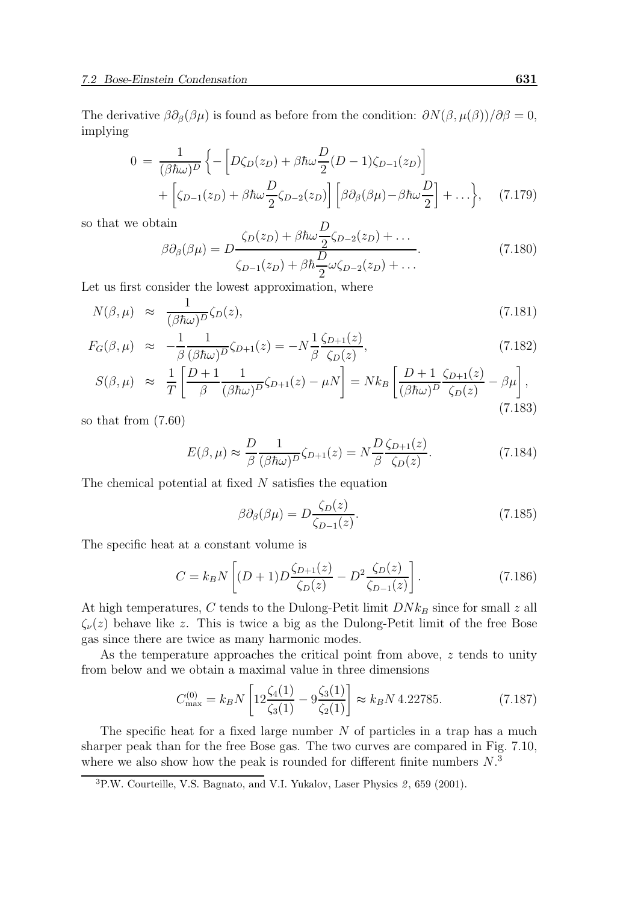The derivative  $\beta \partial_{\beta}(\beta \mu)$  is found as before from the condition:  $\partial N(\beta, \mu(\beta))/\partial \beta = 0$ , implying

$$
0 = \frac{1}{(\beta \hbar \omega)^{D}} \left\{ -\left[ D\zeta_{D}(z_{D}) + \beta \hbar \omega \frac{D}{2} (D-1)\zeta_{D-1}(z_{D}) \right] + \left[ \zeta_{D-1}(z_{D}) + \beta \hbar \omega \frac{D}{2} \zeta_{D-2}(z_{D}) \right] \left[ \beta \partial_{\beta} (\beta \mu) - \beta \hbar \omega \frac{D}{2} \right] + \dots \right\}, \quad (7.179)
$$

so that we obtain

$$
\begin{aligned}\n\sin \beta \partial_{\beta}(\beta \mu) &= D \frac{\zeta_D(z_D) + \beta \hbar \omega \frac{D}{2} \zeta_{D-2}(z_D) + \dots}{\zeta_{D-1}(z_D) + \beta \hbar \frac{D}{2} \omega \zeta_{D-2}(z_D) + \dots}\n\end{aligned} \tag{7.180}
$$

Let us first consider the lowest approximation, where

$$
N(\beta, \mu) \approx \frac{1}{(\beta \hbar \omega)^D} \zeta_D(z), \qquad (7.181)
$$

$$
F_G(\beta,\mu) \approx -\frac{1}{\beta} \frac{1}{(\beta \hbar \omega)^D} \zeta_{D+1}(z) = -N \frac{1}{\beta} \frac{\zeta_{D+1}(z)}{\zeta_D(z)},\tag{7.182}
$$

$$
S(\beta,\mu) \approx \frac{1}{T} \left[ \frac{D+1}{\beta} \frac{1}{(\beta \hbar \omega)^D} \zeta_{D+1}(z) - \mu N \right] = N k_B \left[ \frac{D+1}{(\beta \hbar \omega)^D} \frac{\zeta_{D+1}(z)}{\zeta_D(z)} - \beta \mu \right],
$$
\n(7.183)

so that from (7.60)

$$
E(\beta,\mu) \approx \frac{D}{\beta} \frac{1}{(\beta \hbar \omega)^D} \zeta_{D+1}(z) = N \frac{D}{\beta} \frac{\zeta_{D+1}(z)}{\zeta_D(z)}.
$$
 (7.184)

The chemical potential at fixed N satisfies the equation

$$
\beta \partial_{\beta}(\beta \mu) = D \frac{\zeta_D(z)}{\zeta_{D-1}(z)}.
$$
\n(7.185)

The specific heat at a constant volume is

$$
C = k_B N \left[ (D+1) D \frac{\zeta_{D+1}(z)}{\zeta_D(z)} - D^2 \frac{\zeta_D(z)}{\zeta_{D-1}(z)} \right].
$$
 (7.186)

At high temperatures, C tends to the Dulong-Petit limit  $DNk_B$  since for small z all  $\zeta_{\nu}(z)$  behave like z. This is twice a big as the Dulong-Petit limit of the free Bose gas since there are twice as many harmonic modes.

As the temperature approaches the critical point from above, z tends to unity from below and we obtain a maximal value in three dimensions

$$
C_{\text{max}}^{(0)} = k_B N \left[ 12 \frac{\zeta_4(1)}{\zeta_3(1)} - 9 \frac{\zeta_3(1)}{\zeta_2(1)} \right] \approx k_B N 4.22785. \tag{7.187}
$$

The specific heat for a fixed large number  $N$  of particles in a trap has a much sharper peak than for the free Bose gas. The two curves are compared in Fig. 7.10, where we also show how the peak is rounded for different finite numbers  $N$ <sup>3</sup>

<sup>3</sup>P.W. Courteille, V.S. Bagnato, and V.I. Yukalov, Laser Physics 2, 659 (2001).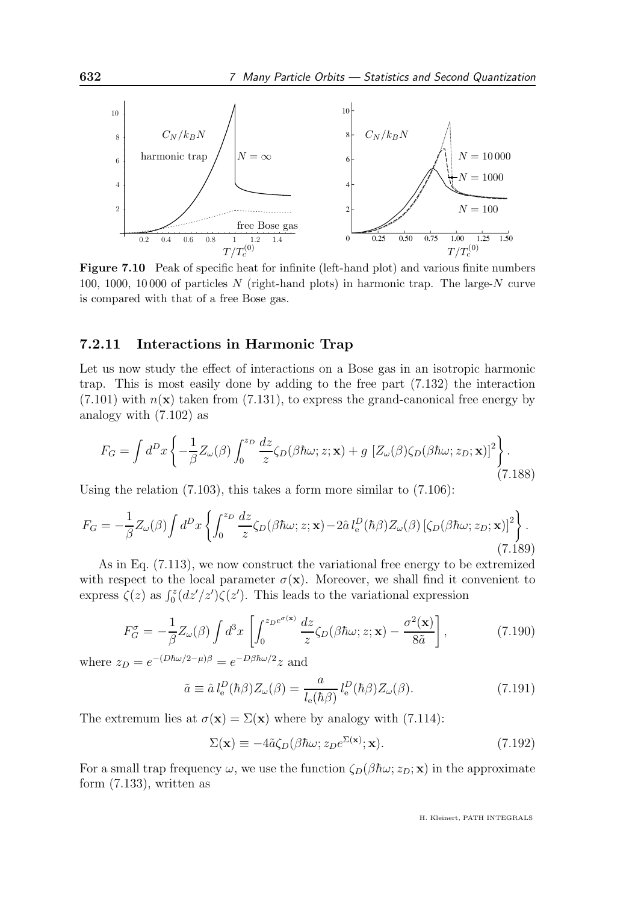

Figure 7.10 Peak of specific heat for infinite (left-hand plot) and various finite numbers 100, 1000, 10000 of particles  $N$  (right-hand plots) in harmonic trap. The large- $N$  curve is compared with that of a free Bose gas.

# 7.2.11 Interactions in Harmonic Trap

Let us now study the effect of interactions on a Bose gas in an isotropic harmonic trap. This is most easily done by adding to the free part (7.132) the interaction  $(7.101)$  with  $n(x)$  taken from  $(7.131)$ , to express the grand-canonical free energy by analogy with (7.102) as

$$
F_G = \int d^D x \left\{ -\frac{1}{\beta} Z_{\omega}(\beta) \int_0^{z_D} \frac{dz}{z} \zeta_D(\beta \hbar \omega; z; \mathbf{x}) + g \left[ Z_{\omega}(\beta) \zeta_D(\beta \hbar \omega; z_D; \mathbf{x}) \right]^2 \right\}.
$$
\n(7.188)

Using the relation (7.103), this takes a form more similar to (7.106):

$$
F_G = -\frac{1}{\beta} Z_{\omega}(\beta) \int d^D x \left\{ \int_0^{z_D} \frac{dz}{z} \zeta_D(\beta \hbar \omega; z; \mathbf{x}) - 2 \hat{a} \, l_e^D(\hbar \beta) Z_{\omega}(\beta) \left[ \zeta_D(\beta \hbar \omega; z_D; \mathbf{x}) \right]^2 \right\}.
$$
\n(7.189)

As in Eq. (7.113), we now construct the variational free energy to be extremized with respect to the local parameter  $\sigma(\mathbf{x})$ . Moreover, we shall find it convenient to express  $\zeta(z)$  as  $\int_0^z (dz'/z')\zeta(z')$ . This leads to the variational expression

$$
F_G^{\sigma} = -\frac{1}{\beta} Z_{\omega}(\beta) \int d^3 x \left[ \int_0^{z_D e^{\sigma(\mathbf{x})}} \frac{dz}{z} \zeta_D(\beta \hbar \omega; z; \mathbf{x}) - \frac{\sigma^2(\mathbf{x})}{8\tilde{a}} \right],\tag{7.190}
$$

where  $z_D = e^{-(D\hbar\omega/2 - \mu)\beta} = e^{-D\beta\hbar\omega/2}z$  and

$$
\tilde{a} \equiv \hat{a} l_{\rm e}^{D}(\hbar \beta) Z_{\omega}(\beta) = \frac{a}{l_{\rm e}(\hbar \beta)} l_{\rm e}^{D}(\hbar \beta) Z_{\omega}(\beta). \tag{7.191}
$$

The extremum lies at  $\sigma(\mathbf{x}) = \Sigma(\mathbf{x})$  where by analogy with (7.114):

$$
\Sigma(\mathbf{x}) \equiv -4\tilde{a}\zeta_D(\beta\hbar\omega; z_De^{\Sigma(\mathbf{x})}; \mathbf{x}).\tag{7.192}
$$

For a small trap frequency  $\omega$ , we use the function  $\zeta_D(\beta \hbar \omega; z_D; \mathbf{x})$  in the approximate form (7.133), written as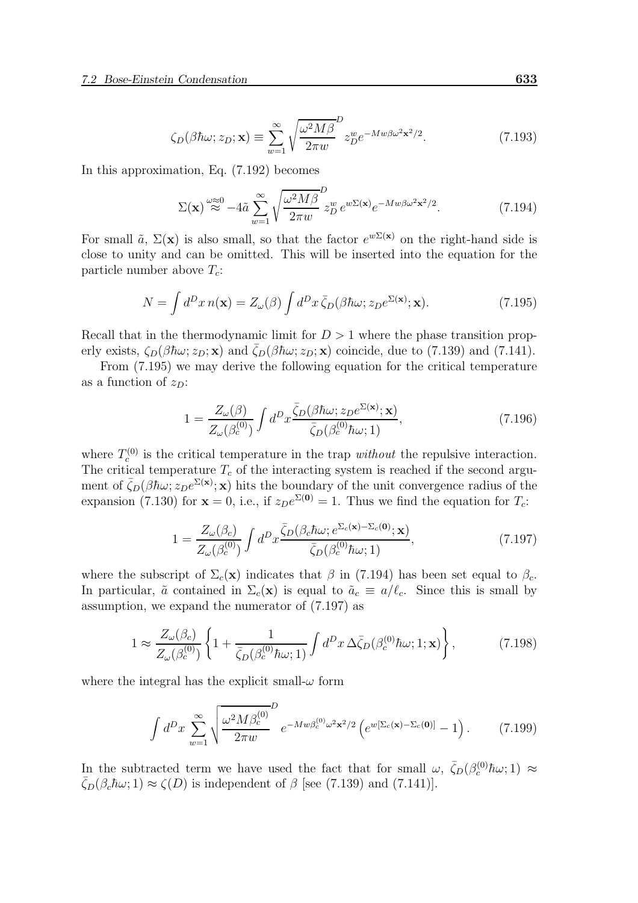$$
\zeta_D(\beta \hbar \omega; z_D; \mathbf{x}) \equiv \sum_{w=1}^{\infty} \sqrt{\frac{\omega^2 M \beta^D}{2 \pi w}} z_D^w e^{-M w \beta \omega^2 \mathbf{x}^2 / 2}.
$$
 (7.193)

In this approximation, Eq. (7.192) becomes

$$
\Sigma(\mathbf{x}) \stackrel{\omega \approx 0}{\approx} -4\tilde{a} \sum_{w=1}^{\infty} \sqrt{\frac{\omega^2 M \beta}{2\pi w}} z_D^w e^{w\Sigma(\mathbf{x})} e^{-Mw\beta\omega^2 \mathbf{x}^2/2}.
$$
 (7.194)

For small  $\tilde{a}$ ,  $\Sigma(\mathbf{x})$  is also small, so that the factor  $e^{w\Sigma(\mathbf{x})}$  on the right-hand side is close to unity and can be omitted. This will be inserted into the equation for the particle number above  $T_c$ :

$$
N = \int d^D x \, n(\mathbf{x}) = Z_{\omega}(\beta) \int d^D x \, \bar{\zeta}_D(\beta \hbar \omega; z_D e^{\Sigma(\mathbf{x})}; \mathbf{x}). \tag{7.195}
$$

Recall that in the thermodynamic limit for  $D > 1$  where the phase transition properly exists,  $\zeta_D(\beta \hbar \omega; z_D; \mathbf{x})$  and  $\bar{\zeta}_D(\beta \hbar \omega; z_D; \mathbf{x})$  coincide, due to (7.139) and (7.141).

From (7.195) we may derive the following equation for the critical temperature as a function of  $z_D$ :

$$
1 = \frac{Z_{\omega}(\beta)}{Z_{\omega}(\beta_c^{(0)})} \int d^D x \frac{\bar{\zeta}_D(\beta \hbar \omega; z_De^{\Sigma(\mathbf{x})}; \mathbf{x})}{\bar{\zeta}_D(\beta_c^{(0)} \hbar \omega; 1)},
$$
(7.196)

where  $T_c^{(0)}$  is the critical temperature in the trap *without* the repulsive interaction. The critical temperature  $T_c$  of the interacting system is reached if the second argument of  $\bar{\zeta}_D(\beta \hbar \omega; z_0 e^{\Sigma(\mathbf{x})}; \mathbf{x})$  hits the boundary of the unit convergence radius of the expansion (7.130) for  $\mathbf{x} = 0$ , i.e., if  $z_{D}e^{\Sigma(0)} = 1$ . Thus we find the equation for  $T_c$ :

$$
1 = \frac{Z_{\omega}(\beta_c)}{Z_{\omega}(\beta_c^{(0)})} \int d^D x \frac{\bar{\zeta}_D(\beta_c \hbar \omega; e^{\Sigma_c(\mathbf{x}) - \Sigma_c(\mathbf{0})}; \mathbf{x})}{\bar{\zeta}_D(\beta_c^{(0)} \hbar \omega; 1)},
$$
(7.197)

where the subscript of  $\Sigma_c(\mathbf{x})$  indicates that  $\beta$  in (7.194) has been set equal to  $\beta_c$ . In particular,  $\tilde{a}$  contained in  $\Sigma_c(\mathbf{x})$  is equal to  $\tilde{a}_c \equiv a/\ell_c$ . Since this is small by assumption, we expand the numerator of (7.197) as

$$
1 \approx \frac{Z_{\omega}(\beta_c)}{Z_{\omega}(\beta_c^{(0)})} \left\{ 1 + \frac{1}{\bar{\zeta}_D(\beta_c^{(0)}\hbar\omega; 1)} \int d^D x \,\Delta \bar{\zeta}_D(\beta_c^{(0)}\hbar\omega; 1; \mathbf{x}) \right\},\tag{7.198}
$$

where the integral has the explicit small- $\omega$  form

$$
\int d^D x \sum_{w=1}^{\infty} \sqrt{\frac{\omega^2 M \beta_c^{(0)}}{2\pi w}}^D e^{-M w \beta_c^{(0)} \omega^2 \mathbf{x}^2/2} \left( e^{w[\Sigma_c(\mathbf{x}) - \Sigma_c(\mathbf{0})]} - 1 \right). \tag{7.199}
$$

In the subtracted term we have used the fact that for small  $\omega$ ,  $\bar{\zeta}_D(\beta_c^{(0)}\hbar\omega;1) \approx$  $\overline{\zeta}_D(\beta_c\hbar\omega;1) \approx \zeta(D)$  is independent of  $\beta$  [see (7.139) and (7.141)].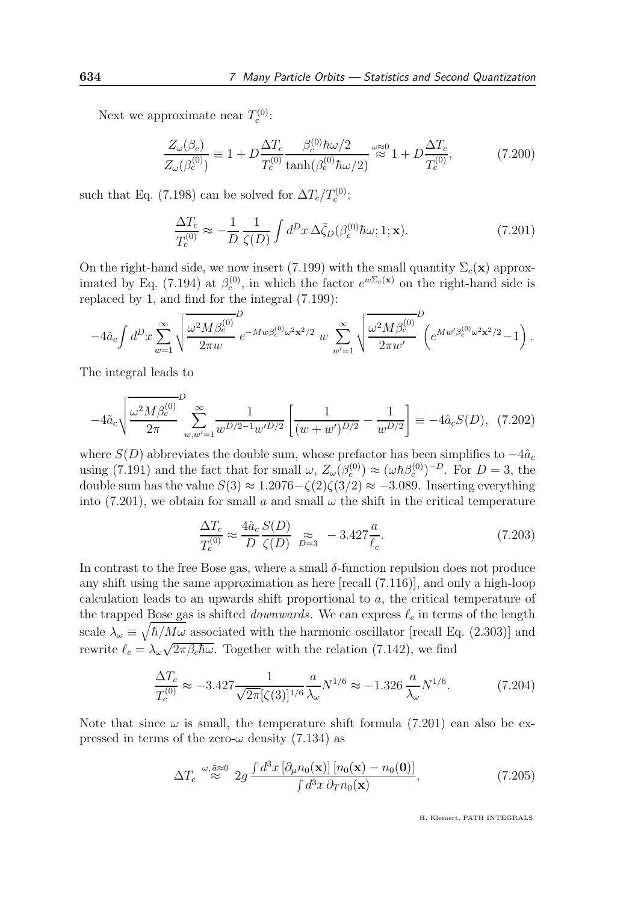Next we approximate near  $T_c^{(0)}$ :

$$
\frac{Z_{\omega}(\beta_c)}{Z_{\omega}(\beta_c^{(0)})} \equiv 1 + D \frac{\Delta T_c}{T_c^{(0)}} \frac{\beta_c^{(0)} \hbar \omega/2}{\tanh(\beta_c^{(0)} \hbar \omega/2)} \stackrel{\omega \approx 0}{\approx} 1 + D \frac{\Delta T_c}{T_c^{(0)}},\tag{7.200}
$$

such that Eq. (7.198) can be solved for  $\Delta T_c/T_c^{(0)}$ :

$$
\frac{\Delta T_c}{T_c^{(0)}} \approx -\frac{1}{D} \frac{1}{\zeta(D)} \int d^D x \,\Delta \bar{\zeta}_D(\beta_c^{(0)} \hbar \omega; 1; \mathbf{x}).\tag{7.201}
$$

On the right-hand side, we now insert (7.199) with the small quantity  $\Sigma_c(\mathbf{x})$  approximated by Eq. (7.194) at  $\beta_c^{(0)}$ , in which the factor  $e^{w\Sigma_c(x)}$  on the right-hand side is replaced by 1, and find for the integral (7.199):

$$
-4\tilde{a}_c \int d^D x \sum_{w=1}^{\infty} \sqrt{\frac{\omega^2 M \beta_c^{(0)}}{2\pi w}}^D e^{-M w \beta_c^{(0)} \omega^2 \mathbf{x}^2/2} w \sum_{w'=1}^{\infty} \sqrt{\frac{\omega^2 M \beta_c^{(0)}}{2\pi w'}}^D \left(e^{M w' \beta_c^{(0)} \omega^2 \mathbf{x}^2/2} - 1\right).
$$

The integral leads to

$$
-4\tilde{a}_c \sqrt{\frac{\omega^2 M \beta_c^{(0)}}{2\pi}} \sum_{w,w'=1}^D \frac{1}{w^{D/2-1} w'^{D/2}} \left[ \frac{1}{(w+w')^{D/2}} - \frac{1}{w^{D/2}} \right] \equiv -4\hat{a}_c S(D), \tag{7.202}
$$

where  $S(D)$  abbreviates the double sum, whose prefactor has been simplifies to  $-4\hat{a}_c$ using (7.191) and the fact that for small  $\omega$ ,  $Z_{\omega}(\beta_c^{(0)}) \approx (\omega \hbar \beta_c^{(0)})^{-D}$ . For  $D = 3$ , the double sum has the value  $S(3) \approx 1.2076 - \zeta(2)\zeta(3/2) \approx -3.089$ . Inserting everything into (7.201), we obtain for small a and small  $\omega$  the shift in the critical temperature

$$
\frac{\Delta T_c}{T_c^{(0)}} \approx \frac{4\hat{a}_c}{D} \frac{S(D)}{\zeta(D)} \mathop{\approx}\limits_{D=3} -3.427 \frac{a}{\ell_c}.\tag{7.203}
$$

In contrast to the free Bose gas, where a small  $\delta$ -function repulsion does not produce any shift using the same approximation as here [recall (7.116)], and only a high-loop calculation leads to an upwards shift proportional to a, the critical temperature of the trapped Bose gas is shifted *downwards*. We can express  $\ell_c$  in terms of the length scale  $\lambda_{\omega} \equiv \sqrt{\hbar / M \omega}$  associated with the harmonic oscillator [recall Eq. (2.303)] and rewrite  $\ell_c = \lambda_\omega \sqrt{2\pi \beta_c \hbar \omega}$ . Together with the relation (7.142), we find

$$
\frac{\Delta T_c}{T_c^{(0)}} \approx -3.427 \frac{1}{\sqrt{2\pi} [\zeta(3)]^{1/6}} \frac{a}{\lambda_\omega} N^{1/6} \approx -1.326 \frac{a}{\lambda_\omega} N^{1/6}.
$$
 (7.204)

Note that since  $\omega$  is small, the temperature shift formula (7.201) can also be expressed in terms of the zero- $\omega$  density (7.134) as

$$
\Delta T_c \stackrel{\omega, \tilde{a}\approx 0}{\approx} 2g \frac{\int d^3x \left[ \partial_\mu n_0(\mathbf{x}) \right] \left[ n_0(\mathbf{x}) - n_0(\mathbf{0}) \right]}{\int d^3x \, \partial_T n_0(\mathbf{x})},\tag{7.205}
$$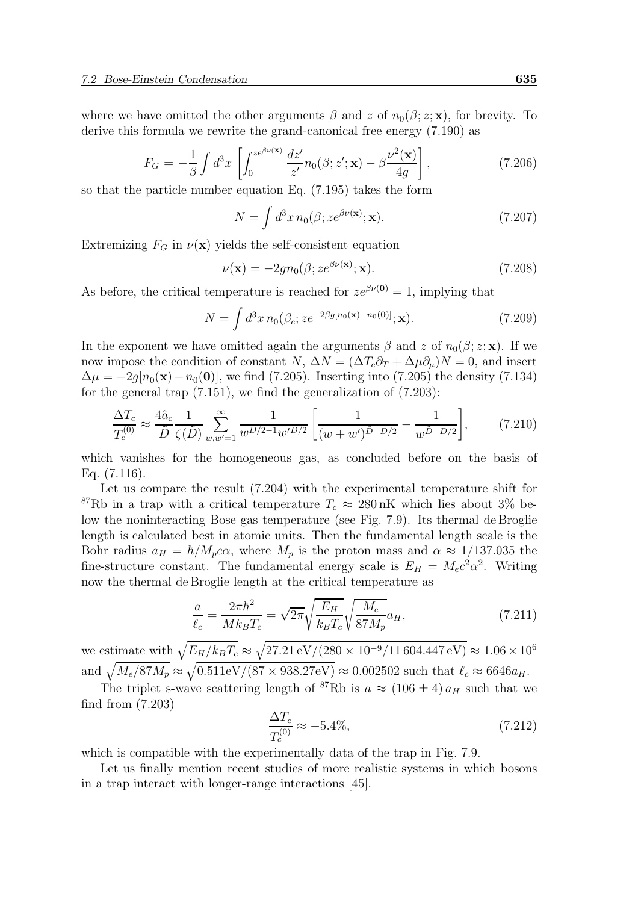where we have omitted the other arguments  $\beta$  and z of  $n_0(\beta; z; \mathbf{x})$ , for brevity. To derive this formula we rewrite the grand-canonical free energy (7.190) as

$$
F_G = -\frac{1}{\beta} \int d^3x \left[ \int_0^{ze^{\beta \nu(\mathbf{x})}} \frac{dz'}{z'} n_0(\beta; z'; \mathbf{x}) - \beta \frac{\nu^2(\mathbf{x})}{4g} \right],\tag{7.206}
$$

so that the particle number equation Eq. (7.195) takes the form

$$
N = \int d^3x \, n_0(\beta; z e^{\beta \nu(\mathbf{x})}; \mathbf{x}).\tag{7.207}
$$

Extremizing  $F_G$  in  $\nu(\mathbf{x})$  yields the self-consistent equation

$$
\nu(\mathbf{x}) = -2gn_0(\beta; z e^{\beta \nu(\mathbf{x})}; \mathbf{x}).\tag{7.208}
$$

As before, the critical temperature is reached for  $ze^{\beta\nu(0)} = 1$ , implying that

$$
N = \int d^3x \, n_0(\beta_c; z e^{-2\beta g[n_0(\mathbf{x}) - n_0(\mathbf{0})]}; \mathbf{x}). \tag{7.209}
$$

In the exponent we have omitted again the arguments  $\beta$  and z of  $n_0(\beta; z; \mathbf{x})$ . If we now impose the condition of constant  $N$ ,  $\Delta N = (\Delta T_c \partial_T + \Delta \mu \partial_u)N = 0$ , and insert  $\Delta\mu = -2q[n_0(\mathbf{x})-n_0(\mathbf{0})]$ , we find (7.205). Inserting into (7.205) the density (7.134) for the general trap (7.151), we find the generalization of (7.203):

$$
\frac{\Delta T_c}{T_c^{(0)}} \approx \frac{4\hat{a}_c}{\tilde{D}} \frac{1}{\zeta(\tilde{D})} \sum_{w,w'=1}^{\infty} \frac{1}{w^{D/2-1} w'^{D/2}} \left[ \frac{1}{(w+w')^{\tilde{D}-D/2}} - \frac{1}{w^{\tilde{D}-D/2}} \right],\tag{7.210}
$$

which vanishes for the homogeneous gas, as concluded before on the basis of Eq. (7.116).

Let us compare the result (7.204) with the experimental temperature shift for <sup>87</sup>Rb in a trap with a critical temperature  $T_c \approx 280 \text{ nK}$  which lies about 3% below the noninteracting Bose gas temperature (see Fig. 7.9). Its thermal de Broglie length is calculated best in atomic units. Then the fundamental length scale is the Bohr radius  $a_H = \hbar / M_p c \alpha$ , where  $M_p$  is the proton mass and  $\alpha \approx 1/137.035$  the fine-structure constant. The fundamental energy scale is  $E_H = M_e c^2 \alpha^2$ . Writing now the thermal de Broglie length at the critical temperature as

$$
\frac{a}{\ell_c} = \frac{2\pi\hbar^2}{Mk_B T_c} = \sqrt{2\pi} \sqrt{\frac{E_H}{k_B T_c}} \sqrt{\frac{M_e}{87M_p}} a_H,
$$
\n(7.211)

we estimate with  $\sqrt{E_H/k_B T_c} \approx \sqrt{27.21 \, {\rm eV}/(280 \times 10^{-9}/11\,604.447 \, {\rm eV})} \approx 1.06 \times 10^6$ and  $\sqrt{M_e/87M_p} \approx \sqrt{0.511 \text{eV}/(87 \times 938.27 \text{eV})} \approx 0.002502$  such that  $\ell_c \approx 6646 a_H$ .

The triplet s-wave scattering length of <sup>87</sup>Rb is  $a \approx (106 \pm 4) a_H$  such that we find from (7.203)

$$
\frac{\Delta T_c}{T_c^{(0)}} \approx -5.4\%,\tag{7.212}
$$

which is compatible with the experimentally data of the trap in Fig. 7.9.

Let us finally mention recent studies of more realistic systems in which bosons in a trap interact with longer-range interactions [45].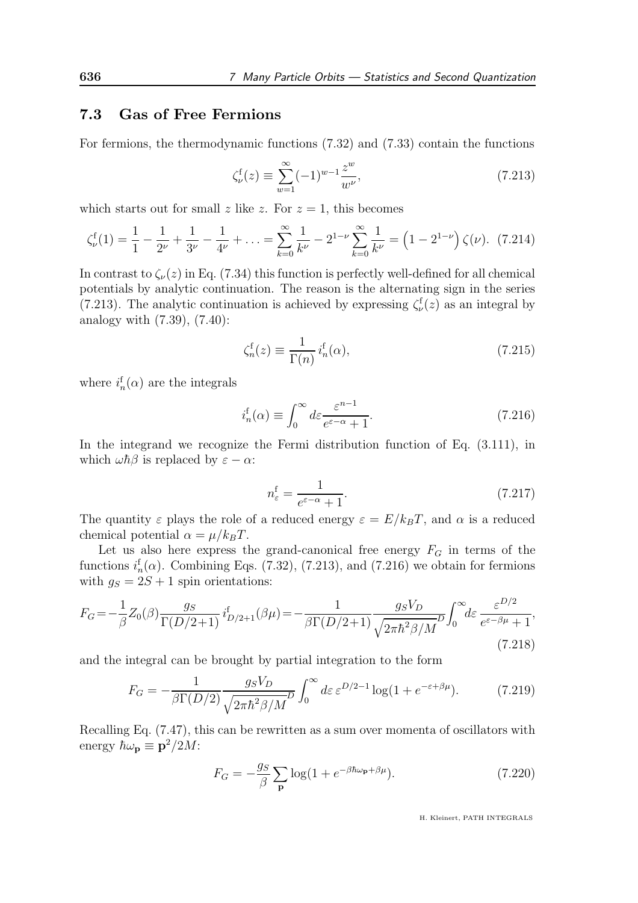# 7.3 Gas of Free Fermions

For fermions, the thermodynamic functions (7.32) and (7.33) contain the functions

$$
\zeta_{\nu}^{\mathbf{f}}(z) \equiv \sum_{w=1}^{\infty} (-1)^{w-1} \frac{z^w}{w^{\nu}},\tag{7.213}
$$

which starts out for small z like z. For  $z = 1$ , this becomes

$$
\zeta_{\nu}^{\mathsf{f}}(1) = \frac{1}{1} - \frac{1}{2^{\nu}} + \frac{1}{3^{\nu}} - \frac{1}{4^{\nu}} + \dots = \sum_{k=0}^{\infty} \frac{1}{k^{\nu}} - 2^{1-\nu} \sum_{k=0}^{\infty} \frac{1}{k^{\nu}} = \left(1 - 2^{1-\nu}\right) \zeta(\nu). \tag{7.214}
$$

In contrast to  $\zeta_{\nu}(z)$  in Eq. (7.34) this function is perfectly well-defined for all chemical potentials by analytic continuation. The reason is the alternating sign in the series (7.213). The analytic continuation is achieved by expressing  $\zeta_{\nu}^{\text{f}}(z)$  as an integral by analogy with (7.39), (7.40):

$$
\zeta_n^{\mathbf{f}}(z) \equiv \frac{1}{\Gamma(n)} i_n^{\mathbf{f}}(\alpha),\tag{7.215}
$$

where  $i_n^f(\alpha)$  are the integrals

$$
i_n^{\text{f}}(\alpha) \equiv \int_0^\infty d\varepsilon \frac{\varepsilon^{n-1}}{e^{\varepsilon-\alpha}+1}.\tag{7.216}
$$

In the integrand we recognize the Fermi distribution function of Eq. (3.111), in which  $\omega \hbar \beta$  is replaced by  $\varepsilon - \alpha$ :

$$
n_{\varepsilon}^{\mathrm{f}} = \frac{1}{e^{\varepsilon - \alpha} + 1}.\tag{7.217}
$$

The quantity  $\varepsilon$  plays the role of a reduced energy  $\varepsilon = E/k_BT$ , and  $\alpha$  is a reduced chemical potential  $\alpha = \mu / k_B T$ .

Let us also here express the grand-canonical free energy  $F_G$  in terms of the functions  $i_n^f(\alpha)$ . Combining Eqs. (7.32), (7.213), and (7.216) we obtain for fermions with  $g_S = 2S + 1$  spin orientations:

$$
F_G = -\frac{1}{\beta} Z_0(\beta) \frac{g_S}{\Gamma(D/2+1)} i_{D/2+1}^{\{f\}}(\beta \mu) = -\frac{1}{\beta \Gamma(D/2+1)} \frac{g_S V_D}{\sqrt{2\pi \hbar^2 \beta / M}^D} \int_0^\infty d\varepsilon \frac{\varepsilon^{D/2}}{e^{\varepsilon - \beta \mu} + 1},\tag{7.218}
$$

and the integral can be brought by partial integration to the form

$$
F_G = -\frac{1}{\beta \Gamma(D/2)} \frac{g_S V_D}{\sqrt{2\pi \hbar^2 \beta/M}} \int_0^\infty d\varepsilon \,\varepsilon^{D/2 - 1} \log(1 + e^{-\varepsilon + \beta \mu}).\tag{7.219}
$$

Recalling Eq. (7.47), this can be rewritten as a sum over momenta of oscillators with energy  $\hbar \omega_{\mathbf{p}} \equiv \mathbf{p}^2/2M$ :

$$
F_G = -\frac{g_S}{\beta} \sum_{\mathbf{p}} \log(1 + e^{-\beta \hbar \omega_{\mathbf{p}} + \beta \mu}). \tag{7.220}
$$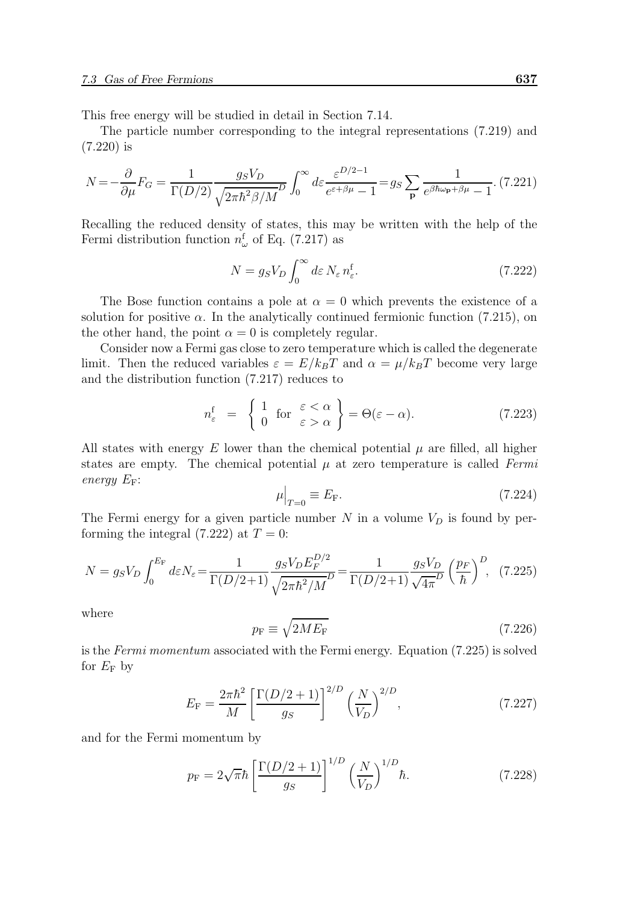This free energy will be studied in detail in Section 7.14.

The particle number corresponding to the integral representations (7.219) and (7.220) is

$$
N = -\frac{\partial}{\partial \mu} F_G = \frac{1}{\Gamma(D/2)} \frac{g_S V_D}{\sqrt{2\pi\hbar^2 \beta/M}} \int_0^\infty d\varepsilon \frac{\varepsilon^{D/2 - 1}}{e^{\varepsilon + \beta \mu} - 1} = g_S \sum_{\mathbf{p}} \frac{1}{e^{\beta \hbar \omega_{\mathbf{p}} + \beta \mu} - 1}.
$$
(7.221)

Recalling the reduced density of states, this may be written with the help of the Fermi distribution function  $n_{\omega}^{\text{f}}$  of Eq. (7.217) as

$$
N = g_S V_D \int_0^\infty d\varepsilon \, N_\varepsilon \, n_\varepsilon^{\text{f}}.\tag{7.222}
$$

The Bose function contains a pole at  $\alpha = 0$  which prevents the existence of a solution for positive  $\alpha$ . In the analytically continued fermionic function (7.215), on the other hand, the point  $\alpha = 0$  is completely regular.

Consider now a Fermi gas close to zero temperature which is called the degenerate limit. Then the reduced variables  $\varepsilon = E/k_BT$  and  $\alpha = \mu/k_BT$  become very large and the distribution function (7.217) reduces to

$$
n_{\varepsilon}^{\mathsf{f}} = \left\{ \begin{array}{l} 1 \quad \text{for} \quad \varepsilon < \alpha \\ 0 \quad \text{for} \quad \varepsilon > \alpha \end{array} \right\} = \Theta(\varepsilon - \alpha). \tag{7.223}
$$

All states with energy E lower than the chemical potential  $\mu$  are filled, all higher states are empty. The chemical potential  $\mu$  at zero temperature is called Fermi energy  $E_F$ :

$$
\mu\Big|_{T=0} \equiv E_{\rm F}.\tag{7.224}
$$

The Fermi energy for a given particle number  $N$  in a volume  $V_D$  is found by performing the integral  $(7.222)$  at  $T = 0$ :

$$
N = g_S V_D \int_0^{E_F} d\varepsilon N_{\varepsilon} = \frac{1}{\Gamma(D/2+1)} \frac{g_S V_D E_F^{D/2}}{\sqrt{2\pi\hbar^2/M}^D} = \frac{1}{\Gamma(D/2+1)} \frac{g_S V_D}{\sqrt{4\pi}^D} \left(\frac{p_F}{\hbar}\right)^D, (7.225)
$$

where

$$
p_{\rm F} \equiv \sqrt{2ME_{\rm F}}\tag{7.226}
$$

is the Fermi momentum associated with the Fermi energy. Equation (7.225) is solved for  $E_F$  by

$$
E_{\rm F} = \frac{2\pi\hbar^2}{M} \left[ \frac{\Gamma(D/2+1)}{g_S} \right]^{2/D} \left( \frac{N}{V_D} \right)^{2/D},\tag{7.227}
$$

and for the Fermi momentum by

$$
p_{\rm F} = 2\sqrt{\pi}\hbar \left[\frac{\Gamma(D/2+1)}{g_S}\right]^{1/D} \left(\frac{N}{V_D}\right)^{1/D} \hbar. \tag{7.228}
$$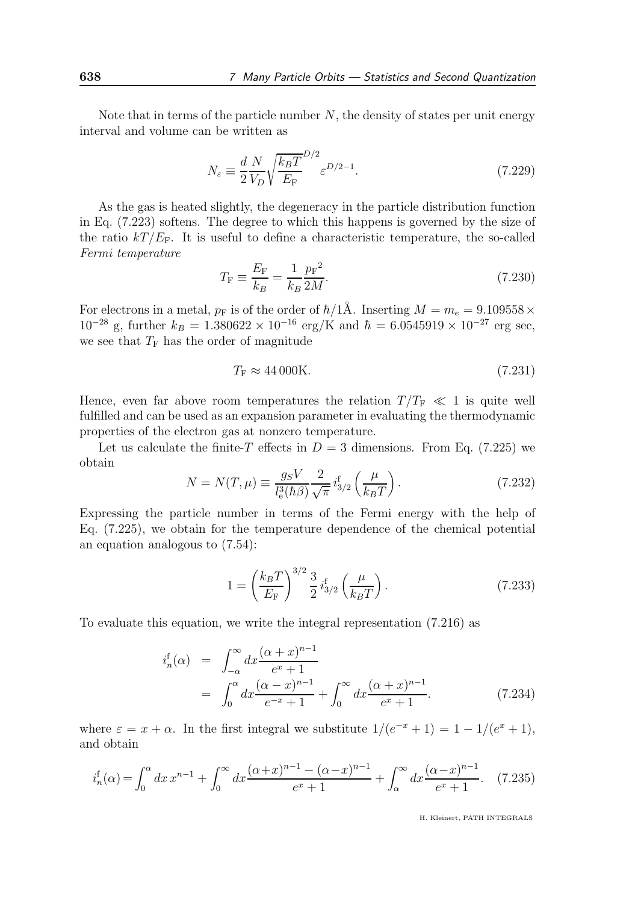Note that in terms of the particle number  $N$ , the density of states per unit energy interval and volume can be written as

$$
N_{\varepsilon} \equiv \frac{d}{2} \frac{N}{V_D} \sqrt{\frac{k_B T}{E_{\rm F}}}^{D/2} \varepsilon^{D/2 - 1}.
$$
 (7.229)

As the gas is heated slightly, the degeneracy in the particle distribution function in Eq. (7.223) softens. The degree to which this happens is governed by the size of the ratio  $kT/E_F$ . It is useful to define a characteristic temperature, the so-called Fermi temperature

$$
T_{\rm F} \equiv \frac{E_{\rm F}}{k_B} = \frac{1}{k_B} \frac{p_{\rm F}^2}{2M}.
$$
 (7.230)

For electrons in a metal,  $p_F$  is of the order of  $\hbar/1\text{\AA}$ . Inserting  $M = m_e = 9.109558 \times$  $10^{-28}$  g, further  $k_B = 1.380622 \times 10^{-16}$  erg/K and  $\hbar = 6.0545919 \times 10^{-27}$  erg sec, we see that  $T_F$  has the order of magnitude

$$
T_{\rm F} \approx 44\,000{\rm K}.\tag{7.231}
$$

Hence, even far above room temperatures the relation  $T/T_F \ll 1$  is quite well fulfilled and can be used as an expansion parameter in evaluating the thermodynamic properties of the electron gas at nonzero temperature.

Let us calculate the finite-T effects in  $D = 3$  dimensions. From Eq. (7.225) we obtain

$$
N = N(T, \mu) \equiv \frac{g_S V}{l_e^3(\hbar \beta)} \frac{2}{\sqrt{\pi}} i_{3/2}^{\rm f} \left(\frac{\mu}{k_B T}\right). \tag{7.232}
$$

Expressing the particle number in terms of the Fermi energy with the help of Eq. (7.225), we obtain for the temperature dependence of the chemical potential an equation analogous to (7.54):

$$
1 = \left(\frac{k_B T}{E_{\rm F}}\right)^{3/2} \frac{3}{2} i_{3/2}^{\rm f} \left(\frac{\mu}{k_B T}\right). \tag{7.233}
$$

To evaluate this equation, we write the integral representation (7.216) as

$$
\begin{split} i_n^{\text{f}}(\alpha) &= \int_{-\alpha}^{\infty} dx \frac{(\alpha + x)^{n-1}}{e^x + 1} \\ &= \int_0^{\alpha} dx \frac{(\alpha - x)^{n-1}}{e^{-x} + 1} + \int_0^{\infty} dx \frac{(\alpha + x)^{n-1}}{e^x + 1} . \end{split} \tag{7.234}
$$

where  $\varepsilon = x + \alpha$ . In the first integral we substitute  $1/(e^{-x} + 1) = 1 - 1/(e^{x} + 1)$ , and obtain

$$
i_n^{\text{f}}(\alpha) = \int_0^\alpha dx \, x^{n-1} + \int_0^\infty dx \frac{(\alpha+x)^{n-1} - (\alpha-x)^{n-1}}{e^x + 1} + \int_\alpha^\infty dx \frac{(\alpha-x)^{n-1}}{e^x + 1} . \tag{7.235}
$$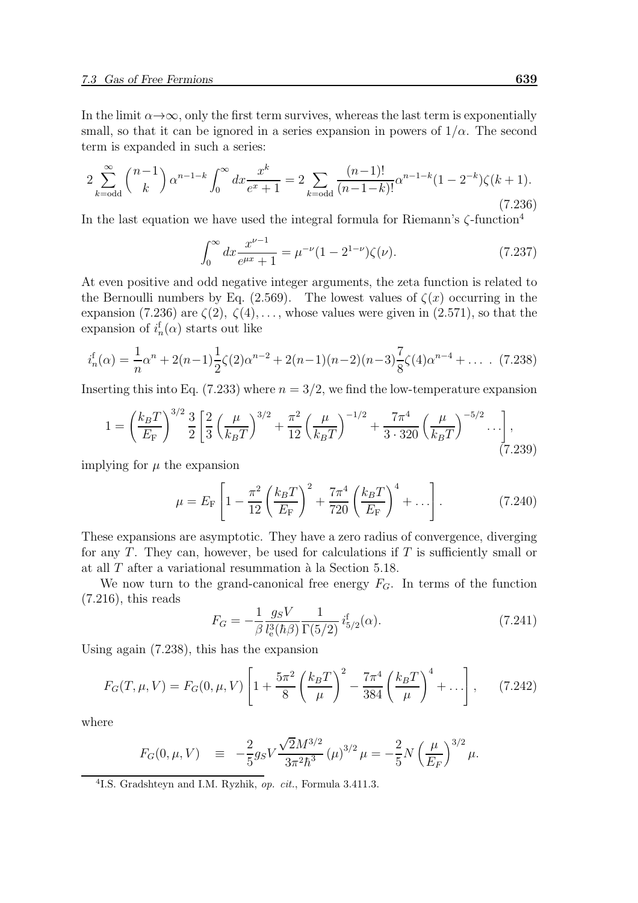In the limit  $\alpha \rightarrow \infty$ , only the first term survives, whereas the last term is exponentially small, so that it can be ignored in a series expansion in powers of  $1/\alpha$ . The second term is expanded in such a series:

$$
2\sum_{k=\text{odd}}^{\infty} \binom{n-1}{k} \alpha^{n-1-k} \int_0^{\infty} dx \frac{x^k}{e^x + 1} = 2\sum_{k=\text{odd}} \frac{(n-1)!}{(n-1-k)!} \alpha^{n-1-k} (1 - 2^{-k}) \zeta(k+1). \tag{7.236}
$$

In the last equation we have used the integral formula for Riemann's  $\zeta$ -function<sup>4</sup>

$$
\int_0^\infty dx \frac{x^{\nu - 1}}{e^{\mu x} + 1} = \mu^{-\nu} (1 - 2^{1 - \nu}) \zeta(\nu). \tag{7.237}
$$

At even positive and odd negative integer arguments, the zeta function is related to the Bernoulli numbers by Eq. (2.569). The lowest values of  $\zeta(x)$  occurring in the expansion (7.236) are  $\zeta(2)$ ,  $\zeta(4)$ , ..., whose values were given in (2.571), so that the expansion of  $i_n^{\text{f}}(\alpha)$  starts out like

$$
i_n^{\text{f}}(\alpha) = \frac{1}{n}\alpha^n + 2(n-1)\frac{1}{2}\zeta(2)\alpha^{n-2} + 2(n-1)(n-2)(n-3)\frac{7}{8}\zeta(4)\alpha^{n-4} + \dots \tag{7.238}
$$

Inserting this into Eq. (7.233) where  $n = 3/2$ , we find the low-temperature expansion

$$
1 = \left(\frac{k_B T}{E_{\rm F}}\right)^{3/2} \frac{3}{2} \left[\frac{2}{3} \left(\frac{\mu}{k_B T}\right)^{3/2} + \frac{\pi^2}{12} \left(\frac{\mu}{k_B T}\right)^{-1/2} + \frac{7\pi^4}{3 \cdot 320} \left(\frac{\mu}{k_B T}\right)^{-5/2} \dots\right],\tag{7.239}
$$

implying for  $\mu$  the expansion

$$
\mu = E_{\rm F} \left[ 1 - \frac{\pi^2}{12} \left( \frac{k_B T}{E_{\rm F}} \right)^2 + \frac{7\pi^4}{720} \left( \frac{k_B T}{E_{\rm F}} \right)^4 + \ldots \right]. \tag{7.240}
$$

These expansions are asymptotic. They have a zero radius of convergence, diverging for any  $T$ . They can, however, be used for calculations if  $T$  is sufficiently small or at all  $T$  after a variational resummation à la Section 5.18.

We now turn to the grand-canonical free energy  $F_G$ . In terms of the function (7.216), this reads

$$
F_G = -\frac{1}{\beta} \frac{g_S V}{l_e^3(\hbar \beta)} \frac{1}{\Gamma(5/2)} i_{5/2}^{\{f\}}(\alpha). \tag{7.241}
$$

Using again (7.238), this has the expansion

$$
F_G(T, \mu, V) = F_G(0, \mu, V) \left[ 1 + \frac{5\pi^2}{8} \left( \frac{k_B T}{\mu} \right)^2 - \frac{7\pi^4}{384} \left( \frac{k_B T}{\mu} \right)^4 + \ldots \right], \quad (7.242)
$$

where

$$
F_G(0,\mu,V) \quad \equiv \quad -\frac{2}{5}g_S V \frac{\sqrt{2}M^{3/2}}{3\pi^2\hbar^3} (\mu)^{3/2} \mu = -\frac{2}{5}N\left(\frac{\mu}{E_F}\right)^{3/2}\mu.
$$

<sup>4</sup>I.S. Gradshteyn and I.M. Ryzhik, op. cit., Formula 3.411.3.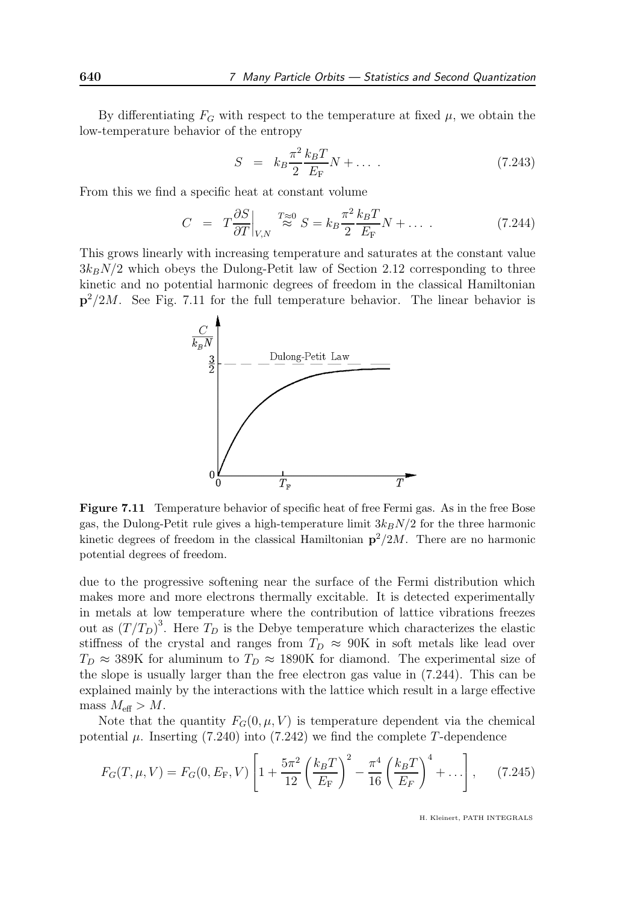By differentiating  $F_G$  with respect to the temperature at fixed  $\mu$ , we obtain the low-temperature behavior of the entropy

$$
S = k_B \frac{\pi^2}{2} \frac{k_B T}{E_F} N + \dots \tag{7.243}
$$

From this we find a specific heat at constant volume

$$
C = T \frac{\partial S}{\partial T}\Big|_{V,N} \stackrel{T \approx 0}{\approx} S = k_B \frac{\pi^2}{2} \frac{k_B T}{E_F} N + \dots \tag{7.244}
$$

This grows linearly with increasing temperature and saturates at the constant value  $3k_BN/2$  which obeys the Dulong-Petit law of Section 2.12 corresponding to three kinetic and no potential harmonic degrees of freedom in the classical Hamiltonian  $p^2/2M$ . See Fig. 7.11 for the full temperature behavior. The linear behavior is



Figure 7.11 Temperature behavior of specific heat of free Fermi gas. As in the free Bose gas, the Dulong-Petit rule gives a high-temperature limit  $3k_BN/2$  for the three harmonic kinetic degrees of freedom in the classical Hamiltonian  $p^2/2M$ . There are no harmonic potential degrees of freedom.

due to the progressive softening near the surface of the Fermi distribution which makes more and more electrons thermally excitable. It is detected experimentally in metals at low temperature where the contribution of lattice vibrations freezes out as  $(T/T_D)^3$ . Here  $T_D$  is the Debye temperature which characterizes the elastic stiffness of the crystal and ranges from  $T_D \approx 90K$  in soft metals like lead over  $T_D \approx 389$ K for aluminum to  $T_D \approx 1890$ K for diamond. The experimental size of the slope is usually larger than the free electron gas value in (7.244). This can be explained mainly by the interactions with the lattice which result in a large effective mass  $M_{\text{eff}} > M$ .

Note that the quantity  $F_G(0, \mu, V)$  is temperature dependent via the chemical potential  $\mu$ . Inserting (7.240) into (7.242) we find the complete T-dependence

$$
F_G(T, \mu, V) = F_G(0, E_F, V) \left[ 1 + \frac{5\pi^2}{12} \left( \frac{k_B T}{E_F} \right)^2 - \frac{\pi^4}{16} \left( \frac{k_B T}{E_F} \right)^4 + \ldots \right], \quad (7.245)
$$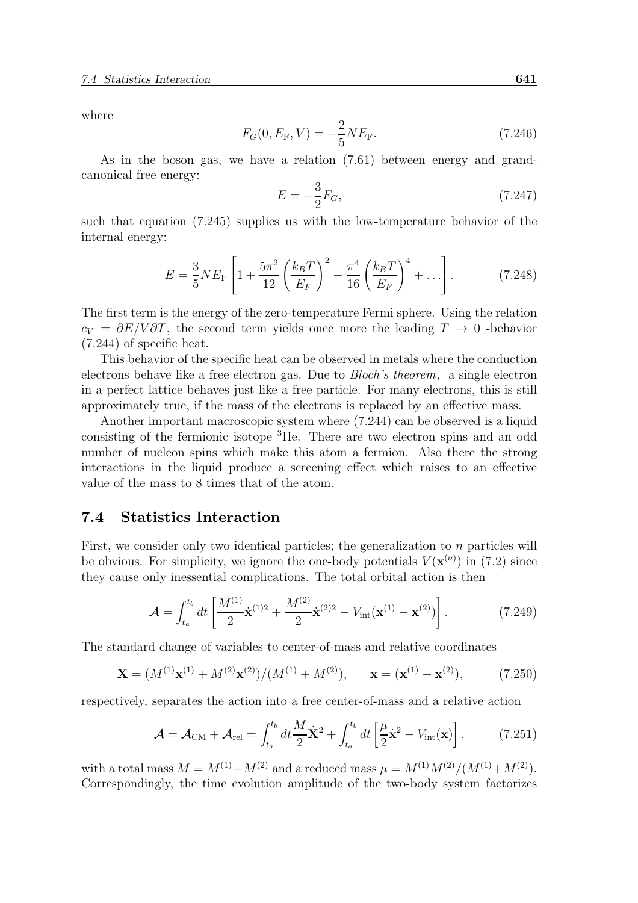where

$$
F_G(0, E_F, V) = -\frac{2}{5} N E_F.
$$
 (7.246)

As in the boson gas, we have a relation (7.61) between energy and grandcanonical free energy:

$$
E = -\frac{3}{2}F_G,\t\t(7.247)
$$

such that equation (7.245) supplies us with the low-temperature behavior of the internal energy:

$$
E = \frac{3}{5} N E_{\rm F} \left[ 1 + \frac{5\pi^2}{12} \left( \frac{k_B T}{E_F} \right)^2 - \frac{\pi^4}{16} \left( \frac{k_B T}{E_F} \right)^4 + \dots \right].
$$
 (7.248)

The first term is the energy of the zero-temperature Fermi sphere. Using the relation  $c_V = \partial E/V \partial T$ , the second term yields once more the leading  $T \rightarrow 0$  -behavior (7.244) of specific heat.

This behavior of the specific heat can be observed in metals where the conduction electrons behave like a free electron gas. Due to Bloch's theorem, a single electron in a perfect lattice behaves just like a free particle. For many electrons, this is still approximately true, if the mass of the electrons is replaced by an effective mass.

Another important macroscopic system where (7.244) can be observed is a liquid consisting of the fermionic isotope <sup>3</sup>He. There are two electron spins and an odd number of nucleon spins which make this atom a fermion. Also there the strong interactions in the liquid produce a screening effect which raises to an effective value of the mass to 8 times that of the atom.

# 7.4 Statistics Interaction

First, we consider only two identical particles; the generalization to  $n$  particles will be obvious. For simplicity, we ignore the one-body potentials  $V(\mathbf{x}^{(\nu)})$  in (7.2) since they cause only inessential complications. The total orbital action is then

$$
\mathcal{A} = \int_{t_a}^{t_b} dt \left[ \frac{M^{(1)}}{2} \dot{\mathbf{x}}^{(1)2} + \frac{M^{(2)}}{2} \dot{\mathbf{x}}^{(2)2} - V_{\text{int}}(\mathbf{x}^{(1)} - \mathbf{x}^{(2)}) \right]. \tag{7.249}
$$

The standard change of variables to center-of-mass and relative coordinates

$$
\mathbf{X} = (M^{(1)}\mathbf{x}^{(1)} + M^{(2)}\mathbf{x}^{(2)})/(M^{(1)} + M^{(2)}), \qquad \mathbf{x} = (\mathbf{x}^{(1)} - \mathbf{x}^{(2)}), \tag{7.250}
$$

respectively, separates the action into a free center-of-mass and a relative action

$$
\mathcal{A} = \mathcal{A}_{\rm CM} + \mathcal{A}_{\rm rel} = \int_{t_a}^{t_b} dt \frac{M}{2} \dot{\mathbf{X}}^2 + \int_{t_a}^{t_b} dt \left[ \frac{\mu}{2} \dot{\mathbf{x}}^2 - V_{\rm int}(\mathbf{x}) \right],\tag{7.251}
$$

with a total mass  $M = M^{(1)} + M^{(2)}$  and a reduced mass  $\mu = M^{(1)}M^{(2)}/(M^{(1)} + M^{(2)})$ . Correspondingly, the time evolution amplitude of the two-body system factorizes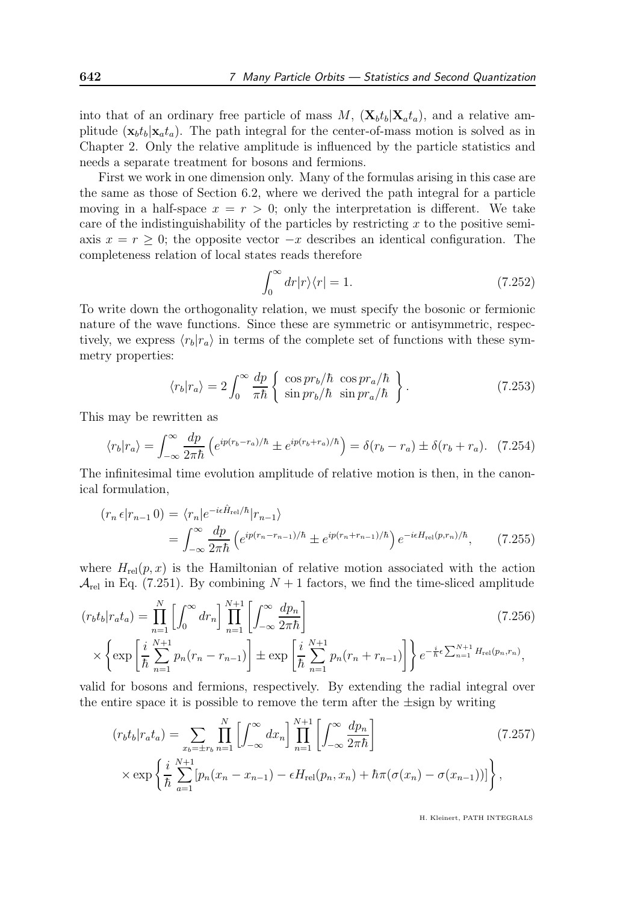into that of an ordinary free particle of mass  $M$ ,  $(\mathbf{X}_b t_b|\mathbf{X}_a t_a)$ , and a relative amplitude  $(\mathbf{x}_b t_b|\mathbf{x}_a t_a)$ . The path integral for the center-of-mass motion is solved as in Chapter 2. Only the relative amplitude is influenced by the particle statistics and needs a separate treatment for bosons and fermions.

First we work in one dimension only. Many of the formulas arising in this case are the same as those of Section 6.2, where we derived the path integral for a particle moving in a half-space  $x = r > 0$ ; only the interpretation is different. We take care of the indistinguishability of the particles by restricting  $x$  to the positive semiaxis  $x = r \geq 0$ ; the opposite vector  $-x$  describes an identical configuration. The completeness relation of local states reads therefore

$$
\int_0^\infty dr |r\rangle\langle r| = 1. \tag{7.252}
$$

To write down the orthogonality relation, we must specify the bosonic or fermionic nature of the wave functions. Since these are symmetric or antisymmetric, respectively, we express  $\langle r_b|r_a \rangle$  in terms of the complete set of functions with these symmetry properties:

$$
\langle r_b | r_a \rangle = 2 \int_0^\infty \frac{dp}{\pi \hbar} \left\{ \begin{array}{l} \cos pr_b / \hbar & \cos pr_a / \hbar \\ \sin pr_b / \hbar & \sin pr_a / \hbar \end{array} \right\} . \tag{7.253}
$$

This may be rewritten as

$$
\langle r_b | r_a \rangle = \int_{-\infty}^{\infty} \frac{dp}{2\pi\hbar} \left( e^{ip(r_b - r_a)/\hbar} \pm e^{ip(r_b + r_a)/\hbar} \right) = \delta(r_b - r_a) \pm \delta(r_b + r_a). \tag{7.254}
$$

The infinitesimal time evolution amplitude of relative motion is then, in the canonical formulation,

$$
(r_n \epsilon | r_{n-1} \, 0) = \langle r_n | e^{-i\epsilon \hat{H}_{\text{rel}}/\hbar} | r_{n-1} \rangle
$$
  
= 
$$
\int_{-\infty}^{\infty} \frac{dp}{2\pi\hbar} \left( e^{ip(r_n - r_{n-1})/\hbar} \pm e^{ip(r_n + r_{n-1})/\hbar} \right) e^{-i\epsilon H_{\text{rel}}(p, r_n)/\hbar}, \qquad (7.255)
$$

where  $H_{rel}(p, x)$  is the Hamiltonian of relative motion associated with the action  $\mathcal{A}_{rel}$  in Eq. (7.251). By combining  $N+1$  factors, we find the time-sliced amplitude

$$
(r_b t_b | r_a t_a) = \prod_{n=1}^{N} \left[ \int_0^\infty dr_n \right] \prod_{n=1}^{N+1} \left[ \int_{-\infty}^\infty \frac{dp_n}{2\pi\hbar} \right]
$$
\n
$$
\left( \begin{array}{c} \begin{bmatrix} i & N+1 \\ 1 & N \end{bmatrix} & \begin{bmatrix} i & N+1 \\ 1 & N+1 \end{bmatrix} & \begin{bmatrix} i & N+1 \\ 1 & N+1 \end{bmatrix} & \begin{bmatrix} i & N+1 \\ 1 & N+1 \end{bmatrix} & \begin{bmatrix} i & N+1 \\ 1 & N+1 \end{bmatrix} & \begin{bmatrix} i & N+1 \\ 1 & N+1 \end{bmatrix} & \begin{bmatrix} i & N+1 \\ 1 & N+1 \end{bmatrix} & \begin{bmatrix} i & N+1 \\ 1 & N+1 \end{bmatrix} & \begin{bmatrix} i & N+1 \\ 1 & N+1 \end{bmatrix} & \begin{bmatrix} i & N+1 \\ 1 & N+1 \end{bmatrix} & \begin{bmatrix} i & N+1 \\ 1 & N+1 \end{bmatrix} & \begin{bmatrix} i & N+1 \\ 1 & N+1 \end{bmatrix} & \begin{bmatrix} i & N+1 \\ 1 & N+1 \end{bmatrix} & \begin{bmatrix} i & N+1 \\ 1 & N+1 \end{bmatrix} & \begin{bmatrix} i & N+1 \\ 1 & N+1 \end{bmatrix} & \begin{bmatrix} i & N+1 \\ 1 & N+1 \end{bmatrix} & \begin{bmatrix} i & N+1 \\ 1 & N+1 \end{bmatrix} & \begin{bmatrix} i & N+1 \\ 1 & N+1 \end{bmatrix} & \begin{bmatrix} i & N+1 \\ 1 & N+1 \end{bmatrix} & \begin{bmatrix} i & N+1 \\ 1 & N+1 \end{bmatrix} & \begin{bmatrix} i & N+1 \\ 1 & N+1 \end{bmatrix} & \begin{bmatrix} i & N+1 \\ 1 & N+1 \end{bmatrix} & \begin{bmatrix} i & N+1 \\ 1 & N+1 \end{bmatrix} & \begin{bmatrix} i & N+1 \\ 1 & N+1 \end{bmatrix} & \begin{bmatrix} i & N+1 \\ 1 & N+1 \end{bmatrix} & \begin{bmatrix} i & N+1 \\ 1 & N+1 \end{bmatrix} & \begin{bmatrix} i & N+1 \\ 1 & N
$$

$$
\times \left\{ \exp\left[\frac{i}{\hbar} \sum_{n=1}^{N+1} p_n (r_n - r_{n-1})\right] \pm \exp\left[\frac{i}{\hbar} \sum_{n=1}^{N+1} p_n (r_n + r_{n-1})\right] \right\} e^{-\frac{i}{\hbar} \epsilon \sum_{n=1}^{N+1} H_{\text{rel}}(p_n, r_n)},
$$

valid for bosons and fermions, respectively. By extending the radial integral over the entire space it is possible to remove the term after the ±sign by writing

$$
(r_b t_b | r_a t_a) = \sum_{x_b = \pm r_b} \prod_{n=1}^N \left[ \int_{-\infty}^{\infty} dx_n \right] \prod_{n=1}^{N+1} \left[ \int_{-\infty}^{\infty} \frac{dp_n}{2\pi \hbar} \right]
$$
  
 
$$
\times \exp \left\{ \frac{i}{\hbar} \sum_{a=1}^{N+1} \left[ p_n (x_n - x_{n-1}) - \epsilon H_{\text{rel}}(p_n, x_n) + \hbar \pi (\sigma (x_n) - \sigma (x_{n-1})) \right] \right\},
$$
(7.257)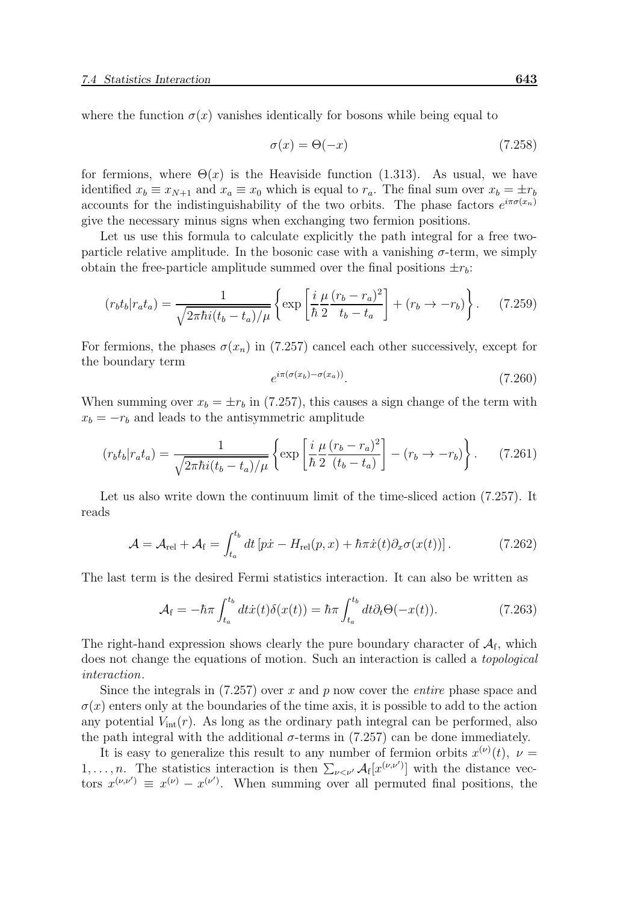where the function  $\sigma(x)$  vanishes identically for bosons while being equal to

$$
\sigma(x) = \Theta(-x) \tag{7.258}
$$

for fermions, where  $\Theta(x)$  is the Heaviside function (1.313). As usual, we have identified  $x_b \equiv x_{N+1}$  and  $x_a \equiv x_0$  which is equal to  $r_a$ . The final sum over  $x_b = \pm r_b$ accounts for the indistinguishability of the two orbits. The phase factors  $e^{i\pi\sigma(x_n)}$ give the necessary minus signs when exchanging two fermion positions.

Let us use this formula to calculate explicitly the path integral for a free twoparticle relative amplitude. In the bosonic case with a vanishing  $\sigma$ -term, we simply obtain the free-particle amplitude summed over the final positions  $\pm r_b$ :

$$
(r_b t_b | r_a t_a) = \frac{1}{\sqrt{2\pi\hbar i (t_b - t_a)/\mu}} \left\{ \exp\left[\frac{i}{\hbar} \frac{\mu}{2} \frac{(r_b - r_a)^2}{t_b - t_a}\right] + (r_b \to -r_b) \right\}.
$$
 (7.259)

For fermions, the phases  $\sigma(x_n)$  in (7.257) cancel each other successively, except for the boundary term

$$
e^{i\pi(\sigma(x_b) - \sigma(x_a))}.\tag{7.260}
$$

When summing over  $x_b = \pm r_b$  in (7.257), this causes a sign change of the term with  $x_b = -r_b$  and leads to the antisymmetric amplitude

$$
(r_b t_b | r_a t_a) = \frac{1}{\sqrt{2\pi\hbar i (t_b - t_a)/\mu}} \left\{ \exp\left[\frac{i}{\hbar} \frac{\mu}{2} \frac{(r_b - r_a)^2}{(t_b - t_a)}\right] - (r_b \to -r_b) \right\}.
$$
 (7.261)

Let us also write down the continuum limit of the time-sliced action (7.257). It reads

$$
\mathcal{A} = \mathcal{A}_{\text{rel}} + \mathcal{A}_{\text{f}} = \int_{t_a}^{t_b} dt \left[ p\dot{x} - H_{\text{rel}}(p, x) + \hbar \pi \dot{x}(t) \partial_x \sigma(x(t)) \right]. \tag{7.262}
$$

The last term is the desired Fermi statistics interaction. It can also be written as

$$
\mathcal{A}_{\mathbf{f}} = -\hbar\pi \int_{t_a}^{t_b} dt \dot{x}(t) \delta(x(t)) = \hbar\pi \int_{t_a}^{t_b} dt \partial_t \Theta(-x(t)). \tag{7.263}
$$

The right-hand expression shows clearly the pure boundary character of  $A_f$ , which does not change the equations of motion. Such an interaction is called a topological interaction.

Since the integrals in  $(7.257)$  over x and p now cover the *entire* phase space and  $\sigma(x)$  enters only at the boundaries of the time axis, it is possible to add to the action any potential  $V_{\text{int}}(r)$ . As long as the ordinary path integral can be performed, also the path integral with the additional  $\sigma$ -terms in (7.257) can be done immediately.

It is easy to generalize this result to any number of fermion orbits  $x^{(\nu)}(t)$ ,  $\nu =$ 1, ..., *n*. The statistics interaction is then  $\sum_{\nu \leq \nu'} \mathcal{A}_f[x^{(\nu,\nu')}]$  with the distance vectors  $x^{(\nu,\nu')} \equiv x^{(\nu)} - x^{(\nu')}$ . When summing over all permuted final positions, the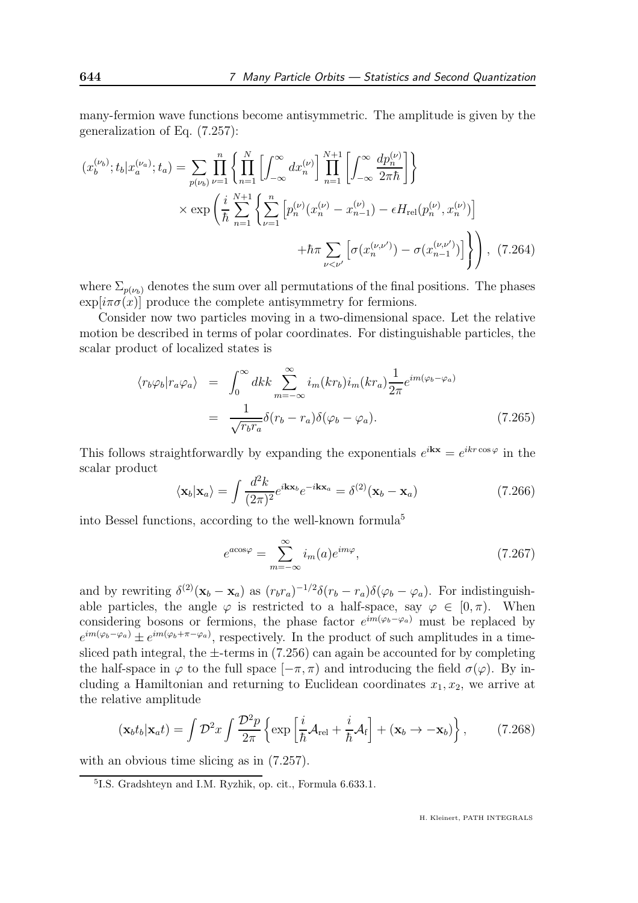many-fermion wave functions become antisymmetric. The amplitude is given by the generalization of Eq. (7.257):

$$
(x_b^{(\nu_b)}; t_b | x_a^{(\nu_a)}; t_a) = \sum_{p(\nu_b)} \prod_{\nu=1}^n \left\{ \prod_{n=1}^N \left[ \int_{-\infty}^{\infty} dx_n^{(\nu)} \right] \prod_{n=1}^{N+1} \left[ \int_{-\infty}^{\infty} \frac{dp_n^{(\nu)}}{2\pi\hbar} \right] \right\}
$$

$$
\times \exp\left( \frac{i}{\hbar} \sum_{n=1}^{N+1} \left\{ \sum_{\nu=1}^n \left[ p_n^{(\nu)} (x_n^{(\nu)} - x_{n-1}^{(\nu)}) - \epsilon H_{\text{rel}}(p_n^{(\nu)}, x_n^{(\nu)}) \right] + \hbar \pi \sum_{\nu < \nu'} \left[ \sigma (x_n^{(\nu,\nu')}) - \sigma (x_{n-1}^{(\nu,\nu')}) \right] \right\} \right), \tag{7.264}
$$

where  $\Sigma_{p(\nu_k)}$  denotes the sum over all permutations of the final positions. The phases  $\exp[i\pi\sigma(x)]$  produce the complete antisymmetry for fermions.

Consider now two particles moving in a two-dimensional space. Let the relative motion be described in terms of polar coordinates. For distinguishable particles, the scalar product of localized states is

$$
\langle r_b \varphi_b | r_a \varphi_a \rangle = \int_0^\infty dk k \sum_{m=-\infty}^\infty i_m(kr_b) i_m(kr_a) \frac{1}{2\pi} e^{im(\varphi_b - \varphi_a)}
$$
  

$$
= \frac{1}{\sqrt{r_b r_a}} \delta(r_b - r_a) \delta(\varphi_b - \varphi_a).
$$
 (7.265)

This follows straightforwardly by expanding the exponentials  $e^{i\mathbf{k}\cdot\mathbf{x}} = e^{ikr\cos\varphi}$  in the scalar product

$$
\langle \mathbf{x}_b | \mathbf{x}_a \rangle = \int \frac{d^2 k}{(2\pi)^2} e^{i \mathbf{k} \mathbf{x}_b} e^{-i \mathbf{k} \mathbf{x}_a} = \delta^{(2)} (\mathbf{x}_b - \mathbf{x}_a)
$$
(7.266)

into Bessel functions, according to the well-known formula<sup>5</sup>

$$
e^{a\cos\varphi} = \sum_{m=-\infty}^{\infty} i_m(a)e^{im\varphi},\tag{7.267}
$$

and by rewriting  $\delta^{(2)}(\mathbf{x}_b - \mathbf{x}_a)$  as  $(r_b r_a)^{-1/2} \delta(r_b - r_a) \delta(\varphi_b - \varphi_a)$ . For indistinguishable particles, the angle  $\varphi$  is restricted to a half-space, say  $\varphi \in [0, \pi)$ . When considering bosons or fermions, the phase factor  $e^{im(\varphi_b-\varphi_a)}$  must be replaced by  $e^{im(\varphi_b-\varphi_a)} \pm e^{im(\varphi_b+\pi-\varphi_a)}$ , respectively. In the product of such amplitudes in a timesliced path integral, the  $\pm$ -terms in (7.256) can again be accounted for by completing the half-space in  $\varphi$  to the full space  $[-\pi, \pi)$  and introducing the field  $\sigma(\varphi)$ . By including a Hamiltonian and returning to Euclidean coordinates  $x_1, x_2$ , we arrive at the relative amplitude

$$
(\mathbf{x}_b t_b | \mathbf{x}_a t) = \int \mathcal{D}^2 x \int \frac{\mathcal{D}^2 p}{2\pi} \left\{ \exp\left[\frac{i}{\hbar} \mathcal{A}_{\text{rel}} + \frac{i}{\hbar} \mathcal{A}_{\text{f}}\right] + (\mathbf{x}_b \to -\mathbf{x}_b) \right\},\tag{7.268}
$$

with an obvious time slicing as in  $(7.257)$ .

<sup>5</sup> I.S. Gradshteyn and I.M. Ryzhik, op. cit., Formula 6.633.1.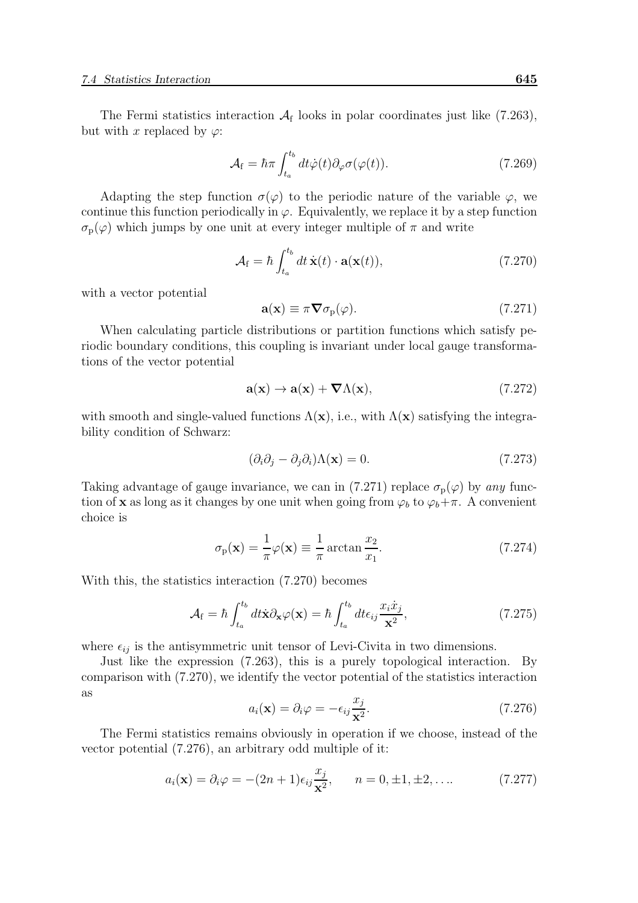The Fermi statistics interaction  $A_f$  looks in polar coordinates just like (7.263), but with x replaced by  $\varphi$ :

$$
\mathcal{A}_{\rm f} = \hbar \pi \int_{t_a}^{t_b} dt \dot{\varphi}(t) \partial_{\varphi} \sigma(\varphi(t)). \tag{7.269}
$$

Adapting the step function  $\sigma(\varphi)$  to the periodic nature of the variable  $\varphi$ , we continue this function periodically in  $\varphi$ . Equivalently, we replace it by a step function  $\sigma_{p}(\varphi)$  which jumps by one unit at every integer multiple of  $\pi$  and write

$$
\mathcal{A}_{\mathbf{f}} = \hbar \int_{t_a}^{t_b} dt \, \dot{\mathbf{x}}(t) \cdot \mathbf{a}(\mathbf{x}(t)), \tag{7.270}
$$

with a vector potential

$$
\mathbf{a}(\mathbf{x}) \equiv \pi \nabla \sigma_{\mathbf{p}}(\varphi). \tag{7.271}
$$

When calculating particle distributions or partition functions which satisfy periodic boundary conditions, this coupling is invariant under local gauge transformations of the vector potential

$$
\mathbf{a}(\mathbf{x}) \to \mathbf{a}(\mathbf{x}) + \nabla \Lambda(\mathbf{x}),\tag{7.272}
$$

with smooth and single-valued functions  $\Lambda(\mathbf{x})$ , i.e., with  $\Lambda(\mathbf{x})$  satisfying the integrability condition of Schwarz:

$$
(\partial_i \partial_j - \partial_j \partial_i) \Lambda(\mathbf{x}) = 0. \tag{7.273}
$$

Taking advantage of gauge invariance, we can in (7.271) replace  $\sigma_{\rm p}(\varphi)$  by any function of x as long as it changes by one unit when going from  $\varphi_b$  to  $\varphi_b+\pi$ . A convenient choice is

$$
\sigma_{\mathbf{p}}(\mathbf{x}) = \frac{1}{\pi} \varphi(\mathbf{x}) \equiv \frac{1}{\pi} \arctan \frac{x_2}{x_1}.
$$
 (7.274)

With this, the statistics interaction (7.270) becomes

$$
\mathcal{A}_{\mathbf{f}} = \hbar \int_{t_a}^{t_b} dt \dot{\mathbf{x}} \partial_{\mathbf{x}} \varphi(\mathbf{x}) = \hbar \int_{t_a}^{t_b} dt \epsilon_{ij} \frac{x_i \dot{x}_j}{\mathbf{x}^2},\tag{7.275}
$$

where  $\epsilon_{ij}$  is the antisymmetric unit tensor of Levi-Civita in two dimensions.

Just like the expression (7.263), this is a purely topological interaction. By comparison with (7.270), we identify the vector potential of the statistics interaction as

$$
a_i(\mathbf{x}) = \partial_i \varphi = -\epsilon_{ij} \frac{x_j}{\mathbf{x}^2}.
$$
 (7.276)

The Fermi statistics remains obviously in operation if we choose, instead of the vector potential (7.276), an arbitrary odd multiple of it:

$$
a_i(\mathbf{x}) = \partial_i \varphi = -(2n+1)\epsilon_{ij} \frac{x_j}{\mathbf{x}^2}, \qquad n = 0, \pm 1, \pm 2, \dots
$$
 (7.277)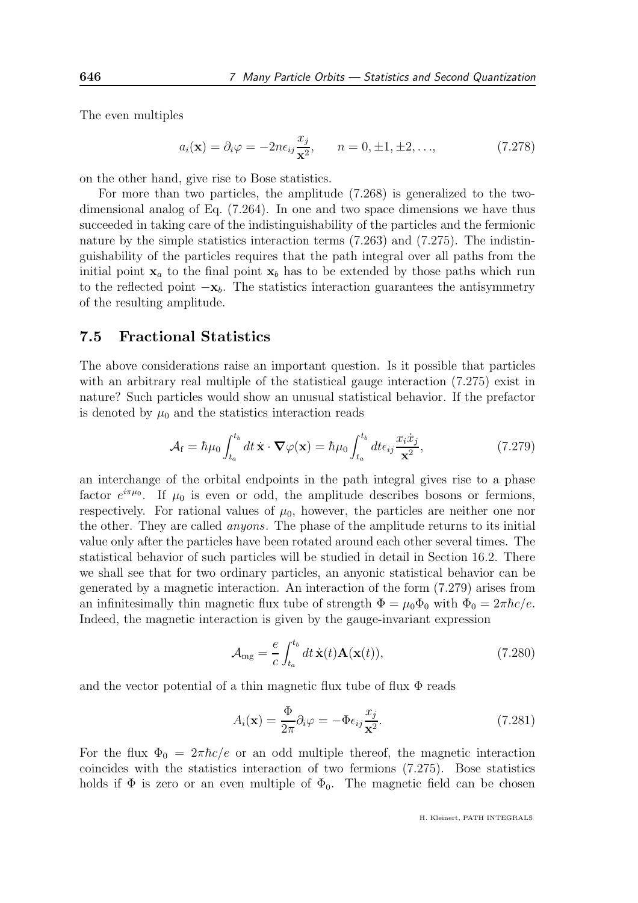The even multiples

$$
a_i(\mathbf{x}) = \partial_i \varphi = -2n\epsilon_{ij} \frac{x_j}{\mathbf{x}^2}, \qquad n = 0, \pm 1, \pm 2, \dots,
$$
 (7.278)

on the other hand, give rise to Bose statistics.

For more than two particles, the amplitude (7.268) is generalized to the twodimensional analog of Eq. (7.264). In one and two space dimensions we have thus succeeded in taking care of the indistinguishability of the particles and the fermionic nature by the simple statistics interaction terms (7.263) and (7.275). The indistinguishability of the particles requires that the path integral over all paths from the initial point  $x_a$  to the final point  $x_b$  has to be extended by those paths which run to the reflected point  $-x_b$ . The statistics interaction guarantees the antisymmetry of the resulting amplitude.

## 7.5 Fractional Statistics

The above considerations raise an important question. Is it possible that particles with an arbitrary real multiple of the statistical gauge interaction (7.275) exist in nature? Such particles would show an unusual statistical behavior. If the prefactor is denoted by  $\mu_0$  and the statistics interaction reads

$$
\mathcal{A}_{\mathbf{f}} = \hbar \mu_0 \int_{t_a}^{t_b} dt \, \dot{\mathbf{x}} \cdot \nabla \varphi(\mathbf{x}) = \hbar \mu_0 \int_{t_a}^{t_b} dt \epsilon_{ij} \frac{x_i \dot{x}_j}{\mathbf{x}^2},\tag{7.279}
$$

an interchange of the orbital endpoints in the path integral gives rise to a phase factor  $e^{i\pi\mu_0}$ . If  $\mu_0$  is even or odd, the amplitude describes bosons or fermions, respectively. For rational values of  $\mu_0$ , however, the particles are neither one nor the other. They are called anyons. The phase of the amplitude returns to its initial value only after the particles have been rotated around each other several times. The statistical behavior of such particles will be studied in detail in Section 16.2. There we shall see that for two ordinary particles, an anyonic statistical behavior can be generated by a magnetic interaction. An interaction of the form (7.279) arises from an infinitesimally thin magnetic flux tube of strength  $\Phi = \mu_0 \Phi_0$  with  $\Phi_0 = 2\pi \hbar c/e$ . Indeed, the magnetic interaction is given by the gauge-invariant expression

$$
\mathcal{A}_{mg} = \frac{e}{c} \int_{t_a}^{t_b} dt \, \dot{\mathbf{x}}(t) \mathbf{A}(\mathbf{x}(t)),
$$
\n(7.280)

and the vector potential of a thin magnetic flux tube of flux  $\Phi$  reads

$$
A_i(\mathbf{x}) = \frac{\Phi}{2\pi} \partial_i \varphi = -\Phi \epsilon_{ij} \frac{x_j}{\mathbf{x}^2}.
$$
 (7.281)

For the flux  $\Phi_0 = 2\pi\hbar c/e$  or an odd multiple thereof, the magnetic interaction coincides with the statistics interaction of two fermions (7.275). Bose statistics holds if  $\Phi$  is zero or an even multiple of  $\Phi_0$ . The magnetic field can be chosen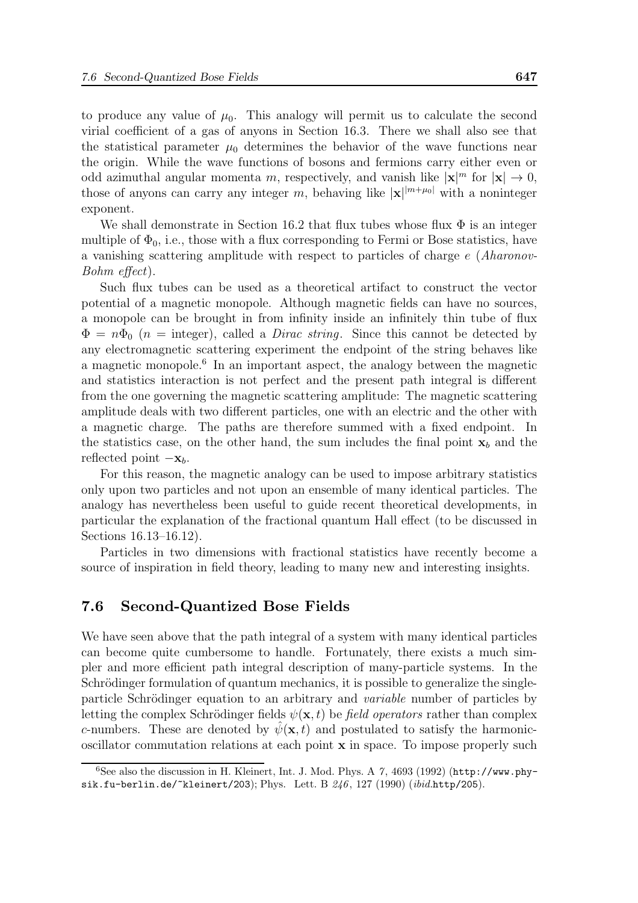to produce any value of  $\mu_0$ . This analogy will permit us to calculate the second virial coefficient of a gas of anyons in Section 16.3. There we shall also see that the statistical parameter  $\mu_0$  determines the behavior of the wave functions near the origin. While the wave functions of bosons and fermions carry either even or odd azimuthal angular momenta m, respectively, and vanish like  $|\mathbf{x}|^m$  for  $|\mathbf{x}| \to 0$ , those of anyons can carry any integer m, behaving like  $|\mathbf{x}|^{m+\mu_0}$  with a noninteger exponent.

We shall demonstrate in Section 16.2 that flux tubes whose flux  $\Phi$  is an integer multiple of  $\Phi_0$ , i.e., those with a flux corresponding to Fermi or Bose statistics, have a vanishing scattering amplitude with respect to particles of charge e (Aharonov-Bohm effect).

Such flux tubes can be used as a theoretical artifact to construct the vector potential of a magnetic monopole. Although magnetic fields can have no sources, a monopole can be brought in from infinity inside an infinitely thin tube of flux  $\Phi = n\Phi_0$  (n = integer), called a *Dirac string*. Since this cannot be detected by any electromagnetic scattering experiment the endpoint of the string behaves like a magnetic monopole.<sup>6</sup> In an important aspect, the analogy between the magnetic and statistics interaction is not perfect and the present path integral is different from the one governing the magnetic scattering amplitude: The magnetic scattering amplitude deals with two different particles, one with an electric and the other with a magnetic charge. The paths are therefore summed with a fixed endpoint. In the statistics case, on the other hand, the sum includes the final point  $x_b$  and the reflected point  $-\mathbf{x}_b$ .

For this reason, the magnetic analogy can be used to impose arbitrary statistics only upon two particles and not upon an ensemble of many identical particles. The analogy has nevertheless been useful to guide recent theoretical developments, in particular the explanation of the fractional quantum Hall effect (to be discussed in Sections 16.13–16.12).

Particles in two dimensions with fractional statistics have recently become a source of inspiration in field theory, leading to many new and interesting insights.

## 7.6 Second-Quantized Bose Fields

We have seen above that the path integral of a system with many identical particles can become quite cumbersome to handle. Fortunately, there exists a much simpler and more efficient path integral description of many-particle systems. In the Schrödinger formulation of quantum mechanics, it is possible to generalize the singleparticle Schrödinger equation to an arbitrary and *variable* number of particles by letting the complex Schrödinger fields  $\psi(\mathbf{x},t)$  be field operators rather than complex c-numbers. These are denoted by  $\psi(\mathbf{x}, t)$  and postulated to satisfy the harmonicoscillator commutation relations at each point x in space. To impose properly such

<sup>6</sup>See also the discussion in H. Kleinert, Int. J. Mod. Phys. A 7, 4693 (1992) (http://www.physik.fu-berlin.de/~kleinert/203); Phys. Lett. B  $246$ , 127 (1990) ( $ibid.$ http/205).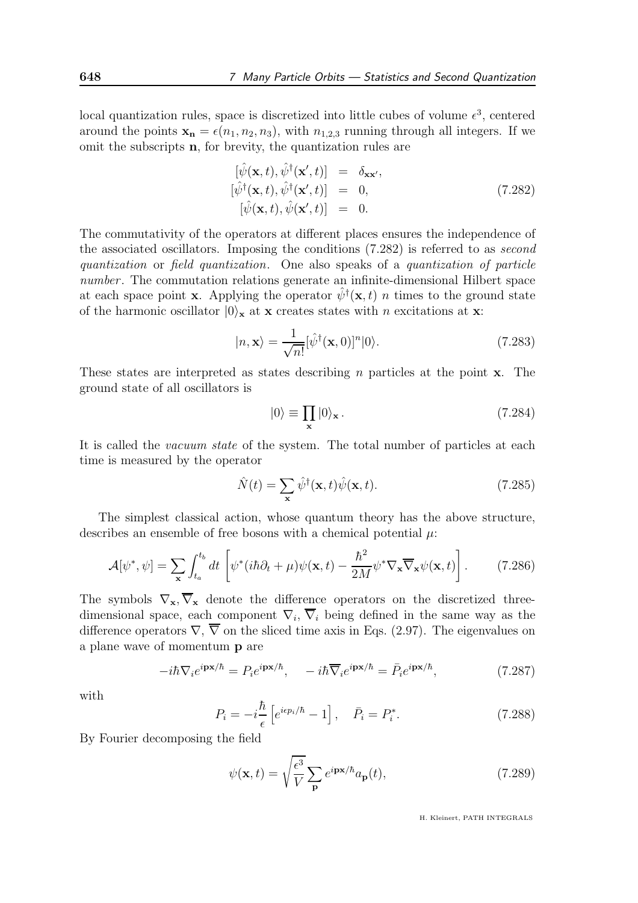local quantization rules, space is discretized into little cubes of volume  $\epsilon^3$ , centered around the points  $\mathbf{x}_n = \epsilon(n_1, n_2, n_3)$ , with  $n_{1,2,3}$  running through all integers. If we omit the subscripts  $n$ , for brevity, the quantization rules are

$$
\begin{array}{rcl}\n[\hat{\psi}(\mathbf{x},t),\hat{\psi}^{\dagger}(\mathbf{x}',t)] & = & \delta_{\mathbf{x}\mathbf{x}'}, \\
[\hat{\psi}^{\dagger}(\mathbf{x},t),\hat{\psi}^{\dagger}(\mathbf{x}',t)] & = & 0, \\
[\hat{\psi}(\mathbf{x},t),\hat{\psi}(\mathbf{x}',t)] & = & 0.\n\end{array} \tag{7.282}
$$

The commutativity of the operators at different places ensures the independence of the associated oscillators. Imposing the conditions (7.282) is referred to as second quantization or field quantization. One also speaks of a quantization of particle number. The commutation relations generate an infinite-dimensional Hilbert space at each space point **x**. Applying the operator  $\hat{\psi}^{\dagger}(\mathbf{x},t)$  *n* times to the ground state of the harmonic oscillator  $|0\rangle_x$  at **x** creates states with *n* excitations at **x**:

$$
|n, \mathbf{x}\rangle = \frac{1}{\sqrt{n!}} [\hat{\psi}^{\dagger}(\mathbf{x}, 0)]^n |0\rangle.
$$
 (7.283)

These states are interpreted as states describing n particles at the point  $x$ . The ground state of all oscillators is

$$
|0\rangle \equiv \prod_{\mathbf{x}} |0\rangle_{\mathbf{x}}.
$$
 (7.284)

It is called the vacuum state of the system. The total number of particles at each time is measured by the operator

$$
\hat{N}(t) = \sum_{\mathbf{x}} \hat{\psi}^{\dagger}(\mathbf{x}, t)\hat{\psi}(\mathbf{x}, t). \tag{7.285}
$$

The simplest classical action, whose quantum theory has the above structure, describes an ensemble of free bosons with a chemical potential  $\mu$ .

$$
\mathcal{A}[\psi^*, \psi] = \sum_{\mathbf{x}} \int_{t_a}^{t_b} dt \left[ \psi^*(i\hbar \partial_t + \mu) \psi(\mathbf{x}, t) - \frac{\hbar^2}{2M} \psi^* \nabla_{\mathbf{x}} \overline{\nabla}_{\mathbf{x}} \psi(\mathbf{x}, t) \right].
$$
 (7.286)

The symbols  $\nabla_{\mathbf{x}}$ ,  $\nabla_{\mathbf{x}}$  denote the difference operators on the discretized threedimensional space, each component  $\nabla_i$ ,  $\nabla_i$  being defined in the same way as the difference operators  $\nabla$ ,  $\nabla$  on the sliced time axis in Eqs. (2.97). The eigenvalues on a plane wave of momentum p are

$$
-i\hbar \nabla_i e^{i\mathbf{p}\mathbf{x}/\hbar} = P_i e^{i\mathbf{p}\mathbf{x}/\hbar}, \quad -i\hbar \overline{\nabla}_i e^{i\mathbf{p}\mathbf{x}/\hbar} = \bar{P}_i e^{i\mathbf{p}\mathbf{x}/\hbar}, \tag{7.287}
$$

with

$$
P_i = -i\frac{\hbar}{\epsilon} \left[ e^{i\epsilon p_i/\hbar} - 1 \right], \quad \bar{P}_i = P_i^*.
$$
 (7.288)

By Fourier decomposing the field

$$
\psi(\mathbf{x},t) = \sqrt{\frac{\epsilon^3}{V}} \sum_{\mathbf{p}} e^{i\mathbf{p}\mathbf{x}/\hbar} a_{\mathbf{p}}(t),
$$
\n(7.289)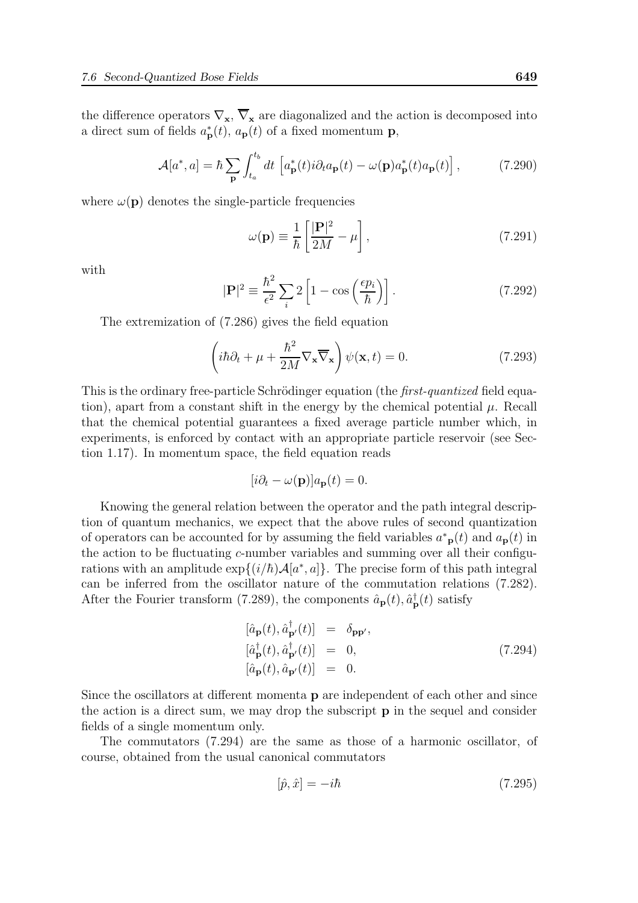the difference operators  $\nabla_{\mathbf{x}}$ ,  $\nabla_{\mathbf{x}}$  are diagonalized and the action is decomposed into a direct sum of fields  $a_{\mathbf{p}}^*(t)$ ,  $a_{\mathbf{p}}(t)$  of a fixed momentum **p**,

$$
\mathcal{A}[a^*, a] = \hbar \sum_{\mathbf{p}} \int_{t_a}^{t_b} dt \left[ a_{\mathbf{p}}^*(t) i \partial_t a_{\mathbf{p}}(t) - \omega(\mathbf{p}) a_{\mathbf{p}}^*(t) a_{\mathbf{p}}(t) \right],\tag{7.290}
$$

where  $\omega(\mathbf{p})$  denotes the single-particle frequencies

$$
\omega(\mathbf{p}) \equiv \frac{1}{\hbar} \left[ \frac{|\mathbf{P}|^2}{2M} - \mu \right],\tag{7.291}
$$

with

$$
|\mathbf{P}|^2 \equiv \frac{\hbar^2}{\epsilon^2} \sum_{i} 2 \left[ 1 - \cos\left(\frac{\epsilon p_i}{\hbar}\right) \right]. \tag{7.292}
$$

The extremization of (7.286) gives the field equation

$$
\left(i\hbar\partial_t + \mu + \frac{\hbar^2}{2M}\nabla_\mathbf{x}\overline{\nabla}_\mathbf{x}\right)\psi(\mathbf{x},t) = 0.
$$
 (7.293)

This is the ordinary free-particle Schrödinger equation (the *first-quantized* field equation), apart from a constant shift in the energy by the chemical potential  $\mu$ . Recall that the chemical potential guarantees a fixed average particle number which, in experiments, is enforced by contact with an appropriate particle reservoir (see Section 1.17). In momentum space, the field equation reads

$$
[i\partial_t - \omega(\mathbf{p})]a_{\mathbf{p}}(t) = 0.
$$

Knowing the general relation between the operator and the path integral description of quantum mechanics, we expect that the above rules of second quantization of operators can be accounted for by assuming the field variables  $a^*_{\mathbf{p}}(t)$  and  $a_{\mathbf{p}}(t)$  in the action to be fluctuating  $c$ -number variables and summing over all their configurations with an amplitude  $\exp\{(i/\hbar)\mathcal{A}[a^*,a]\}$ . The precise form of this path integral can be inferred from the oscillator nature of the commutation relations (7.282). After the Fourier transform (7.289), the components  $\hat{a}_{\mathbf{p}}(t), \hat{a}_{\mathbf{p}}^{\dagger}(t)$  satisfy

$$
\begin{array}{rcl}\n[\hat{a}_{\mathbf{p}}(t), \hat{a}_{\mathbf{p'}}^{\dagger}(t)] & = & \delta_{\mathbf{p}\mathbf{p'}}, \\
[\hat{a}_{\mathbf{p}}^{\dagger}(t), \hat{a}_{\mathbf{p'}}^{\dagger}(t)] & = & 0, \\
[\hat{a}_{\mathbf{p}}(t), \hat{a}_{\mathbf{p'}}^{\dagger}(t)] & = & 0.\n\end{array} \tag{7.294}
$$

Since the oscillators at different momenta p are independent of each other and since the action is a direct sum, we may drop the subscript p in the sequel and consider fields of a single momentum only.

The commutators (7.294) are the same as those of a harmonic oscillator, of course, obtained from the usual canonical commutators

$$
[\hat{p}, \hat{x}] = -i\hbar \tag{7.295}
$$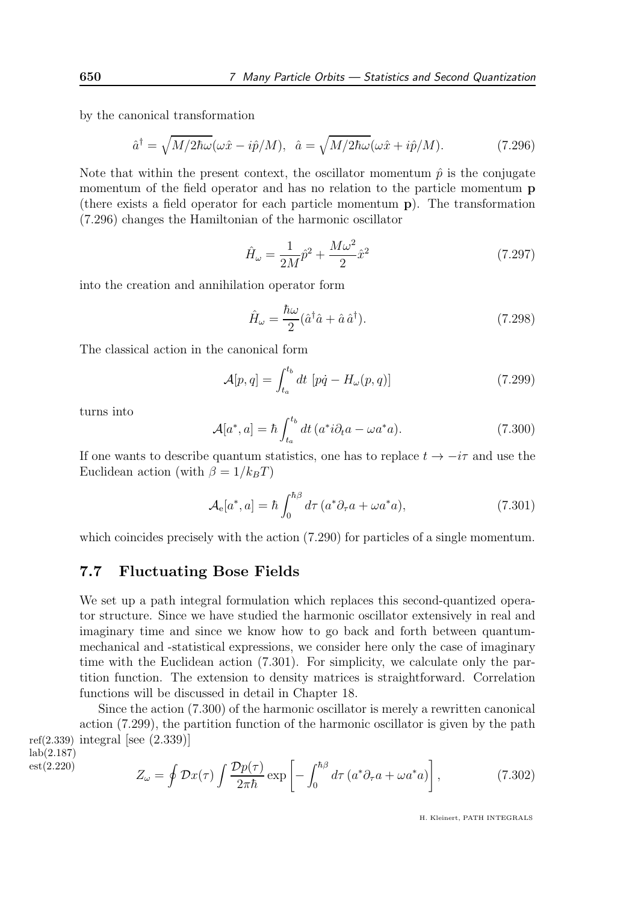by the canonical transformation

$$
\hat{a}^{\dagger} = \sqrt{M/2\hbar\omega}(\omega\hat{x} - i\hat{p}/M), \quad \hat{a} = \sqrt{M/2\hbar\omega}(\omega\hat{x} + i\hat{p}/M). \tag{7.296}
$$

Note that within the present context, the oscillator momentum  $\hat{p}$  is the conjugate momentum of the field operator and has no relation to the particle momentum p (there exists a field operator for each particle momentum p). The transformation (7.296) changes the Hamiltonian of the harmonic oscillator

$$
\hat{H}_{\omega} = \frac{1}{2M}\hat{p}^2 + \frac{M\omega^2}{2}\hat{x}^2
$$
\n(7.297)

into the creation and annihilation operator form

$$
\hat{H}_{\omega} = \frac{\hbar\omega}{2} (\hat{a}^{\dagger}\hat{a} + \hat{a}\,\hat{a}^{\dagger}).
$$
\n(7.298)

The classical action in the canonical form

$$
\mathcal{A}[p,q] = \int_{t_a}^{t_b} dt \, \left[ p\dot{q} - H_{\omega}(p,q) \right] \tag{7.299}
$$

turns into

$$
\mathcal{A}[a^*, a] = \hbar \int_{t_a}^{t_b} dt \left( a^* i \partial_t a - \omega a^* a \right).
$$
 (7.300)

If one wants to describe quantum statistics, one has to replace  $t \to -i\tau$  and use the Euclidean action (with  $\beta = 1/k_BT$ )

$$
\mathcal{A}_{e}[a^*, a] = \hbar \int_0^{\hbar \beta} d\tau \left( a^* \partial_\tau a + \omega a^* a \right), \tag{7.301}
$$

which coincides precisely with the action  $(7.290)$  for particles of a single momentum.

#### 7.7 Fluctuating Bose Fields

We set up a path integral formulation which replaces this second-quantized operator structure. Since we have studied the harmonic oscillator extensively in real and imaginary time and since we know how to go back and forth between quantummechanical and -statistical expressions, we consider here only the case of imaginary time with the Euclidean action (7.301). For simplicity, we calculate only the partition function. The extension to density matrices is straightforward. Correlation functions will be discussed in detail in Chapter 18.

Since the action (7.300) of the harmonic oscillator is merely a rewritten canonical action (7.299), the partition function of the harmonic oscillator is given by the path ref(2.339) integral [see (2.339)]

lab(2.187) est(2.220)

$$
Z_{\omega} = \oint \mathcal{D}x(\tau) \int \frac{\mathcal{D}p(\tau)}{2\pi\hbar} \exp\left[-\int_0^{\hbar\beta} d\tau \left(a^*\partial_\tau a + \omega a^* a\right)\right],\tag{7.302}
$$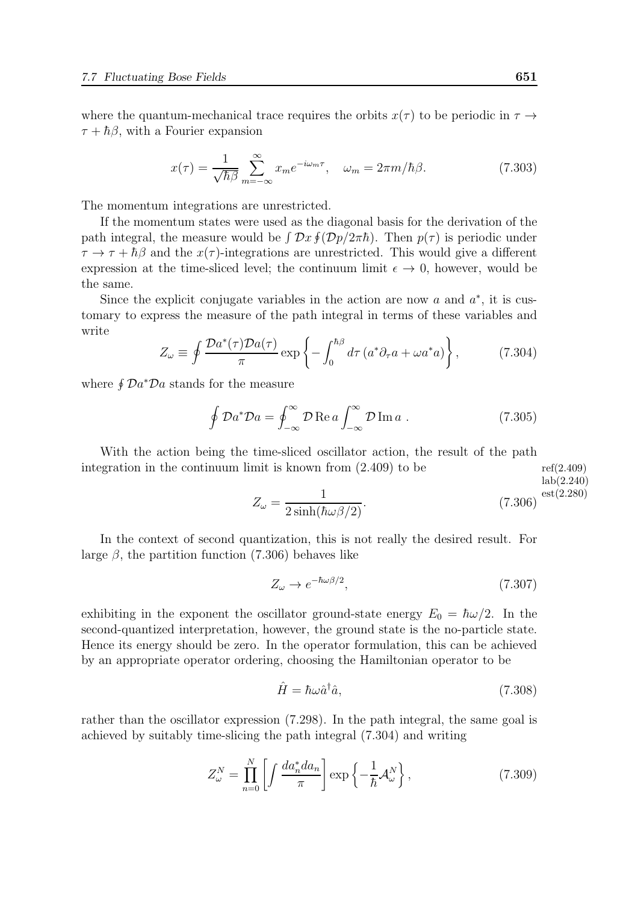where the quantum-mechanical trace requires the orbits  $x(\tau)$  to be periodic in  $\tau \rightarrow$  $\tau + \hbar \beta$ , with a Fourier expansion

$$
x(\tau) = \frac{1}{\sqrt{\hbar \beta}} \sum_{m = -\infty}^{\infty} x_m e^{-i\omega_m \tau}, \quad \omega_m = 2\pi m/\hbar \beta.
$$
 (7.303)

The momentum integrations are unrestricted.

If the momentum states were used as the diagonal basis for the derivation of the path integral, the measure would be  $\int \mathcal{D}x \, \oint (\mathcal{D}p/2\pi\hbar)$ . Then  $p(\tau)$  is periodic under  $\tau \to \tau + \hbar \beta$  and the  $x(\tau)$ -integrations are unrestricted. This would give a different expression at the time-sliced level; the continuum limit  $\epsilon \to 0$ , however, would be the same.

Since the explicit conjugate variables in the action are now  $a$  and  $a^*$ , it is customary to express the measure of the path integral in terms of these variables and write

$$
Z_{\omega} \equiv \oint \frac{\mathcal{D}a^*(\tau)\mathcal{D}a(\tau)}{\pi} \exp\left\{-\int_0^{\hbar\beta} d\tau \left(a^*\partial_\tau a + \omega a^* a\right)\right\},\tag{7.304}
$$

where  $\oint \mathcal{D}a^*\mathcal{D}a$  stands for the measure

$$
\oint \mathcal{D}a^*\mathcal{D}a = \oint_{-\infty}^{\infty} \mathcal{D} \operatorname{Re} a \int_{-\infty}^{\infty} \mathcal{D} \operatorname{Im} a . \qquad (7.305)
$$

With the action being the time-sliced oscillator action, the result of the path integration in the continuum limit is known from  $(2.409)$  to be ref(2.409)

lab(2.240) est(2.280)  $Z_\omega =$ 1  $\frac{1}{2\sinh(\hbar\omega\beta/2)}$ . (7.306)

In the context of second quantization, this is not really the desired result. For large  $\beta$ , the partition function (7.306) behaves like

$$
Z_{\omega} \to e^{-\hbar\omega\beta/2},\tag{7.307}
$$

exhibiting in the exponent the oscillator ground-state energy  $E_0 = \hbar \omega/2$ . In the second-quantized interpretation, however, the ground state is the no-particle state. Hence its energy should be zero. In the operator formulation, this can be achieved by an appropriate operator ordering, choosing the Hamiltonian operator to be

$$
\hat{H} = \hbar \omega \hat{a}^\dagger \hat{a},\tag{7.308}
$$

rather than the oscillator expression (7.298). In the path integral, the same goal is achieved by suitably time-slicing the path integral (7.304) and writing

$$
Z_{\omega}^{N} = \prod_{n=0}^{N} \left[ \int \frac{da_n^* da_n}{\pi} \right] \exp\left\{-\frac{1}{\hbar} \mathcal{A}_{\omega}^{N}\right\},\tag{7.309}
$$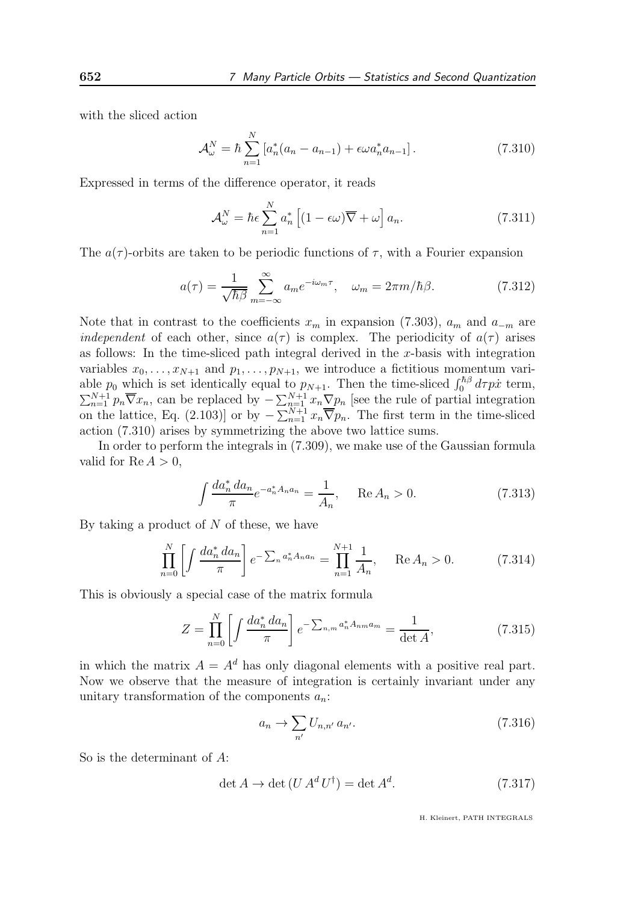with the sliced action

$$
\mathcal{A}_{\omega}^{N} = \hbar \sum_{n=1}^{N} \left[ a_{n}^{*} (a_{n} - a_{n-1}) + \epsilon \omega a_{n}^{*} a_{n-1} \right]. \tag{7.310}
$$

Expressed in terms of the difference operator, it reads

$$
\mathcal{A}_{\omega}^{N} = \hbar \epsilon \sum_{n=1}^{N} a_{n}^{*} \left[ (1 - \epsilon \omega) \overline{\nabla} + \omega \right] a_{n}.
$$
 (7.311)

The  $a(\tau)$ -orbits are taken to be periodic functions of  $\tau$ , with a Fourier expansion

$$
a(\tau) = \frac{1}{\sqrt{\hbar \beta}} \sum_{m = -\infty}^{\infty} a_m e^{-i\omega_m \tau}, \quad \omega_m = 2\pi m/\hbar \beta.
$$
 (7.312)

Note that in contrast to the coefficients  $x_m$  in expansion (7.303),  $a_m$  and  $a_{-m}$  are *independent* of each other, since  $a(\tau)$  is complex. The periodicity of  $a(\tau)$  arises as follows: In the time-sliced path integral derived in the x-basis with integration variables  $x_0, \ldots, x_{N+1}$  and  $p_1, \ldots, p_{N+1}$ , we introduce a fictitious momentum variable  $p_0$  which is set identically equal to  $p_{N+1}$ . Then the time-sliced  $\int_0^{\hbar\beta} d\tau p\dot{x}$  term,  $\sum_{n=1}^{N+1} p_n \overline{\nabla} x_n$ , can be replaced by  $-\sum_{n=1}^{N+1} x_n \underline{\nabla} p_n$  [see the rule of partial integration on the lattice, Eq. (2.103)] or by  $-\sum_{n=1}^{N+1} x_n \overline{\nabla} p_n$ . The first term in the time-sliced action (7.310) arises by symmetrizing the above two lattice sums.

In order to perform the integrals in (7.309), we make use of the Gaussian formula valid for  $Re A > 0$ ,

$$
\int \frac{da_n^* \, da_n}{\pi} e^{-a_n^* A_n a_n} = \frac{1}{A_n}, \quad \text{Re } A_n > 0. \tag{7.313}
$$

By taking a product of  $N$  of these, we have

$$
\prod_{n=0}^{N} \left[ \int \frac{da_n^* \, da_n}{\pi} \right] e^{-\sum_n a_n^* A_n a_n} = \prod_{n=1}^{N+1} \frac{1}{A_n}, \quad \text{Re } A_n > 0. \tag{7.314}
$$

This is obviously a special case of the matrix formula

$$
Z = \prod_{n=0}^{N} \left[ \int \frac{da_n^* \, da_n}{\pi} \right] e^{-\sum_{n,m} a_n^* A_{nm} a_m} = \frac{1}{\det A},\tag{7.315}
$$

in which the matrix  $A = A^d$  has only diagonal elements with a positive real part. Now we observe that the measure of integration is certainly invariant under any unitary transformation of the components  $a_n$ :

$$
a_n \to \sum_{n'} U_{n,n'} a_{n'}.\tag{7.316}
$$

So is the determinant of A:

$$
\det A \to \det (U A^d U^{\dagger}) = \det A^d. \tag{7.317}
$$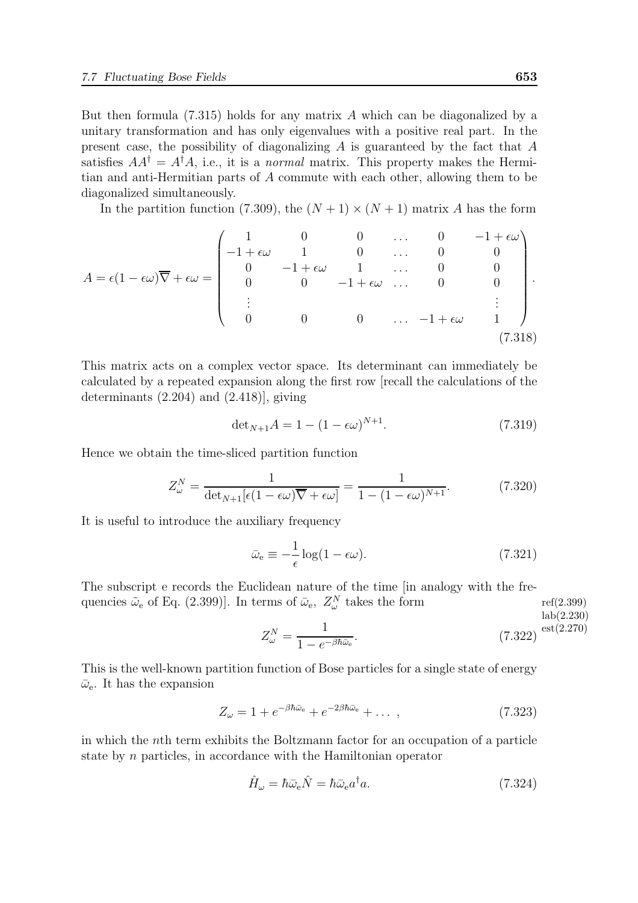But then formula  $(7.315)$  holds for any matrix A which can be diagonalized by a unitary transformation and has only eigenvalues with a positive real part. In the present case, the possibility of diagonalizing  $A$  is guaranteed by the fact that  $A$ satisfies  $AA^{\dagger} = A^{\dagger}A$ , i.e., it is a *normal* matrix. This property makes the Hermitian and anti-Hermitian parts of A commute with each other, allowing them to be diagonalized simultaneously.

In the partition function (7.309), the  $(N + 1) \times (N + 1)$  matrix A has the form

$$
A = \epsilon (1 - \epsilon \omega) \nabla + \epsilon \omega = \begin{pmatrix} 1 & 0 & 0 & \dots & 0 & -1 + \epsilon \omega \\ -1 + \epsilon \omega & 1 & 0 & \dots & 0 & 0 \\ 0 & -1 + \epsilon \omega & 1 & \dots & 0 & 0 \\ 0 & 0 & -1 + \epsilon \omega & \dots & 0 & 0 \\ \vdots & \vdots & \vdots & \ddots & \vdots & \vdots \\ 0 & 0 & 0 & \dots & -1 + \epsilon \omega & 1 \end{pmatrix} . \tag{7.318}
$$

This matrix acts on a complex vector space. Its determinant can immediately be calculated by a repeated expansion along the first row [recall the calculations of the determinants (2.204) and (2.418)], giving

$$
\det_{N+1} A = 1 - (1 - \epsilon \omega)^{N+1}.
$$
 (7.319)

Hence we obtain the time-sliced partition function

$$
Z_{\omega}^{N} = \frac{1}{\det_{N+1}[\epsilon(1 - \epsilon \omega)\overline{\nabla} + \epsilon \omega]} = \frac{1}{1 - (1 - \epsilon \omega)^{N+1}}.
$$
 (7.320)

It is useful to introduce the auxiliary frequency

$$
\bar{\omega}_{\mathbf{e}} \equiv -\frac{1}{\epsilon} \log(1 - \epsilon \omega). \tag{7.321}
$$

The subscript e records the Euclidean nature of the time [in analogy with the frequencies  $\tilde{\omega}_{e}$  of Eq. (2.399)]. In terms of  $\bar{\omega}_{e}$ ,  $Z_{\omega}^{N}$  takes the form ref(2.399)

$$
Z_{\omega}^{N} = \frac{1}{1 - e^{-\beta \hbar \omega_{e}}}
$$
 (7.322) 
$$
E_{\omega}^{(2.339)}
$$

This is the well-known partition function of Bose particles for a single state of energy  $\bar{\omega}_{e}$ . It has the expansion

$$
Z_{\omega} = 1 + e^{-\beta \hbar \bar{\omega}_e} + e^{-2\beta \hbar \bar{\omega}_e} + \dots \,, \tag{7.323}
$$

in which the nth term exhibits the Boltzmann factor for an occupation of a particle state by n particles, in accordance with the Hamiltonian operator

$$
\hat{H}_{\omega} = \hbar \bar{\omega}_{e} \hat{N} = \hbar \bar{\omega}_{e} a^{\dagger} a. \tag{7.324}
$$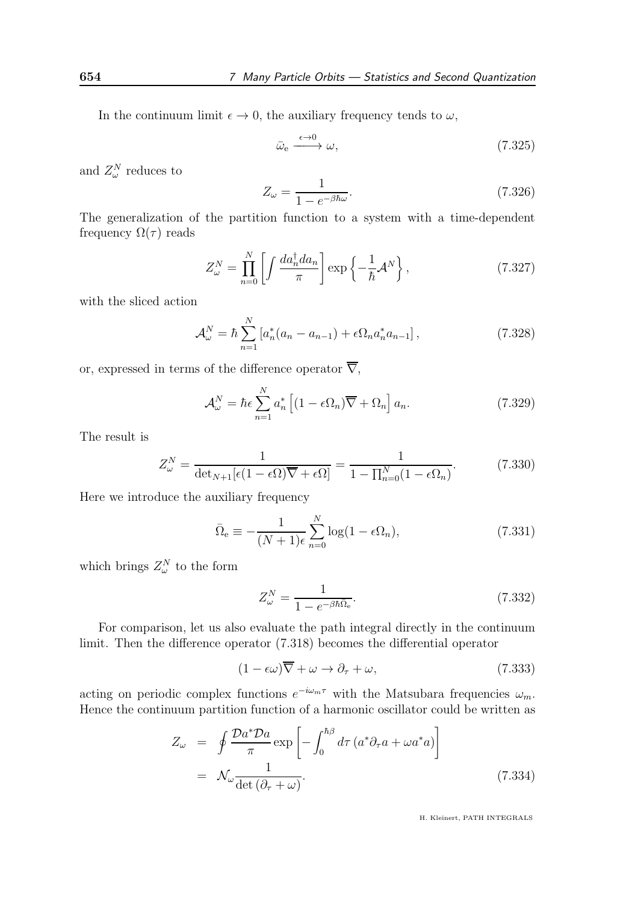In the continuum limit  $\epsilon \to 0$ , the auxiliary frequency tends to  $\omega$ ,

$$
\bar{\omega}_{\rm e} \xrightarrow{\epsilon \to 0} \omega, \tag{7.325}
$$

and  $Z_{\omega}^N$  reduces to

$$
Z_{\omega} = \frac{1}{1 - e^{-\beta \hbar \omega}}.\tag{7.326}
$$

The generalization of the partition function to a system with a time-dependent frequency  $\Omega(\tau)$  reads

$$
Z_{\omega}^{N} = \prod_{n=0}^{N} \left[ \int \frac{da_n^{\dagger} da_n}{\pi} \right] \exp \left\{ -\frac{1}{\hbar} \mathcal{A}^{N} \right\},
$$
 (7.327)

with the sliced action

$$
\mathcal{A}_{\omega}^{N} = \hbar \sum_{n=1}^{N} \left[ a_{n}^{*} (a_{n} - a_{n-1}) + \epsilon \Omega_{n} a_{n}^{*} a_{n-1} \right], \tag{7.328}
$$

or, expressed in terms of the difference operator  $\overline{\nabla}$ ,

$$
\mathcal{A}_{\omega}^{N} = \hbar \epsilon \sum_{n=1}^{N} a_{n}^{*} \left[ (1 - \epsilon \Omega_{n}) \overline{\nabla} + \Omega_{n} \right] a_{n}.
$$
 (7.329)

The result is

$$
Z_{\omega}^{N} = \frac{1}{\det_{N+1}[\epsilon(1-\epsilon\Omega)\overline{\nabla} + \epsilon\Omega]} = \frac{1}{1 - \prod_{n=0}^{N} (1 - \epsilon\Omega_{n})}.
$$
 (7.330)

Here we introduce the auxiliary frequency

$$
\bar{\Omega}_{\mathbf{e}} \equiv -\frac{1}{(N+1)\epsilon} \sum_{n=0}^{N} \log(1 - \epsilon \Omega_n), \tag{7.331}
$$

which brings  $Z_{\omega}^N$  to the form

$$
Z_{\omega}^{N} = \frac{1}{1 - e^{-\beta \hbar \bar{\Omega}_{e}}}. \tag{7.332}
$$

For comparison, let us also evaluate the path integral directly in the continuum limit. Then the difference operator (7.318) becomes the differential operator

$$
(1 - \epsilon \omega) \overline{\nabla} + \omega \to \partial_{\tau} + \omega, \tag{7.333}
$$

acting on periodic complex functions  $e^{-i\omega_m\tau}$  with the Matsubara frequencies  $\omega_m$ . Hence the continuum partition function of a harmonic oscillator could be written as

$$
Z_{\omega} = \oint \frac{\mathcal{D}a^*\mathcal{D}a}{\pi} \exp\left[-\int_0^{\hbar\beta} d\tau \left(a^*\partial_\tau a + \omega a^*a\right)\right]
$$
  
=  $\mathcal{N}_{\omega} \frac{1}{\det\left(\partial_\tau + \omega\right)}.$  (7.334)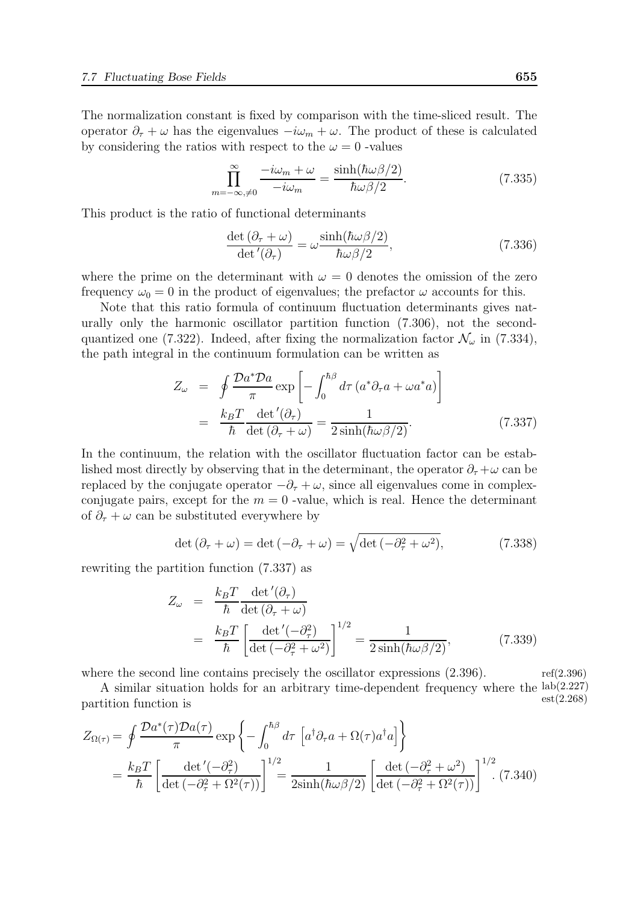The normalization constant is fixed by comparison with the time-sliced result. The operator  $\partial_{\tau} + \omega$  has the eigenvalues  $-i\omega_m + \omega$ . The product of these is calculated by considering the ratios with respect to the  $\omega = 0$ -values

$$
\prod_{m=-\infty,\neq 0}^{\infty} \frac{-i\omega_m + \omega}{-i\omega_m} = \frac{\sinh(\hbar\omega\beta/2)}{\hbar\omega\beta/2}.
$$
\n(7.335)

This product is the ratio of functional determinants

$$
\frac{\det\left(\partial_{\tau}+\omega\right)}{\det'(\partial_{\tau})} = \omega \frac{\sinh(\hbar\omega\beta/2)}{\hbar\omega\beta/2},\tag{7.336}
$$

where the prime on the determinant with  $\omega = 0$  denotes the omission of the zero frequency  $\omega_0 = 0$  in the product of eigenvalues; the prefactor  $\omega$  accounts for this.

Note that this ratio formula of continuum fluctuation determinants gives naturally only the harmonic oscillator partition function (7.306), not the secondquantized one (7.322). Indeed, after fixing the normalization factor  $\mathcal{N}_{\omega}$  in (7.334), the path integral in the continuum formulation can be written as

$$
Z_{\omega} = \oint \frac{\mathcal{D}a^*\mathcal{D}a}{\pi} \exp\left[-\int_0^{\hbar\beta} d\tau \left(a^*\partial_\tau a + \omega a^*a\right)\right]
$$

$$
= \frac{k_B T}{\hbar} \frac{\det'(\partial_\tau)}{\det(\partial_\tau + \omega)} = \frac{1}{2\sinh(\hbar\omega\beta/2)}.
$$
(7.337)

In the continuum, the relation with the oscillator fluctuation factor can be established most directly by observing that in the determinant, the operator  $\partial_{\tau} + \omega$  can be replaced by the conjugate operator  $-\partial_{\tau} + \omega$ , since all eigenvalues come in complexconjugate pairs, except for the  $m = 0$ -value, which is real. Hence the determinant of  $\partial_{\tau} + \omega$  can be substituted everywhere by

$$
\det(\partial_{\tau} + \omega) = \det(-\partial_{\tau} + \omega) = \sqrt{\det(-\partial_{\tau}^2 + \omega^2)},
$$
\n(7.338)

rewriting the partition function (7.337) as

$$
Z_{\omega} = \frac{k_B T}{\hbar} \frac{\det'(\partial_{\tau})}{\det(\partial_{\tau} + \omega)}
$$
  
=  $\frac{k_B T}{\hbar} \left[ \frac{\det'(-\partial_{\tau}^2)}{\det(-\partial_{\tau}^2 + \omega^2)} \right]^{1/2} = \frac{1}{2 \sinh(\hbar \omega \beta/2)},$  (7.339)

where the second line contains precisely the oscillator expressions  $(2.396)$ . ref $(2.396)$ 

A similar situation holds for an arbitrary time-dependent frequency where the  $\text{lab}(2.227)$ est(2.268) partition function is

$$
Z_{\Omega(\tau)} = \oint \frac{\mathcal{D}a^*(\tau)\mathcal{D}a(\tau)}{\pi} \exp\left\{-\int_0^{\hbar\beta} d\tau \left[a^\dagger \partial_\tau a + \Omega(\tau)a^\dagger a\right]\right\}
$$

$$
= \frac{k_B T}{\hbar} \left[\frac{\det'(-\partial_\tau^2)}{\det(-\partial_\tau^2 + \Omega^2(\tau))}\right]^{1/2} = \frac{1}{2\sinh(\hbar\omega\beta/2)} \left[\frac{\det(-\partial_\tau^2 + \omega^2)}{\det(-\partial_\tau^2 + \Omega^2(\tau))}\right]^{1/2} . (7.340)
$$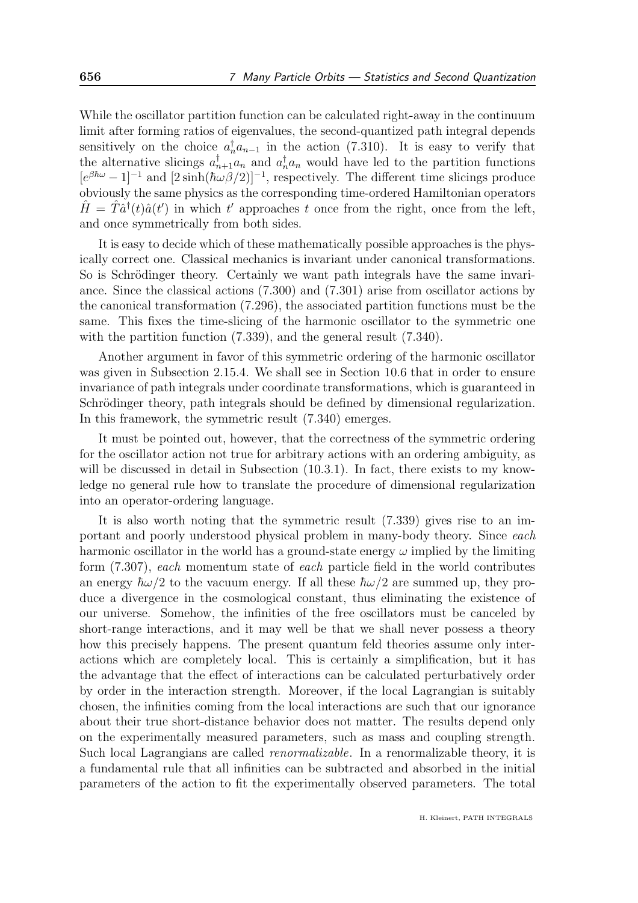While the oscillator partition function can be calculated right-away in the continuum limit after forming ratios of eigenvalues, the second-quantized path integral depends sensitively on the choice  $a_n^{\dagger} a_{n-1}$  in the action (7.310). It is easy to verify that the alternative slicings  $a_{n+1}^{\dagger}a_n$  and  $a_n^{\dagger}a_n$  would have led to the partition functions  $[e^{\beta \hbar \omega} - 1]^{-1}$  and  $[2 \sinh(\hbar \omega \beta/2)]^{-1}$ , respectively. The different time slicings produce obviously the same physics as the corresponding time-ordered Hamiltonian operators  $\hat{H} = \hat{T}\hat{a}^{\dagger}(t)\hat{a}(t')$  in which t' approaches t once from the right, once from the left, and once symmetrically from both sides.

It is easy to decide which of these mathematically possible approaches is the physically correct one. Classical mechanics is invariant under canonical transformations. So is Schrödinger theory. Certainly we want path integrals have the same invariance. Since the classical actions (7.300) and (7.301) arise from oscillator actions by the canonical transformation (7.296), the associated partition functions must be the same. This fixes the time-slicing of the harmonic oscillator to the symmetric one with the partition function  $(7.339)$ , and the general result  $(7.340)$ .

Another argument in favor of this symmetric ordering of the harmonic oscillator was given in Subsection 2.15.4. We shall see in Section 10.6 that in order to ensure invariance of path integrals under coordinate transformations, which is guaranteed in Schrödinger theory, path integrals should be defined by dimensional regularization. In this framework, the symmetric result (7.340) emerges.

It must be pointed out, however, that the correctness of the symmetric ordering for the oscillator action not true for arbitrary actions with an ordering ambiguity, as will be discussed in detail in Subsection  $(10.3.1)$ . In fact, there exists to my knowledge no general rule how to translate the procedure of dimensional regularization into an operator-ordering language.

It is also worth noting that the symmetric result (7.339) gives rise to an important and poorly understood physical problem in many-body theory. Since each harmonic oscillator in the world has a ground-state energy  $\omega$  implied by the limiting form (7.307), each momentum state of each particle field in the world contributes an energy  $\hbar\omega/2$  to the vacuum energy. If all these  $\hbar\omega/2$  are summed up, they produce a divergence in the cosmological constant, thus eliminating the existence of our universe. Somehow, the infinities of the free oscillators must be canceled by short-range interactions, and it may well be that we shall never possess a theory how this precisely happens. The present quantum feld theories assume only interactions which are completely local. This is certainly a simplification, but it has the advantage that the effect of interactions can be calculated perturbatively order by order in the interaction strength. Moreover, if the local Lagrangian is suitably chosen, the infinities coming from the local interactions are such that our ignorance about their true short-distance behavior does not matter. The results depend only on the experimentally measured parameters, such as mass and coupling strength. Such local Lagrangians are called *renormalizable*. In a renormalizable theory, it is a fundamental rule that all infinities can be subtracted and absorbed in the initial parameters of the action to fit the experimentally observed parameters. The total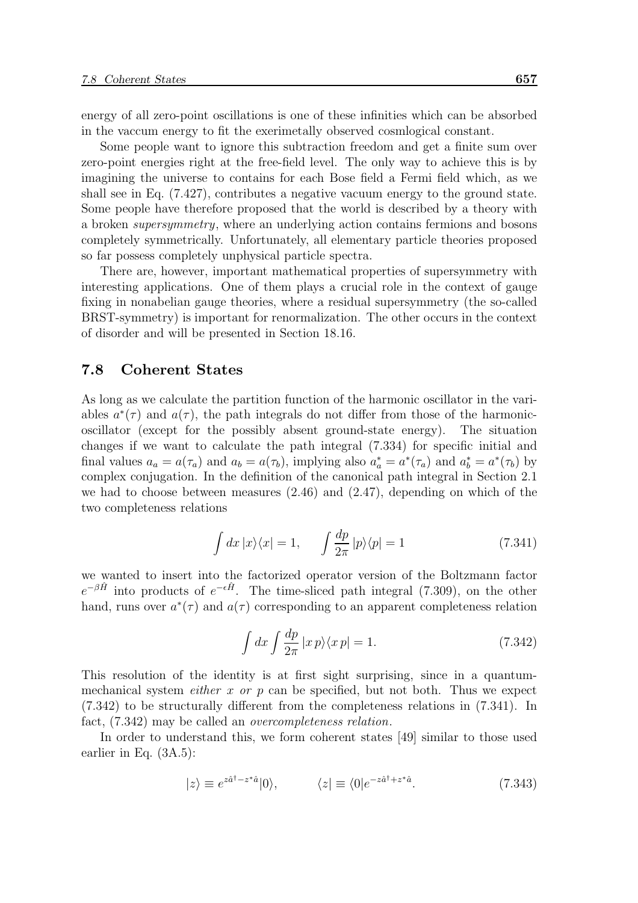energy of all zero-point oscillations is one of these infinities which can be absorbed in the vaccum energy to fit the exerimetally observed cosmlogical constant.

Some people want to ignore this subtraction freedom and get a finite sum over zero-point energies right at the free-field level. The only way to achieve this is by imagining the universe to contains for each Bose field a Fermi field which, as we shall see in Eq. (7.427), contributes a negative vacuum energy to the ground state. Some people have therefore proposed that the world is described by a theory with a broken supersymmetry, where an underlying action contains fermions and bosons completely symmetrically. Unfortunately, all elementary particle theories proposed so far possess completely unphysical particle spectra.

There are, however, important mathematical properties of supersymmetry with interesting applications. One of them plays a crucial role in the context of gauge fixing in nonabelian gauge theories, where a residual supersymmetry (the so-called BRST-symmetry) is important for renormalization. The other occurs in the context of disorder and will be presented in Section 18.16.

### 7.8 Coherent States

As long as we calculate the partition function of the harmonic oscillator in the variables  $a^*(\tau)$  and  $a(\tau)$ , the path integrals do not differ from those of the harmonicoscillator (except for the possibly absent ground-state energy). The situation changes if we want to calculate the path integral (7.334) for specific initial and final values  $a_a = a(\tau_a)$  and  $a_b = a(\tau_b)$ , implying also  $a_a^* = a^*(\tau_a)$  and  $a_b^* = a^*(\tau_b)$  by complex conjugation. In the definition of the canonical path integral in Section 2.1 we had to choose between measures  $(2.46)$  and  $(2.47)$ , depending on which of the two completeness relations

$$
\int dx |x\rangle\langle x| = 1, \qquad \int \frac{dp}{2\pi} |p\rangle\langle p| = 1 \tag{7.341}
$$

we wanted to insert into the factorized operator version of the Boltzmann factor  $e^{-\beta \hat{H}}$  into products of  $e^{-\epsilon \hat{H}}$ . The time-sliced path integral (7.309), on the other hand, runs over  $a^*(\tau)$  and  $a(\tau)$  corresponding to an apparent completeness relation

$$
\int dx \int \frac{dp}{2\pi} |x p\rangle \langle x p| = 1. \tag{7.342}
$$

This resolution of the identity is at first sight surprising, since in a quantummechanical system *either x or p* can be specified, but not both. Thus we expect (7.342) to be structurally different from the completeness relations in (7.341). In fact, (7.342) may be called an overcompleteness relation.

In order to understand this, we form coherent states [49] similar to those used earlier in Eq. (3A.5):

$$
|z\rangle \equiv e^{z\hat{a}^{\dagger} - z^*\hat{a}}|0\rangle, \qquad \langle z| \equiv \langle 0|e^{-z\hat{a}^{\dagger} + z^*\hat{a}}. \tag{7.343}
$$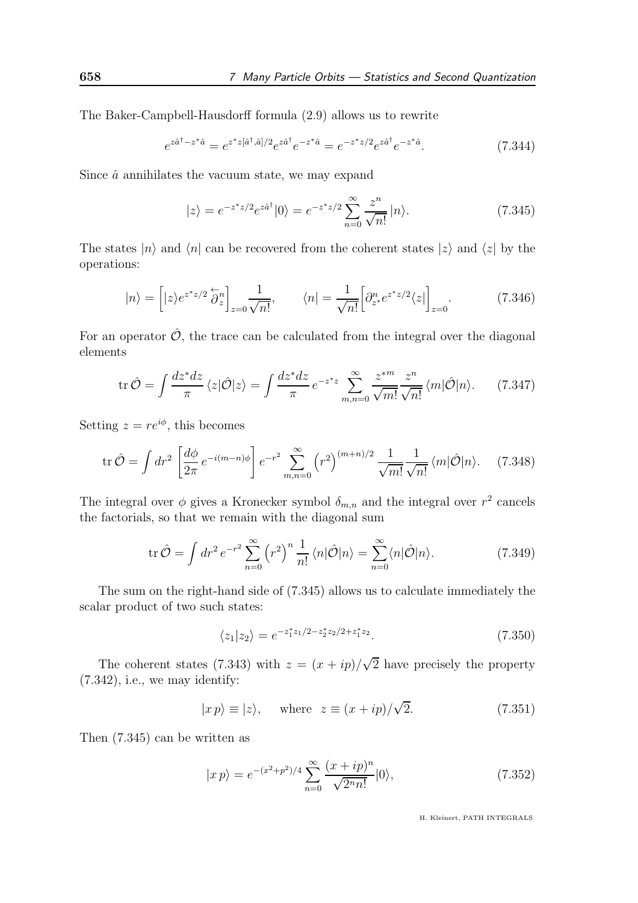The Baker-Campbell-Hausdorff formula (2.9) allows us to rewrite

$$
e^{z\hat{a}^{\dagger} - z^*\hat{a}} = e^{z^*z[\hat{a}^{\dagger}, \hat{a}]/2} e^{z\hat{a}^{\dagger}} e^{-z^*\hat{a}} = e^{-z^*z/2} e^{z\hat{a}^{\dagger}} e^{-z^*\hat{a}}.
$$
 (7.344)

Since  $\hat{a}$  annihilates the vacuum state, we may expand

$$
|z\rangle = e^{-z^*z/2}e^{z\hat{a}^\dagger}|0\rangle = e^{-z^*z/2}\sum_{n=0}^{\infty}\frac{z^n}{\sqrt{n!}}|n\rangle.
$$
 (7.345)

The states  $|n\rangle$  and  $\langle n|$  can be recovered from the coherent states  $|z\rangle$  and  $\langle z|$  by the operations:

$$
|n\rangle = \left[|z\rangle e^{z^*z/2} \overleftarrow{\partial}_z^n\right]_{z=0} \frac{1}{\sqrt{n!}}, \qquad \langle n| = \frac{1}{\sqrt{n!}} \left[\partial_{z^*}^n e^{z^*z/2} \langle z| \right]_{z=0}.
$$
 (7.346)

For an operator  $\hat{\mathcal{O}}$ , the trace can be calculated from the integral over the diagonal elements

$$
\operatorname{tr}\hat{\mathcal{O}} = \int \frac{dz^* dz}{\pi} \langle z|\hat{\mathcal{O}}|z\rangle = \int \frac{dz^* dz}{\pi} e^{-z^*z} \sum_{m,n=0}^{\infty} \frac{z^{*m}}{\sqrt{m!}} \frac{z^n}{\sqrt{n!}} \langle m|\hat{\mathcal{O}}|n\rangle. \tag{7.347}
$$

Setting  $z = re^{i\phi}$ , this becomes

$$
\operatorname{tr}\hat{\mathcal{O}} = \int dr^2 \left[ \frac{d\phi}{2\pi} e^{-i(m-n)\phi} \right] e^{-r^2} \sum_{m,n=0}^{\infty} \left( r^2 \right)^{(m+n)/2} \frac{1}{\sqrt{m!}} \frac{1}{\sqrt{n!}} \langle m|\hat{\mathcal{O}}|n \rangle. \tag{7.348}
$$

The integral over  $\phi$  gives a Kronecker symbol  $\delta_{m,n}$  and the integral over  $r^2$  cancels the factorials, so that we remain with the diagonal sum

$$
\operatorname{tr}\hat{\mathcal{O}} = \int dr^2 \, e^{-r^2} \sum_{n=0}^{\infty} \left( r^2 \right)^n \frac{1}{n!} \left\langle n|\hat{\mathcal{O}}|n \right\rangle = \sum_{n=0}^{\infty} \langle n|\hat{\mathcal{O}}|n \rangle. \tag{7.349}
$$

The sum on the right-hand side of (7.345) allows us to calculate immediately the scalar product of two such states:

$$
\langle z_1 | z_2 \rangle = e^{-z_1^* z_1/2 - z_2^* z_2/2 + z_1^* z_2}.\tag{7.350}
$$

The coherent states (7.343) with  $z = (x + ip)/\sqrt{2}$  have precisely the property  $(7.342)$ , i.e., we may identify:

$$
|xp\rangle \equiv |z\rangle
$$
, where  $z \equiv (x+ip)/\sqrt{2}$ . (7.351)

Then (7.345) can be written as

$$
|xp\rangle = e^{-(x^2+p^2)/4} \sum_{n=0}^{\infty} \frac{(x+ip)^n}{\sqrt{2^n n!}} |0\rangle,
$$
 (7.352)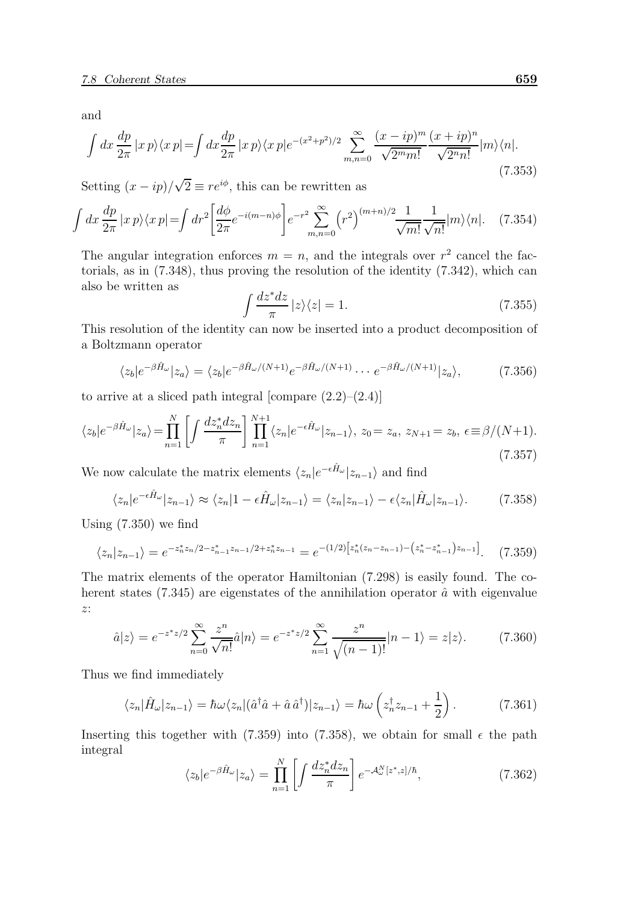and

$$
\int dx \frac{dp}{2\pi} |x p\rangle \langle x p| = \int dx \frac{dp}{2\pi} |x p\rangle \langle x p| e^{-(x^2 + p^2)/2} \sum_{m,n=0}^{\infty} \frac{(x - ip)^m}{\sqrt{2^m m!}} \frac{(x + ip)^n}{\sqrt{2^n n!}} |m\rangle \langle n|.
$$
\n(7.353)

Setting  $(x - ip)/\sqrt{2} \equiv re^{i\phi}$ , this can be rewritten as

$$
\int dx \frac{dp}{2\pi} |x p\rangle \langle x p| = \int dr^2 \left[ \frac{d\phi}{2\pi} e^{-i(m-n)\phi} \right] e^{-r^2} \sum_{m,n=0}^{\infty} \left( r^2 \right)^{(m+n)/2} \frac{1}{\sqrt{m!}} \frac{1}{\sqrt{n!}} |m\rangle \langle n|.
$$
 (7.354)

The angular integration enforces  $m = n$ , and the integrals over  $r^2$  cancel the factorials, as in (7.348), thus proving the resolution of the identity (7.342), which can also be written as

$$
\int \frac{dz^*dz}{\pi} \, |z\rangle\langle z| = 1. \tag{7.355}
$$

This resolution of the identity can now be inserted into a product decomposition of a Boltzmann operator

$$
\langle z_b | e^{-\beta \hat{H}_{\omega}} | z_a \rangle = \langle z_b | e^{-\beta \hat{H}_{\omega}/(N+1)} e^{-\beta \hat{H}_{\omega}/(N+1)} \cdots e^{-\beta \hat{H}_{\omega}/(N+1)} | z_a \rangle, \tag{7.356}
$$

to arrive at a sliced path integral [compare  $(2.2)$ – $(2.4)$ ]

$$
\langle z_b | e^{-\beta \hat{H}_{\omega}} | z_a \rangle = \prod_{n=1}^N \left[ \int \frac{dz_n^* dz_n}{\pi} \right] \prod_{n=1}^{N+1} \langle z_n | e^{-\epsilon \hat{H}_{\omega}} | z_{n-1} \rangle, \ z_0 = z_a, \ z_{N+1} = z_b, \ \epsilon \equiv \beta/(N+1). \tag{7.357}
$$

We now calculate the matrix elements  $\langle z_n|e^{-\epsilon \hat{H}_\omega}|z_{n-1}\rangle$  and find

$$
\langle z_n|e^{-\epsilon \hat{H}_{\omega}}|z_{n-1}\rangle \approx \langle z_n|1-\epsilon \hat{H}_{\omega}|z_{n-1}\rangle = \langle z_n|z_{n-1}\rangle - \epsilon \langle z_n|\hat{H}_{\omega}|z_{n-1}\rangle. \tag{7.358}
$$

Using (7.350) we find

$$
\langle z_n | z_{n-1} \rangle = e^{-z_n^* z_n/2 - z_{n-1}^* z_{n-1}/2 + z_n^* z_{n-1}} = e^{-(1/2) \left[ z_n^* (z_n - z_{n-1}) - \left( z_n^* - z_{n-1}^* \right) z_{n-1} \right]}.
$$
 (7.359)

The matrix elements of the operator Hamiltonian (7.298) is easily found. The coherent states (7.345) are eigenstates of the annihilation operator  $\hat{a}$  with eigenvalue z:

$$
\hat{a}|z\rangle = e^{-z^*z/2} \sum_{n=0}^{\infty} \frac{z^n}{\sqrt{n!}} \hat{a}|n\rangle = e^{-z^*z/2} \sum_{n=1}^{\infty} \frac{z^n}{\sqrt{(n-1)!}} |n-1\rangle = z|z\rangle.
$$
 (7.360)

Thus we find immediately

$$
\langle z_n|\hat{H}_\omega|z_{n-1}\rangle = \hbar\omega\langle z_n|(\hat{a}^\dagger\hat{a} + \hat{a}\,\hat{a}^\dagger)|z_{n-1}\rangle = \hbar\omega\left(z_n^\dagger z_{n-1} + \frac{1}{2}\right). \tag{7.361}
$$

Inserting this together with (7.359) into (7.358), we obtain for small  $\epsilon$  the path integral

$$
\langle z_b | e^{-\beta \hat{H}_{\omega}} | z_a \rangle = \prod_{n=1}^{N} \left[ \int \frac{dz_n^* dz_n}{\pi} \right] e^{-\mathcal{A}_{\omega}^N [z^*, z]/\hbar}, \tag{7.362}
$$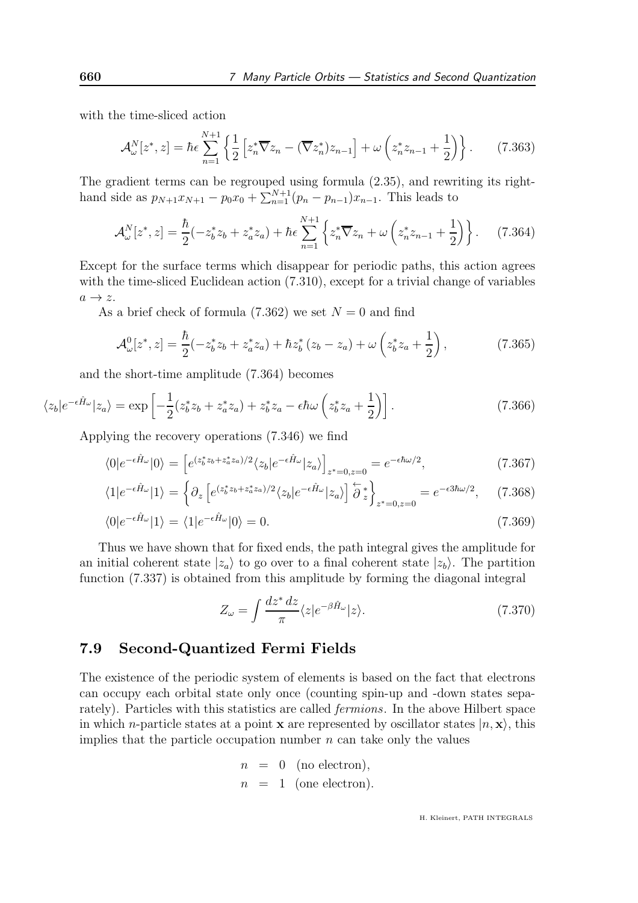with the time-sliced action

$$
\mathcal{A}_{\omega}^{N}[z^*, z] = \hbar \epsilon \sum_{n=1}^{N+1} \left\{ \frac{1}{2} \left[ z_n^* \overline{\nabla} z_n - (\overline{\nabla} z_n^*) z_{n-1} \right] + \omega \left( z_n^* z_{n-1} + \frac{1}{2} \right) \right\}.
$$
 (7.363)

The gradient terms can be regrouped using formula (2.35), and rewriting its righthand side as  $p_{N+1}x_{N+1} - p_0x_0 + \sum_{n=1}^{N+1} (p_n - p_{n-1})x_{n-1}$ . This leads to

$$
\mathcal{A}_{\omega}^{N}[z^*, z] = \frac{\hbar}{2}(-z_b^* z_b + z_a^* z_a) + \hbar \epsilon \sum_{n=1}^{N+1} \left\{ z_n^* \overline{\nabla} z_n + \omega \left( z_n^* z_{n-1} + \frac{1}{2} \right) \right\}.
$$
 (7.364)

Except for the surface terms which disappear for periodic paths, this action agrees with the time-sliced Euclidean action  $(7.310)$ , except for a trivial change of variables  $a \rightarrow z$ .

As a brief check of formula (7.362) we set  $N = 0$  and find

$$
\mathcal{A}_{\omega}^{0}[z^*, z] = \frac{\hbar}{2}(-z_b^* z_b + z_a^* z_a) + \hbar z_b^* (z_b - z_a) + \omega \left(z_b^* z_a + \frac{1}{2}\right),\tag{7.365}
$$

and the short-time amplitude (7.364) becomes

$$
\langle z_b | e^{-\epsilon \hat{H}_{\omega}} | z_a \rangle = \exp \left[ -\frac{1}{2} (z_b^* z_b + z_a^* z_a) + z_b^* z_a - \epsilon \hbar \omega \left( z_b^* z_a + \frac{1}{2} \right) \right]. \tag{7.366}
$$

Applying the recovery operations (7.346) we find

$$
\langle 0|e^{-\epsilon \hat{H}_{\omega}}|0\rangle = \left[e^{(z_b^* z_b + z_a^* z_a)/2} \langle z_b|e^{-\epsilon \hat{H}_{\omega}}|z_a\rangle\right]_{z^* = 0, z = 0} = e^{-\epsilon \hbar \omega/2},\tag{7.367}
$$

$$
\langle 1|e^{-\epsilon \hat{H}_{\omega}}|1\rangle = \left\{\partial_z \left[e^{(z_b^* z_b + z_a^* z_a)/2} \langle z_b| e^{-\epsilon \hat{H}_{\omega}} |z_a\rangle\right] \overleftarrow{\partial}_z \right\}_{z^* = 0, z = 0} = e^{-\epsilon 3\hbar\omega/2},\tag{7.368}
$$

$$
\langle 0|e^{-\epsilon \hat{H}_{\omega}}|1\rangle = \langle 1|e^{-\epsilon \hat{H}_{\omega}}|0\rangle = 0.
$$
\n(7.369)

Thus we have shown that for fixed ends, the path integral gives the amplitude for an initial coherent state  $|z_a\rangle$  to go over to a final coherent state  $|z_b\rangle$ . The partition function (7.337) is obtained from this amplitude by forming the diagonal integral

$$
Z_{\omega} = \int \frac{dz^* \, dz}{\pi} \langle z|e^{-\beta \hat{H}_{\omega}}|z\rangle. \tag{7.370}
$$

#### 7.9 Second-Quantized Fermi Fields

The existence of the periodic system of elements is based on the fact that electrons can occupy each orbital state only once (counting spin-up and -down states separately). Particles with this statistics are called fermions. In the above Hilbert space in which *n*-particle states at a point **x** are represented by oscillator states  $|n, \mathbf{x}\rangle$ , this implies that the particle occupation number  $n$  can take only the values

$$
n = 0
$$
 (no electron),  

$$
n = 1
$$
 (one electron).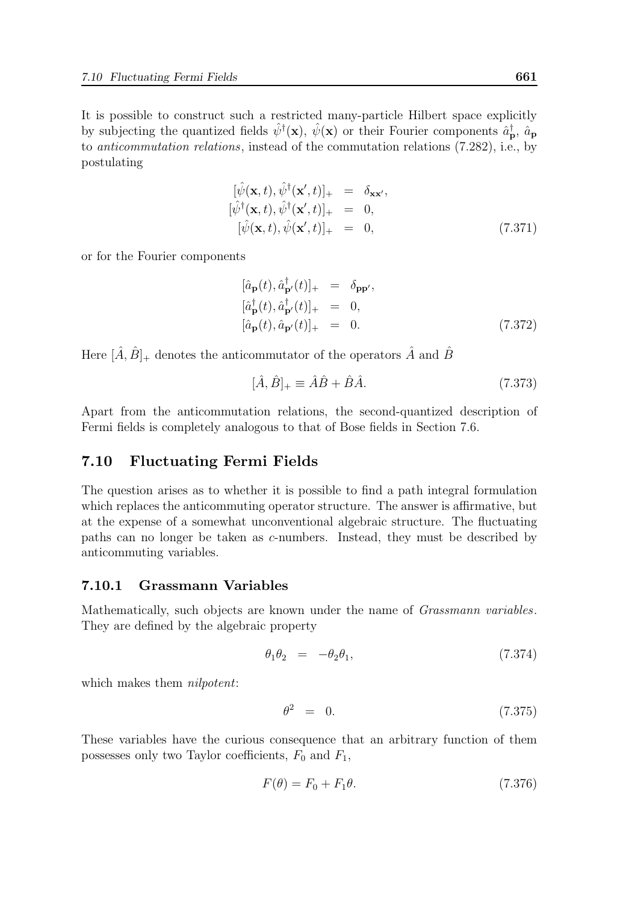It is possible to construct such a restricted many-particle Hilbert space explicitly by subjecting the quantized fields  $\hat{\psi}^{\dagger}(\mathbf{x})$ ,  $\hat{\psi}(\mathbf{x})$  or their Fourier components  $\hat{a}^{\dagger}_{\mathbf{p}}, \hat{a}_{\mathbf{p}}$ to anticommutation relations, instead of the commutation relations (7.282), i.e., by postulating

$$
[\hat{\psi}(\mathbf{x},t), \hat{\psi}^{\dagger}(\mathbf{x}',t)]_{+} = \delta_{\mathbf{x}\mathbf{x}'}, [\hat{\psi}^{\dagger}(\mathbf{x},t), \hat{\psi}^{\dagger}(\mathbf{x}',t)]_{+} = 0, [\hat{\psi}(\mathbf{x},t), \hat{\psi}(\mathbf{x}',t)]_{+} = 0,
$$
 (7.371)

or for the Fourier components

$$
[\hat{a}_{\mathbf{p}}(t), \hat{a}_{\mathbf{p'}}^{\dagger}(t)]_{+} = \delta_{\mathbf{p}\mathbf{p'}},
$$
  
\n
$$
[\hat{a}_{\mathbf{p}}^{\dagger}(t), \hat{a}_{\mathbf{p'}}^{\dagger}(t)]_{+} = 0,
$$
  
\n
$$
[\hat{a}_{\mathbf{p}}(t), \hat{a}_{\mathbf{p'}}(t)]_{+} = 0.
$$
\n(7.372)

Here  $[\hat{A}, \hat{B}]_+$  denotes the anticommutator of the operators  $\hat{A}$  and  $\hat{B}$ 

$$
[\hat{A}, \hat{B}]_{+} \equiv \hat{A}\hat{B} + \hat{B}\hat{A}.\tag{7.373}
$$

Apart from the anticommutation relations, the second-quantized description of Fermi fields is completely analogous to that of Bose fields in Section 7.6.

#### 7.10 Fluctuating Fermi Fields

The question arises as to whether it is possible to find a path integral formulation which replaces the anticommuting operator structure. The answer is affirmative, but at the expense of a somewhat unconventional algebraic structure. The fluctuating paths can no longer be taken as c-numbers. Instead, they must be described by anticommuting variables.

#### 7.10.1 Grassmann Variables

Mathematically, such objects are known under the name of Grassmann variables. They are defined by the algebraic property

$$
\theta_1 \theta_2 = -\theta_2 \theta_1, \tag{7.374}
$$

which makes them *nilpotent*:

$$
\theta^2 = 0. \tag{7.375}
$$

These variables have the curious consequence that an arbitrary function of them possesses only two Taylor coefficients,  $F_0$  and  $F_1$ ,

$$
F(\theta) = F_0 + F_1 \theta. \tag{7.376}
$$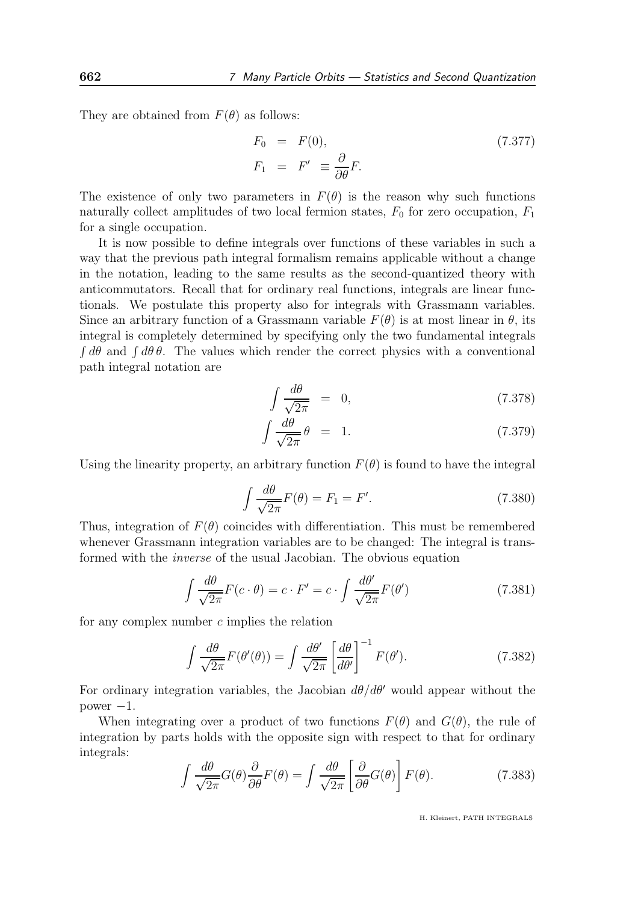They are obtained from  $F(\theta)$  as follows:

$$
F_0 = F(0),
$$
  
\n
$$
F_1 = F' \equiv \frac{\partial}{\partial \theta} F.
$$
\n(7.377)

The existence of only two parameters in  $F(\theta)$  is the reason why such functions naturally collect amplitudes of two local fermion states,  $F_0$  for zero occupation,  $F_1$ for a single occupation.

It is now possible to define integrals over functions of these variables in such a way that the previous path integral formalism remains applicable without a change in the notation, leading to the same results as the second-quantized theory with anticommutators. Recall that for ordinary real functions, integrals are linear functionals. We postulate this property also for integrals with Grassmann variables. Since an arbitrary function of a Grassmann variable  $F(\theta)$  is at most linear in  $\theta$ , its integral is completely determined by specifying only the two fundamental integrals  $\int d\theta$  and  $\int d\theta \theta$ . The values which render the correct physics with a conventional path integral notation are

$$
\int \frac{d\theta}{\sqrt{2\pi}} = 0, \tag{7.378}
$$

$$
\int \frac{d\theta}{\sqrt{2\pi}} \theta = 1. \tag{7.379}
$$

Using the linearity property, an arbitrary function  $F(\theta)$  is found to have the integral

$$
\int \frac{d\theta}{\sqrt{2\pi}} F(\theta) = F_1 = F'. \tag{7.380}
$$

Thus, integration of  $F(\theta)$  coincides with differentiation. This must be remembered whenever Grassmann integration variables are to be changed: The integral is transformed with the inverse of the usual Jacobian. The obvious equation

$$
\int \frac{d\theta}{\sqrt{2\pi}} F(c \cdot \theta) = c \cdot F' = c \cdot \int \frac{d\theta'}{\sqrt{2\pi}} F(\theta')
$$
\n(7.381)

for any complex number  $c$  implies the relation

$$
\int \frac{d\theta}{\sqrt{2\pi}} F(\theta'(\theta)) = \int \frac{d\theta'}{\sqrt{2\pi}} \left[ \frac{d\theta}{d\theta'} \right]^{-1} F(\theta'). \tag{7.382}
$$

For ordinary integration variables, the Jacobian  $d\theta/d\theta'$  would appear without the  $power -1$ .

When integrating over a product of two functions  $F(\theta)$  and  $G(\theta)$ , the rule of integration by parts holds with the opposite sign with respect to that for ordinary integrals:

$$
\int \frac{d\theta}{\sqrt{2\pi}} G(\theta) \frac{\partial}{\partial \theta} F(\theta) = \int \frac{d\theta}{\sqrt{2\pi}} \left[ \frac{\partial}{\partial \theta} G(\theta) \right] F(\theta). \tag{7.383}
$$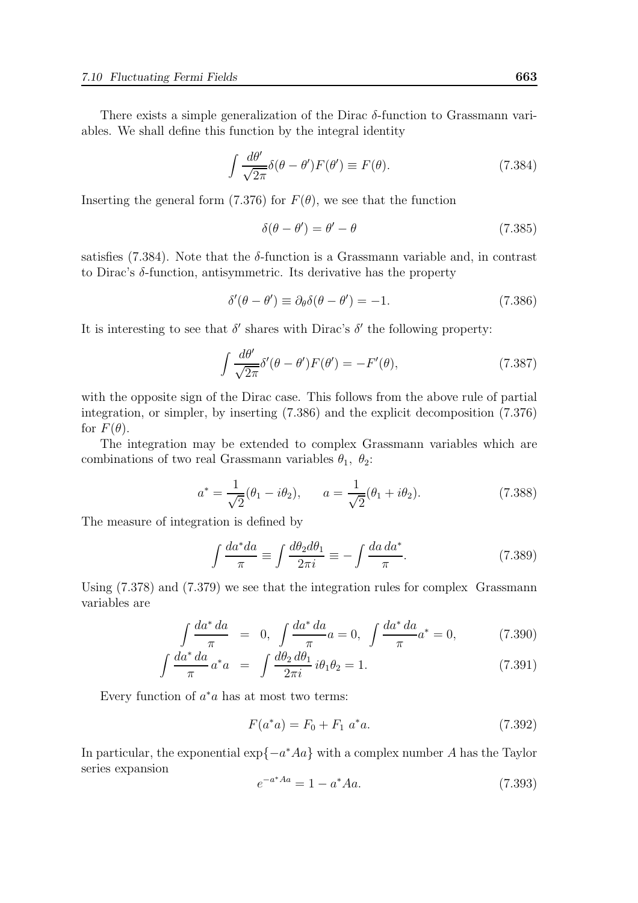There exists a simple generalization of the Dirac δ-function to Grassmann variables. We shall define this function by the integral identity

$$
\int \frac{d\theta'}{\sqrt{2\pi}} \delta(\theta - \theta') F(\theta') \equiv F(\theta). \tag{7.384}
$$

Inserting the general form (7.376) for  $F(\theta)$ , we see that the function

$$
\delta(\theta - \theta') = \theta' - \theta \tag{7.385}
$$

satisfies (7.384). Note that the  $\delta$ -function is a Grassmann variable and, in contrast to Dirac's  $\delta$ -function, antisymmetric. Its derivative has the property

$$
\delta'(\theta - \theta') \equiv \partial_{\theta}\delta(\theta - \theta') = -1.
$$
\n(7.386)

It is interesting to see that  $\delta'$  shares with Dirac's  $\delta'$  the following property:

$$
\int \frac{d\theta'}{\sqrt{2\pi}} \delta'(\theta - \theta') F(\theta') = -F'(\theta),\tag{7.387}
$$

with the opposite sign of the Dirac case. This follows from the above rule of partial integration, or simpler, by inserting (7.386) and the explicit decomposition (7.376) for  $F(\theta)$ .

The integration may be extended to complex Grassmann variables which are combinations of two real Grassmann variables  $\theta_1$ ,  $\theta_2$ :

$$
a^* = \frac{1}{\sqrt{2}}(\theta_1 - i\theta_2), \qquad a = \frac{1}{\sqrt{2}}(\theta_1 + i\theta_2).
$$
 (7.388)

The measure of integration is defined by

$$
\int \frac{da^*da}{\pi} \equiv \int \frac{d\theta_2 d\theta_1}{2\pi i} \equiv -\int \frac{da \, da^*}{\pi}.
$$
 (7.389)

Using (7.378) and (7.379) we see that the integration rules for complex Grassmann variables are

$$
\int \frac{da^* \, da}{\pi} = 0, \int \frac{da^* \, da}{\pi} = 0, \int \frac{da^* \, da}{\pi} = 0,\tag{7.390}
$$

$$
\int \frac{da^* \, da}{\pi} \, a^* \, a \quad = \quad \int \frac{d\theta_2 \, d\theta_1}{2\pi i} \, i\theta_1 \theta_2 = 1. \tag{7.391}
$$

Every function of  $a^*a$  has at most two terms:

$$
F(a^*a) = F_0 + F_1 a^*a. \tag{7.392}
$$

In particular, the exponential  $\exp{-a^*Aa}$  with a complex number A has the Taylor series expansion

$$
e^{-a^*Aa} = 1 - a^*Aa. \tag{7.393}
$$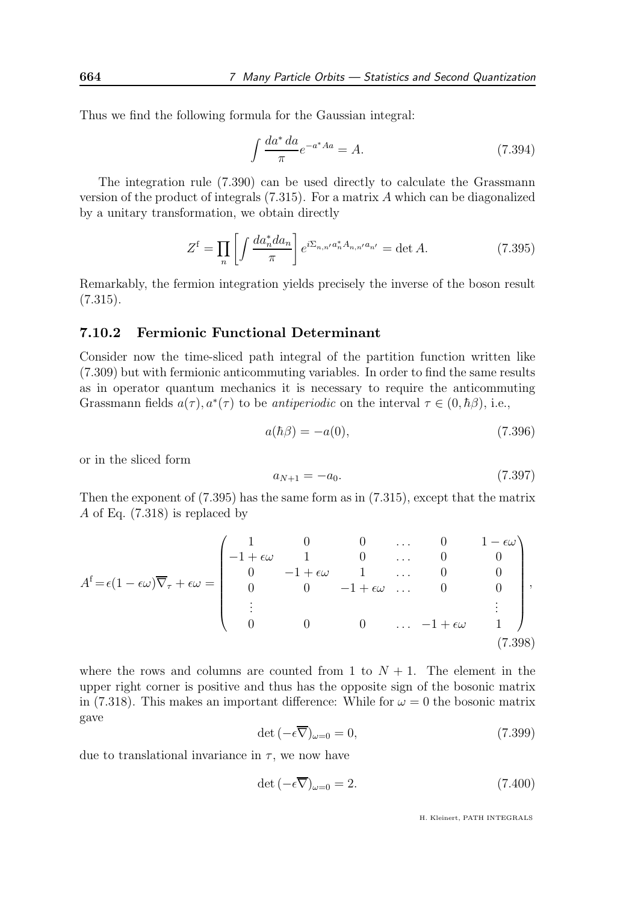Thus we find the following formula for the Gaussian integral:

$$
\int \frac{da^* \, da}{\pi} e^{-a^* A a} = A. \tag{7.394}
$$

The integration rule (7.390) can be used directly to calculate the Grassmann version of the product of integrals (7.315). For a matrix A which can be diagonalized by a unitary transformation, we obtain directly

$$
Z^{\mathsf{f}} = \prod_{n} \left[ \int \frac{da_n^* da_n}{\pi} \right] e^{i \Sigma_{n,n'} a_n^* A_{n,n'} a_{n'}} = \det A. \tag{7.395}
$$

Remarkably, the fermion integration yields precisely the inverse of the boson result (7.315).

#### 7.10.2 Fermionic Functional Determinant

Consider now the time-sliced path integral of the partition function written like (7.309) but with fermionic anticommuting variables. In order to find the same results as in operator quantum mechanics it is necessary to require the anticommuting Grassmann fields  $a(\tau)$ ,  $a^*(\tau)$  to be *antiperiodic* on the interval  $\tau \in (0, \hbar\beta)$ , i.e.,

$$
a(\hbar \beta) = -a(0),\tag{7.396}
$$

or in the sliced form

$$
a_{N+1} = -a_0. \t\t(7.397)
$$

Then the exponent of (7.395) has the same form as in (7.315), except that the matrix A of Eq. (7.318) is replaced by

$$
A^{\mathsf{f}} = \epsilon (1 - \epsilon \omega) \overline{\nabla}_{\tau} + \epsilon \omega = \begin{pmatrix} 1 & 0 & 0 & \dots & 0 & 1 - \epsilon \omega \\ -1 + \epsilon \omega & 1 & 0 & \dots & 0 & 0 \\ 0 & -1 + \epsilon \omega & 1 & \dots & 0 & 0 \\ 0 & 0 & -1 + \epsilon \omega & \dots & 0 & 0 \\ \vdots & \vdots & \vdots & \ddots & \vdots & \vdots \\ 0 & 0 & 0 & \dots & -1 + \epsilon \omega & 1 \end{pmatrix},
$$
(7.398)

where the rows and columns are counted from 1 to  $N + 1$ . The element in the upper right corner is positive and thus has the opposite sign of the bosonic matrix in (7.318). This makes an important difference: While for  $\omega = 0$  the bosonic matrix gave

$$
\det \left( -\epsilon \overline{\nabla} \right)_{\omega=0} = 0, \tag{7.399}
$$

due to translational invariance in  $\tau$ , we now have

$$
\det \left( -\epsilon \overline{\nabla} \right)_{\omega=0} = 2. \tag{7.400}
$$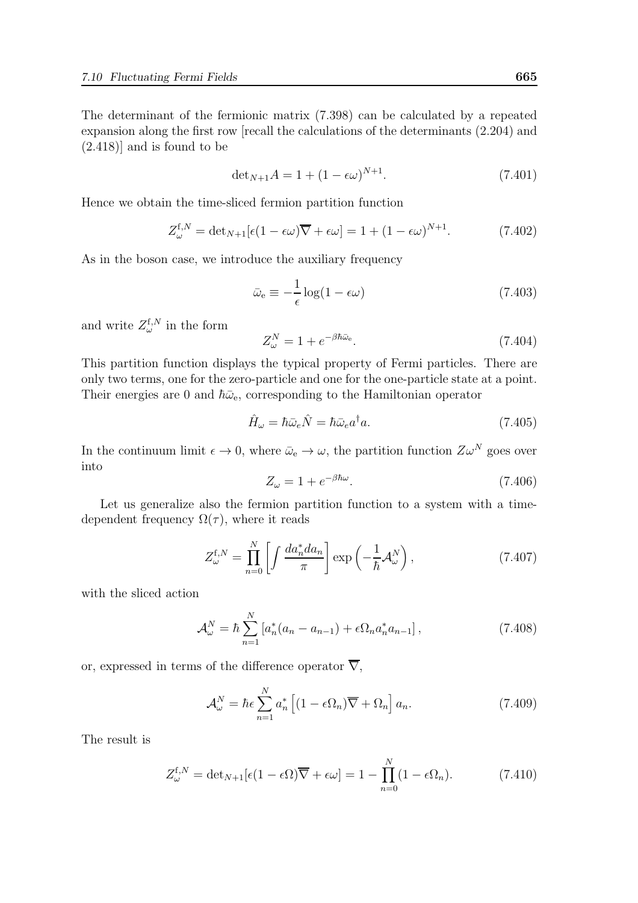The determinant of the fermionic matrix (7.398) can be calculated by a repeated expansion along the first row [recall the calculations of the determinants (2.204) and (2.418)] and is found to be

$$
\det_{N+1} A = 1 + (1 - \epsilon \omega)^{N+1}.
$$
 (7.401)

Hence we obtain the time-sliced fermion partition function

$$
Z_{\omega}^{\mathbf{f},N} = \det_{N+1}[\epsilon(1-\epsilon\omega)\overline{\nabla} + \epsilon\omega] = 1 + (1-\epsilon\omega)^{N+1}.
$$
 (7.402)

As in the boson case, we introduce the auxiliary frequency

$$
\bar{\omega}_{\rm e} \equiv -\frac{1}{\epsilon} \log(1 - \epsilon \omega) \tag{7.403}
$$

and write  $Z_{\omega}^{\mathrm{f},N}$  in the form

$$
Z_{\omega}^{N} = 1 + e^{-\beta \hbar \bar{\omega}_{e}}.\tag{7.404}
$$

This partition function displays the typical property of Fermi particles. There are only two terms, one for the zero-particle and one for the one-particle state at a point. Their energies are 0 and  $\hbar\bar{\omega}_{e}$ , corresponding to the Hamiltonian operator

$$
\hat{H}_{\omega} = \hbar \bar{\omega}_e \hat{N} = \hbar \bar{\omega}_e a^{\dagger} a. \tag{7.405}
$$

In the continuum limit  $\epsilon \to 0$ , where  $\bar{\omega}_e \to \omega$ , the partition function  $Z\omega^N$  goes over into

$$
Z_{\omega} = 1 + e^{-\beta \hbar \omega}.
$$
\n(7.406)

Let us generalize also the fermion partition function to a system with a timedependent frequency  $\Omega(\tau)$ , where it reads

$$
Z_{\omega}^{\mathbf{f},N} = \prod_{n=0}^{N} \left[ \int \frac{da_n^* da_n}{\pi} \right] \exp\left(-\frac{1}{\hbar} \mathcal{A}_{\omega}^N\right),\tag{7.407}
$$

with the sliced action

$$
\mathcal{A}_{\omega}^{N} = \hbar \sum_{n=1}^{N} \left[ a_{n}^{*} (a_{n} - a_{n-1}) + \epsilon \Omega_{n} a_{n}^{*} a_{n-1} \right], \qquad (7.408)
$$

or, expressed in terms of the difference operator  $\overline{\nabla}$ ,

$$
\mathcal{A}_{\omega}^{N} = \hbar \epsilon \sum_{n=1}^{N} a_{n}^{*} \left[ (1 - \epsilon \Omega_{n}) \overline{\nabla} + \Omega_{n} \right] a_{n}.
$$
 (7.409)

The result is

$$
Z_{\omega}^{\mathbf{f},N} = \det_{N+1}[\epsilon(1-\epsilon\Omega)\overline{\nabla} + \epsilon\omega] = 1 - \prod_{n=0}^{N} (1-\epsilon\Omega_n). \tag{7.410}
$$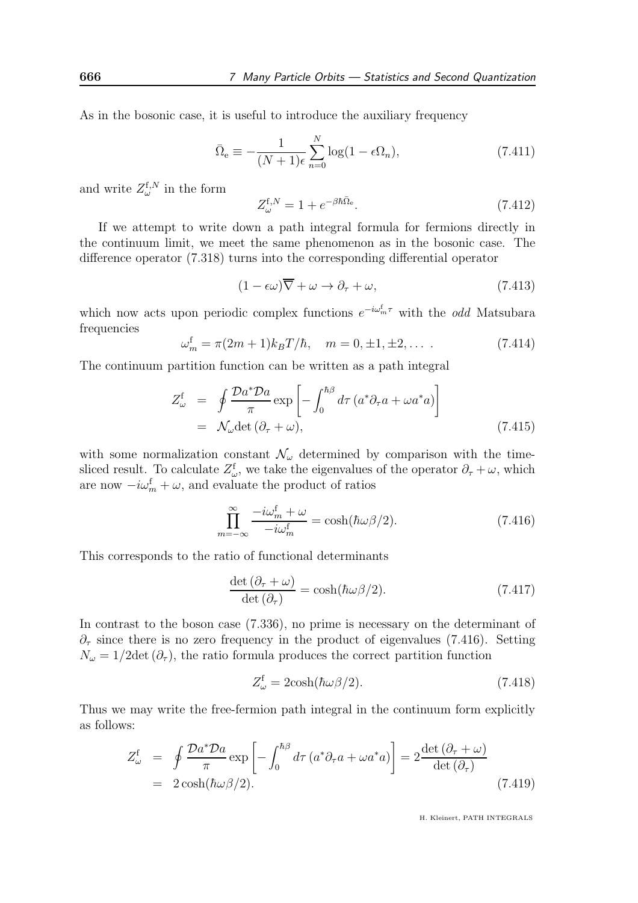As in the bosonic case, it is useful to introduce the auxiliary frequency

$$
\bar{\Omega}_{\mathbf{e}} \equiv -\frac{1}{(N+1)\epsilon} \sum_{n=0}^{N} \log(1 - \epsilon \Omega_n), \tag{7.411}
$$

and write  $Z_{\omega}^{\mathrm{f},N}$  in the form

$$
Z_{\omega}^{\mathbf{f},N} = 1 + e^{-\beta \hbar \bar{\Omega}_e}.\tag{7.412}
$$

If we attempt to write down a path integral formula for fermions directly in the continuum limit, we meet the same phenomenon as in the bosonic case. The difference operator (7.318) turns into the corresponding differential operator

$$
(1 - \epsilon \omega) \overline{\nabla} + \omega \to \partial_{\tau} + \omega, \tag{7.413}
$$

which now acts upon periodic complex functions  $e^{-i\omega_m^f\tau}$  with the *odd* Matsubara frequencies

$$
\omega_m^f = \pi (2m+1) k_B T/\hbar, \quad m = 0, \pm 1, \pm 2, \dots \tag{7.414}
$$

The continuum partition function can be written as a path integral

$$
Z_{\omega}^{\text{f}} = \oint \frac{\mathcal{D}a^{*} \mathcal{D}a}{\pi} \exp\left[-\int_{0}^{\hbar\beta} d\tau \left(a^{*} \partial_{\tau}a + \omega a^{*}a\right)\right]
$$
  
=  $\mathcal{N}_{\omega} \det\left(\partial_{\tau} + \omega\right),$  (7.415)

with some normalization constant  $\mathcal{N}_{\omega}$  determined by comparison with the timesliced result. To calculate  $Z_{\omega}^{\text{f}}$ , we take the eigenvalues of the operator  $\partial_{\tau} + \omega$ , which are now  $-i\omega_m^{\text{f}} + \omega$ , and evaluate the product of ratios

$$
\prod_{m=-\infty}^{\infty} \frac{-i\omega_m^{\text{f}} + \omega}{-i\omega_m^{\text{f}}} = \cosh(\hbar\omega\beta/2). \tag{7.416}
$$

This corresponds to the ratio of functional determinants

$$
\frac{\det\left(\partial_{\tau} + \omega\right)}{\det\left(\partial_{\tau}\right)} = \cosh(\hbar\omega\beta/2). \tag{7.417}
$$

In contrast to the boson case (7.336), no prime is necessary on the determinant of  $\partial_{\tau}$  since there is no zero frequency in the product of eigenvalues (7.416). Setting  $N_{\omega} = 1/2 \text{det} (\partial_{\tau}),$  the ratio formula produces the correct partition function

$$
Z_{\omega}^{\text{f}} = 2\cosh(\hbar\omega\beta/2). \tag{7.418}
$$

Thus we may write the free-fermion path integral in the continuum form explicitly as follows:

$$
Z_{\omega}^{\text{f}} = \oint \frac{\mathcal{D}a^{*} \mathcal{D}a}{\pi} \exp\left[-\int_{0}^{\hbar\beta} d\tau \left(a^{*} \partial_{\tau}a + \omega a^{*}a\right)\right] = 2 \frac{\det\left(\partial_{\tau} + \omega\right)}{\det\left(\partial_{\tau}\right)}
$$
  
= 2 \cosh(\hbar \omega \beta/2). (7.419)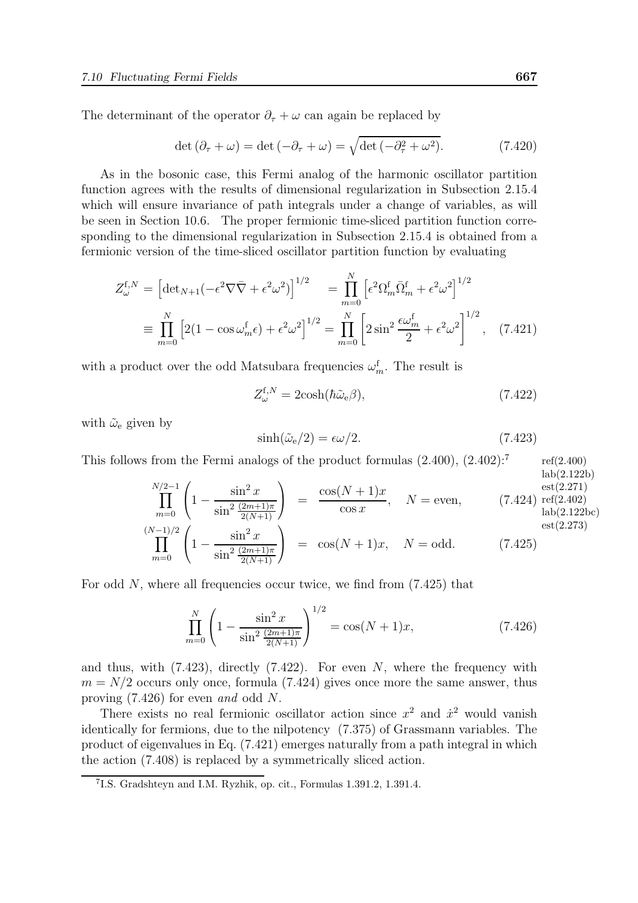The determinant of the operator  $\partial_{\tau} + \omega$  can again be replaced by

$$
\det(\partial_{\tau} + \omega) = \det(-\partial_{\tau} + \omega) = \sqrt{\det(-\partial_{\tau}^2 + \omega^2)}.
$$
 (7.420)

As in the bosonic case, this Fermi analog of the harmonic oscillator partition function agrees with the results of dimensional regularization in Subsection 2.15.4 which will ensure invariance of path integrals under a change of variables, as will be seen in Section 10.6. The proper fermionic time-sliced partition function corresponding to the dimensional regularization in Subsection 2.15.4 is obtained from a fermionic version of the time-sliced oscillator partition function by evaluating

$$
Z_{\omega}^{\mathbf{f},N} = \left[ \det_{N+1} \left( -\epsilon^2 \nabla \bar{\nabla} + \epsilon^2 \omega^2 \right) \right]^{1/2} = \prod_{m=0}^{N} \left[ \epsilon^2 \Omega_m^{\mathbf{f}} \bar{\Omega}_m^{\mathbf{f}} + \epsilon^2 \omega^2 \right]^{1/2}
$$

$$
\equiv \prod_{m=0}^{N} \left[ 2(1 - \cos \omega_m^{\mathbf{f}} \epsilon) + \epsilon^2 \omega^2 \right]^{1/2} = \prod_{m=0}^{N} \left[ 2 \sin^2 \frac{\epsilon \omega_m^{\mathbf{f}}}{2} + \epsilon^2 \omega^2 \right]^{1/2}, \quad (7.421)
$$

with a product over the odd Matsubara frequencies  $\omega_m^{\text{f}}$ . The result is

$$
Z_{\omega}^{\mathbf{f},N} = 2\cosh(\hbar\tilde{\omega}_{e}\beta),\tag{7.422}
$$

with  $\tilde{\omega}_e$  given by

$$
\sinh(\tilde{\omega}_e/2) = \epsilon \omega/2. \tag{7.423}
$$

This follows from the Fermi analogs of the product formulas  $(2.400)$ ,  $(2.402)$ :<sup>7</sup>

$$
\prod_{m=0}^{N/2-1} \left(1 - \frac{\sin^2 x}{\sin^2 \frac{(2m+1)\pi}{2(N+1)}}\right) = \frac{\cos(N+1)x}{\cos x}, \quad N = \text{even}, \quad (7.424) \text{ ref}(2.402)
$$
\n
$$
\lim_{m \to \infty} \left(1 + \frac{\sin^2 x}{2(N+1)}\right) = \frac{\cos(N+1)x}{\cos x}, \quad N = \text{even}, \quad (7.424) \text{ ref}(2.402)
$$
\n
$$
\lim_{m \to \infty} \left(2.122 \text{bc}\right) = \frac{\cos(N+1)x}{\cos x}
$$

$$
\prod_{m=0}^{(N-1)/2} \left(1 - \frac{\sin^2 x}{\sin^2 \frac{(2m+1)\pi}{2(N+1)}}\right) = \cos(N+1)x, \quad N = \text{odd.}
$$
 (7.425)

For odd  $N$ , where all frequencies occur twice, we find from  $(7.425)$  that

$$
\prod_{m=0}^{N} \left( 1 - \frac{\sin^2 x}{\sin^2 \frac{(2m+1)\pi}{2(N+1)}} \right)^{1/2} = \cos(N+1)x,\tag{7.426}
$$

and thus, with  $(7.423)$ , directly  $(7.422)$ . For even N, where the frequency with  $m = N/2$  occurs only once, formula (7.424) gives once more the same answer, thus proving (7.426) for even and odd N.

There exists no real fermionic oscillator action since  $x^2$  and  $\dot{x}^2$  would vanish identically for fermions, due to the nilpotency (7.375) of Grassmann variables. The product of eigenvalues in Eq. (7.421) emerges naturally from a path integral in which the action (7.408) is replaced by a symmetrically sliced action.

ref(2.400)

<sup>7</sup> I.S. Gradshteyn and I.M. Ryzhik, op. cit., Formulas 1.391.2, 1.391.4.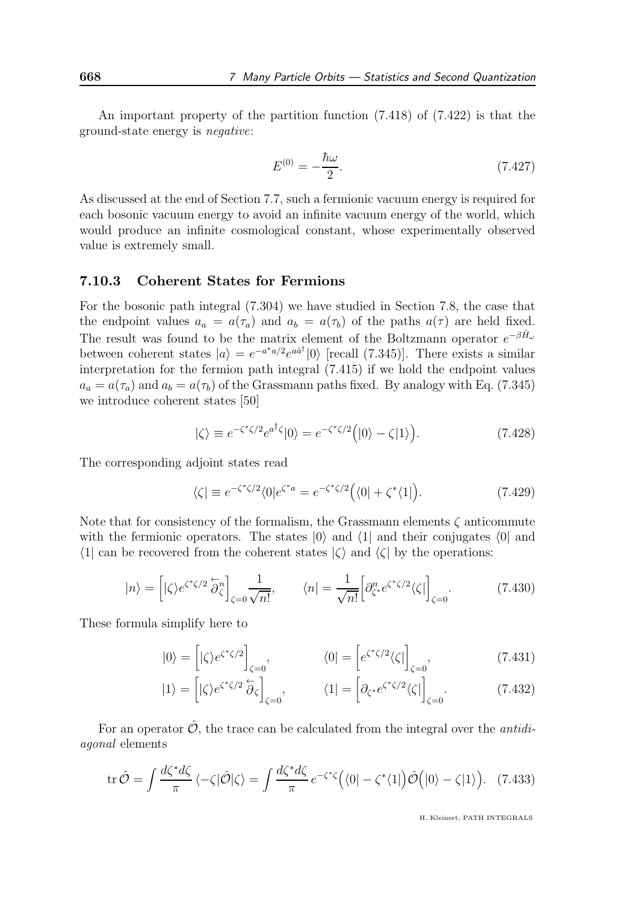An important property of the partition function (7.418) of (7.422) is that the ground-state energy is negative:

$$
E^{(0)} = -\frac{\hbar\omega}{2}.
$$
\n(7.427)

As discussed at the end of Section 7.7, such a fermionic vacuum energy is required for each bosonic vacuum energy to avoid an infinite vacuum energy of the world, which would produce an infinite cosmological constant, whose experimentally observed value is extremely small.

#### 7.10.3 Coherent States for Fermions

For the bosonic path integral (7.304) we have studied in Section 7.8, the case that the endpoint values  $a_a = a(\tau_a)$  and  $a_b = a(\tau_b)$  of the paths  $a(\tau)$  are held fixed. The result was found to be the matrix element of the Boltzmann operator  $e^{-\beta \hat{H}_{\omega}}$ between coherent states  $|a\rangle = e^{-a^*a/2}e^{a\hat{a}^{\dagger}}|0\rangle$  [recall (7.345)]. There exists a similar interpretation for the fermion path integral (7.415) if we hold the endpoint values  $a_a = a(\tau_a)$  and  $a_b = a(\tau_b)$  of the Grassmann paths fixed. By analogy with Eq. (7.345) we introduce coherent states [50]

$$
|\zeta\rangle \equiv e^{-\zeta^*\zeta/2}e^{a^{\dagger}\zeta}|0\rangle = e^{-\zeta^*\zeta/2}\Big(|0\rangle - \zeta|1\rangle\Big). \tag{7.428}
$$

The corresponding adjoint states read

$$
\langle \zeta | \equiv e^{-\zeta^* \zeta/2} \langle 0 | e^{\zeta^* a} = e^{-\zeta^* \zeta/2} \Big( \langle 0 | + \zeta^* \langle 1 | \Big). \tag{7.429}
$$

Note that for consistency of the formalism, the Grassmann elements  $\zeta$  anticommute with the fermionic operators. The states  $|0\rangle$  and  $\langle 1|$  and their conjugates  $\langle 0|$  and  $\langle 1|$  can be recovered from the coherent states  $|\zeta\rangle$  and  $\langle \zeta|$  by the operations:

$$
|n\rangle = \left[|\zeta\rangle e^{\zeta^*\zeta/2} \overleftarrow{\partial}_\zeta^n\right]_{\zeta=0} \frac{1}{\sqrt{n!}}, \qquad \langle n| = \frac{1}{\sqrt{n!}} \left[\partial_{\zeta^*}^n e^{\zeta^*\zeta/2} \langle \zeta|\right]_{\zeta=0}.\n\tag{7.430}
$$

These formula simplify here to

$$
|0\rangle = \left[|\zeta\rangle e^{\zeta^*\zeta/2}\right]_{\zeta=0}, \qquad \langle 0| = \left[e^{\zeta^*\zeta/2}\langle\zeta|\right]_{\zeta=0}, \qquad (7.431)
$$

$$
|1\rangle = \left[|\zeta\rangle e^{\zeta^*\zeta/2} \overleftarrow{\partial}_{\zeta}\right]_{\zeta=0}, \qquad \langle1| = \left[\partial_{\zeta^*} e^{\zeta^*\zeta/2} \langle\zeta|\right]_{\zeta=0}.
$$
 (7.432)

For an operator  $\hat{\mathcal{O}}$ , the trace can be calculated from the integral over the *antidi*agonal elements

$$
\operatorname{tr}\hat{\mathcal{O}} = \int \frac{d\zeta^* d\zeta}{\pi} \left\langle -\zeta |\hat{\mathcal{O}}| \zeta \right\rangle = \int \frac{d\zeta^* d\zeta}{\pi} e^{-\zeta^* \zeta} \left( \langle 0 | -\zeta^* \langle 1 | \right) \hat{\mathcal{O}} \left( |0 \rangle - \zeta | 1 \rangle \right). \tag{7.433}
$$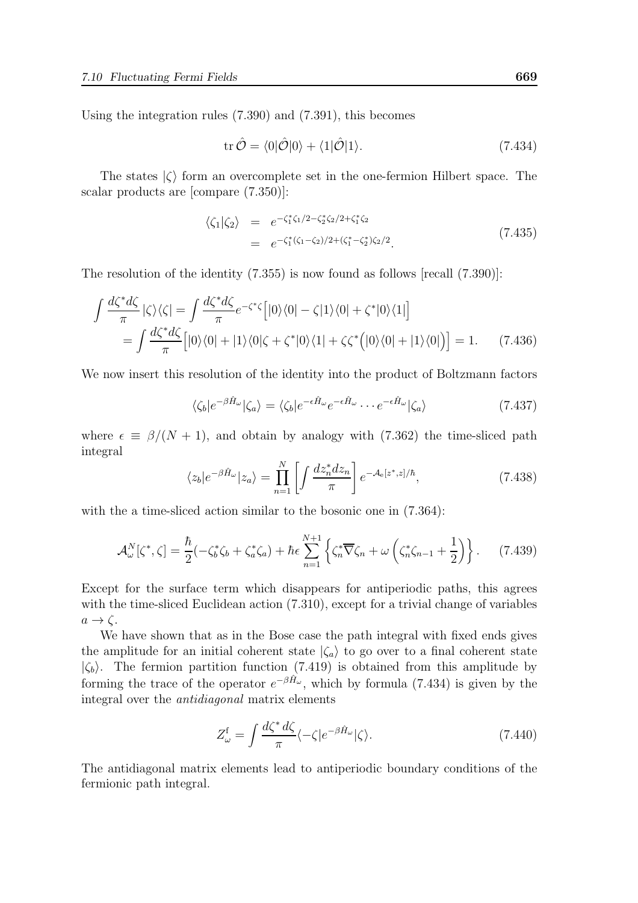Using the integration rules (7.390) and (7.391), this becomes

$$
\operatorname{tr}\hat{\mathcal{O}} = \langle 0|\hat{\mathcal{O}}|0\rangle + \langle 1|\hat{\mathcal{O}}|1\rangle. \tag{7.434}
$$

The states  $|\zeta\rangle$  form an overcomplete set in the one-fermion Hilbert space. The scalar products are [compare (7.350)]:

$$
\langle \zeta_1 | \zeta_2 \rangle = e^{-\zeta_1^* \zeta_1 / 2 - \zeta_2^* \zeta_2 / 2 + \zeta_1^* \zeta_2} \n= e^{-\zeta_1^* (\zeta_1 - \zeta_2) / 2 + (\zeta_1^* - \zeta_2^*) \zeta_2 / 2}.
$$
\n(7.435)

The resolution of the identity (7.355) is now found as follows [recall (7.390)]:

$$
\int \frac{d\zeta^* d\zeta}{\pi} |\zeta\rangle\langle\zeta| = \int \frac{d\zeta^* d\zeta}{\pi} e^{-\zeta^*\zeta} [|0\rangle\langle0| - \zeta|1\rangle\langle0| + \zeta^*|0\rangle\langle1|]
$$
  
= 
$$
\int \frac{d\zeta^* d\zeta}{\pi} [|0\rangle\langle0| + |1\rangle\langle0|\zeta + \zeta^*|0\rangle\langle1| + \zeta\zeta^* \big(|0\rangle\langle0| + |1\rangle\langle0|\big)] = 1.
$$
 (7.436)

We now insert this resolution of the identity into the product of Boltzmann factors

$$
\langle \zeta_b | e^{-\beta \hat{H}_{\omega}} | \zeta_a \rangle = \langle \zeta_b | e^{-\epsilon \hat{H}_{\omega}} e^{-\epsilon \hat{H}_{\omega}} \cdots e^{-\epsilon \hat{H}_{\omega}} | \zeta_a \rangle \tag{7.437}
$$

where  $\epsilon \equiv \beta/(N+1)$ , and obtain by analogy with (7.362) the time-sliced path integral

$$
\langle z_b | e^{-\beta \hat{H}_{\omega}} | z_a \rangle = \prod_{n=1}^{N} \left[ \int \frac{dz_n^* dz_n}{\pi} \right] e^{-\mathcal{A}_e[z^*, z]/\hbar}, \tag{7.438}
$$

with the a time-sliced action similar to the bosonic one in  $(7.364)$ :

$$
\mathcal{A}_{\omega}^{N}[\zeta^*, \zeta] = \frac{\hbar}{2}(-\zeta_b^*\zeta_b + \zeta_a^*\zeta_a) + \hbar\epsilon \sum_{n=1}^{N+1} \left\{ \zeta_n^*\overline{\nabla}\zeta_n + \omega \left( \zeta_n^*\zeta_{n-1} + \frac{1}{2} \right) \right\}.
$$
 (7.439)

Except for the surface term which disappears for antiperiodic paths, this agrees with the time-sliced Euclidean action  $(7.310)$ , except for a trivial change of variables  $a \rightarrow \zeta$ .

We have shown that as in the Bose case the path integral with fixed ends gives the amplitude for an initial coherent state  $|\zeta_a\rangle$  to go over to a final coherent state  $|\zeta_b\rangle$ . The fermion partition function (7.419) is obtained from this amplitude by forming the trace of the operator  $e^{-\beta \hat{H}_{\omega}}$ , which by formula (7.434) is given by the integral over the antidiagonal matrix elements

$$
Z_{\omega}^{\mathbf{f}} = \int \frac{d\zeta^* \, d\zeta}{\pi} \langle -\zeta | e^{-\beta \hat{H}_{\omega}} | \zeta \rangle. \tag{7.440}
$$

The antidiagonal matrix elements lead to antiperiodic boundary conditions of the fermionic path integral.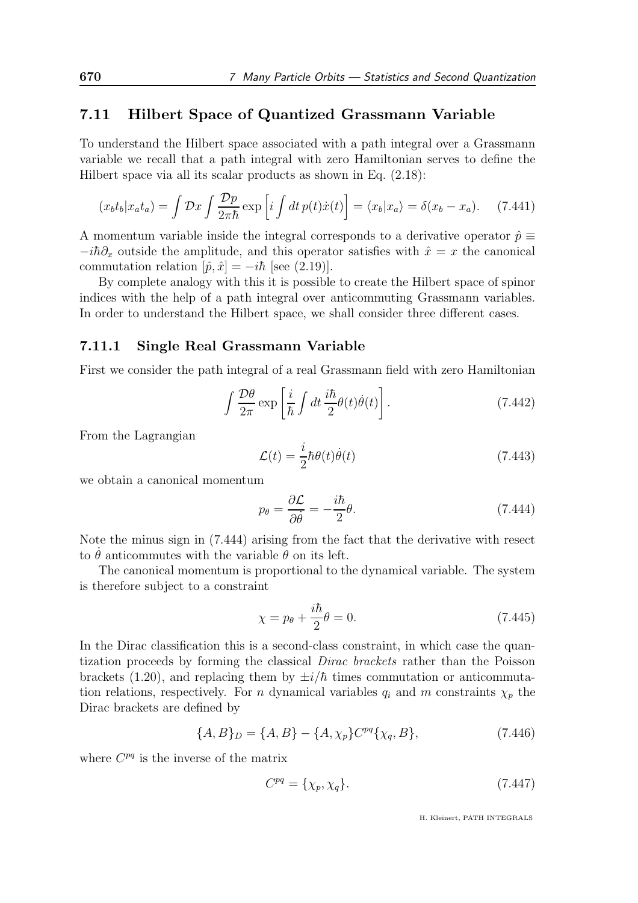### 7.11 Hilbert Space of Quantized Grassmann Variable

To understand the Hilbert space associated with a path integral over a Grassmann variable we recall that a path integral with zero Hamiltonian serves to define the Hilbert space via all its scalar products as shown in Eq. (2.18):

$$
(x_b t_b | x_a t_a) = \int \mathcal{D}x \int \frac{\mathcal{D}p}{2\pi\hbar} \exp\left[i \int dt \, p(t) \dot{x}(t)\right] = \langle x_b | x_a \rangle = \delta(x_b - x_a). \tag{7.441}
$$

A momentum variable inside the integral corresponds to a derivative operator  $\hat{p} \equiv$  $-i\hbar\partial_x$  outside the amplitude, and this operator satisfies with  $\hat{x} = x$  the canonical commutation relation  $[\hat{p}, \hat{x}] = -i\hbar$  [see (2.19)].

By complete analogy with this it is possible to create the Hilbert space of spinor indices with the help of a path integral over anticommuting Grassmann variables. In order to understand the Hilbert space, we shall consider three different cases.

#### 7.11.1 Single Real Grassmann Variable

First we consider the path integral of a real Grassmann field with zero Hamiltonian

$$
\int \frac{\mathcal{D}\theta}{2\pi} \exp\left[\frac{i}{\hbar} \int dt \, \frac{i\hbar}{2} \theta(t)\dot{\theta}(t)\right].
$$
\n(7.442)

From the Lagrangian

$$
\mathcal{L}(t) = \frac{i}{2}\hbar\theta(t)\dot{\theta}(t)
$$
\n(7.443)

we obtain a canonical momentum

$$
p_{\theta} = \frac{\partial \mathcal{L}}{\partial \dot{\theta}} = -\frac{i\hbar}{2}\theta. \tag{7.444}
$$

Note the minus sign in (7.444) arising from the fact that the derivative with resect to  $\theta$  anticommutes with the variable  $\theta$  on its left.

The canonical momentum is proportional to the dynamical variable. The system is therefore subject to a constraint

$$
\chi = p_{\theta} + \frac{i\hbar}{2}\theta = 0. \tag{7.445}
$$

In the Dirac classification this is a second-class constraint, in which case the quantization proceeds by forming the classical Dirac brackets rather than the Poisson brackets (1.20), and replacing them by  $\pm i/\hbar$  times commutation or anticommutation relations, respectively. For n dynamical variables  $q_i$  and m constraints  $\chi_p$  the Dirac brackets are defined by

$$
\{A, B\}_D = \{A, B\} - \{A, \chi_p\} C^{pq} \{\chi_q, B\},\tag{7.446}
$$

where  $C^{pq}$  is the inverse of the matrix

$$
C^{pq} = \{\chi_p, \chi_q\}.\tag{7.447}
$$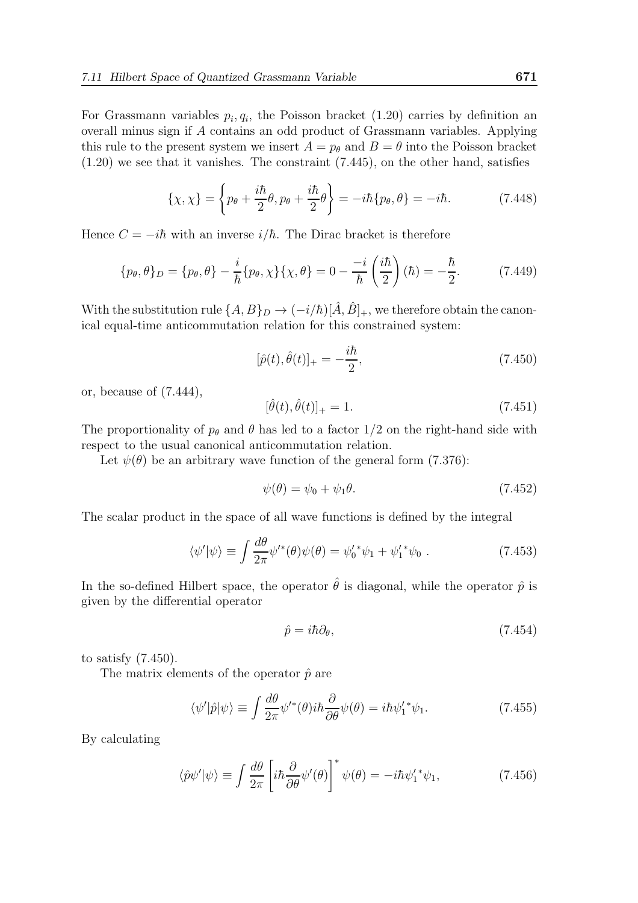For Grassmann variables  $p_i, q_i$ , the Poisson bracket  $(1.20)$  carries by definition an overall minus sign if A contains an odd product of Grassmann variables. Applying this rule to the present system we insert  $A = p_{\theta}$  and  $B = \theta$  into the Poisson bracket (1.20) we see that it vanishes. The constraint (7.445), on the other hand, satisfies

$$
\{\chi,\chi\} = \left\{p_{\theta} + \frac{i\hbar}{2}\theta, p_{\theta} + \frac{i\hbar}{2}\theta\right\} = -i\hbar\{p_{\theta}, \theta\} = -i\hbar. \tag{7.448}
$$

Hence  $C = -i\hbar$  with an inverse  $i/\hbar$ . The Dirac bracket is therefore

$$
\{p_{\theta}, \theta\}_D = \{p_{\theta}, \theta\} - \frac{i}{\hbar} \{p_{\theta}, \chi\} \{\chi, \theta\} = 0 - \frac{-i}{\hbar} \left(\frac{i\hbar}{2}\right) (\hbar) = -\frac{\hbar}{2}.
$$
 (7.449)

With the substitution rule  $\{A, B\}_D \rightarrow (-i/\hbar)[\hat{A}, \hat{B}]_+,$  we therefore obtain the canonical equal-time anticommutation relation for this constrained system:

$$
[\hat{p}(t), \hat{\theta}(t)]_{+} = -\frac{i\hbar}{2},\tag{7.450}
$$

or, because of (7.444),

$$
[\hat{\theta}(t), \hat{\theta}(t)]_{+} = 1. \tag{7.451}
$$

The proportionality of  $p_{\theta}$  and  $\theta$  has led to a factor 1/2 on the right-hand side with respect to the usual canonical anticommutation relation.

Let  $\psi(\theta)$  be an arbitrary wave function of the general form (7.376):

$$
\psi(\theta) = \psi_0 + \psi_1 \theta. \tag{7.452}
$$

The scalar product in the space of all wave functions is defined by the integral

$$
\langle \psi' | \psi \rangle \equiv \int \frac{d\theta}{2\pi} \psi'^*(\theta) \psi(\theta) = \psi'_0{}^* \psi_1 + \psi'_1{}^* \psi_0 \ . \tag{7.453}
$$

In the so-defined Hilbert space, the operator  $\hat{\theta}$  is diagonal, while the operator  $\hat{p}$  is given by the differential operator

$$
\hat{p} = i\hbar \partial_{\theta},\tag{7.454}
$$

to satisfy (7.450).

The matrix elements of the operator  $\hat{p}$  are

$$
\langle \psi' | \hat{p} | \psi \rangle \equiv \int \frac{d\theta}{2\pi} \psi'^*(\theta) i\hbar \frac{\partial}{\partial \theta} \psi(\theta) = i\hbar \psi_1'^* \psi_1. \tag{7.455}
$$

By calculating

$$
\langle \hat{p}\psi'|\psi\rangle \equiv \int \frac{d\theta}{2\pi} \left[ i\hbar \frac{\partial}{\partial \theta} \psi'(\theta) \right]^* \psi(\theta) = -i\hbar \psi_1'^* \psi_1,\tag{7.456}
$$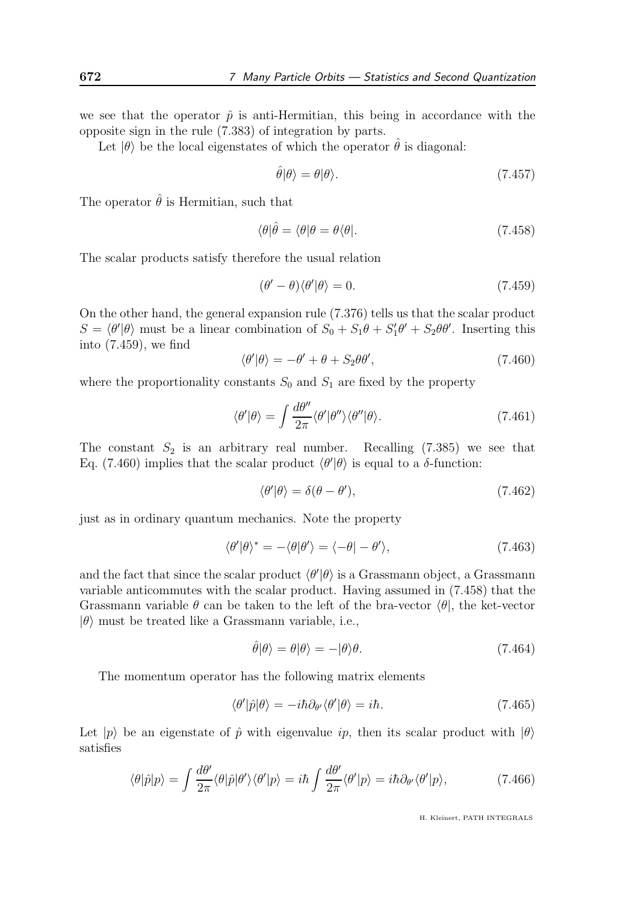we see that the operator  $\hat{p}$  is anti-Hermitian, this being in accordance with the opposite sign in the rule (7.383) of integration by parts.

Let  $|\theta\rangle$  be the local eigenstates of which the operator  $\hat{\theta}$  is diagonal:

$$
\hat{\theta}|\theta\rangle = \theta|\theta\rangle. \tag{7.457}
$$

The operator  $\hat{\theta}$  is Hermitian, such that

$$
\langle \theta | \hat{\theta} = \langle \theta | \theta = \theta \langle \theta |.
$$
 (7.458)

The scalar products satisfy therefore the usual relation

$$
(\theta' - \theta)\langle \theta' | \theta \rangle = 0. \tag{7.459}
$$

On the other hand, the general expansion rule (7.376) tells us that the scalar product  $S = \langle \theta' | \theta \rangle$  must be a linear combination of  $S_0 + S_1 \theta + S'_1 \theta' + S_2 \theta \theta'$ . Inserting this into (7.459), we find

$$
\langle \theta' | \theta \rangle = -\theta' + \theta + S_2 \theta \theta', \qquad (7.460)
$$

where the proportionality constants  $S_0$  and  $S_1$  are fixed by the property

$$
\langle \theta' | \theta \rangle = \int \frac{d\theta''}{2\pi} \langle \theta' | \theta'' \rangle \langle \theta'' | \theta \rangle. \tag{7.461}
$$

The constant  $S_2$  is an arbitrary real number. Recalling (7.385) we see that Eq. (7.460) implies that the scalar product  $\langle \theta' | \theta \rangle$  is equal to a  $\delta$ -function:

$$
\langle \theta' | \theta \rangle = \delta(\theta - \theta'), \tag{7.462}
$$

just as in ordinary quantum mechanics. Note the property

$$
\langle \theta' | \theta \rangle^* = -\langle \theta | \theta' \rangle = \langle -\theta | -\theta' \rangle, \tag{7.463}
$$

and the fact that since the scalar product  $\langle \theta' | \theta \rangle$  is a Grassmann object, a Grassmann variable anticommutes with the scalar product. Having assumed in (7.458) that the Grassmann variable  $\theta$  can be taken to the left of the bra-vector  $\theta$ , the ket-vector  $|\theta\rangle$  must be treated like a Grassmann variable, i.e.,

$$
\hat{\theta}|\theta\rangle = \theta|\theta\rangle = -|\theta\rangle\theta. \tag{7.464}
$$

The momentum operator has the following matrix elements

$$
\langle \theta' | \hat{p} | \theta \rangle = -i\hbar \partial_{\theta'} \langle \theta' | \theta \rangle = i\hbar. \tag{7.465}
$$

Let  $|p\rangle$  be an eigenstate of  $\hat{p}$  with eigenvalue ip, then its scalar product with  $|\theta\rangle$ satisfies

$$
\langle \theta | \hat{p} | p \rangle = \int \frac{d\theta'}{2\pi} \langle \theta | \hat{p} | \theta' \rangle \langle \theta' | p \rangle = i\hbar \int \frac{d\theta'}{2\pi} \langle \theta' | p \rangle = i\hbar \partial_{\theta'} \langle \theta' | p \rangle, \tag{7.466}
$$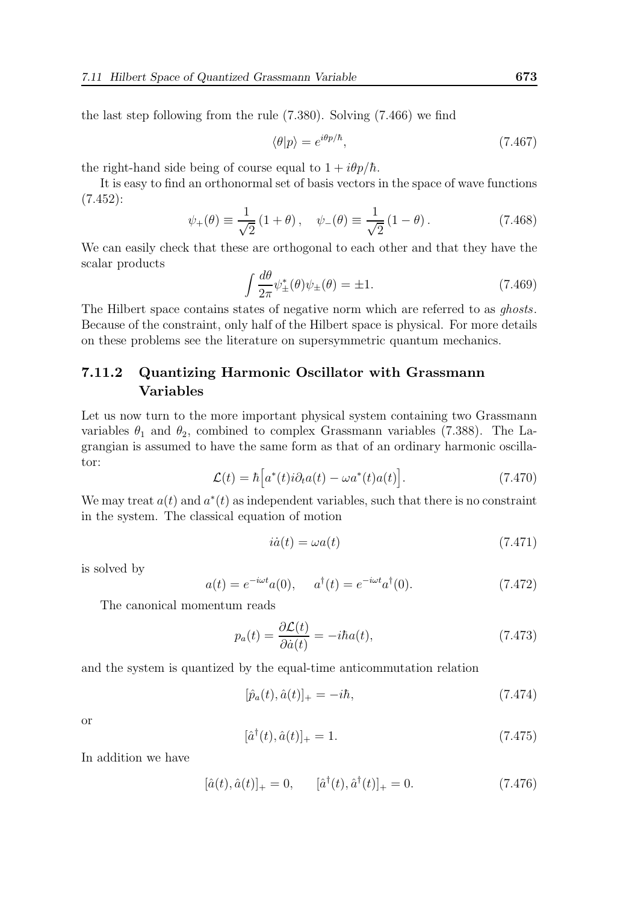the last step following from the rule (7.380). Solving (7.466) we find

$$
\langle \theta | p \rangle = e^{i\theta p/\hbar},\tag{7.467}
$$

the right-hand side being of course equal to  $1 + i\theta p/\hbar$ .

It is easy to find an orthonormal set of basis vectors in the space of wave functions (7.452):

$$
\psi_{+}(\theta) \equiv \frac{1}{\sqrt{2}} (1 + \theta), \quad \psi_{-}(\theta) \equiv \frac{1}{\sqrt{2}} (1 - \theta).
$$
\n(7.468)

We can easily check that these are orthogonal to each other and that they have the scalar products

$$
\int \frac{d\theta}{2\pi} \psi_{\pm}^*(\theta)\psi_{\pm}(\theta) = \pm 1. \tag{7.469}
$$

The Hilbert space contains states of negative norm which are referred to as *ghosts*. Because of the constraint, only half of the Hilbert space is physical. For more details on these problems see the literature on supersymmetric quantum mechanics.

# 7.11.2 Quantizing Harmonic Oscillator with Grassmann Variables

Let us now turn to the more important physical system containing two Grassmann variables  $\theta_1$  and  $\theta_2$ , combined to complex Grassmann variables (7.388). The Lagrangian is assumed to have the same form as that of an ordinary harmonic oscillator:

$$
\mathcal{L}(t) = \hbar \left[ a^*(t) i \partial_t a(t) - \omega a^*(t) a(t) \right]. \tag{7.470}
$$

We may treat  $a(t)$  and  $a^*(t)$  as independent variables, such that there is no constraint in the system. The classical equation of motion

$$
i\dot{a}(t) = \omega a(t) \tag{7.471}
$$

is solved by

$$
a(t) = e^{-i\omega t}a(0), \quad a^{\dagger}(t) = e^{-i\omega t}a^{\dagger}(0).
$$
 (7.472)

The canonical momentum reads

$$
p_a(t) = \frac{\partial \mathcal{L}(t)}{\partial \dot{a}(t)} = -i\hbar a(t),\tag{7.473}
$$

and the system is quantized by the equal-time anticommutation relation

$$
[\hat{p}_a(t), \hat{a}(t)]_+ = -i\hbar,\tag{7.474}
$$

or

$$
[\hat{a}^{\dagger}(t), \hat{a}(t)]_{+} = 1. \tag{7.475}
$$

In addition we have

$$
[\hat{a}(t), \hat{a}(t)]_{+} = 0, \qquad [\hat{a}^{\dagger}(t), \hat{a}^{\dagger}(t)]_{+} = 0. \tag{7.476}
$$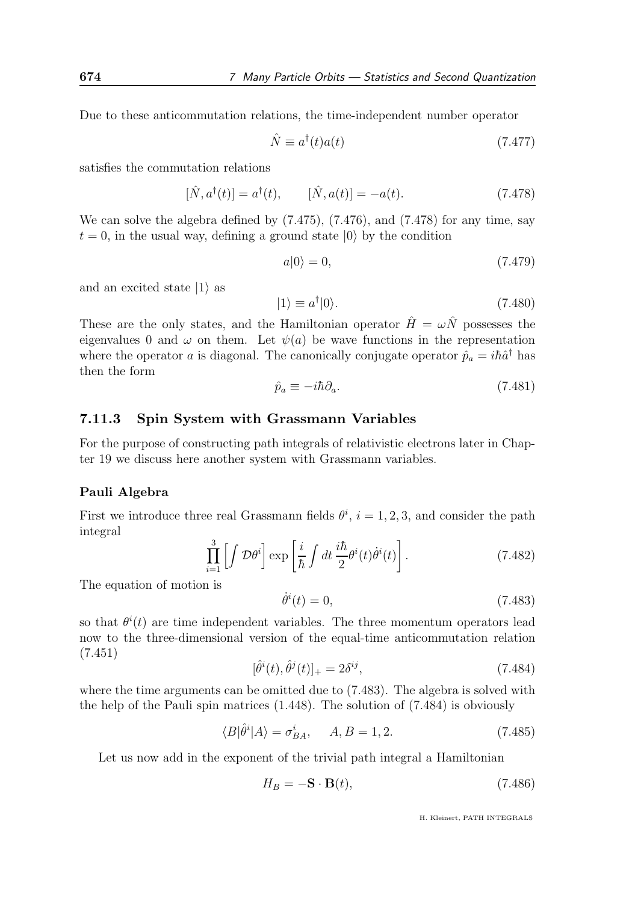Due to these anticommutation relations, the time-independent number operator

$$
\hat{N} \equiv a^{\dagger}(t)a(t) \tag{7.477}
$$

satisfies the commutation relations

$$
[\hat{N}, a^{\dagger}(t)] = a^{\dagger}(t), \qquad [\hat{N}, a(t)] = -a(t). \qquad (7.478)
$$

We can solve the algebra defined by (7.475), (7.476), and (7.478) for any time, say  $t = 0$ , in the usual way, defining a ground state  $|0\rangle$  by the condition

$$
a|0\rangle = 0,\t\t(7.479)
$$

and an excited state  $|1\rangle$  as

$$
|1\rangle \equiv a^{\dagger}|0\rangle. \tag{7.480}
$$

These are the only states, and the Hamiltonian operator  $\hat{H} = \omega \hat{N}$  possesses the eigenvalues 0 and  $\omega$  on them. Let  $\psi(a)$  be wave functions in the representation where the operator a is diagonal. The canonically conjugate operator  $\hat{p}_a = i\hbar \hat{a}^\dagger$  has then the form

$$
\hat{p}_a \equiv -i\hbar \partial_a. \tag{7.481}
$$

### 7.11.3 Spin System with Grassmann Variables

For the purpose of constructing path integrals of relativistic electrons later in Chapter 19 we discuss here another system with Grassmann variables.

#### Pauli Algebra

First we introduce three real Grassmann fields  $\theta^i$ ,  $i = 1, 2, 3$ , and consider the path integral

$$
\prod_{i=1}^{3} \left[ \int \mathcal{D}\theta^{i} \right] \exp\left[ \frac{i}{\hbar} \int dt \, \frac{i\hbar}{2} \theta^{i}(t) \dot{\theta}^{i}(t) \right]. \tag{7.482}
$$

The equation of motion is

$$
\dot{\theta}^i(t) = 0,\tag{7.483}
$$

so that  $\theta^{i}(t)$  are time independent variables. The three momentum operators lead now to the three-dimensional version of the equal-time anticommutation relation (7.451)

$$
[\hat{\theta}^i(t), \hat{\theta}^j(t)]_+ = 2\delta^{ij},\tag{7.484}
$$

where the time arguments can be omitted due to (7.483). The algebra is solved with the help of the Pauli spin matrices (1.448). The solution of (7.484) is obviously

$$
\langle B|\hat{\theta}^i|A\rangle = \sigma_{BA}^i, \quad A, B = 1, 2. \tag{7.485}
$$

Let us now add in the exponent of the trivial path integral a Hamiltonian

$$
H_B = -\mathbf{S} \cdot \mathbf{B}(t),\tag{7.486}
$$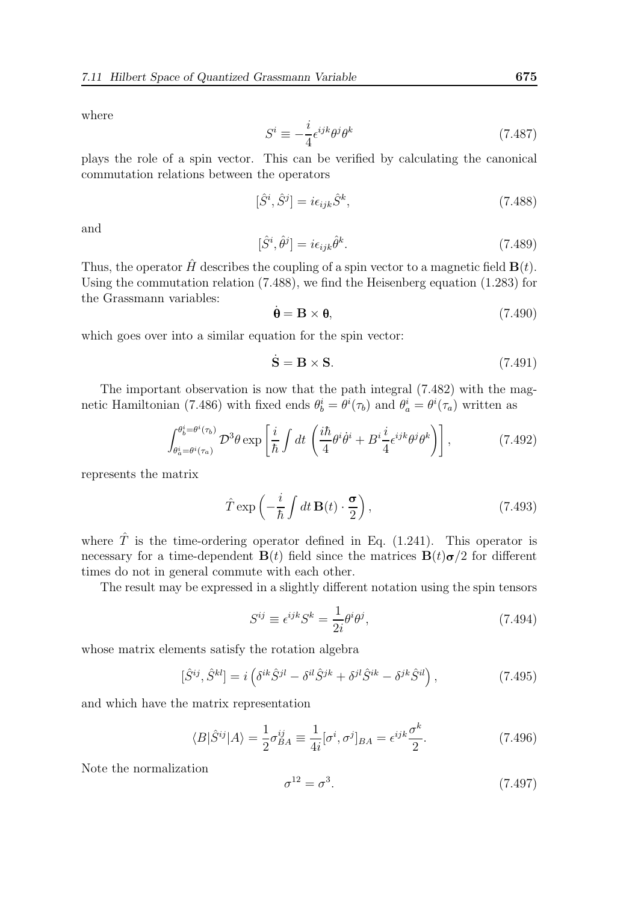where

$$
S^i \equiv -\frac{i}{4} \epsilon^{ijk} \theta^j \theta^k \tag{7.487}
$$

plays the role of a spin vector. This can be verified by calculating the canonical commutation relations between the operators

$$
[\hat{S}^i, \hat{S}^j] = i\epsilon_{ijk}\hat{S}^k,\tag{7.488}
$$

and

$$
[\hat{S}^i, \hat{\theta}^j] = i\epsilon_{ijk}\hat{\theta}^k. \tag{7.489}
$$

Thus, the operator  $\hat{H}$  describes the coupling of a spin vector to a magnetic field  $\mathbf{B}(t)$ . Using the commutation relation (7.488), we find the Heisenberg equation (1.283) for the Grassmann variables:

$$
\dot{\boldsymbol{\theta}} = \mathbf{B} \times \boldsymbol{\theta},\tag{7.490}
$$

which goes over into a similar equation for the spin vector:

$$
\dot{\mathbf{S}} = \mathbf{B} \times \mathbf{S}.\tag{7.491}
$$

The important observation is now that the path integral (7.482) with the magnetic Hamiltonian (7.486) with fixed ends  $\theta_b^i = \theta^i(\tau_b)$  and  $\theta_a^i = \theta^i(\tau_a)$  written as

$$
\int_{\theta_a^i = \theta^i(\tau_a)}^{\theta_b^i = \theta^i(\tau_b)} \mathcal{D}^3 \theta \exp\left[\frac{i}{\hbar} \int dt \left(\frac{i\hbar}{4} \theta^i \dot{\theta}^i + B^i \frac{i}{4} \epsilon^{ijk} \theta^j \theta^k\right)\right],\tag{7.492}
$$

represents the matrix

$$
\hat{T} \exp\left(-\frac{i}{\hbar} \int dt \,\mathbf{B}(t) \cdot \frac{\sigma}{2}\right),\tag{7.493}
$$

where  $\hat{T}$  is the time-ordering operator defined in Eq. (1.241). This operator is necessary for a time-dependent  $\mathbf{B}(t)$  field since the matrices  $\mathbf{B}(t)\sigma/2$  for different times do not in general commute with each other.

The result may be expressed in a slightly different notation using the spin tensors

$$
S^{ij} \equiv \epsilon^{ijk} S^k = \frac{1}{2i} \theta^i \theta^j,\tag{7.494}
$$

whose matrix elements satisfy the rotation algebra

$$
[\hat{S}^{ij}, \hat{S}^{kl}] = i \left( \delta^{ik} \hat{S}^{jl} - \delta^{il} \hat{S}^{jk} + \delta^{jl} \hat{S}^{ik} - \delta^{jk} \hat{S}^{il} \right), \tag{7.495}
$$

and which have the matrix representation

$$
\langle B|\hat{S}^{ij}|A\rangle = \frac{1}{2}\sigma_{BA}^{ij} \equiv \frac{1}{4i}[\sigma^i, \sigma^j]_{BA} = \epsilon^{ijk}\frac{\sigma^k}{2}.
$$
 (7.496)

Note the normalization

$$
\sigma^{12} = \sigma^3. \tag{7.497}
$$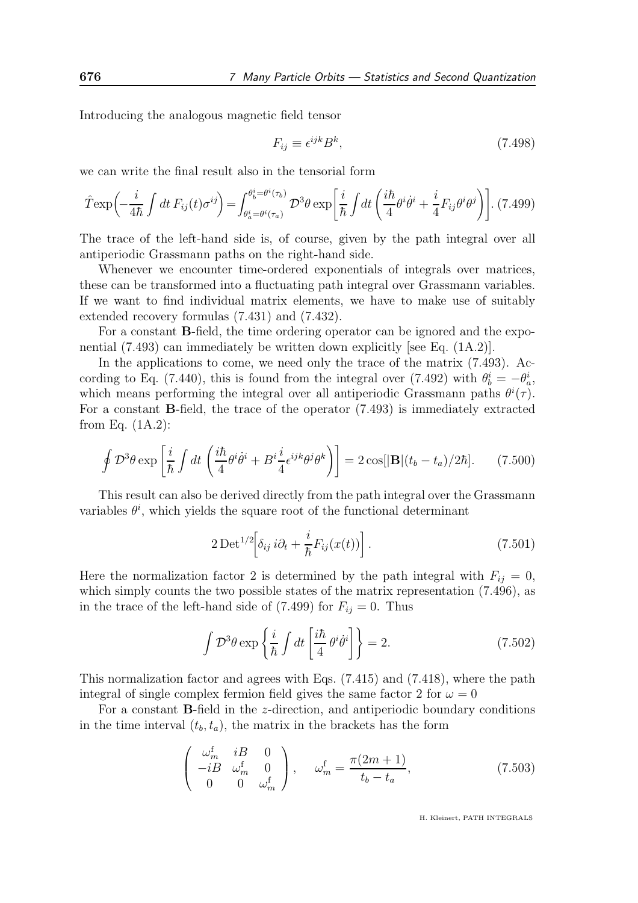Introducing the analogous magnetic field tensor

$$
F_{ij} \equiv \epsilon^{ijk} B^k, \tag{7.498}
$$

we can write the final result also in the tensorial form

$$
\hat{T}\exp\left(-\frac{i}{4\hbar}\int dt\,F_{ij}(t)\sigma^{ij}\right) = \int_{\theta_a^i=\theta^i(\tau_a)}^{\theta_b^i=\theta^i(\tau_b)}\mathcal{D}^3\theta\exp\left[\frac{i}{\hbar}\int dt\left(\frac{i\hbar}{4}\theta^i\dot{\theta}^i + \frac{i}{4}F_{ij}\theta^i\theta^j\right)\right].
$$
 (7.499)

The trace of the left-hand side is, of course, given by the path integral over all antiperiodic Grassmann paths on the right-hand side.

Whenever we encounter time-ordered exponentials of integrals over matrices, these can be transformed into a fluctuating path integral over Grassmann variables. If we want to find individual matrix elements, we have to make use of suitably extended recovery formulas (7.431) and (7.432).

For a constant B-field, the time ordering operator can be ignored and the exponential (7.493) can immediately be written down explicitly [see Eq. (1A.2)].

In the applications to come, we need only the trace of the matrix (7.493). According to Eq. (7.440), this is found from the integral over (7.492) with  $\theta_b^i = -\theta_a^i$ , which means performing the integral over all antiperiodic Grassmann paths  $\theta^{i}(\tau)$ . For a constant B-field, the trace of the operator (7.493) is immediately extracted from Eq. (1A.2):

$$
\oint \mathcal{D}^3 \theta \exp\left[\frac{i}{\hbar} \int dt \left(\frac{i\hbar}{4} \theta^i \dot{\theta}^i + B^i \frac{i}{4} \epsilon^{ijk} \theta^j \theta^k\right)\right] = 2 \cos[|\mathbf{B}|(t_b - t_a)/2\hbar]. \tag{7.500}
$$

This result can also be derived directly from the path integral over the Grassmann variables  $\theta^i$ , which yields the square root of the functional determinant

$$
2\,\mathrm{Det}^{1/2}\!\!\left[\delta_{ij}\,i\partial_t + \frac{i}{\hbar}F_{ij}(x(t))\right].\tag{7.501}
$$

Here the normalization factor 2 is determined by the path integral with  $F_{ii} = 0$ , which simply counts the two possible states of the matrix representation  $(7.496)$ , as in the trace of the left-hand side of  $(7.499)$  for  $F_{ij} = 0$ . Thus

$$
\int \mathcal{D}^3 \theta \exp\left\{ \frac{i}{\hbar} \int dt \left[ \frac{i\hbar}{4} \theta^i \dot{\theta}^i \right] \right\} = 2. \tag{7.502}
$$

This normalization factor and agrees with Eqs. (7.415) and (7.418), where the path integral of single complex fermion field gives the same factor 2 for  $\omega = 0$ 

For a constant B-field in the z-direction, and antiperiodic boundary conditions in the time interval  $(t_b, t_a)$ , the matrix in the brackets has the form

$$
\begin{pmatrix}\n\omega_m^f & iB & 0 \\
-iB & \omega_m^f & 0 \\
0 & 0 & \omega_m^f\n\end{pmatrix}, \quad \omega_m^f = \frac{\pi(2m+1)}{t_b - t_a},
$$
\n(7.503)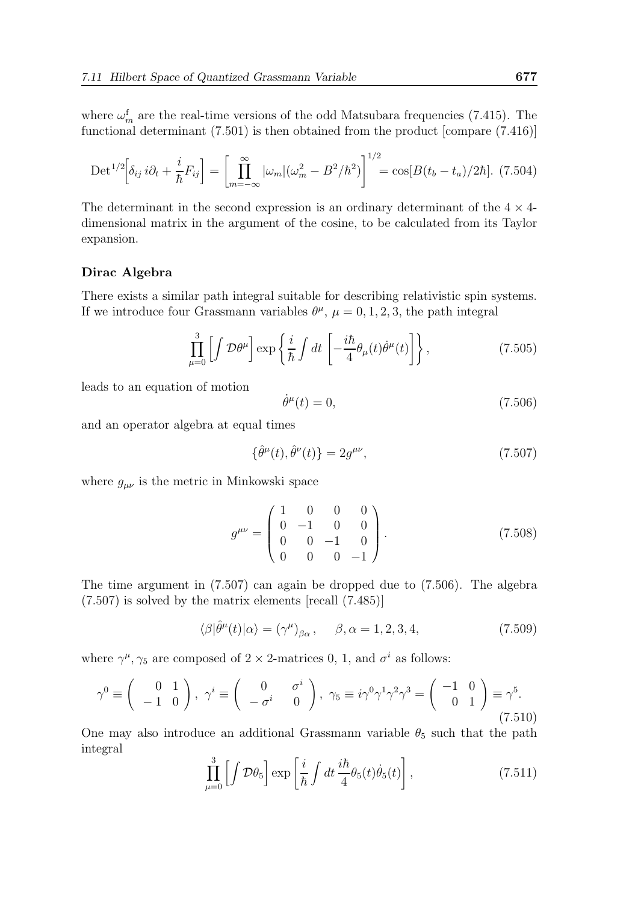where  $\omega_m^{\text{f}}$  are the real-time versions of the odd Matsubara frequencies (7.415). The functional determinant (7.501) is then obtained from the product [compare (7.416)]

$$
\text{Det}^{1/2} \Big[ \delta_{ij} \, i \partial_t + \frac{i}{\hbar} F_{ij} \Big] = \left[ \prod_{m=-\infty}^{\infty} |\omega_m| (\omega_m^2 - B^2/\hbar^2) \right]^{1/2} = \cos[B(t_b - t_a)/2\hbar]. \tag{7.504}
$$

The determinant in the second expression is an ordinary determinant of the  $4 \times 4$ dimensional matrix in the argument of the cosine, to be calculated from its Taylor expansion.

#### Dirac Algebra

There exists a similar path integral suitable for describing relativistic spin systems. If we introduce four Grassmann variables  $\theta^{\mu}$ ,  $\mu = 0, 1, 2, 3$ , the path integral

$$
\prod_{\mu=0}^{3} \left[ \int \mathcal{D}\theta^{\mu} \right] \exp \left\{ \frac{i}{\hbar} \int dt \left[ -\frac{i\hbar}{4} \theta_{\mu}(t) \dot{\theta}^{\mu}(t) \right] \right\}, \tag{7.505}
$$

leads to an equation of motion

$$
\dot{\theta}^{\mu}(t) = 0,\tag{7.506}
$$

and an operator algebra at equal times

$$
\{\hat{\theta}^{\mu}(t), \hat{\theta}^{\nu}(t)\} = 2g^{\mu\nu},\tag{7.507}
$$

where  $g_{\mu\nu}$  is the metric in Minkowski space

$$
g^{\mu\nu} = \begin{pmatrix} 1 & 0 & 0 & 0 \\ 0 & -1 & 0 & 0 \\ 0 & 0 & -1 & 0 \\ 0 & 0 & 0 & -1 \end{pmatrix}.
$$
 (7.508)

The time argument in (7.507) can again be dropped due to (7.506). The algebra (7.507) is solved by the matrix elements [recall (7.485)]

$$
\langle \beta | \hat{\theta}^{\mu}(t) | \alpha \rangle = (\gamma^{\mu})_{\beta \alpha}, \quad \beta, \alpha = 1, 2, 3, 4,
$$
 (7.509)

where  $\gamma^{\mu}, \gamma_5$  are composed of  $2 \times 2$ -matrices 0, 1, and  $\sigma^i$  as follows:

$$
\gamma^0 \equiv \begin{pmatrix} 0 & 1 \\ -1 & 0 \end{pmatrix}, \ \gamma^i \equiv \begin{pmatrix} 0 & \sigma^i \\ -\sigma^i & 0 \end{pmatrix}, \ \gamma_5 \equiv i\gamma^0\gamma^1\gamma^2\gamma^3 = \begin{pmatrix} -1 & 0 \\ 0 & 1 \end{pmatrix} \equiv \gamma^5. \tag{7.510}
$$

One may also introduce an additional Grassmann variable  $\theta_5$  such that the path integral

$$
\prod_{\mu=0}^{3} \left[ \int \mathcal{D}\theta_5 \right] \exp\left[ \frac{i}{\hbar} \int dt \, \frac{i\hbar}{4} \theta_5(t) \dot{\theta}_5(t) \right],\tag{7.511}
$$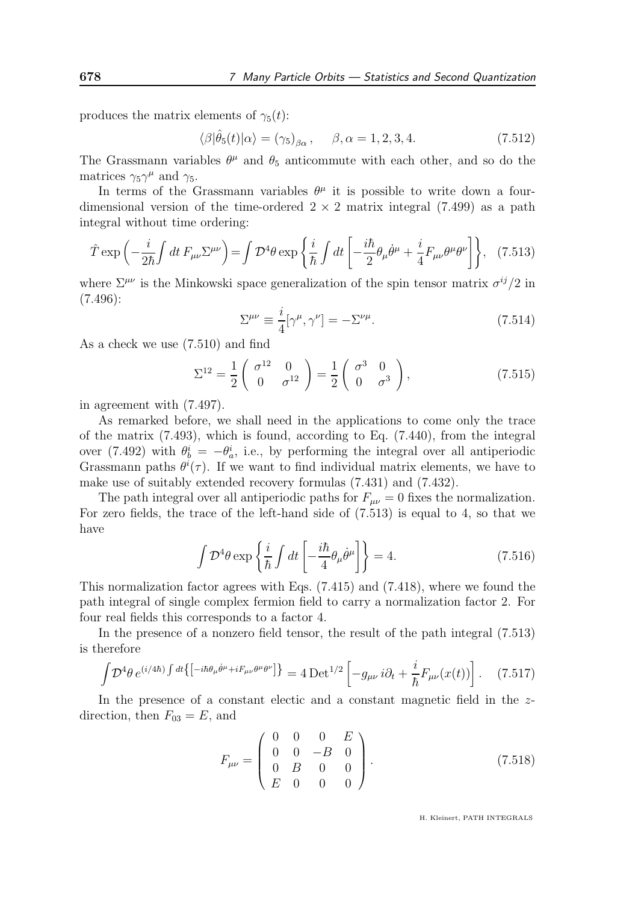produces the matrix elements of  $\gamma_5(t)$ :

$$
\langle \beta | \hat{\theta}_5(t) | \alpha \rangle = (\gamma_5)_{\beta \alpha}, \quad \beta, \alpha = 1, 2, 3, 4. \tag{7.512}
$$

The Grassmann variables  $\theta^{\mu}$  and  $\theta_{5}$  anticommute with each other, and so do the matrices  $\gamma_5 \gamma^{\mu}$  and  $\gamma_5$ .

In terms of the Grassmann variables  $\theta^{\mu}$  it is possible to write down a fourdimensional version of the time-ordered  $2 \times 2$  matrix integral (7.499) as a path integral without time ordering:

$$
\hat{T} \exp\left(-\frac{i}{2\hbar} \int dt F_{\mu\nu} \Sigma^{\mu\nu}\right) = \int \mathcal{D}^4 \theta \exp\left\{\frac{i}{\hbar} \int dt \left[-\frac{i\hbar}{2} \theta_\mu \dot{\theta}^\mu + \frac{i}{4} F_{\mu\nu} \theta^\mu \theta^\nu\right]\right\}, \quad (7.513)
$$

where  $\Sigma^{\mu\nu}$  is the Minkowski space generalization of the spin tensor matrix  $\sigma^{ij}/2$  in (7.496):

$$
\Sigma^{\mu\nu} \equiv \frac{i}{4} [\gamma^{\mu}, \gamma^{\nu}] = -\Sigma^{\nu\mu}.
$$
 (7.514)

As a check we use (7.510) and find

$$
\Sigma^{12} = \frac{1}{2} \begin{pmatrix} \sigma^{12} & 0\\ 0 & \sigma^{12} \end{pmatrix} = \frac{1}{2} \begin{pmatrix} \sigma^3 & 0\\ 0 & \sigma^3 \end{pmatrix}, \tag{7.515}
$$

in agreement with (7.497).

As remarked before, we shall need in the applications to come only the trace of the matrix (7.493), which is found, according to Eq. (7.440), from the integral over (7.492) with  $\theta_b^i = -\theta_a^i$ , i.e., by performing the integral over all antiperiodic Grassmann paths  $\theta^{i}(\tau)$ . If we want to find individual matrix elements, we have to make use of suitably extended recovery formulas (7.431) and (7.432).

The path integral over all antiperiodic paths for  $F_{\mu\nu} = 0$  fixes the normalization. For zero fields, the trace of the left-hand side of (7.513) is equal to 4, so that we have

$$
\int \mathcal{D}^4 \theta \exp\left\{ \frac{i}{\hbar} \int dt \left[ -\frac{i\hbar}{4} \theta_\mu \dot{\theta}^\mu \right] \right\} = 4. \tag{7.516}
$$

This normalization factor agrees with Eqs. (7.415) and (7.418), where we found the path integral of single complex fermion field to carry a normalization factor 2. For four real fields this corresponds to a factor 4.

In the presence of a nonzero field tensor, the result of the path integral (7.513) is therefore

$$
\int \mathcal{D}^4 \theta \, e^{(i/4\hbar)} \int dt \{ \left[ -i\hbar \theta_\mu \dot{\theta}^\mu + i F_{\mu\nu} \theta^\mu \theta^\nu \right] \} = 4 \, \text{Det}^{1/2} \left[ -g_{\mu\nu} \, i \partial_t + \frac{i}{\hbar} F_{\mu\nu}(x(t)) \right]. \tag{7.517}
$$

In the presence of a constant electic and a constant magnetic field in the  $z$ direction, then  $F_{03} = E$ , and

$$
F_{\mu\nu} = \begin{pmatrix} 0 & 0 & 0 & E \\ 0 & 0 & -B & 0 \\ 0 & B & 0 & 0 \\ E & 0 & 0 & 0 \end{pmatrix}.
$$
 (7.518)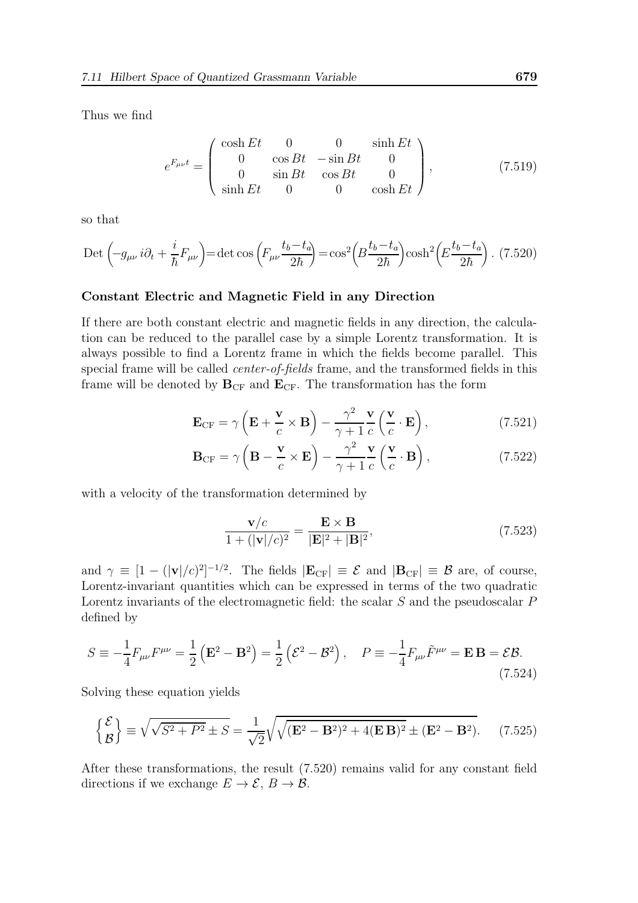Thus we find

$$
e^{F_{\mu\nu}t} = \begin{pmatrix} \cosh Et & 0 & 0 & \sinh Et \\ 0 & \cos Bt & -\sin Bt & 0 \\ 0 & \sin Bt & \cos Bt & 0 \\ \sinh Et & 0 & 0 & \cosh Et \end{pmatrix}, \tag{7.519}
$$

so that

$$
\text{Det}\left(-g_{\mu\nu}i\partial_t + \frac{i}{\hbar}F_{\mu\nu}\right) = \det\cos\left(F_{\mu\nu}\frac{t_b - t_a}{2\hbar}\right) = \cos^2\left(B\frac{t_b - t_a}{2\hbar}\right)\cosh^2\left(E\frac{t_b - t_a}{2\hbar}\right). \tag{7.520}
$$

#### Constant Electric and Magnetic Field in any Direction

If there are both constant electric and magnetic fields in any direction, the calculation can be reduced to the parallel case by a simple Lorentz transformation. It is always possible to find a Lorentz frame in which the fields become parallel. This special frame will be called *center-of-fields* frame, and the transformed fields in this frame will be denoted by  $\mathbf{B}_{CF}$  and  $\mathbf{E}_{CF}$ . The transformation has the form

$$
\mathbf{E}_{CF} = \gamma \left( \mathbf{E} + \frac{\mathbf{v}}{c} \times \mathbf{B} \right) - \frac{\gamma^2}{\gamma + 1} \frac{\mathbf{v}}{c} \left( \frac{\mathbf{v}}{c} \cdot \mathbf{E} \right), \tag{7.521}
$$

$$
\mathbf{B}_{\rm CF} = \gamma \left( \mathbf{B} - \frac{\mathbf{v}}{c} \times \mathbf{E} \right) - \frac{\gamma^2}{\gamma + 1} \frac{\mathbf{v}}{c} \left( \frac{\mathbf{v}}{c} \cdot \mathbf{B} \right), \tag{7.522}
$$

with a velocity of the transformation determined by

$$
\frac{\mathbf{v}/c}{1 + (|\mathbf{v}|/c)^2} = \frac{\mathbf{E} \times \mathbf{B}}{|\mathbf{E}|^2 + |\mathbf{B}|^2},\tag{7.523}
$$

and  $\gamma \equiv [1 - (|\mathbf{v}|/c)^2]^{-1/2}$ . The fields  $|\mathbf{E}_{CF}| \equiv \mathcal{E}$  and  $|\mathbf{B}_{CF}| \equiv \mathcal{B}$  are, of course, Lorentz-invariant quantities which can be expressed in terms of the two quadratic Lorentz invariants of the electromagnetic field: the scalar  $S$  and the pseudoscalar  $P$ defined by

$$
S \equiv -\frac{1}{4}F_{\mu\nu}F^{\mu\nu} = \frac{1}{2}\left(\mathbf{E}^2 - \mathbf{B}^2\right) = \frac{1}{2}\left(\mathcal{E}^2 - \mathcal{B}^2\right), \quad P \equiv -\frac{1}{4}F_{\mu\nu}\tilde{F}^{\mu\nu} = \mathbf{E}\,\mathbf{B} = \mathcal{E}\mathcal{B}.
$$
\n(7.524)

Solving these equation yields

$$
\begin{Bmatrix} \mathcal{E} \\ \mathcal{B} \end{Bmatrix} \equiv \sqrt{\sqrt{S^2 + P^2} \pm S} = \frac{1}{\sqrt{2}} \sqrt{\sqrt{(\mathbf{E}^2 - \mathbf{B}^2)^2 + 4(\mathbf{E}\,\mathbf{B})^2} \pm (\mathbf{E}^2 - \mathbf{B}^2)}.
$$
 (7.525)

After these transformations, the result (7.520) remains valid for any constant field directions if we exchange  $E \to \mathcal{E}, B \to \mathcal{B}.$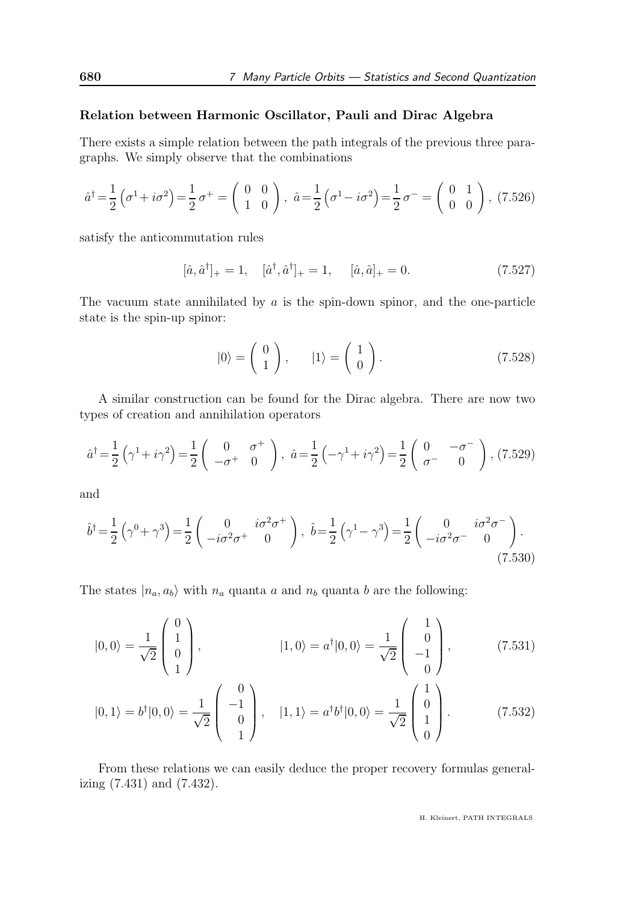#### Relation between Harmonic Oscillator, Pauli and Dirac Algebra

There exists a simple relation between the path integrals of the previous three paragraphs. We simply observe that the combinations

$$
\hat{a}^{\dagger} = \frac{1}{2} \left( \sigma^1 + i \sigma^2 \right) = \frac{1}{2} \sigma^+ = \begin{pmatrix} 0 & 0 \\ 1 & 0 \end{pmatrix}, \ \hat{a} = \frac{1}{2} \left( \sigma^1 - i \sigma^2 \right) = \frac{1}{2} \sigma^- = \begin{pmatrix} 0 & 1 \\ 0 & 0 \end{pmatrix}, \ (7.526)
$$

satisfy the anticommutation rules

$$
[\hat{a}, \hat{a}^{\dagger}]_{+} = 1, \quad [\hat{a}^{\dagger}, \hat{a}^{\dagger}]_{+} = 1, \quad [\hat{a}, \hat{a}]_{+} = 0. \tag{7.527}
$$

The vacuum state annihilated by  $\alpha$  is the spin-down spinor, and the one-particle state is the spin-up spinor:

$$
|0\rangle = \begin{pmatrix} 0 \\ 1 \end{pmatrix}, \qquad |1\rangle = \begin{pmatrix} 1 \\ 0 \end{pmatrix}.
$$
 (7.528)

A similar construction can be found for the Dirac algebra. There are now two types of creation and annihilation operators

$$
\hat{a}^{\dagger} = \frac{1}{2} \left( \gamma^1 + i \gamma^2 \right) = \frac{1}{2} \begin{pmatrix} 0 & \sigma^+ \\ -\sigma^+ & 0 \end{pmatrix}, \ \hat{a} = \frac{1}{2} \left( -\gamma^1 + i \gamma^2 \right) = \frac{1}{2} \begin{pmatrix} 0 & -\sigma^- \\ \sigma^- & 0 \end{pmatrix}, (7.529)
$$

and

$$
\hat{b}^{\dagger} = \frac{1}{2} \left( \gamma^0 + \gamma^3 \right) = \frac{1}{2} \begin{pmatrix} 0 & i\sigma^2 \sigma^+ \\ -i\sigma^2 \sigma^+ & 0 \end{pmatrix}, \quad \hat{b} = \frac{1}{2} \left( \gamma^1 - \gamma^3 \right) = \frac{1}{2} \begin{pmatrix} 0 & i\sigma^2 \sigma^- \\ -i\sigma^2 \sigma^- & 0 \end{pmatrix}.
$$
\n(7.530)

The states  $|n_a, a_b\rangle$  with  $n_a$  quanta a and  $n_b$  quanta b are the following:

$$
|0,0\rangle = \frac{1}{\sqrt{2}} \begin{pmatrix} 0\\1\\0\\1 \end{pmatrix}, \qquad |1,0\rangle = a^{\dagger} |0,0\rangle = \frac{1}{\sqrt{2}} \begin{pmatrix} 1\\0\\-1\\0 \end{pmatrix}, \qquad (7.531)
$$

$$
|0,1\rangle = b^{\dagger}|0,0\rangle = \frac{1}{\sqrt{2}} \begin{pmatrix} 0 \\ -1 \\ 0 \\ 1 \end{pmatrix}, \quad |1,1\rangle = a^{\dagger}b^{\dagger}|0,0\rangle = \frac{1}{\sqrt{2}} \begin{pmatrix} 1 \\ 0 \\ 1 \\ 0 \end{pmatrix}.
$$
 (7.532)

From these relations we can easily deduce the proper recovery formulas generalizing (7.431) and (7.432).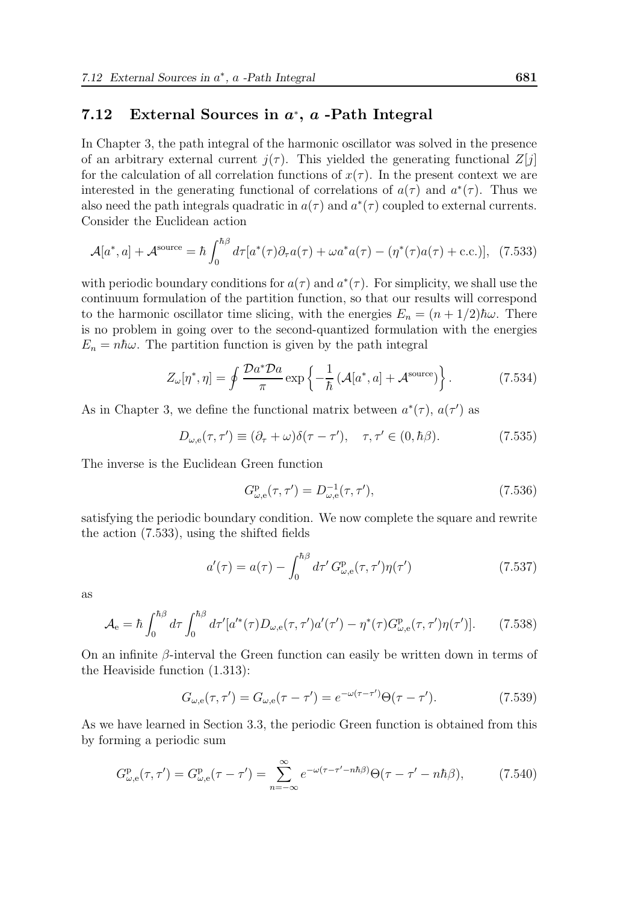# 7.12 External Sources in  $a^*$ ,  $a$  -Path Integral

In Chapter 3, the path integral of the harmonic oscillator was solved in the presence of an arbitrary external current  $i(\tau)$ . This yielded the generating functional  $Z[i]$ for the calculation of all correlation functions of  $x(\tau)$ . In the present context we are interested in the generating functional of correlations of  $a(\tau)$  and  $a^*(\tau)$ . Thus we also need the path integrals quadratic in  $a(\tau)$  and  $a^*(\tau)$  coupled to external currents. Consider the Euclidean action

$$
\mathcal{A}[a^*,a] + \mathcal{A}^{\text{source}} = \hbar \int_0^{\hbar \beta} d\tau [a^*(\tau)\partial_\tau a(\tau) + \omega a^* a(\tau) - (\eta^*(\tau)a(\tau) + \text{c.c.})], \tag{7.533}
$$

with periodic boundary conditions for  $a(\tau)$  and  $a^*(\tau)$ . For simplicity, we shall use the continuum formulation of the partition function, so that our results will correspond to the harmonic oscillator time slicing, with the energies  $E_n = (n + 1/2)\hbar\omega$ . There is no problem in going over to the second-quantized formulation with the energies  $E_n = n\hbar\omega$ . The partition function is given by the path integral

$$
Z_{\omega}[\eta^*, \eta] = \oint \frac{\mathcal{D}a^*\mathcal{D}a}{\pi} \exp\left\{-\frac{1}{\hbar}\left(\mathcal{A}[a^*, a] + \mathcal{A}^{\text{source}}\right)\right\}.
$$
 (7.534)

As in Chapter 3, we define the functional matrix between  $a^*(\tau)$ ,  $a(\tau')$  as

$$
D_{\omega,e}(\tau,\tau') \equiv (\partial_{\tau} + \omega)\delta(\tau - \tau'), \quad \tau, \tau' \in (0,\hbar\beta). \tag{7.535}
$$

The inverse is the Euclidean Green function

$$
G_{\omega,e}^{\mathbf{p}}(\tau,\tau') = D_{\omega,e}^{-1}(\tau,\tau'),\tag{7.536}
$$

satisfying the periodic boundary condition. We now complete the square and rewrite the action (7.533), using the shifted fields

$$
a'(\tau) = a(\tau) - \int_0^{\hbar \beta} d\tau' G_{\omega, \text{e}}^{\text{p}}(\tau, \tau') \eta(\tau')
$$
\n(7.537)

as

$$
\mathcal{A}_{e} = \hbar \int_{0}^{\hbar \beta} d\tau \int_{0}^{\hbar \beta} d\tau' [a'^{*}(\tau) D_{\omega, e}(\tau, \tau') a'(\tau') - \eta^{*}(\tau) G_{\omega, e}^{p}(\tau, \tau') \eta(\tau')]. \tag{7.538}
$$

On an infinite β-interval the Green function can easily be written down in terms of the Heaviside function (1.313):

$$
G_{\omega, e}(\tau, \tau') = G_{\omega, e}(\tau - \tau') = e^{-\omega(\tau - \tau')} \Theta(\tau - \tau').
$$
 (7.539)

As we have learned in Section 3.3, the periodic Green function is obtained from this by forming a periodic sum

$$
G_{\omega,e}^{\mathbf{p}}(\tau,\tau') = G_{\omega,e}^{\mathbf{p}}(\tau-\tau') = \sum_{n=-\infty}^{\infty} e^{-\omega(\tau-\tau'-n\hbar\beta)}\Theta(\tau-\tau'-n\hbar\beta),\tag{7.540}
$$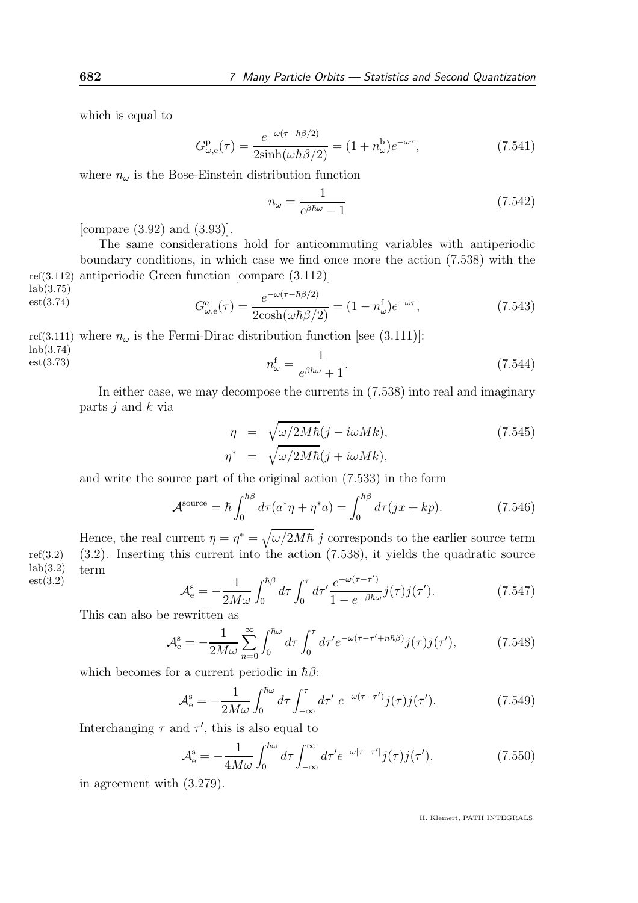which is equal to

$$
G_{\omega,e}^{\mathbf{p}}(\tau) = \frac{e^{-\omega(\tau - \hbar \beta/2)}}{2\sinh(\omega \hbar \beta/2)} = (1 + n_{\omega}^{\mathbf{b}})e^{-\omega \tau},\tag{7.541}
$$

where  $n_{\omega}$  is the Bose-Einstein distribution function

$$
n_{\omega} = \frac{1}{e^{\beta \hbar \omega} - 1} \tag{7.542}
$$

[compare (3.92) and (3.93)].

The same considerations hold for anticommuting variables with antiperiodic boundary conditions, in which case we find once more the action (7.538) with the ref(3.112) antiperiodic Green function [compare (3.112)]

 $lab(3.75)$  $est(3.74)$  G

$$
G_{\omega,e}^a(\tau) = \frac{e^{-\omega(\tau - \hbar \beta/2)}}{2 \cosh(\omega \hbar \beta/2)} = (1 - n_{\omega}^{\text{f}}) e^{-\omega \tau},\tag{7.543}
$$

ref(3.111) where  $n_{\omega}$  is the Fermi-Dirac distribution function [see (3.111)]:  $lab(3.74)$  $est(3.73)$  $_{\omega}^{\rm f} =$ 1  $e^{\beta \hbar \omega}+1$ 

In either case, we may decompose the currents in 
$$
(7.538)
$$
 into real and imaginary parts  $j$  and  $k$  via

$$
\eta = \sqrt{\omega/2M\hbar}(j - i\omega Mk),
$$
  
\n
$$
\eta^* = \sqrt{\omega/2M\hbar}(j + i\omega Mk),
$$
\n(7.545)

and write the source part of the original action (7.533) in the form

$$
\mathcal{A}^{\text{source}} = \hbar \int_0^{\hbar \beta} d\tau (a^* \eta + \eta^* a) = \int_0^{\hbar \beta} d\tau (jx + kp). \tag{7.546}
$$

Hence, the real current  $\eta = \eta^* = \sqrt{\omega/2M\hbar} j$  corresponds to the earlier source term ref(3.2)  $(3.2)$ . Inserting this current into the action  $(7.538)$ , it yields the quadratic source  $lab(3.2)$ est(3.2) term

$$
\mathcal{A}_{\mathbf{e}}^{\mathbf{s}} = -\frac{1}{2M\omega} \int_0^{\hbar\beta} d\tau \int_0^{\tau} d\tau' \frac{e^{-\omega(\tau-\tau')}}{1 - e^{-\beta\hbar\omega}} j(\tau) j(\tau'). \tag{7.547}
$$

This can also be rewritten as

$$
\mathcal{A}_{\mathbf{e}}^{\mathbf{s}} = -\frac{1}{2M\omega} \sum_{n=0}^{\infty} \int_0^{\hbar\omega} d\tau \int_0^{\tau} d\tau' e^{-\omega(\tau - \tau' + n\hbar\beta)} j(\tau) j(\tau'), \tag{7.548}
$$

which becomes for a current periodic in  $\hbar\beta$ :

$$
\mathcal{A}_{\mathbf{e}}^{\mathbf{s}} = -\frac{1}{2M\omega} \int_0^{\hbar\omega} d\tau \int_{-\infty}^{\tau} d\tau' \ e^{-\omega(\tau - \tau')} j(\tau) j(\tau'). \tag{7.549}
$$

Interchanging  $\tau$  and  $\tau'$ , this is also equal to

$$
\mathcal{A}_{\mathbf{e}}^{\mathbf{s}} = -\frac{1}{4M\omega} \int_0^{\hbar\omega} d\tau \int_{-\infty}^{\infty} d\tau' e^{-\omega|\tau - \tau'|} j(\tau) j(\tau'),\tag{7.550}
$$

in agreement with (3.279).

H. Kleinert, PATH INTEGRALS

 $(7.544)$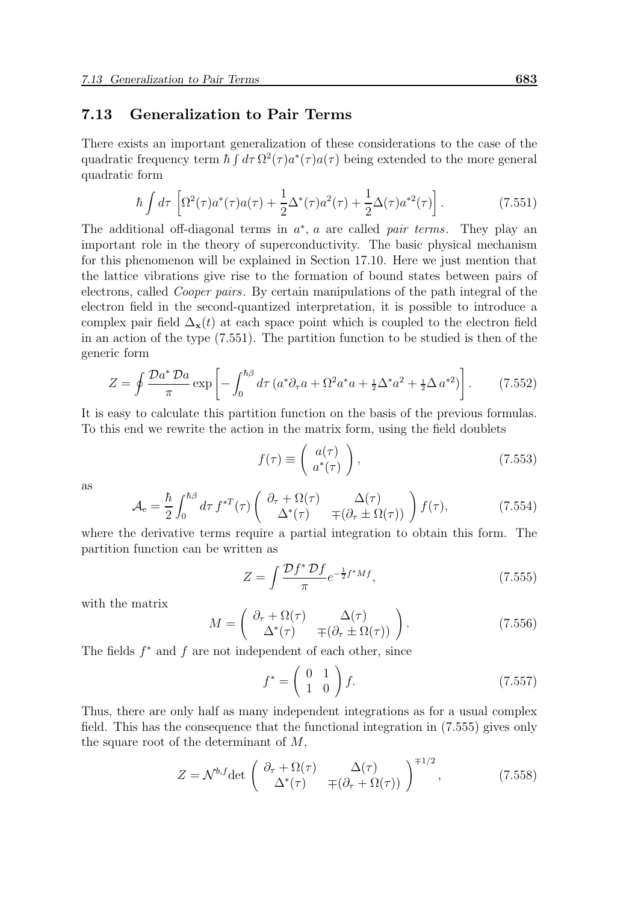## 7.13 Generalization to Pair Terms

There exists an important generalization of these considerations to the case of the quadratic frequency term  $\hbar \int d\tau \Omega^2(\tau) a^*(\tau) a(\tau)$  being extended to the more general quadratic form

$$
\hbar \int d\tau \left[ \Omega^2(\tau) a^*(\tau) a(\tau) + \frac{1}{2} \Delta^*(\tau) a^2(\tau) + \frac{1}{2} \Delta(\tau) a^{*2}(\tau) \right]. \tag{7.551}
$$

The additional off-diagonal terms in  $a^*$ , a are called *pair terms*. They play an important role in the theory of superconductivity. The basic physical mechanism for this phenomenon will be explained in Section 17.10. Here we just mention that the lattice vibrations give rise to the formation of bound states between pairs of electrons, called Cooper pairs. By certain manipulations of the path integral of the electron field in the second-quantized interpretation, it is possible to introduce a complex pair field  $\Delta_{\mathbf{x}}(t)$  at each space point which is coupled to the electron field in an action of the type (7.551). The partition function to be studied is then of the generic form

$$
Z = \oint \frac{\mathcal{D}a^* \mathcal{D}a}{\pi} \exp \left[ -\int_0^{\hbar \beta} d\tau \left( a^* \partial_\tau a + \Omega^2 a^* a + \frac{1}{2} \Delta^* a^2 + \frac{1}{2} \Delta a^{*2} \right) \right]. \tag{7.552}
$$

It is easy to calculate this partition function on the basis of the previous formulas. To this end we rewrite the action in the matrix form, using the field doublets

$$
f(\tau) \equiv \left( \begin{array}{c} a(\tau) \\ a^*(\tau) \end{array} \right), \tag{7.553}
$$

as

$$
\mathcal{A}_{e} = \frac{\hbar}{2} \int_{0}^{\hbar \beta} d\tau f^{*T}(\tau) \begin{pmatrix} \partial_{\tau} + \Omega(\tau) & \Delta(\tau) \\ \Delta^{*}(\tau) & \mp (\partial_{\tau} \pm \Omega(\tau)) \end{pmatrix} f(\tau), \tag{7.554}
$$

where the derivative terms require a partial integration to obtain this form. The partition function can be written as

$$
Z = \int \frac{\mathcal{D}f^* \mathcal{D}f}{\pi} e^{-\frac{1}{2}f^*Mf},\tag{7.555}
$$

with the matrix

$$
M = \begin{pmatrix} \partial_{\tau} + \Omega(\tau) & \Delta(\tau) \\ \Delta^*(\tau) & \mp (\partial_{\tau} \pm \Omega(\tau)) \end{pmatrix}.
$$
 (7.556)

The fields  $f^*$  and  $f$  are not independent of each other, since

$$
f^* = \left(\begin{array}{cc} 0 & 1\\ 1 & 0 \end{array}\right) f. \tag{7.557}
$$

Thus, there are only half as many independent integrations as for a usual complex field. This has the consequence that the functional integration in (7.555) gives only the square root of the determinant of M,

$$
Z = \mathcal{N}^{b,f} \det \begin{pmatrix} \partial_{\tau} + \Omega(\tau) & \Delta(\tau) \\ \Delta^*(\tau) & \mp (\partial_{\tau} + \Omega(\tau)) \end{pmatrix}^{\mp 1/2}, \qquad (7.558)
$$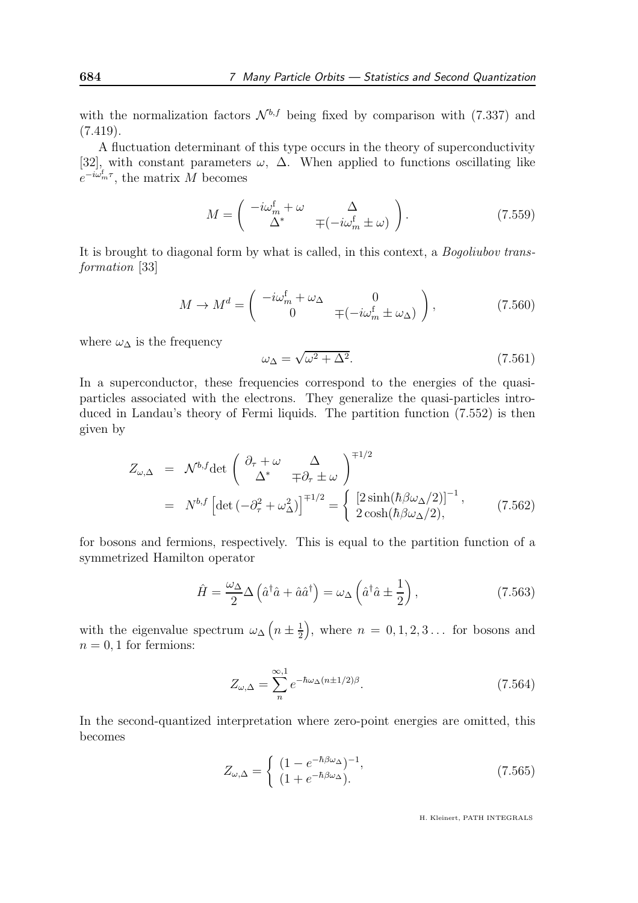with the normalization factors  $\mathcal{N}^{b,f}$  being fixed by comparison with (7.337) and  $(7.419).$ 

A fluctuation determinant of this type occurs in the theory of superconductivity [32], with constant parameters  $\omega$ ,  $\Delta$ . When applied to functions oscillating like  $e^{-i\omega_m^{\text{f}}\tau}$ , the matrix M becomes

$$
M = \begin{pmatrix} -i\omega_m^{\text{f}} + \omega & \Delta \\ \Delta^* & \mp(-i\omega_m^{\text{f}} \pm \omega) \end{pmatrix}.
$$
 (7.559)

It is brought to diagonal form by what is called, in this context, a Bogoliubov transformation [33]

$$
M \to M^d = \begin{pmatrix} -i\omega_m^f + \omega_\Delta & 0\\ 0 & \mp(-i\omega_m^f \pm \omega_\Delta) \end{pmatrix},
$$
(7.560)

where  $\omega_{\Delta}$  is the frequency

$$
\omega_{\Delta} = \sqrt{\omega^2 + \Delta^2}.\tag{7.561}
$$

In a superconductor, these frequencies correspond to the energies of the quasiparticles associated with the electrons. They generalize the quasi-particles introduced in Landau's theory of Fermi liquids. The partition function (7.552) is then given by

$$
Z_{\omega,\Delta} = \mathcal{N}^{b,f} \det \begin{pmatrix} \partial_{\tau} + \omega & \Delta \\ \Delta^* & \mp \partial_{\tau} \pm \omega \end{pmatrix}^{\mp 1/2}
$$
  
=  $N^{b,f} \left[ \det \left( -\partial_{\tau}^2 + \omega_{\Delta}^2 \right) \right]^{\mp 1/2} = \begin{cases} \left[ 2 \sinh(\hbar \beta \omega_{\Delta}/2) \right]^{-1}, \\ 2 \cosh(\hbar \beta \omega_{\Delta}/2), \end{cases}$  (7.562)

for bosons and fermions, respectively. This is equal to the partition function of a symmetrized Hamilton operator

$$
\hat{H} = \frac{\omega_{\Delta}}{2} \Delta \left( \hat{a}^{\dagger} \hat{a} + \hat{a} \hat{a}^{\dagger} \right) = \omega_{\Delta} \left( \hat{a}^{\dagger} \hat{a} \pm \frac{1}{2} \right), \tag{7.563}
$$

with the eigenvalue spectrum  $\omega_{\Delta} (n \pm \frac{1}{2})$  $(\frac{1}{2})$ , where  $n = 0, 1, 2, 3...$  for bosons and  $n = 0, 1$  for fermions:

$$
Z_{\omega,\Delta} = \sum_{n}^{\infty} e^{-\hbar\omega_{\Delta}(n\pm 1/2)\beta}.
$$
 (7.564)

In the second-quantized interpretation where zero-point energies are omitted, this becomes

$$
Z_{\omega,\Delta} = \begin{cases} (1 - e^{-\hbar \beta \omega_{\Delta}})^{-1}, & (7.565) \\ (1 + e^{-\hbar \beta \omega_{\Delta}}). & (7.565) \end{cases}
$$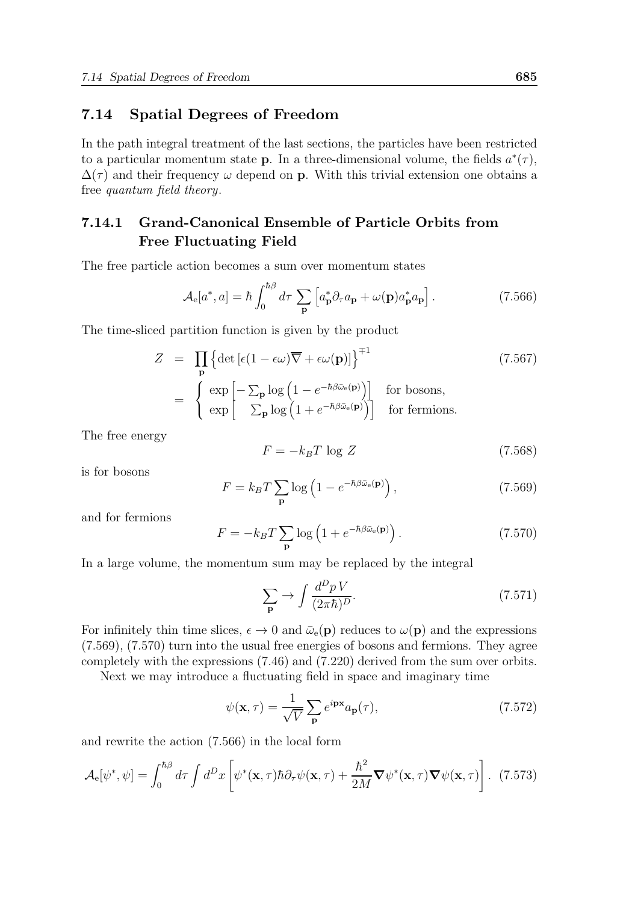# 7.14 Spatial Degrees of Freedom

In the path integral treatment of the last sections, the particles have been restricted to a particular momentum state **p**. In a three-dimensional volume, the fields  $a^*(\tau)$ ,  $\Delta(\tau)$  and their frequency  $\omega$  depend on **p**. With this trivial extension one obtains a free quantum field theory.

# 7.14.1 Grand-Canonical Ensemble of Particle Orbits from Free Fluctuating Field

The free particle action becomes a sum over momentum states

$$
\mathcal{A}_{e}[a^*, a] = \hbar \int_0^{\hbar \beta} d\tau \sum_{\mathbf{p}} \left[ a_{\mathbf{p}}^* \partial_\tau a_{\mathbf{p}} + \omega(\mathbf{p}) a_{\mathbf{p}}^* a_{\mathbf{p}} \right]. \tag{7.566}
$$

The time-sliced partition function is given by the product

$$
Z = \prod_{\mathbf{p}} \left\{ \det \left[ \epsilon (1 - \epsilon \omega) \overline{\nabla} + \epsilon \omega(\mathbf{p}) \right] \right\}^{\mp 1}
$$
(7.567)  
= 
$$
\begin{cases} \exp \left[ -\sum_{\mathbf{p}} \log \left( 1 - e^{-\hbar \beta \bar{\omega}_{e}(\mathbf{p})} \right) \right] & \text{for bosons,} \\ \exp \left[ -\sum_{\mathbf{p}} \log \left( 1 + e^{-\hbar \beta \bar{\omega}_{e}(\mathbf{p})} \right) \right] & \text{for fermions.} \end{cases}
$$

The free energy

$$
F = -k_B T \log Z \tag{7.568}
$$

is for bosons

$$
F = k_B T \sum_{\mathbf{p}} \log \left( 1 - e^{-\hbar \beta \bar{\omega}_e(\mathbf{p})} \right),\tag{7.569}
$$

and for fermions

$$
F = -k_B T \sum_{\mathbf{p}} \log \left( 1 + e^{-\hbar \beta \bar{\omega}_e(\mathbf{p})} \right). \tag{7.570}
$$

In a large volume, the momentum sum may be replaced by the integral

$$
\sum_{\mathbf{p}} \rightarrow \int \frac{d^D p V}{(2\pi \hbar)^D}.
$$
\n(7.571)

For infinitely thin time slices,  $\epsilon \to 0$  and  $\bar{\omega}_e(\mathbf{p})$  reduces to  $\omega(\mathbf{p})$  and the expressions (7.569), (7.570) turn into the usual free energies of bosons and fermions. They agree completely with the expressions (7.46) and (7.220) derived from the sum over orbits.

Next we may introduce a fluctuating field in space and imaginary time

$$
\psi(\mathbf{x}, \tau) = \frac{1}{\sqrt{V}} \sum_{\mathbf{p}} e^{i\mathbf{p}\mathbf{x}} a_{\mathbf{p}}(\tau), \tag{7.572}
$$

and rewrite the action (7.566) in the local form

$$
\mathcal{A}_{\mathbf{e}}[\psi^*, \psi] = \int_0^{\hbar \beta} d\tau \int d^D x \left[ \psi^*(\mathbf{x}, \tau) \hbar \partial_\tau \psi(\mathbf{x}, \tau) + \frac{\hbar^2}{2M} \nabla \psi^*(\mathbf{x}, \tau) \nabla \psi(\mathbf{x}, \tau) \right].
$$
 (7.573)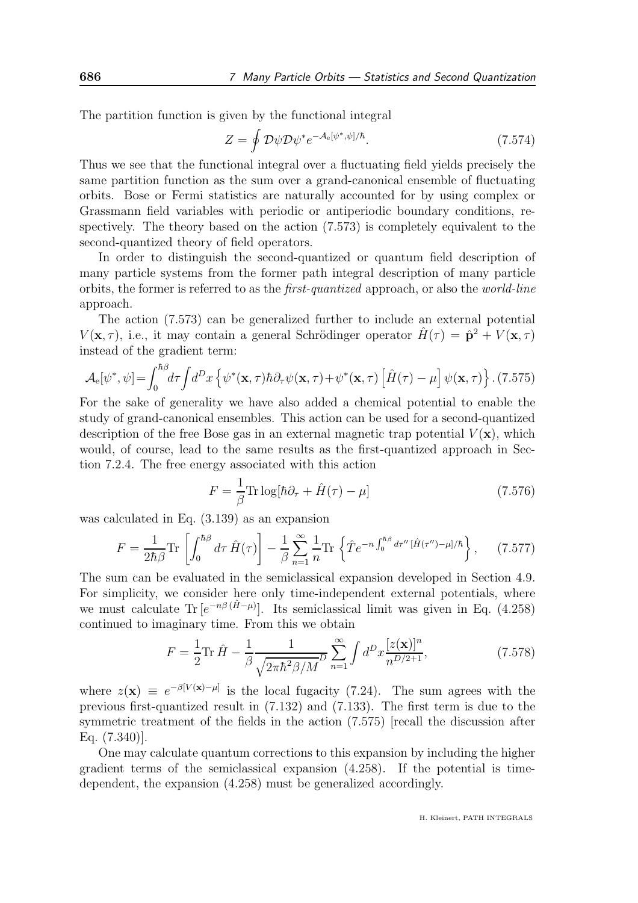The partition function is given by the functional integral

$$
Z = \oint \mathcal{D}\psi \mathcal{D}\psi^* e^{-\mathcal{A}_e[\psi^*, \psi]/\hbar}.
$$
 (7.574)

Thus we see that the functional integral over a fluctuating field yields precisely the same partition function as the sum over a grand-canonical ensemble of fluctuating orbits. Bose or Fermi statistics are naturally accounted for by using complex or Grassmann field variables with periodic or antiperiodic boundary conditions, respectively. The theory based on the action (7.573) is completely equivalent to the second-quantized theory of field operators.

In order to distinguish the second-quantized or quantum field description of many particle systems from the former path integral description of many particle orbits, the former is referred to as the first-quantized approach, or also the world-line approach.

The action (7.573) can be generalized further to include an external potential  $V(\mathbf{x}, \tau)$ , i.e., it may contain a general Schrödinger operator  $\hat{H}(\tau) = \hat{\mathbf{p}}^2 + V(\mathbf{x}, \tau)$ instead of the gradient term:

$$
\mathcal{A}_{\mathbf{e}}[\psi^*, \psi] = \int_0^{\hbar \beta} d\tau \int d^D x \left\{ \psi^*(\mathbf{x}, \tau) \hbar \partial_\tau \psi(\mathbf{x}, \tau) + \psi^*(\mathbf{x}, \tau) \left[ \hat{H}(\tau) - \mu \right] \psi(\mathbf{x}, \tau) \right\} .
$$
 (7.575)

For the sake of generality we have also added a chemical potential to enable the study of grand-canonical ensembles. This action can be used for a second-quantized description of the free Bose gas in an external magnetic trap potential  $V(\mathbf{x})$ , which would, of course, lead to the same results as the first-quantized approach in Section 7.2.4. The free energy associated with this action

$$
F = \frac{1}{\beta} \text{Tr} \log[\hbar \partial_{\tau} + \hat{H}(\tau) - \mu] \tag{7.576}
$$

was calculated in Eq. (3.139) as an expansion

$$
F = \frac{1}{2\hbar\beta} \text{Tr} \left[ \int_0^{\hbar\beta} d\tau \, \hat{H}(\tau) \right] - \frac{1}{\beta} \sum_{n=1}^{\infty} \frac{1}{n} \text{Tr} \left\{ \hat{T} e^{-n \int_0^{\hbar\beta} d\tau'' \, [\hat{H}(\tau'') - \mu]/\hbar} \right\}, \tag{7.577}
$$

The sum can be evaluated in the semiclassical expansion developed in Section 4.9. For simplicity, we consider here only time-independent external potentials, where we must calculate Tr  $[e^{-n\beta(\hat{H}-\mu)}]$ . Its semiclassical limit was given in Eq. (4.258) continued to imaginary time. From this we obtain

$$
F = \frac{1}{2} \text{Tr} \,\hat{H} - \frac{1}{\beta} \frac{1}{\sqrt{2\pi\hbar^2 \beta/M}} \sum_{n=1}^{\infty} \int d^D x \frac{[z(\mathbf{x})]^n}{n^{D/2+1}},\tag{7.578}
$$

where  $z(\mathbf{x}) \equiv e^{-\beta [V(\mathbf{x})-\mu]}$  is the local fugacity (7.24). The sum agrees with the previous first-quantized result in (7.132) and (7.133). The first term is due to the symmetric treatment of the fields in the action (7.575) [recall the discussion after Eq. (7.340)].

One may calculate quantum corrections to this expansion by including the higher gradient terms of the semiclassical expansion (4.258). If the potential is timedependent, the expansion (4.258) must be generalized accordingly.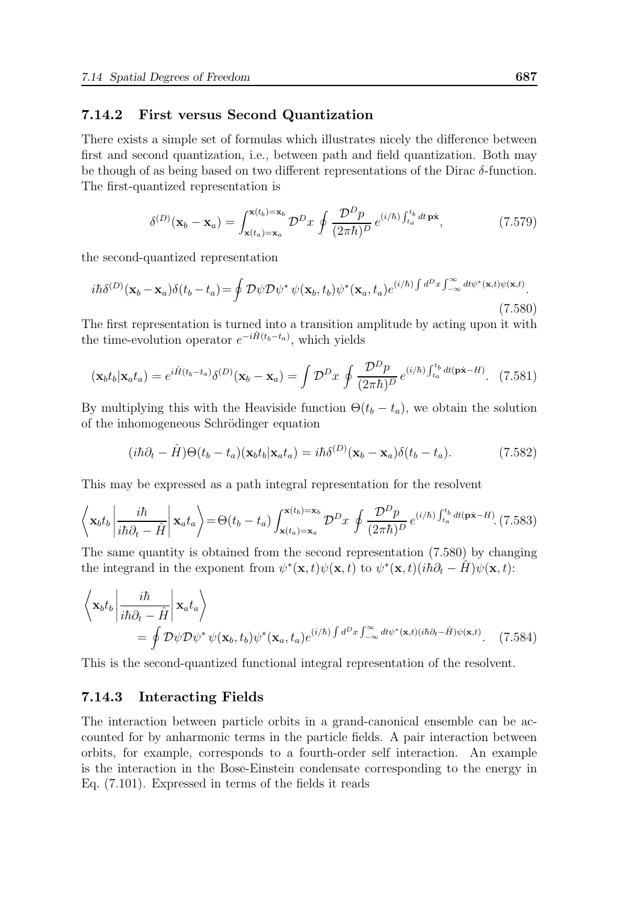### 7.14.2 First versus Second Quantization

There exists a simple set of formulas which illustrates nicely the difference between first and second quantization, i.e., between path and field quantization. Both may be though of as being based on two different representations of the Dirac  $\delta$ -function. The first-quantized representation is

$$
\delta^{(D)}(\mathbf{x}_b - \mathbf{x}_a) = \int_{\mathbf{x}(t_a) = \mathbf{x}_a}^{\mathbf{x}(t_b) = \mathbf{x}_b} \mathcal{D}^D x \oint \frac{\mathcal{D}^D p}{(2\pi\hbar)^D} e^{(i/\hbar) \int_{t_a}^{t_b} dt \, \mathbf{p}\dot{\mathbf{x}}},\tag{7.579}
$$

the second-quantized representation

$$
i\hbar \delta^{(D)}(\mathbf{x}_b - \mathbf{x}_a) \delta(t_b - t_a) = \oint \mathcal{D}\psi \mathcal{D}\psi^* \psi(\mathbf{x}_b, t_b) \psi^*(\mathbf{x}_a, t_a) e^{(i/\hbar) \int d^D x \int_{-\infty}^{\infty} dt \psi^*(\mathbf{x}, t) \psi(\mathbf{x}, t)}.
$$
\n(7.580)

The first representation is turned into a transition amplitude by acting upon it with the time-evolution operator  $e^{-i\hat{H}(t_b-t_a)}$ , which yields

$$
(\mathbf{x}_b t_b | \mathbf{x}_a t_a) = e^{i\hat{H}(t_b - t_a)} \delta^{(D)}(\mathbf{x}_b - \mathbf{x}_a) = \int \mathcal{D}^D x \oint \frac{\mathcal{D}^D p}{(2\pi\hbar)^D} e^{(i/\hbar) \int_{t_a}^{t_b} dt(\mathbf{p}\dot{\mathbf{x}} - H)}.
$$
 (7.581)

By multiplying this with the Heaviside function  $\Theta(t_b - t_a)$ , we obtain the solution of the inhomogeneous Schrödinger equation

$$
(i\hbar\partial_t - \hat{H})\Theta(t_b - t_a)(\mathbf{x}_b t_b | \mathbf{x}_a t_a) = i\hbar\delta^{(D)}(\mathbf{x}_b - \mathbf{x}_a)\delta(t_b - t_a). \tag{7.582}
$$

This may be expressed as a path integral representation for the resolvent

$$
\left\langle \mathbf{x}_b t_b \left| \frac{i\hbar}{i\hbar \partial_t - \hat{H}} \right| \mathbf{x}_a t_a \right\rangle = \Theta(t_b - t_a) \int_{\mathbf{x}(t_a) = \mathbf{x}_a}^{\mathbf{x}(t_b) = \mathbf{x}_b} \mathcal{D}^D x \oint \frac{\mathcal{D}^D p}{(2\pi\hbar)^D} e^{(i/\hbar) \int_{t_a}^{t_b} dt(\mathbf{p}\dot{\mathbf{x}} - H)} (7.583)
$$

The same quantity is obtained from the second representation (7.580) by changing the integrand in the exponent from  $\psi^*(\mathbf{x},t)\psi(\mathbf{x},t)$  to  $\psi^*(\mathbf{x},t)(i\hbar\partial_t - \hat{H})\psi(\mathbf{x},t)$ :

$$
\left\langle \mathbf{x}_{b}t_{b} \left| \frac{i\hbar}{i\hbar\partial_{t} - \hat{H}} \right| \mathbf{x}_{a}t_{a} \right\rangle
$$
\n
$$
= \oint \mathcal{D}\psi \mathcal{D}\psi^{*} \psi(\mathbf{x}_{b}, t_{b}) \psi^{*}(\mathbf{x}_{a}, t_{a}) e^{(i/\hbar) \int d^{D}x \int_{-\infty}^{\infty} dt \psi^{*}(\mathbf{x}, t)(i\hbar\partial_{t} - \hat{H})\psi(\mathbf{x}, t)}.
$$
\n(7.584)

This is the second-quantized functional integral representation of the resolvent.

### 7.14.3 Interacting Fields

The interaction between particle orbits in a grand-canonical ensemble can be accounted for by anharmonic terms in the particle fields. A pair interaction between orbits, for example, corresponds to a fourth-order self interaction. An example is the interaction in the Bose-Einstein condensate corresponding to the energy in Eq. (7.101). Expressed in terms of the fields it reads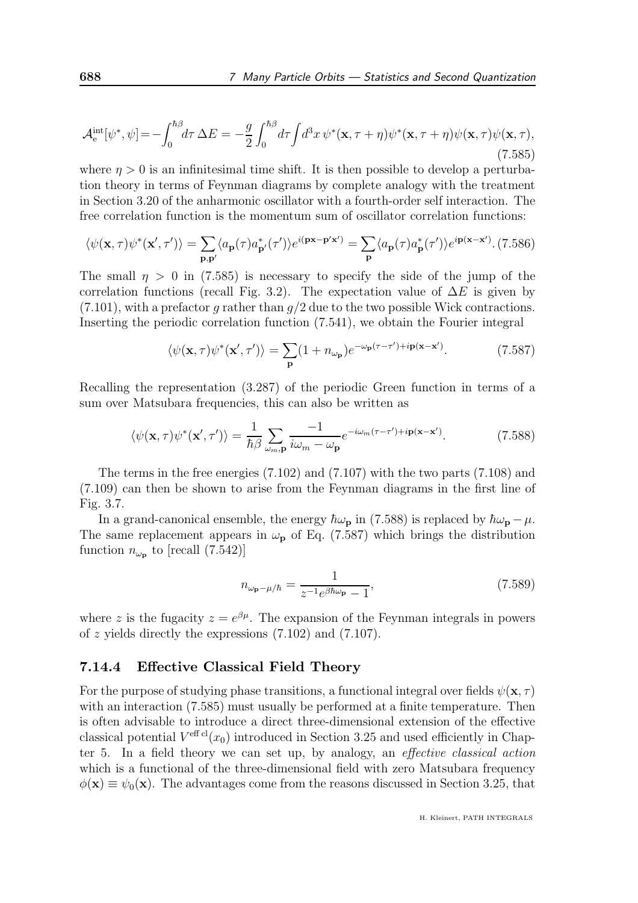$$
\mathcal{A}_{\mathbf{e}}^{\text{int}}[\psi^*,\psi] = -\int_0^{\hbar\beta} d\tau \,\Delta E = -\frac{g}{2} \int_0^{\hbar\beta} d\tau \int d^3x \,\psi^*(\mathbf{x},\tau+\eta)\psi^*(\mathbf{x},\tau+\eta)\psi(\mathbf{x},\tau)\psi(\mathbf{x},\tau),\tag{7.585}
$$

where  $\eta > 0$  is an infinitesimal time shift. It is then possible to develop a perturbation theory in terms of Feynman diagrams by complete analogy with the treatment in Section 3.20 of the anharmonic oscillator with a fourth-order self interaction. The free correlation function is the momentum sum of oscillator correlation functions:

$$
\langle \psi(\mathbf{x}, \tau) \psi^*(\mathbf{x}', \tau') \rangle = \sum_{\mathbf{p}, \mathbf{p}'} \langle a_{\mathbf{p}}(\tau) a_{\mathbf{p}'}^*(\tau') \rangle e^{i(\mathbf{p}\mathbf{x} - \mathbf{p}'\mathbf{x}')} = \sum_{\mathbf{p}} \langle a_{\mathbf{p}}(\tau) a_{\mathbf{p}}^*(\tau') \rangle e^{i\mathbf{p}(\mathbf{x} - \mathbf{x}')}.\tag{7.586}
$$

The small  $\eta > 0$  in (7.585) is necessary to specify the side of the jump of the correlation functions (recall Fig. 3.2). The expectation value of  $\Delta E$  is given by  $(7.101)$ , with a prefactor g rather than  $g/2$  due to the two possible Wick contractions. Inserting the periodic correlation function (7.541), we obtain the Fourier integral

$$
\langle \psi(\mathbf{x}, \tau) \psi^*(\mathbf{x}', \tau') \rangle = \sum_{\mathbf{p}} (1 + n_{\omega_{\mathbf{p}}}) e^{-\omega_{\mathbf{p}}(\tau - \tau') + i\mathbf{p}(\mathbf{x} - \mathbf{x}')}.
$$
(7.587)

Recalling the representation (3.287) of the periodic Green function in terms of a sum over Matsubara frequencies, this can also be written as

$$
\langle \psi(\mathbf{x}, \tau) \psi^*(\mathbf{x}', \tau') \rangle = \frac{1}{\hbar \beta} \sum_{\omega_m, \mathbf{p}} \frac{-1}{i \omega_m - \omega_\mathbf{p}} e^{-i \omega_m (\tau - \tau') + i \mathbf{p}(\mathbf{x} - \mathbf{x}')}.
$$
(7.588)

The terms in the free energies (7.102) and (7.107) with the two parts (7.108) and (7.109) can then be shown to arise from the Feynman diagrams in the first line of Fig. 3.7.

In a grand-canonical ensemble, the energy  $\hbar\omega_{\bf p}$  in (7.588) is replaced by  $\hbar\omega_{\bf p} - \mu$ . The same replacement appears in  $\omega_{\mathbf{p}}$  of Eq. (7.587) which brings the distribution function  $n_{\omega_{\mathbf{p}}}$  to [recall (7.542)]

$$
n_{\omega_{\mathbf{p}}-\mu/\hbar} = \frac{1}{z^{-1}e^{\beta\hbar\omega_{\mathbf{p}}} - 1},\tag{7.589}
$$

where z is the fugacity  $z = e^{\beta \mu}$ . The expansion of the Feynman integrals in powers of z yields directly the expressions (7.102) and (7.107).

#### 7.14.4 Effective Classical Field Theory

For the purpose of studying phase transitions, a functional integral over fields  $\psi(\mathbf{x}, \tau)$ with an interaction (7.585) must usually be performed at a finite temperature. Then is often advisable to introduce a direct three-dimensional extension of the effective classical potential  $V^{\text{eff cl}}(x_0)$  introduced in Section 3.25 and used efficiently in Chapter 5. In a field theory we can set up, by analogy, an effective classical action which is a functional of the three-dimensional field with zero Matsubara frequency  $\phi(\mathbf{x}) \equiv \psi_0(\mathbf{x})$ . The advantages come from the reasons discussed in Section 3.25, that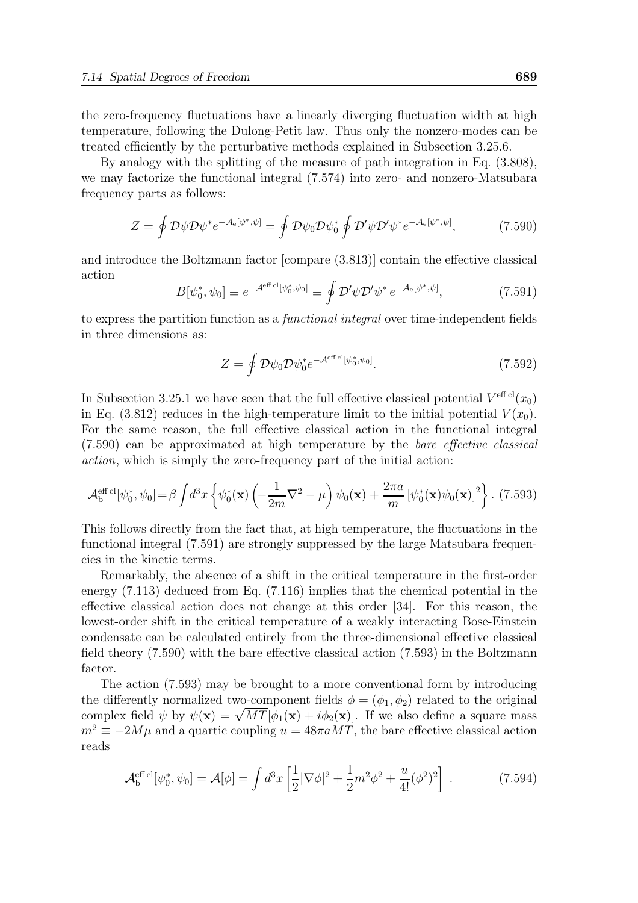the zero-frequency fluctuations have a linearly diverging fluctuation width at high temperature, following the Dulong-Petit law. Thus only the nonzero-modes can be treated efficiently by the perturbative methods explained in Subsection 3.25.6.

By analogy with the splitting of the measure of path integration in Eq. (3.808), we may factorize the functional integral (7.574) into zero- and nonzero-Matsubara frequency parts as follows:

$$
Z = \oint \mathcal{D}\psi \mathcal{D}\psi^* e^{-\mathcal{A}_e[\psi^*,\psi]} = \oint \mathcal{D}\psi_0 \mathcal{D}\psi_0^* \oint \mathcal{D}'\psi \mathcal{D}'\psi^* e^{-\mathcal{A}_e[\psi^*,\psi]},\tag{7.590}
$$

and introduce the Boltzmann factor [compare (3.813)] contain the effective classical action

$$
B[\psi_0^*, \psi_0] \equiv e^{-\mathcal{A}^{\text{eff cl}}[\psi_0^*, \psi_0]} \equiv \oint \mathcal{D}' \psi \mathcal{D}' \psi^* e^{-\mathcal{A}_e[\psi^*, \psi]},\tag{7.591}
$$

to express the partition function as a functional integral over time-independent fields in three dimensions as:

$$
Z = \oint \mathcal{D}\psi_0 \mathcal{D}\psi_0^* e^{-\mathcal{A}^{\text{eff cl}}[\psi_0^*, \psi_0]}.
$$
\n(7.592)

In Subsection 3.25.1 we have seen that the full effective classical potential  $V^{\text{eff cl}}(x_0)$ in Eq. (3.812) reduces in the high-temperature limit to the initial potential  $V(x_0)$ . For the same reason, the full effective classical action in the functional integral (7.590) can be approximated at high temperature by the bare effective classical action, which is simply the zero-frequency part of the initial action:

$$
\mathcal{A}_b^{\text{eff cl}}[\psi_0^*, \psi_0] = \beta \int d^3x \left\{ \psi_0^*(\mathbf{x}) \left( -\frac{1}{2m} \nabla^2 - \mu \right) \psi_0(\mathbf{x}) + \frac{2\pi a}{m} \left[ \psi_0^*(\mathbf{x}) \psi_0(\mathbf{x}) \right]^2 \right\}. (7.593)
$$

This follows directly from the fact that, at high temperature, the fluctuations in the functional integral (7.591) are strongly suppressed by the large Matsubara frequencies in the kinetic terms.

Remarkably, the absence of a shift in the critical temperature in the first-order energy (7.113) deduced from Eq. (7.116) implies that the chemical potential in the effective classical action does not change at this order [34]. For this reason, the lowest-order shift in the critical temperature of a weakly interacting Bose-Einstein condensate can be calculated entirely from the three-dimensional effective classical field theory (7.590) with the bare effective classical action (7.593) in the Boltzmann factor.

The action (7.593) may be brought to a more conventional form by introducing the differently normalized two-component fields  $\phi = (\phi_1, \phi_2)$  related to the original complex field  $\psi$  by  $\psi(\mathbf{x}) = \sqrt{MT}[\phi_1(\mathbf{x}) + i\phi_2(\mathbf{x})]$ . If we also define a square mass  $m^2 \equiv -2M\mu$  and a quartic coupling  $u = 48\pi aMT$ , the bare effective classical action reads

$$
\mathcal{A}_{\rm b}^{\rm eff\, \rm cl}[\psi_0^*, \psi_0] = \mathcal{A}[\phi] = \int d^3x \left[ \frac{1}{2} |\nabla \phi|^2 + \frac{1}{2} m^2 \phi^2 + \frac{u}{4!} (\phi^2)^2 \right] \,. \tag{7.594}
$$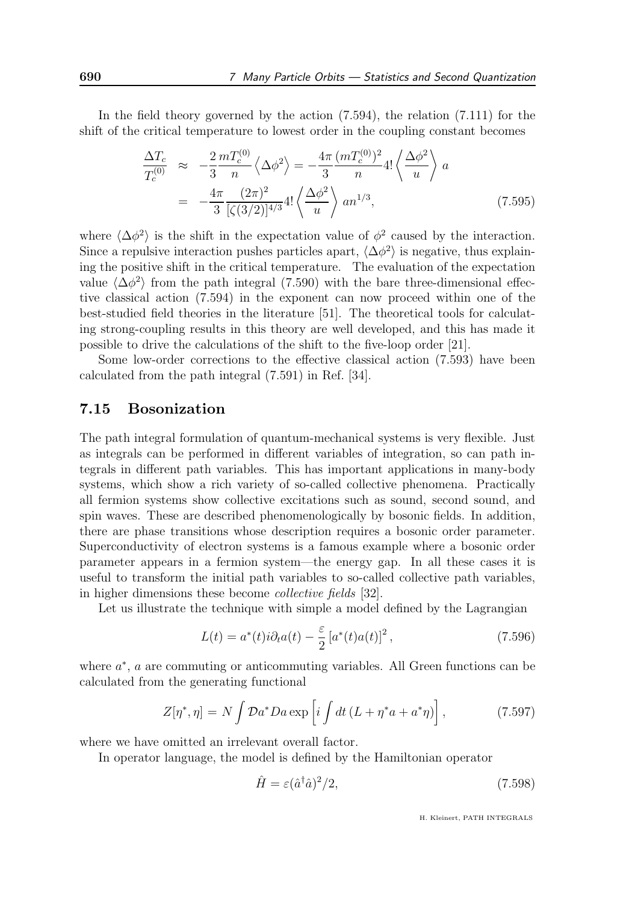In the field theory governed by the action (7.594), the relation (7.111) for the shift of the critical temperature to lowest order in the coupling constant becomes

$$
\frac{\Delta T_c}{T_c^{(0)}} \approx -\frac{2}{3} \frac{m T_c^{(0)}}{n} \left\langle \Delta \phi^2 \right\rangle = -\frac{4\pi}{3} \frac{(m T_c^{(0)})^2}{n} 4! \left\langle \frac{\Delta \phi^2}{u} \right\rangle a
$$
\n
$$
= -\frac{4\pi}{3} \frac{(2\pi)^2}{[\zeta(3/2)]^{4/3}} 4! \left\langle \frac{\Delta \phi^2}{u} \right\rangle a n^{1/3}, \tag{7.595}
$$

where  $\langle \Delta \phi^2 \rangle$  is the shift in the expectation value of  $\phi^2$  caused by the interaction. Since a repulsive interaction pushes particles apart,  $\langle \Delta \phi^2 \rangle$  is negative, thus explaining the positive shift in the critical temperature. The evaluation of the expectation value  $\langle \Delta \phi^2 \rangle$  from the path integral (7.590) with the bare three-dimensional effective classical action (7.594) in the exponent can now proceed within one of the best-studied field theories in the literature [51]. The theoretical tools for calculating strong-coupling results in this theory are well developed, and this has made it possible to drive the calculations of the shift to the five-loop order [21].

Some low-order corrections to the effective classical action (7.593) have been calculated from the path integral (7.591) in Ref. [34].

### 7.15 Bosonization

The path integral formulation of quantum-mechanical systems is very flexible. Just as integrals can be performed in different variables of integration, so can path integrals in different path variables. This has important applications in many-body systems, which show a rich variety of so-called collective phenomena. Practically all fermion systems show collective excitations such as sound, second sound, and spin waves. These are described phenomenologically by bosonic fields. In addition, there are phase transitions whose description requires a bosonic order parameter. Superconductivity of electron systems is a famous example where a bosonic order parameter appears in a fermion system—the energy gap. In all these cases it is useful to transform the initial path variables to so-called collective path variables, in higher dimensions these become collective fields [32].

Let us illustrate the technique with simple a model defined by the Lagrangian

$$
L(t) = a^*(t)i\partial_t a(t) - \frac{\varepsilon}{2} \left[a^*(t)a(t)\right]^2, \qquad (7.596)
$$

where  $a^*$ ,  $a$  are commuting or anticommuting variables. All Green functions can be calculated from the generating functional

$$
Z[\eta^*, \eta] = N \int \mathcal{D}a^* D a \exp \left[ i \int dt \left( L + \eta^* a + a^* \eta \right) \right], \qquad (7.597)
$$

where we have omitted an irrelevant overall factor.

In operator language, the model is defined by the Hamiltonian operator

$$
\hat{H} = \varepsilon (\hat{a}^\dagger \hat{a})^2 / 2,\tag{7.598}
$$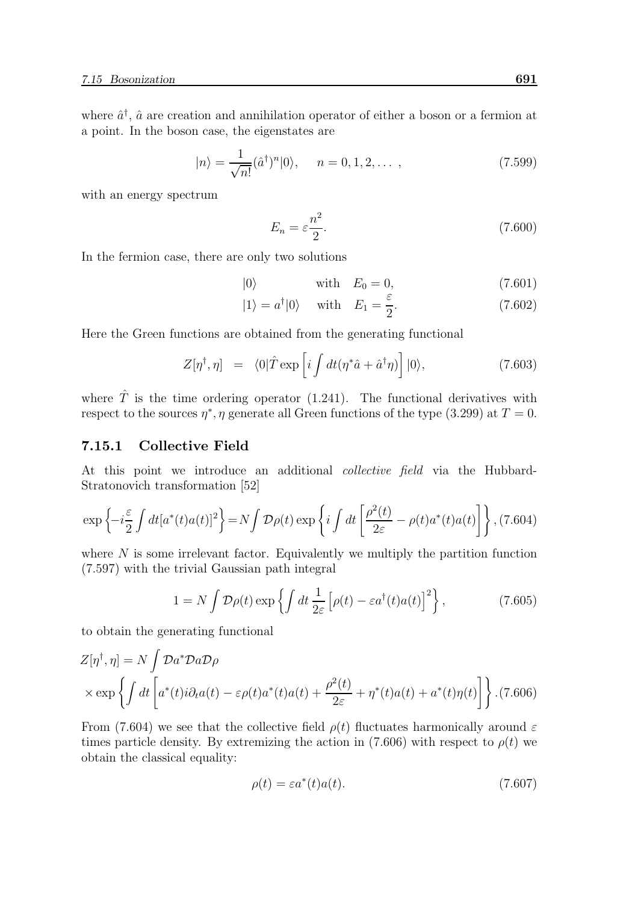where  $\hat{a}^{\dagger}$ ,  $\hat{a}$  are creation and annihilation operator of either a boson or a fermion at a point. In the boson case, the eigenstates are

$$
|n\rangle = \frac{1}{\sqrt{n!}} (\hat{a}^{\dagger})^n |0\rangle, \quad n = 0, 1, 2, \dots,
$$
 (7.599)

with an energy spectrum

$$
E_n = \varepsilon \frac{n^2}{2}.\tag{7.600}
$$

In the fermion case, there are only two solutions

$$
|0\rangle \t\t with \t E_0 = 0, \t\t (7.601)
$$

$$
|1\rangle = a^{\dagger}|0\rangle \quad \text{with} \quad E_1 = \frac{\varepsilon}{2}.\tag{7.602}
$$

Here the Green functions are obtained from the generating functional

$$
Z[\eta^{\dagger}, \eta] = \langle 0|\hat{T} \exp\left[i\int dt(\eta^* \hat{a} + \hat{a}^{\dagger}\eta)\right]|0\rangle, \tag{7.603}
$$

where  $\hat{T}$  is the time ordering operator (1.241). The functional derivatives with respect to the sources  $\eta^*$ ,  $\eta$  generate all Green functions of the type (3.299) at  $T = 0$ .

### 7.15.1 Collective Field

At this point we introduce an additional collective field via the Hubbard-Stratonovich transformation [52]

$$
\exp\left\{-i\frac{\varepsilon}{2}\int dt[a^*(t)a(t)]^2\right\} = N\int\mathcal{D}\rho(t)\exp\left\{i\int dt\left[\frac{\rho^2(t)}{2\varepsilon} - \rho(t)a^*(t)a(t)\right]\right\}, (7.604)
$$

where  $N$  is some irrelevant factor. Equivalently we multiply the partition function (7.597) with the trivial Gaussian path integral

$$
1 = N \int \mathcal{D}\rho(t) \exp\left\{ \int dt \, \frac{1}{2\varepsilon} \left[ \rho(t) - \varepsilon a^\dagger(t) a(t) \right]^2 \right\},\tag{7.605}
$$

to obtain the generating functional

$$
Z[\eta^{\dagger}, \eta] = N \int \mathcal{D}a^* \mathcal{D}a \mathcal{D}\rho
$$
  
 
$$
\times \exp \left\{ \int dt \left[ a^*(t) i \partial_t a(t) - \varepsilon \rho(t) a^*(t) a(t) + \frac{\rho^2(t)}{2\varepsilon} + \eta^*(t) a(t) + a^*(t) \eta(t) \right] \right\} . (7.606)
$$

From (7.604) we see that the collective field  $\rho(t)$  fluctuates harmonically around  $\varepsilon$ times particle density. By extremizing the action in (7.606) with respect to  $\rho(t)$  we obtain the classical equality:

$$
\rho(t) = \varepsilon a^*(t) a(t). \tag{7.607}
$$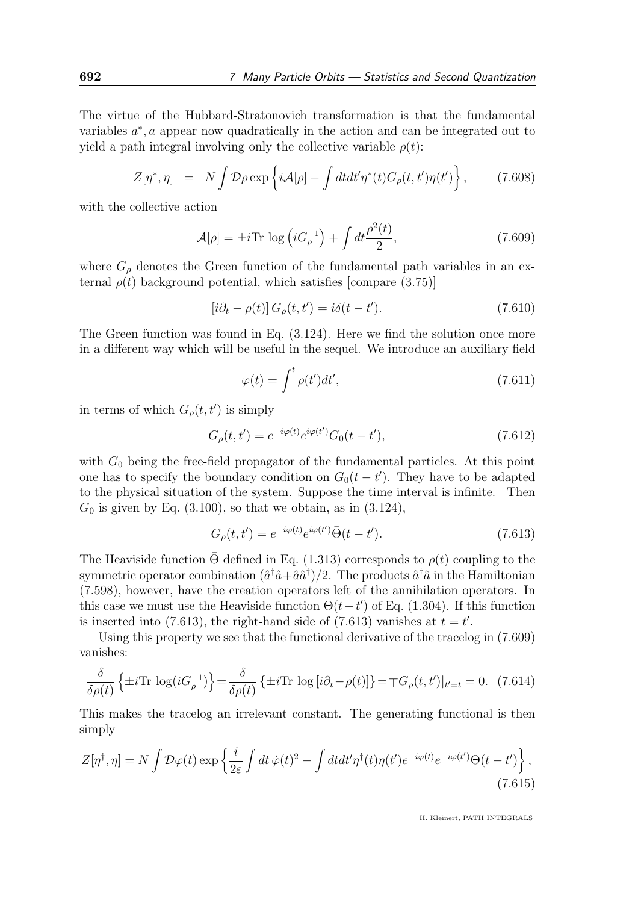The virtue of the Hubbard-Stratonovich transformation is that the fundamental variables  $a^*$ , a appear now quadratically in the action and can be integrated out to yield a path integral involving only the collective variable  $\rho(t)$ :

$$
Z[\eta^*, \eta] = N \int \mathcal{D}\rho \exp\left\{ i \mathcal{A}[\rho] - \int dt dt' \eta^*(t) G_{\rho}(t, t') \eta(t') \right\}, \tag{7.608}
$$

with the collective action

$$
\mathcal{A}[\rho] = \pm i \text{Tr} \, \log \left( i G_{\rho}^{-1} \right) + \int dt \frac{\rho^2(t)}{2},\tag{7.609}
$$

where  $G_{\rho}$  denotes the Green function of the fundamental path variables in an external  $\rho(t)$  background potential, which satisfies [compare (3.75)]

$$
[i\partial_t - \rho(t)] G_{\rho}(t, t') = i\delta(t - t'). \qquad (7.610)
$$

The Green function was found in Eq. (3.124). Here we find the solution once more in a different way which will be useful in the sequel. We introduce an auxiliary field

$$
\varphi(t) = \int^{t} \rho(t')dt',\tag{7.611}
$$

in terms of which  $G_{\rho}(t,t')$  is simply

$$
G_{\rho}(t, t') = e^{-i\varphi(t)} e^{i\varphi(t')} G_0(t - t'), \qquad (7.612)
$$

with  $G_0$  being the free-field propagator of the fundamental particles. At this point one has to specify the boundary condition on  $G_0(t-t')$ . They have to be adapted to the physical situation of the system. Suppose the time interval is infinite. Then  $G_0$  is given by Eq. (3.100), so that we obtain, as in (3.124),

$$
G_{\rho}(t, t') = e^{-i\varphi(t)} e^{i\varphi(t')} \bar{\Theta}(t - t'). \tag{7.613}
$$

The Heaviside function  $\Theta$  defined in Eq. (1.313) corresponds to  $\rho(t)$  coupling to the symmetric operator combination  $(\hat{a}^\dagger \hat{a} + \hat{a} \hat{a}^\dagger)/2$ . The products  $\hat{a}^\dagger \hat{a}$  in the Hamiltonian (7.598), however, have the creation operators left of the annihilation operators. In this case we must use the Heaviside function  $\Theta(t-t')$  of Eq. (1.304). If this function is inserted into (7.613), the right-hand side of (7.613) vanishes at  $t = t'$ .

Using this property we see that the functional derivative of the tracelog in (7.609) vanishes:

$$
\frac{\delta}{\delta \rho(t)} \left\{ \pm i \text{Tr} \, \log(iG_{\rho}^{-1}) \right\} = \frac{\delta}{\delta \rho(t)} \left\{ \pm i \text{Tr} \, \log[i\partial_t - \rho(t)] \right\} = \mp G_{\rho}(t, t')|_{t'=t} = 0. \tag{7.614}
$$

This makes the tracelog an irrelevant constant. The generating functional is then simply

$$
Z[\eta^{\dagger}, \eta] = N \int \mathcal{D}\varphi(t) \exp\left\{\frac{i}{2\varepsilon} \int dt \,\dot{\varphi}(t)^2 - \int dt dt' \eta^{\dagger}(t) \eta(t') e^{-i\varphi(t)} e^{-i\varphi(t')} \Theta(t - t')\right\},\tag{7.615}
$$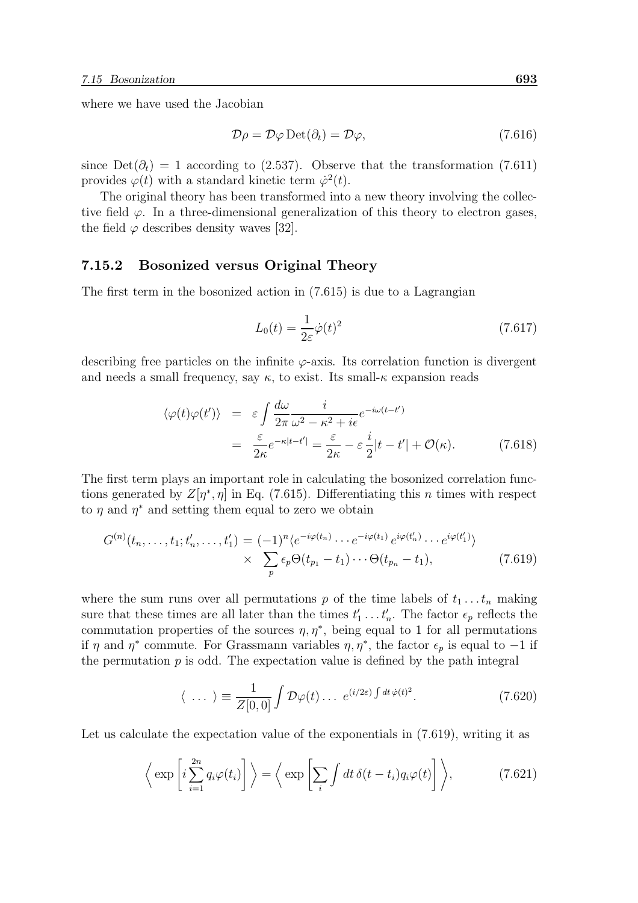where we have used the Jacobian

$$
\mathcal{D}\rho = \mathcal{D}\varphi \operatorname{Det}(\partial_t) = \mathcal{D}\varphi,\tag{7.616}
$$

since  $Det(\partial_t) = 1$  according to (2.537). Observe that the transformation (7.611) provides  $\varphi(t)$  with a standard kinetic term  $\dot{\varphi}^2(t)$ .

The original theory has been transformed into a new theory involving the collective field  $\varphi$ . In a three-dimensional generalization of this theory to electron gases, the field  $\varphi$  describes density waves [32].

#### 7.15.2 Bosonized versus Original Theory

The first term in the bosonized action in (7.615) is due to a Lagrangian

$$
L_0(t) = \frac{1}{2\varepsilon}\dot{\varphi}(t)^2\tag{7.617}
$$

describing free particles on the infinite  $\varphi$ -axis. Its correlation function is divergent and needs a small frequency, say  $\kappa$ , to exist. Its small- $\kappa$  expansion reads

$$
\langle \varphi(t)\varphi(t') \rangle = \varepsilon \int \frac{d\omega}{2\pi} \frac{i}{\omega^2 - \kappa^2 + i\epsilon} e^{-i\omega(t - t')}
$$
  
= 
$$
\frac{\varepsilon}{2\kappa} e^{-\kappa|t - t'|} = \frac{\varepsilon}{2\kappa} - \varepsilon \frac{i}{2}|t - t'| + \mathcal{O}(\kappa).
$$
 (7.618)

The first term plays an important role in calculating the bosonized correlation functions generated by  $Z[\eta^*, \eta]$  in Eq. (7.615). Differentiating this *n* times with respect to  $\eta$  and  $\eta^*$  and setting them equal to zero we obtain

$$
G^{(n)}(t_n, \dots, t_1; t'_n, \dots, t'_1) = (-1)^n \langle e^{-i\varphi(t_n)} \cdots e^{-i\varphi(t_1)} e^{i\varphi(t'_n)} \cdots e^{i\varphi(t'_1)} \rangle
$$
  
 
$$
\times \sum_{p} \epsilon_p \Theta(t_{p_1} - t_1) \cdots \Theta(t_{p_n} - t_1), \qquad (7.619)
$$

where the sum runs over all permutations p of the time labels of  $t_1 \ldots t_n$  making sure that these times are all later than the times  $t'_1 \dots t'_n$ . The factor  $\epsilon_p$  reflects the commutation properties of the sources  $\eta, \eta^*$ , being equal to 1 for all permutations if  $\eta$  and  $\eta^*$  commute. For Grassmann variables  $\eta, \eta^*$ , the factor  $\epsilon_p$  is equal to  $-1$  if the permutation  $p$  is odd. The expectation value is defined by the path integral

$$
\langle \ \ldots \ \rangle \equiv \frac{1}{Z[0,0]} \int \mathcal{D}\varphi(t) \ldots \ e^{(i/2\varepsilon) \int dt \ \varphi(t)^2}.
$$
 (7.620)

Let us calculate the expectation value of the exponentials in  $(7.619)$ , writing it as

$$
\left\langle \exp\left[i\sum_{i=1}^{2n}q_i\varphi(t_i)\right]\right\rangle = \left\langle \exp\left[\sum_i\int dt\,\delta(t-t_i)q_i\varphi(t)\right]\right\rangle, \tag{7.621}
$$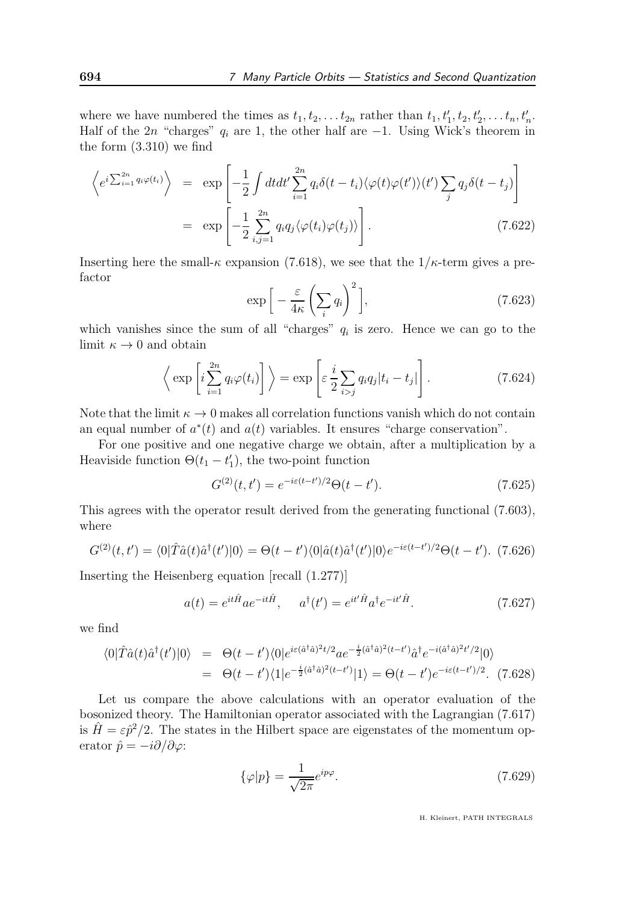where we have numbered the times as  $t_1, t_2, \ldots t_{2n}$  rather than  $t_1, t'_1, t_2, t'_2, \ldots t_n, t'_n$ . Half of the 2n "charges"  $q_i$  are 1, the other half are  $-1$ . Using Wick's theorem in the form (3.310) we find

$$
\left\langle e^{i\sum_{i=1}^{2n}q_i\varphi(t_i)} \right\rangle = \exp\left[ -\frac{1}{2}\int dt dt' \sum_{i=1}^{2n} q_i \delta(t - t_i) \langle \varphi(t)\varphi(t')\rangle(t') \sum_j q_j \delta(t - t_j) \right]
$$
  

$$
= \exp\left[ -\frac{1}{2} \sum_{i,j=1}^{2n} q_i q_j \langle \varphi(t_i)\varphi(t_j)\rangle \right].
$$
 (7.622)

Inserting here the small- $\kappa$  expansion (7.618), we see that the  $1/\kappa$ -term gives a prefactor

$$
\exp\left[-\frac{\varepsilon}{4\kappa}\left(\sum_{i}q_{i}\right)^{2}\right],\tag{7.623}
$$

which vanishes since the sum of all "charges"  $q_i$  is zero. Hence we can go to the limit  $\kappa \to 0$  and obtain

$$
\left\langle \exp\left[i\sum_{i=1}^{2n}q_i\varphi(t_i)\right]\right\rangle = \exp\left[\varepsilon\frac{i}{2}\sum_{i>j}q_iq_j|t_i - t_j|\right].\tag{7.624}
$$

Note that the limit  $\kappa \to 0$  makes all correlation functions vanish which do not contain an equal number of  $a^*(t)$  and  $a(t)$  variables. It ensures "charge conservation".

For one positive and one negative charge we obtain, after a multiplication by a Heaviside function  $\Theta(t_1 - t_1)$ , the two-point function

$$
G^{(2)}(t, t') = e^{-i\varepsilon(t - t')/2} \Theta(t - t').
$$
\n(7.625)

This agrees with the operator result derived from the generating functional (7.603), where

$$
G^{(2)}(t,t') = \langle 0|\hat{T}\hat{a}(t)\hat{a}^\dagger(t')|0\rangle = \Theta(t-t')\langle 0|\hat{a}(t)\hat{a}^\dagger(t')|0\rangle e^{-i\varepsilon(t-t')/2}\Theta(t-t'). \tag{7.626}
$$

Inserting the Heisenberg equation [recall (1.277)]

$$
a(t) = e^{it\hat{H}}ae^{-it\hat{H}}, \quad a^{\dagger}(t') = e^{it'\hat{H}}a^{\dagger}e^{-it'\hat{H}}.
$$
\n(7.627)

we find

$$
\langle 0|\hat{T}\hat{a}(t)\hat{a}^{\dagger}(t')|0\rangle = \Theta(t-t')\langle 0|e^{i\varepsilon(\hat{a}^{\dagger}\hat{a})^{2}t/2}ae^{-\frac{i}{2}(\hat{a}^{\dagger}\hat{a})^{2}(t-t')}\hat{a}^{\dagger}e^{-i(\hat{a}^{\dagger}\hat{a})^{2}t'/2}|0\rangle
$$
  
=  $\Theta(t-t')\langle 1|e^{-\frac{i}{2}(\hat{a}^{\dagger}\hat{a})^{2}(t-t')}|1\rangle = \Theta(t-t')e^{-i\varepsilon(t-t')/2}.$  (7.628)

Let us compare the above calculations with an operator evaluation of the bosonized theory. The Hamiltonian operator associated with the Lagrangian (7.617) is  $\hat{H} = \varepsilon \hat{p}^2/2$ . The states in the Hilbert space are eigenstates of the momentum operator  $\hat{p} = -i\partial/\partial\varphi$ :

$$
\{\varphi|p\} = \frac{1}{\sqrt{2\pi}}e^{ip\varphi}.\tag{7.629}
$$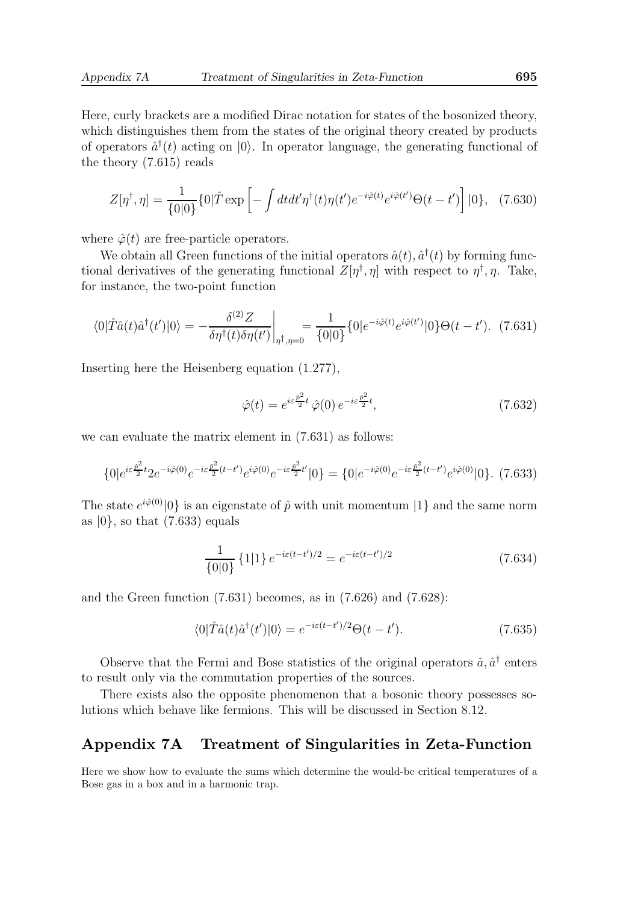Here, curly brackets are a modified Dirac notation for states of the bosonized theory, which distinguishes them from the states of the original theory created by products of operators  $\hat{a}^{\dagger}(t)$  acting on  $|0\rangle$ . In operator language, the generating functional of the theory (7.615) reads

$$
Z[\eta^\dagger, \eta] = \frac{1}{\{0|0\}} \{0|\hat{T} \exp\left[-\int dt dt' \eta^\dagger(t)\eta(t') e^{-i\hat{\varphi}(t)} e^{i\hat{\varphi}(t')} \Theta(t-t')\right]|0\}, \quad (7.630)
$$

where  $\hat{\varphi}(t)$  are free-particle operators.

We obtain all Green functions of the initial operators  $\hat{a}(t)$ ,  $\hat{a}^{\dagger}(t)$  by forming functional derivatives of the generating functional  $Z[\eta^{\dagger}, \eta]$  with respect to  $\eta^{\dagger}, \eta$ . Take, for instance, the two-point function

$$
\langle 0|\hat{T}\hat{a}(t)\hat{a}^{\dagger}(t')|0\rangle = -\frac{\delta^{(2)}Z}{\delta\eta^{\dagger}(t)\delta\eta(t')} \bigg|_{\eta^{\dagger},\eta=0} = \frac{1}{\{0|0\}} \{0|e^{-i\hat{\varphi}(t)}e^{i\hat{\varphi}(t')}|0\} \Theta(t-t'). \tag{7.631}
$$

Inserting here the Heisenberg equation (1.277),

$$
\hat{\varphi}(t) = e^{i\varepsilon \frac{\hat{p}^2}{2}t} \hat{\varphi}(0) e^{-i\varepsilon \frac{\hat{p}^2}{2}t},\tag{7.632}
$$

we can evaluate the matrix element in (7.631) as follows:

$$
\{0|e^{i\varepsilon\frac{\hat{p}^2}{2}t}2e^{-i\hat{\varphi}(0)}e^{-i\varepsilon\frac{\hat{p}^2}{2}(t-t')}e^{i\hat{\varphi}(0)}e^{-i\varepsilon\frac{\hat{p}^2}{2}t'}|0\} = \{0|e^{-i\hat{\varphi}(0)}e^{-i\varepsilon\frac{\hat{p}^2}{2}(t-t')}e^{i\hat{\varphi}(0)}|0\}.
$$
 (7.633)

The state  $e^{i\hat{\varphi}(0)}|0\rangle$  is an eigenstate of  $\hat{p}$  with unit momentum  $|1\rangle$  and the same norm as  $|0\rangle$ , so that (7.633) equals

$$
\frac{1}{\{0|0\}}\{1|1\}e^{-i\varepsilon(t-t')/2} = e^{-i\varepsilon(t-t')/2}
$$
\n(7.634)

and the Green function (7.631) becomes, as in (7.626) and (7.628):

$$
\langle 0|\hat{T}\hat{a}(t)\hat{a}^{\dagger}(t')|0\rangle = e^{-i\varepsilon(t-t')/2}\Theta(t-t').\tag{7.635}
$$

Observe that the Fermi and Bose statistics of the original operators  $\hat{a}, \hat{a}^{\dagger}$  enters to result only via the commutation properties of the sources.

There exists also the opposite phenomenon that a bosonic theory possesses solutions which behave like fermions. This will be discussed in Section 8.12.

# Appendix 7A Treatment of Singularities in Zeta-Function

Here we show how to evaluate the sums which determine the would-be critical temperatures of a Bose gas in a box and in a harmonic trap.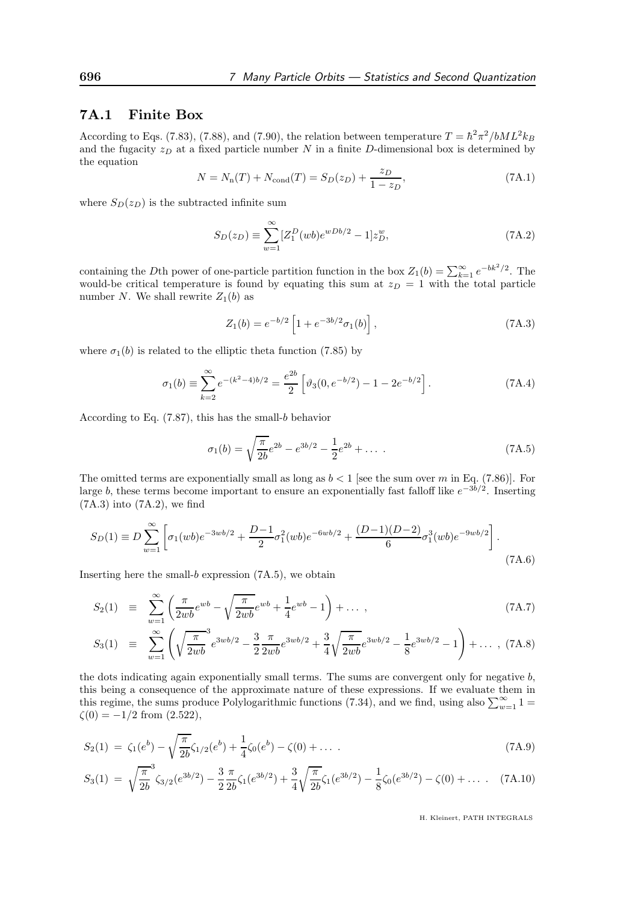### 7A.1 Finite Box

According to Eqs. (7.83), (7.88), and (7.90), the relation between temperature  $T = \hbar^2 \pi^2/bML^2k_B$ and the fugacity  $z_D$  at a fixed particle number N in a finite D-dimensional box is determined by the equation

$$
N = N_{\rm n}(T) + N_{\rm cond}(T) = S_D(z_D) + \frac{z_D}{1 - z_D},\tag{7A.1}
$$

where  $S_D(z_D)$  is the subtracted infinite sum

$$
S_D(z_D) \equiv \sum_{w=1}^{\infty} [Z_1^D(wb)e^{wDb/2} - 1]z_D^w,
$$
 (7A.2)

containing the Dth power of one-particle partition function in the box  $Z_1(b) = \sum_{k=1}^{\infty} e^{-bk^2/2}$ . The would-be critical temperature is found by equating this sum at  $z_D = 1$  with the total particle number N. We shall rewrite  $Z_1(b)$  as

$$
Z_1(b) = e^{-b/2} \left[ 1 + e^{-3b/2} \sigma_1(b) \right], \tag{7A.3}
$$

where  $\sigma_1(b)$  is related to the elliptic theta function (7.85) by

$$
\sigma_1(b) \equiv \sum_{k=2}^{\infty} e^{-(k^2 - 4)b/2} = \frac{e^{2b}}{2} \left[ \vartheta_3(0, e^{-b/2}) - 1 - 2e^{-b/2} \right]. \tag{7A.4}
$$

According to Eq.  $(7.87)$ , this has the small-b behavior

$$
\sigma_1(b) = \sqrt{\frac{\pi}{2b}}e^{2b} - e^{3b/2} - \frac{1}{2}e^{2b} + \dots
$$
 (7A.5)

The omitted terms are exponentially small as long as  $b < 1$  [see the sum over m in Eq. (7.86)]. For large b, these terms become important to ensure an exponentially fast falloff like  $e^{-3b/2}$ . Inserting  $(7A.3)$  into  $(7A.2)$ , we find

$$
S_D(1) \equiv D \sum_{w=1}^{\infty} \left[ \sigma_1(wb)e^{-3wb/2} + \frac{D-1}{2} \sigma_1^2(wb)e^{-6wb/2} + \frac{(D-1)(D-2)}{6} \sigma_1^3(wb)e^{-9wb/2} \right].
$$
\n(7A.6)

Inserting here the small- $b$  expression  $(7A.5)$ , we obtain

$$
S_2(1) \equiv \sum_{w=1}^{\infty} \left( \frac{\pi}{2wb} e^{wb} - \sqrt{\frac{\pi}{2wb}} e^{wb} + \frac{1}{4} e^{wb} - 1 \right) + \dots , \qquad (7A.7)
$$

$$
S_3(1) \equiv \sum_{w=1}^{\infty} \left( \sqrt{\frac{\pi}{2wb}} e^{3wb/2} - \frac{3}{2} \frac{\pi}{2wb} e^{3wb/2} + \frac{3}{4} \sqrt{\frac{\pi}{2wb}} e^{3wb/2} - \frac{1}{8} e^{3wb/2} - 1 \right) + \dots , (7A.8)
$$

the dots indicating again exponentially small terms. The sums are convergent only for negative  $b$ , this being a consequence of the approximate nature of these expressions. If we evaluate them in this regime, the sums produce Polylogarithmic functions (7.34), and we find, using also  $\sum_{w=1}^{\infty} 1 =$  $\zeta(0) = -1/2$  from  $(2.522)$ ,

$$
S_2(1) = \zeta_1(e^b) - \sqrt{\frac{\pi}{2b}}\zeta_{1/2}(e^b) + \frac{1}{4}\zeta_0(e^b) - \zeta(0) + \dots
$$
\n(7A.9)

$$
S_3(1) = \sqrt{\frac{\pi}{2b}}^3 \zeta_{3/2}(e^{3b/2}) - \frac{3}{2} \frac{\pi}{2b} \zeta_1(e^{3b/2}) + \frac{3}{4} \sqrt{\frac{\pi}{2b}} \zeta_1(e^{3b/2}) - \frac{1}{8} \zeta_0(e^{3b/2}) - \zeta(0) + \dots
$$
 (7A.10)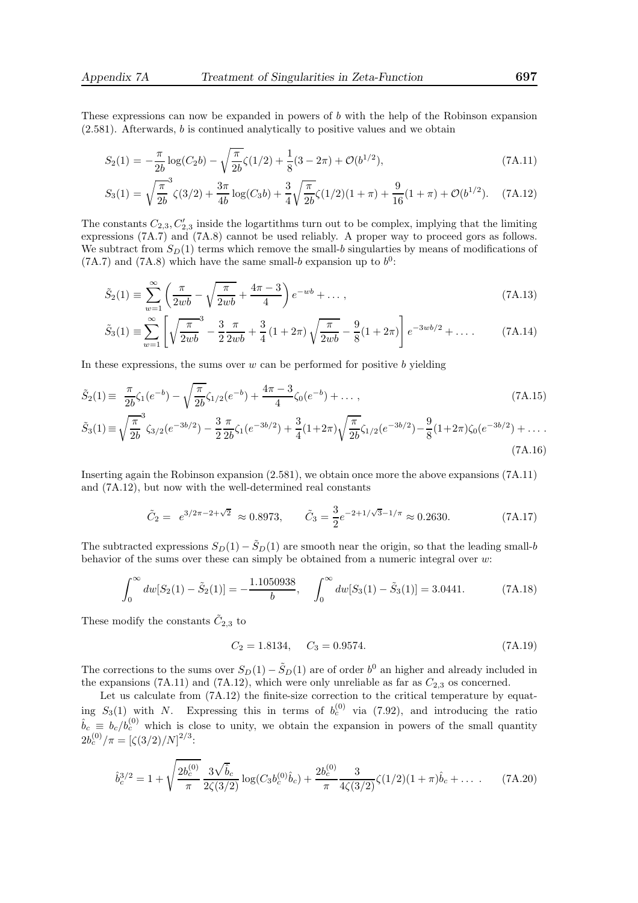These expressions can now be expanded in powers of  $b$  with the help of the Robinson expansion (2.581). Afterwards, b is continued analytically to positive values and we obtain

$$
S_2(1) = -\frac{\pi}{2b} \log(C_2 b) - \sqrt{\frac{\pi}{2b}} \zeta(1/2) + \frac{1}{8} (3 - 2\pi) + \mathcal{O}(b^{1/2}),\tag{7A.11}
$$

$$
S_3(1) = \sqrt{\frac{\pi}{2b}}^3 \zeta(3/2) + \frac{3\pi}{4b} \log(C_3 b) + \frac{3}{4} \sqrt{\frac{\pi}{2b}} \zeta(1/2)(1+\pi) + \frac{9}{16}(1+\pi) + \mathcal{O}(b^{1/2}).
$$
 (7A.12)

The constants  $C_{2,3}, C'_{2,3}$  inside the logarithms turn out to be complex, implying that the limiting expressions (7A.7) and (7A.8) cannot be used reliably. A proper way to proceed gors as follows. We subtract from  $S_D(1)$  terms which remove the small-b singularties by means of modifications of (7A.7) and (7A.8) which have the same small-b expansion up to  $b^0$ :

$$
\tilde{S}_2(1) \equiv \sum_{w=1}^{\infty} \left( \frac{\pi}{2wb} - \sqrt{\frac{\pi}{2wb}} + \frac{4\pi - 3}{4} \right) e^{-wb} + \dots, \tag{7A.13}
$$

$$
\tilde{S}_3(1) \equiv \sum_{w=1}^{\infty} \left[ \sqrt{\frac{\pi}{2wb}}^3 - \frac{3\pi}{2\pi b} + \frac{3}{4} (1+2\pi) \sqrt{\frac{\pi}{2wb}} - \frac{9}{8} (1+2\pi) \right] e^{-3wb/2} + \dots
$$
 (7A.14)

In these expressions, the sums over  $w$  can be performed for positive  $b$  yielding

$$
\tilde{S}_2(1) \equiv \frac{\pi}{2b}\zeta_1(e^{-b}) - \sqrt{\frac{\pi}{2b}}\zeta_{1/2}(e^{-b}) + \frac{4\pi - 3}{4}\zeta_0(e^{-b}) + \dots,\tag{7A.15}
$$

$$
\tilde{S}_3(1) \equiv \sqrt{\frac{\pi}{2b}}^3 \zeta_{3/2}(e^{-3b/2}) - \frac{3}{2} \frac{\pi}{2b} \zeta_1(e^{-3b/2}) + \frac{3}{4} (1+2\pi) \sqrt{\frac{\pi}{2b}} \zeta_{1/2}(e^{-3b/2}) - \frac{9}{8} (1+2\pi) \zeta_0(e^{-3b/2}) + \dots
$$
\n(7A.16)

Inserting again the Robinson expansion (2.581), we obtain once more the above expansions (7A.11) and (7A.12), but now with the well-determined real constants

$$
\tilde{C}_2 = e^{3/2\pi - 2 + \sqrt{2}} \approx 0.8973, \qquad \tilde{C}_3 = \frac{3}{2} e^{-2 + 1/\sqrt{3} - 1/\pi} \approx 0.2630. \tag{7A.17}
$$

The subtracted expressions  $S_D(1) - \tilde{S}_D(1)$  are smooth near the origin, so that the leading small-b behavior of the sums over these can simply be obtained from a numeric integral over  $w$ :

$$
\int_0^\infty dw[S_2(1) - \tilde{S}_2(1)] = -\frac{1.1050938}{b}, \quad \int_0^\infty dw[S_3(1) - \tilde{S}_3(1)] = 3.0441. \tag{7A.18}
$$

These modify the constants  $\tilde{C}_{2,3}$  to

$$
C_2 = 1.8134, \quad C_3 = 0.9574. \tag{7A.19}
$$

The corrections to the sums over  $S_D(1) - \tilde{S}_D(1)$  are of order  $b^0$  an higher and already included in the expansions (7A.11) and (7A.12), which were only unreliable as far as  $C_{2,3}$  os concerned.

Let us calculate from  $(7A.12)$  the finite-size correction to the critical temperature by equating  $S_3(1)$  with N. Expressing this in terms of  $b_c^{(0)}$  via (7.92), and introducing the ratio  $\hat{b}_c \equiv b_c/b_c^{(0)}$  which is close to unity, we obtain the expansion in powers of the small quantity  $2b_c^{(0)}/\pi = \left[ \zeta(3/2)/N \right]^{2/3}$ :

$$
\hat{b}_c^{3/2} = 1 + \sqrt{\frac{2b_c^{(0)}}{\pi}} \frac{3\sqrt{\hat{b}_c}}{2\zeta(3/2)} \log(C_3 b_c^{(0)} \hat{b}_c) + \frac{2b_c^{(0)}}{\pi} \frac{3}{4\zeta(3/2)} \zeta(1/2)(1+\pi)\hat{b}_c + \dots
$$
 (7A.20)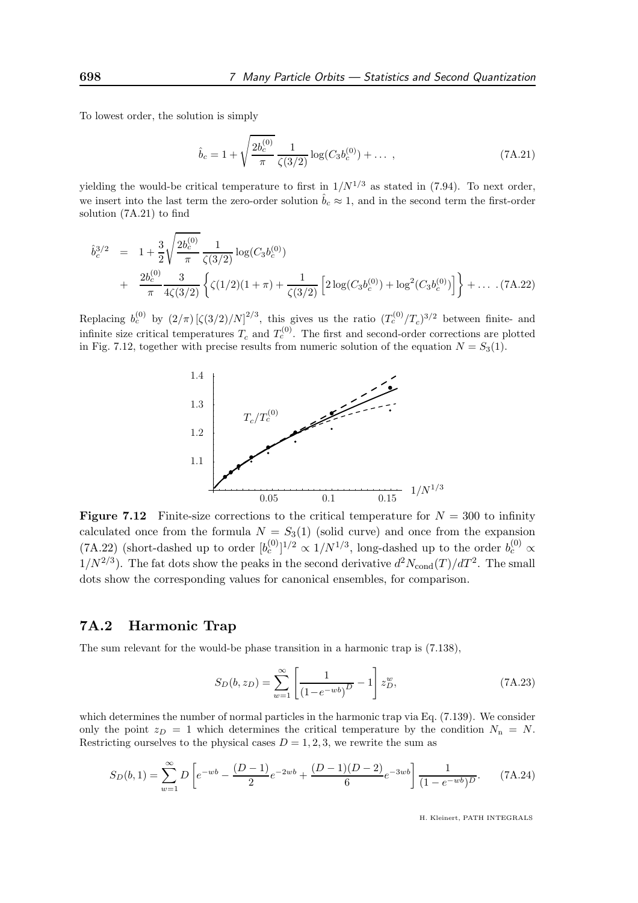To lowest order, the solution is simply

$$
\hat{b}_c = 1 + \sqrt{\frac{2b_c^{(0)}}{\pi}} \frac{1}{\zeta(3/2)} \log(C_3 b_c^{(0)}) + \dots \,,\tag{7A.21}
$$

yielding the would-be critical temperature to first in  $1/N^{1/3}$  as stated in (7.94). To next order, we insert into the last term the zero-order solution  $\hat{b}_c \approx 1$ , and in the second term the first-order solution (7A.21) to find

$$
\hat{b}_c^{3/2} = 1 + \frac{3}{2} \sqrt{\frac{2b_c^{(0)}}{\pi}} \frac{1}{\zeta(3/2)} \log(C_3 b_c^{(0)}) \n+ \frac{2b_c^{(0)}}{\pi} \frac{3}{4\zeta(3/2)} \left\{ \zeta(1/2)(1+\pi) + \frac{1}{\zeta(3/2)} \left[ 2\log(C_3 b_c^{(0)}) + \log^2(C_3 b_c^{(0)}) \right] \right\} + \dots \tag{7A.22}
$$

Replacing  $b_c^{(0)}$  by  $(2/\pi) [\zeta(3/2)/N]^{2/3}$ , this gives us the ratio  $(T_c^{(0)}/T_c)^{3/2}$  between finite- and infinite size critical temperatures  $T_c$  and  $T_c^{(0)}$ . The first and second-order corrections are plotted in Fig. 7.12, together with precise results from numeric solution of the equation  $N = S_3(1)$ .



**Figure 7.12** Finite-size corrections to the critical temperature for  $N = 300$  to infinity calculated once from the formula  $N = S_3(1)$  (solid curve) and once from the expansion (7A.22) (short-dashed up to order  $[b_c^{(0)}]^{1/2} \propto 1/N^{1/3}$ , long-dashed up to the order  $b_c^{(0)} \propto$  $1/N^{2/3}$ ). The fat dots show the peaks in the second derivative  $d^2N_{\text{cond}}(T)/dT^2$ . The small dots show the corresponding values for canonical ensembles, for comparison.

#### 7A.2 Harmonic Trap

The sum relevant for the would-be phase transition in a harmonic trap is (7.138),

$$
S_D(b, z_D) = \sum_{w=1}^{\infty} \left[ \frac{1}{(1 - e^{-wb})^D} - 1 \right] z_D^w,
$$
 (7A.23)

which determines the number of normal particles in the harmonic trap via Eq. (7.139). We consider only the point  $z_D = 1$  which determines the critical temperature by the condition  $N_n = N$ . Restricting ourselves to the physical cases  $D = 1, 2, 3$ , we rewrite the sum as

$$
S_D(b,1) = \sum_{w=1}^{\infty} D \left[ e^{-wb} - \frac{(D-1)}{2} e^{-2wb} + \frac{(D-1)(D-2)}{6} e^{-3wb} \right] \frac{1}{(1 - e^{-wb})^D}.
$$
 (7A.24)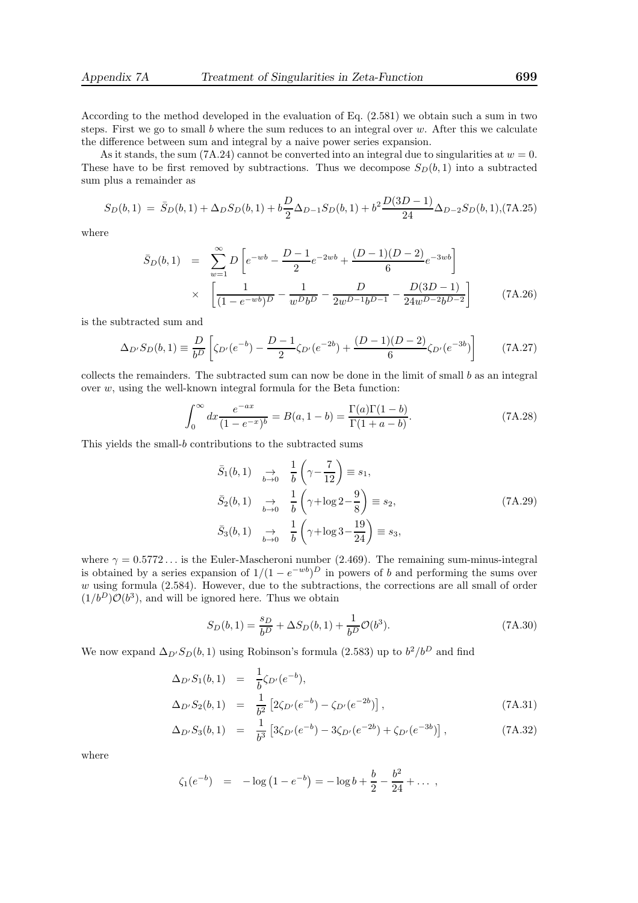According to the method developed in the evaluation of Eq. (2.581) we obtain such a sum in two steps. First we go to small b where the sum reduces to an integral over  $w$ . After this we calculate the difference between sum and integral by a naive power series expansion.

As it stands, the sum (7A.24) cannot be converted into an integral due to singularities at  $w = 0$ . These have to be first removed by subtractions. Thus we decompose  $S_D(b, 1)$  into a subtracted sum plus a remainder as

$$
S_D(b,1) = \bar{S}_D(b,1) + \Delta_D S_D(b,1) + b\frac{D}{2}\Delta_{D-1}S_D(b,1) + b^2 \frac{D(3D-1)}{24}\Delta_{D-2}S_D(b,1),
$$
(7A.25)

where

$$
\bar{S}_D(b,1) = \sum_{w=1}^{\infty} D \left[ e^{-wb} - \frac{D-1}{2} e^{-2wb} + \frac{(D-1)(D-2)}{6} e^{-3wb} \right]
$$
  
 
$$
\times \left[ \frac{1}{(1 - e^{-wb})^D} - \frac{1}{w^D b^D} - \frac{D}{2w^{D-1} b^{D-1}} - \frac{D(3D-1)}{24w^{D-2} b^{D-2}} \right]
$$
(7A.26)

is the subtracted sum and

$$
\Delta_{D'}S_D(b,1) \equiv \frac{D}{b^D} \left[ \zeta_{D'}(e^{-b}) - \frac{D-1}{2} \zeta_{D'}(e^{-2b}) + \frac{(D-1)(D-2)}{6} \zeta_{D'}(e^{-3b}) \right]
$$
(7A.27)

collects the remainders. The subtracted sum can now be done in the limit of small b as an integral over  $w$ , using the well-known integral formula for the Beta function:

$$
\int_0^\infty dx \frac{e^{-ax}}{(1 - e^{-x})^b} = B(a, 1 - b) = \frac{\Gamma(a)\Gamma(1 - b)}{\Gamma(1 + a - b)}.
$$
\n(7A.28)

This yields the small-b contributions to the subtracted sums

$$
\begin{aligned}\n\bar{S}_1(b,1) &\to \frac{1}{b \to 0} \left( \gamma - \frac{7}{12} \right) \equiv s_1, \\
\bar{S}_2(b,1) &\to \frac{1}{b \to 0} \left( \gamma + \log 2 - \frac{9}{8} \right) \equiv s_2, \\
\bar{S}_3(b,1) &\to \frac{1}{b \to 0} \left( \gamma + \log 3 - \frac{19}{24} \right) \equiv s_3,\n\end{aligned} \tag{7A.29}
$$

where  $\gamma = 0.5772...$  is the Euler-Mascheroni number (2.469). The remaining sum-minus-integral is obtained by a series expansion of  $1/(1 - e^{-wb})^D$  in powers of b and performing the sums over  $w$  using formula  $(2.584)$ . However, due to the subtractions, the corrections are all small of order  $(1/b^D)\mathcal{O}(b^3)$ , and will be ignored here. Thus we obtain

$$
S_D(b, 1) = \frac{s_D}{b^D} + \Delta S_D(b, 1) + \frac{1}{b^D} \mathcal{O}(b^3).
$$
 (7A.30)

We now expand  $\Delta_{D'}S_D(b,1)$  using Robinson's formula (2.583) up to  $b^2/b^D$  and find

$$
\Delta_{D'} S_1(b,1) = \frac{1}{b} \zeta_{D'}(e^{-b}),
$$
  
\n
$$
\Delta_{D'} S_2(b,1) = \frac{1}{b^2} \left[ 2\zeta_{D'}(e^{-b}) - \zeta_{D'}(e^{-2b}) \right],
$$
\n(7A.31)

$$
\Delta_{D'} S_3(b,1) = \frac{1}{b^3} \left[ 3\zeta_{D'}(e^{-b}) - 3\zeta_{D'}(e^{-2b}) + \zeta_{D'}(e^{-3b}) \right],\tag{7A.32}
$$

where

$$
\zeta_1(e^{-b}) = -\log(1-e^{-b}) = -\log b + \frac{b}{2} - \frac{b^2}{24} + \dots,
$$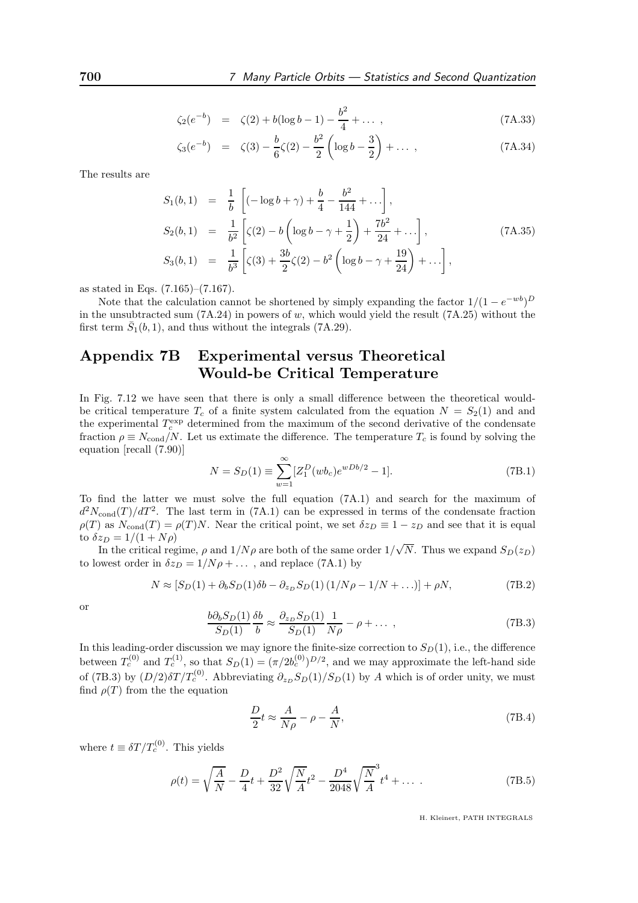$$
\zeta_2(e^{-b}) = \zeta(2) + b(\log b - 1) - \frac{b^2}{4} + \dots \,, \tag{7A.33}
$$

$$
\zeta_3(e^{-b}) = \zeta(3) - \frac{b}{6}\zeta(2) - \frac{b^2}{2}\left(\log b - \frac{3}{2}\right) + \dots \,,\tag{7A.34}
$$

The results are

$$
S_1(b,1) = \frac{1}{b} \left[ (-\log b + \gamma) + \frac{b}{4} - \frac{b^2}{144} + \dots \right],
$$
  
\n
$$
S_2(b,1) = \frac{1}{b^2} \left[ \zeta(2) - b \left( \log b - \gamma + \frac{1}{2} \right) + \frac{7b^2}{24} + \dots \right],
$$
  
\n
$$
S_3(b,1) = \frac{1}{b^3} \left[ \zeta(3) + \frac{3b}{2} \zeta(2) - b^2 \left( \log b - \gamma + \frac{19}{24} \right) + \dots \right],
$$
\n(7A.35)

as stated in Eqs. (7.165)–(7.167).

Note that the calculation cannot be shortened by simply expanding the factor  $1/(1 - e^{-wb})^D$ in the unsubtracted sum  $(7A.24)$  in powers of w, which would yield the result  $(7A.25)$  without the first term  $\bar{S}_1(b,1)$ , and thus without the integrals (7A.29).

# Appendix 7B Experimental versus Theoretical Would-be Critical Temperature

In Fig. 7.12 we have seen that there is only a small difference between the theoretical wouldbe critical temperature  $T_c$  of a finite system calculated from the equation  $N = S_2(1)$  and and the experimental  $T_c^{\text{exp}}$  determined from the maximum of the second derivative of the condensate fraction  $\rho \equiv N_{\text{cond}}/N$ . Let us extimate the difference. The temperature  $T_c$  is found by solving the equation [recall (7.90)]

$$
N = S_D(1) \equiv \sum_{w=1}^{\infty} [Z_1^D(wb_c)e^{wDb/2} - 1].
$$
 (7B.1)

To find the latter we must solve the full equation (7A.1) and search for the maximum of  $d^2N_{\text{cond}}(T)/dT^2$ . The last term in (7A.1) can be expressed in terms of the condensate fraction  $\rho(T)$  as  $N_{\text{cond}}(T) = \rho(T)N$ . Near the critical point, we set  $\delta z_D \equiv 1 - z_D$  and see that it is equal to  $\delta z_D = 1/(1 + N \rho)$ 

In the critical regime,  $\rho$  and  $1/N\rho$  are both of the same order  $1/\sqrt{N}$ . Thus we expand  $S_D(z_D)$ to lowest order in  $\delta z_D = 1/N \rho + \dots$ , and replace (7A.1) by

$$
N \approx [S_D(1) + \partial_b S_D(1)\delta b - \partial_{z_D} S_D(1) (1/N\rho - 1/N + ...)] + \rho N,
$$
 (7B.2)

or

$$
\frac{b\partial_b S_D(1)}{S_D(1)} \frac{\delta b}{b} \approx \frac{\partial_{z_D} S_D(1)}{S_D(1)} \frac{1}{N\rho} - \rho + \dots \,,\tag{7B.3}
$$

In this leading-order discussion we may ignore the finite-size correction to  $S_D(1)$ , i.e., the difference between  $T_c^{(0)}$  and  $T_c^{(1)}$ , so that  $S_D(1) = (\pi/2b_c^{(0)})^{D/2}$ , and we may approximate the left-hand side of (7B.3) by  $(D/2) \delta T/T_c^{(0)}$ . Abbreviating  $\partial_{z_D} S_D(1)/S_D(1)$  by A which is of order unity, we must find  $\rho(T)$  from the the equation

$$
\frac{D}{2}t \approx \frac{A}{N\rho} - \rho - \frac{A}{N},\tag{7B.4}
$$

where  $t \equiv \delta T/T_c^{(0)}$ . This yields

$$
\rho(t) = \sqrt{\frac{A}{N}} - \frac{D}{4}t + \frac{D^2}{32}\sqrt{\frac{N}{A}}t^2 - \frac{D^4}{2048}\sqrt{\frac{N}{A}}t^4 + \dots
$$
 (7B.5)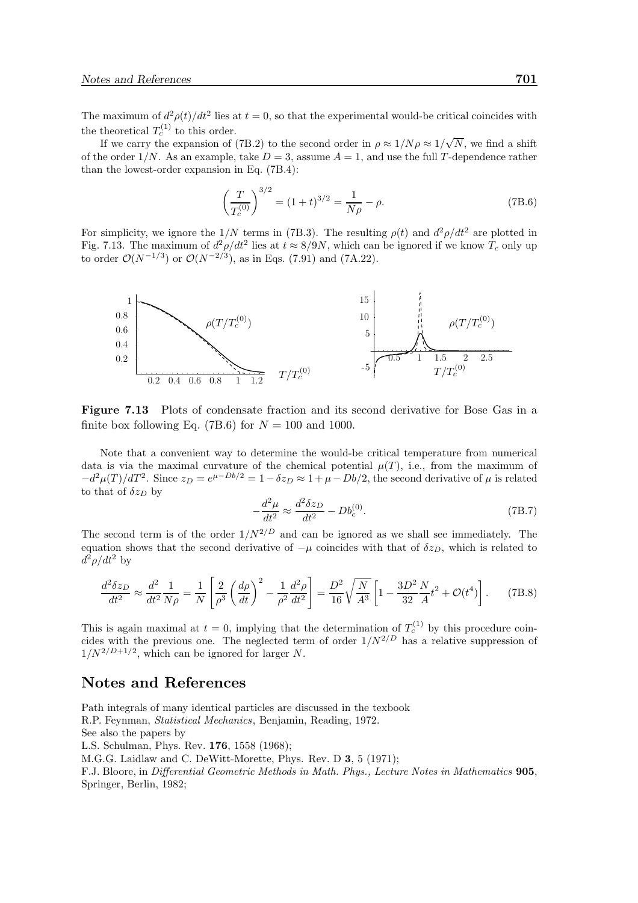The maximum of  $d^2 \rho(t)/dt^2$  lies at  $t = 0$ , so that the experimental would-be critical coincides with the theoretical  $T_c^{(1)}$  to this order.

If we carry the expansion of (7B.2) to the second order in  $\rho \approx 1/N\rho \approx 1/\sqrt{N}$ , we find a shift of the order  $1/N$ . As an example, take  $D = 3$ , assume  $A = 1$ , and use the full T-dependence rather than the lowest-order expansion in Eq. (7B.4):

$$
\left(\frac{T}{T_c^{(0)}}\right)^{3/2} = (1+t)^{3/2} = \frac{1}{N\rho} - \rho.
$$
\n(7B.6)

For simplicity, we ignore the  $1/N$  terms in (7B.3). The resulting  $\rho(t)$  and  $d^2\rho/dt^2$  are plotted in Fig. 7.13. The maximum of  $d^2 \rho/dt^2$  lies at  $t \approx 8/9N$ , which can be ignored if we know  $T_c$  only up to order  $\mathcal{O}(N^{-1/3})$  or  $\mathcal{O}(N^{-2/3})$ , as in Eqs. (7.91) and (7A.22).



Figure 7.13 Plots of condensate fraction and its second derivative for Bose Gas in a finite box following Eq. (7B.6) for  $N = 100$  and 1000.

Note that a convenient way to determine the would-be critical temperature from numerical data is via the maximal curvature of the chemical potential  $\mu(T)$ , i.e., from the maximum of  $-d^2\mu(T)/dT^2$ . Since  $z_D = e^{\mu - Db/2} = 1 - \delta z_D \approx 1 + \mu - Db/2$ , the second derivative of  $\mu$  is related to that of  $\delta z_D$  by

$$
-\frac{d^2\mu}{dt^2} \approx \frac{d^2\delta z_D}{dt^2} - Db_c^{(0)}.\tag{7B.7}
$$

The second term is of the order  $1/N^{2/D}$  and can be ignored as we shall see immediately. The equation shows that the second derivative of  $-\mu$  coincides with that of  $\delta z_D$ , which is related to  $d^2\rho/dt^2$  by

$$
\frac{d^2 \delta z_D}{dt^2} \approx \frac{d^2}{dt^2} \frac{1}{N\rho} = \frac{1}{N} \left[ \frac{2}{\rho^3} \left( \frac{d\rho}{dt} \right)^2 - \frac{1}{\rho^2} \frac{d^2 \rho}{dt^2} \right] = \frac{D^2}{16} \sqrt{\frac{N}{A^3}} \left[ 1 - \frac{3D^2}{32} \frac{N}{A} t^2 + \mathcal{O}(t^4) \right]. \tag{7B.8}
$$

This is again maximal at  $t = 0$ , implying that the determination of  $T_c^{(1)}$  by this procedure coincides with the previous one. The neglected term of order  $1/N^{2/D}$  has a relative suppression of  $1/N^{2/D+1/2}$ , which can be ignored for larger N.

#### Notes and References

Path integrals of many identical particles are discussed in the texbook R.P. Feynman, Statistical Mechanics, Benjamin, Reading, 1972. See also the papers by L.S. Schulman, Phys. Rev. 176, 1558 (1968); M.G.G. Laidlaw and C. DeWitt-Morette, Phys. Rev. D 3, 5 (1971); F.J. Bloore, in Differential Geometric Methods in Math. Phys., Lecture Notes in Mathematics 905, Springer, Berlin, 1982;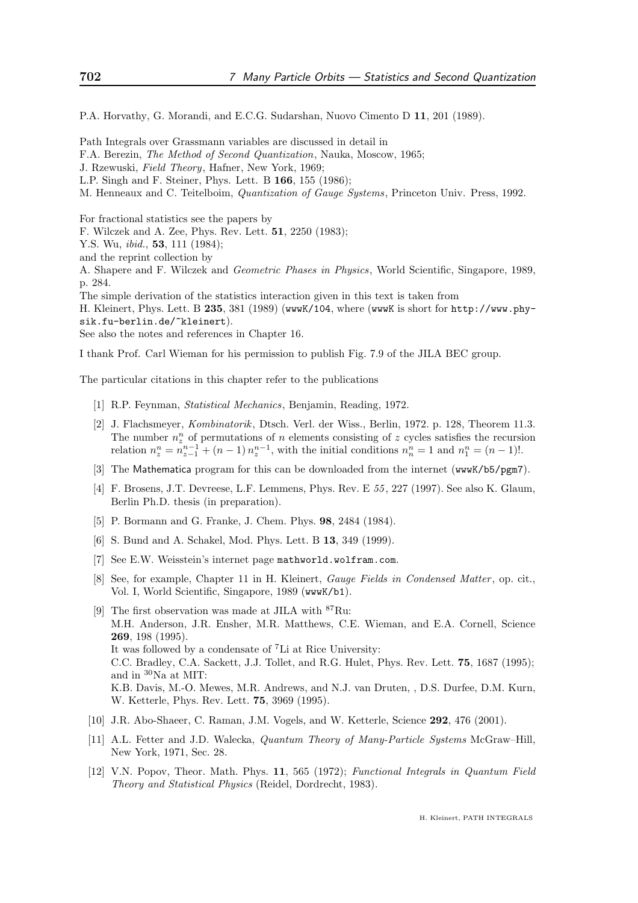P.A. Horvathy, G. Morandi, and E.C.G. Sudarshan, Nuovo Cimento D 11, 201 (1989).

- Path Integrals over Grassmann variables are discussed in detail in
- F.A. Berezin, The Method of Second Quantization, Nauka, Moscow, 1965;
- J. Rzewuski, Field Theory, Hafner, New York, 1969;
- L.P. Singh and F. Steiner, Phys. Lett. B 166, 155 (1986);
- M. Henneaux and C. Teitelboim, Quantization of Gauge Systems, Princeton Univ. Press, 1992.

For fractional statistics see the papers by

F. Wilczek and A. Zee, Phys. Rev. Lett. 51, 2250 (1983);

Y.S. Wu, *ibid.*, **53**, 111 (1984);

and the reprint collection by

A. Shapere and F. Wilczek and Geometric Phases in Physics, World Scientific, Singapore, 1989, p. 284.

The simple derivation of the statistics interaction given in this text is taken from

H. Kleinert, Phys. Lett. B 235, 381 (1989) (wwwK/104, where (wwwK is short for http://www.physik.fu-berlin.de/~kleinert).

See also the notes and references in Chapter 16.

I thank Prof. Carl Wieman for his permission to publish Fig. 7.9 of the JILA BEC group.

The particular citations in this chapter refer to the publications

- [1] R.P. Feynman, Statistical Mechanics, Benjamin, Reading, 1972.
- [2] J. Flachsmeyer, Kombinatorik, Dtsch. Verl. der Wiss., Berlin, 1972. p. 128, Theorem 11.3. The number  $n_z^n$  of permutations of n elements consisting of z cycles satisfies the recursion relation  $n_2^n = n_{z-1}^{n-1} + (n-1) n_z^{n-1}$ , with the initial conditions  $n_n^n = 1$  and  $n_1^n = (n-1)!$ .
- [3] The Mathematica program for this can be downloaded from the internet (wwwK/b5/pgm7).
- [4] F. Brosens, J.T. Devreese, L.F. Lemmens, Phys. Rev. E 55, 227 (1997). See also K. Glaum, Berlin Ph.D. thesis (in preparation).
- [5] P. Bormann and G. Franke, J. Chem. Phys. 98, 2484 (1984).
- [6] S. Bund and A. Schakel, Mod. Phys. Lett. B 13, 349 (1999).
- [7] See E.W. Weisstein's internet page mathworld.wolfram.com.
- [8] See, for example, Chapter 11 in H. Kleinert, *Gauge Fields in Condensed Matter*, op. cit., Vol. I, World Scientific, Singapore, 1989 (wwwK/b1).
- [9] The first observation was made at JILA with <sup>87</sup>Ru: M.H. Anderson, J.R. Ensher, M.R. Matthews, C.E. Wieman, and E.A. Cornell, Science 269, 198 (1995). It was followed by a condensate of <sup>7</sup>Li at Rice University: C.C. Bradley, C.A. Sackett, J.J. Tollet, and R.G. Hulet, Phys. Rev. Lett. 75, 1687 (1995); and in <sup>30</sup>Na at MIT: K.B. Davis, M.-O. Mewes, M.R. Andrews, and N.J. van Druten, , D.S. Durfee, D.M. Kurn, W. Ketterle, Phys. Rev. Lett. 75, 3969 (1995).
- [10] J.R. Abo-Shaeer, C. Raman, J.M. Vogels, and W. Ketterle, Science 292, 476 (2001).
- [11] A.L. Fetter and J.D. Walecka, Quantum Theory of Many-Particle Systems McGraw–Hill, New York, 1971, Sec. 28.
- [12] V.N. Popov, Theor. Math. Phys. 11, 565 (1972); Functional Integrals in Quantum Field Theory and Statistical Physics (Reidel, Dordrecht, 1983).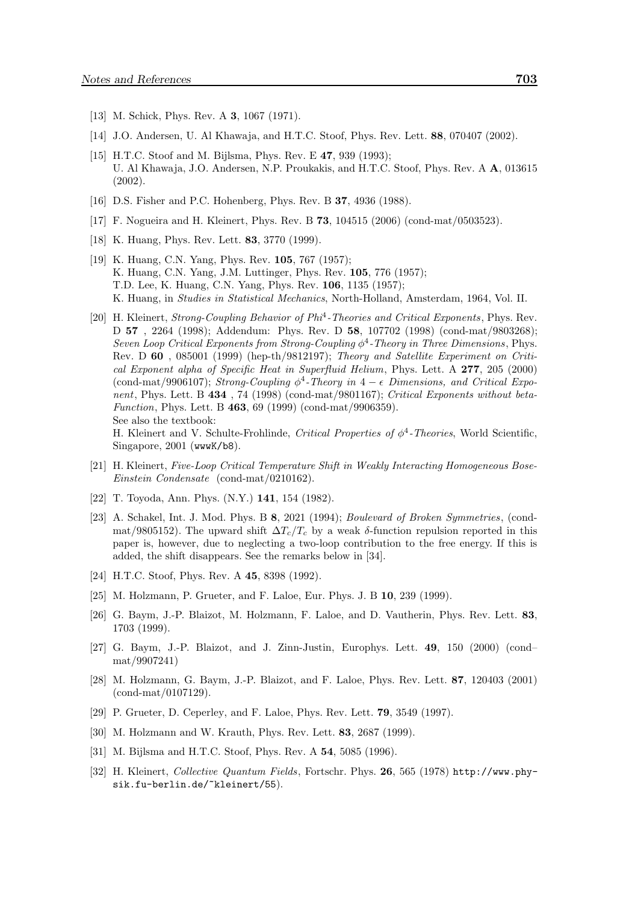- [13] M. Schick, Phys. Rev. A **3**, 1067 (1971).
- [14] J.O. Andersen, U. Al Khawaja, and H.T.C. Stoof, Phys. Rev. Lett. 88, 070407 (2002).
- [15] H.T.C. Stoof and M. Bijlsma, Phys. Rev. E **47**, 939 (1993); U. Al Khawaja, J.O. Andersen, N.P. Proukakis, and H.T.C. Stoof, Phys. Rev. A A, 013615 (2002).
- [16] D.S. Fisher and P.C. Hohenberg, Phys. Rev. B 37, 4936 (1988).
- [17] F. Nogueira and H. Kleinert, Phys. Rev. B 73, 104515 (2006) (cond-mat/0503523).
- [18] K. Huang, Phys. Rev. Lett. **83**, 3770 (1999).
- [19] K. Huang, C.N. Yang, Phys. Rev. **105**, 767 (1957); K. Huang, C.N. Yang, J.M. Luttinger, Phys. Rev. 105, 776 (1957); T.D. Lee, K. Huang, C.N. Yang, Phys. Rev. 106, 1135 (1957); K. Huang, in Studies in Statistical Mechanics, North-Holland, Amsterdam, 1964, Vol. II.
- [20] H. Kleinert, Strong-Coupling Behavior of Phi<sup>4</sup>-Theories and Critical Exponents, Phys. Rev. D 57 , 2264 (1998); Addendum: Phys. Rev. D 58, 107702 (1998) (cond-mat/9803268); Seven Loop Critical Exponents from Strong-Coupling  $\phi^4$ -Theory in Three Dimensions, Phys. Rev. D 60 , 085001 (1999) (hep-th/9812197); Theory and Satellite Experiment on Critical Exponent alpha of Specific Heat in Superfluid Helium, Phys. Lett. A 277, 205 (2000) (cond-mat/9906107); Strong-Coupling  $\phi^4$ -Theory in  $4-\epsilon$  Dimensions, and Critical Exponent, Phys. Lett. B 434, 74 (1998) (cond-mat/9801167); Critical Exponents without beta-Function, Phys. Lett. B 463, 69 (1999) (cond-mat/9906359). See also the textbook: H. Kleinert and V. Schulte-Frohlinde, Critical Properties of  $\phi^4$ -Theories, World Scientific, Singapore, 2001 (wwwK/b8).
- [21] H. Kleinert, Five-Loop Critical Temperature Shift in Weakly Interacting Homogeneous Bose-Einstein Condensate (cond-mat/0210162).
- [22] T. Toyoda, Ann. Phys. (N.Y.) 141, 154 (1982).
- [23] A. Schakel, Int. J. Mod. Phys. B 8, 2021 (1994); Boulevard of Broken Symmetries, (condmat/9805152). The upward shift  $\Delta T_c/T_c$  by a weak  $\delta$ -function repulsion reported in this paper is, however, due to neglecting a two-loop contribution to the free energy. If this is added, the shift disappears. See the remarks below in [34].
- [24] H.T.C. Stoof, Phys. Rev. A 45, 8398 (1992).
- [25] M. Holzmann, P. Grueter, and F. Laloe, Eur. Phys. J. B 10, 239 (1999).
- [26] G. Baym, J.-P. Blaizot, M. Holzmann, F. Laloe, and D. Vautherin, Phys. Rev. Lett. 83, 1703 (1999).
- [27] G. Baym, J.-P. Blaizot, and J. Zinn-Justin, Europhys. Lett. 49, 150 (2000) (cond– mat/9907241)
- [28] M. Holzmann, G. Baym, J.-P. Blaizot, and F. Laloe, Phys. Rev. Lett. 87, 120403 (2001) (cond-mat/0107129).
- [29] P. Grueter, D. Ceperley, and F. Laloe, Phys. Rev. Lett. 79, 3549 (1997).
- [30] M. Holzmann and W. Krauth, Phys. Rev. Lett. **83**, 2687 (1999).
- [31] M. Bijlsma and H.T.C. Stoof, Phys. Rev. A 54, 5085 (1996).
- [32] H. Kleinert, Collective Quantum Fields, Fortschr. Phys. 26, 565 (1978) http://www.physik.fu-berlin.de/~kleinert/55).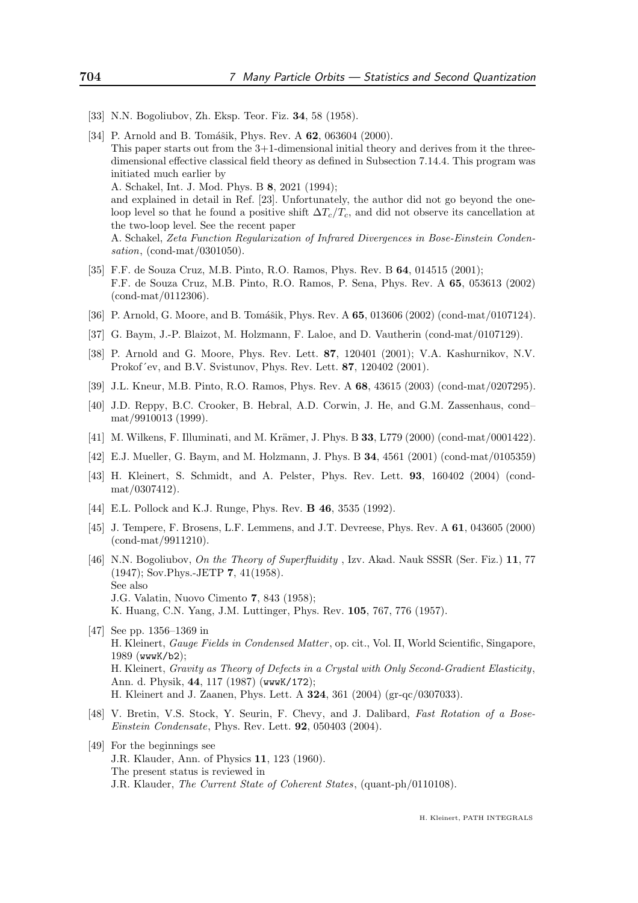- [33] N.N. Bogoliubov, Zh. Eksp. Teor. Fiz. 34, 58 (1958).
- [34] P. Arnold and B. Tomášik, Phys. Rev. A 62, 063604 (2000). This paper starts out from the 3+1-dimensional initial theory and derives from it the threedimensional effective classical field theory as defined in Subsection 7.14.4. This program was initiated much earlier by A. Schakel, Int. J. Mod. Phys. B 8, 2021 (1994); and explained in detail in Ref. [23]. Unfortunately, the author did not go beyond the oneloop level so that he found a positive shift  $\Delta T_c/T_c$ , and did not observe its cancellation at the two-loop level. See the recent paper A. Schakel, Zeta Function Regularization of Infrared Divergences in Bose-Einstein Condensation, (cond-mat/0301050).
- [35] F.F. de Souza Cruz, M.B. Pinto, R.O. Ramos, Phys. Rev. B 64, 014515 (2001); F.F. de Souza Cruz, M.B. Pinto, R.O. Ramos, P. Sena, Phys. Rev. A 65, 053613 (2002) (cond-mat/0112306).
- [36] P. Arnold, G. Moore, and B. Tomášik, Phys. Rev. A **65**, 013606 (2002) (cond-mat/0107124).
- [37] G. Baym, J.-P. Blaizot, M. Holzmann, F. Laloe, and D. Vautherin (cond-mat/0107129).
- [38] P. Arnold and G. Moore, Phys. Rev. Lett. 87, 120401 (2001); V.A. Kashurnikov, N.V. Prokof´ev, and B.V. Svistunov, Phys. Rev. Lett. 87, 120402 (2001).
- [39] J.L. Kneur, M.B. Pinto, R.O. Ramos, Phys. Rev. A 68, 43615 (2003) (cond-mat/0207295).
- [40] J.D. Reppy, B.C. Crooker, B. Hebral, A.D. Corwin, J. He, and G.M. Zassenhaus, cond– mat/9910013 (1999).
- [41] M. Wilkens, F. Illuminati, and M. Krämer, J. Phys. B 33, L779 (2000) (cond-mat/0001422).
- [42] E.J. Mueller, G. Baym, and M. Holzmann, J. Phys. B 34, 4561 (2001) (cond-mat/0105359)
- [43] H. Kleinert, S. Schmidt, and A. Pelster, Phys. Rev. Lett. 93, 160402 (2004) (condmat/0307412).
- [44] E.L. Pollock and K.J. Runge, Phys. Rev. **B 46**, 3535 (1992).
- [45] J. Tempere, F. Brosens, L.F. Lemmens, and J.T. Devreese, Phys. Rev. A 61, 043605 (2000) (cond-mat/9911210).
- [46] N.N. Bogoliubov, On the Theory of Superfluidity , Izv. Akad. Nauk SSSR (Ser. Fiz.) 11, 77 (1947); Sov.Phys.-JETP 7, 41(1958). See also J.G. Valatin, Nuovo Cimento 7, 843 (1958); K. Huang, C.N. Yang, J.M. Luttinger, Phys. Rev. 105, 767, 776 (1957).
- [47] See pp. 1356–1369 in H. Kleinert, Gauge Fields in Condensed Matter , op. cit., Vol. II, World Scientific, Singapore, 1989 (wwwK/b2); H. Kleinert, Gravity as Theory of Defects in a Crystal with Only Second-Gradient Elasticity, Ann. d. Physik, 44, 117 (1987) (wwwK/172); H. Kleinert and J. Zaanen, Phys. Lett. A 324, 361 (2004) (gr-qc/0307033).
- [48] V. Bretin, V.S. Stock, Y. Seurin, F. Chevy, and J. Dalibard, Fast Rotation of a Bose-Einstein Condensate, Phys. Rev. Lett. 92, 050403 (2004).
- [49] For the beginnings see J.R. Klauder, Ann. of Physics 11, 123 (1960). The present status is reviewed in J.R. Klauder, The Current State of Coherent States, (quant-ph/0110108).